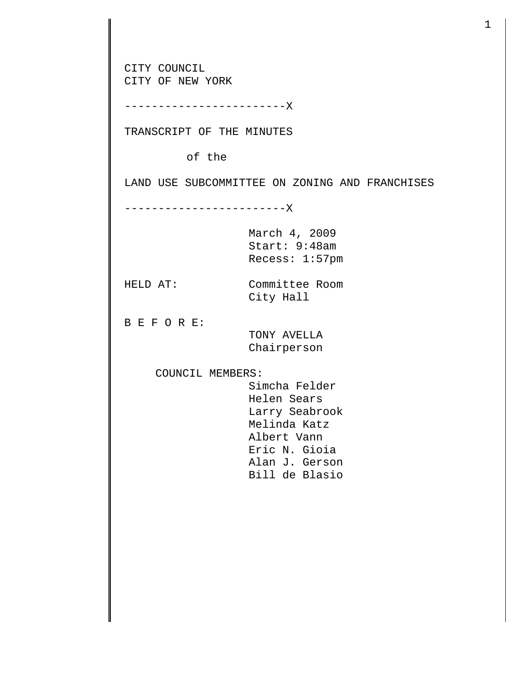CITY COUNCIL CITY OF NEW YORK ------------------------X TRANSCRIPT OF THE MINUTES of the LAND USE SUBCOMMITTEE ON ZONING AND FRANCHISES ------------------------X March 4, 2009 Start: 9:48am Recess: 1:57pm HELD AT: Committee Room City Hall B E F O R E: TONY AVELLA Chairperson COUNCIL MEMBERS: Simcha Felder Helen Sears Larry Seabrook Melinda Katz Albert Vann Eric N. Gioia Alan J. Gerson Bill de Blasio

1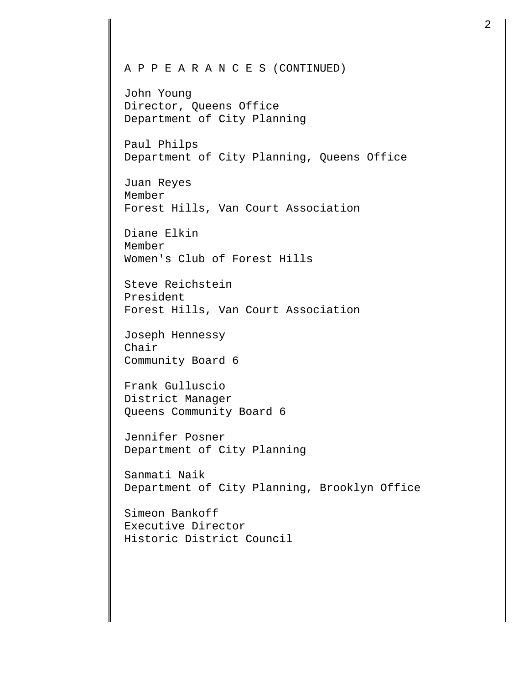John Young Director, Queens Office Department of City Planning

Paul Philps Department of City Planning, Queens Office

Juan Reyes Member Forest Hills, Van Court Association

Diane Elkin Member Women's Club of Forest Hills

Steve Reichstein President Forest Hills, Van Court Association

Joseph Hennessy Chair Community Board 6

Frank Gulluscio District Manager Queens Community Board 6

Jennifer Posner Department of City Planning

Sanmati Naik Department of City Planning, Brooklyn Office

Simeon Bankoff Executive Director Historic District Council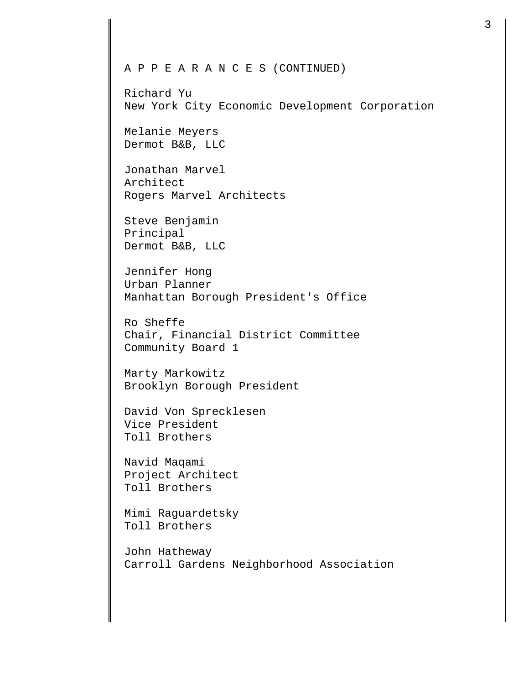Richard Yu New York City Economic Development Corporation

Melanie Meyers Dermot B&B, LLC

Jonathan Marvel Architect Rogers Marvel Architects

Steve Benjamin Principal Dermot B&B, LLC

Jennifer Hong Urban Planner Manhattan Borough President's Office

Ro Sheffe Chair, Financial District Committee Community Board 1

Marty Markowitz Brooklyn Borough President

David Von Sprecklesen Vice President Toll Brothers

Navid Maqami Project Architect Toll Brothers

Mimi Raguardetsky Toll Brothers

John Hatheway Carroll Gardens Neighborhood Association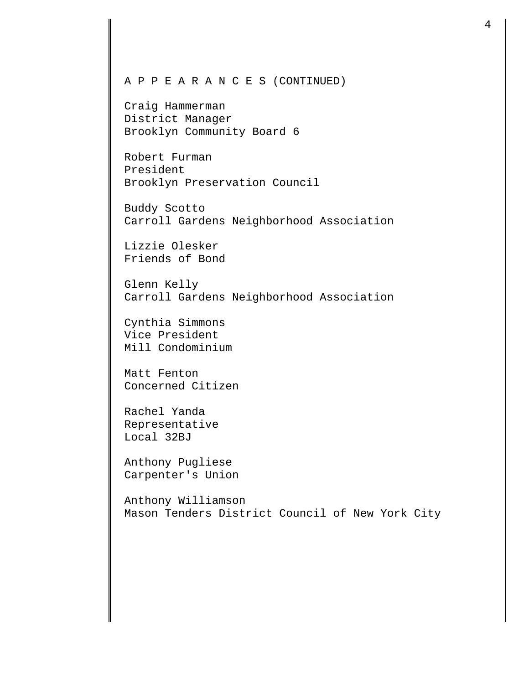Craig Hammerman District Manager Brooklyn Community Board 6

Robert Furman President Brooklyn Preservation Council

Buddy Scotto Carroll Gardens Neighborhood Association

Lizzie Olesker Friends of Bond

Glenn Kelly Carroll Gardens Neighborhood Association

Cynthia Simmons Vice President Mill Condominium

Matt Fenton Concerned Citizen

Rachel Yanda Representative Local 32BJ

Anthony Pugliese Carpenter's Union

Anthony Williamson Mason Tenders District Council of New York City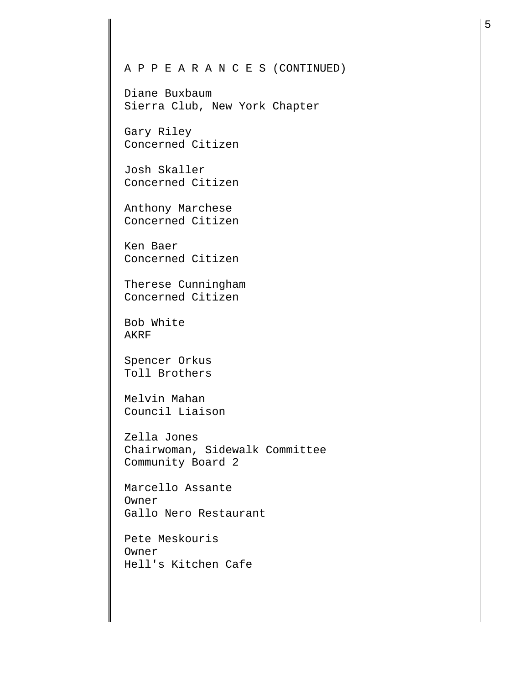Diane Buxbaum Sierra Club, New York Chapter

Gary Riley Concerned Citizen

Josh Skaller Concerned Citizen

Anthony Marchese Concerned Citizen

Ken Baer Concerned Citizen

Therese Cunningham Concerned Citizen

Bob White AKRF

Spencer Orkus Toll Brothers

Melvin Mahan Council Liaison

Zella Jones Chairwoman, Sidewalk Committee Community Board 2

Marcello Assante Owner Gallo Nero Restaurant

Pete Meskouris Owner Hell's Kitchen Cafe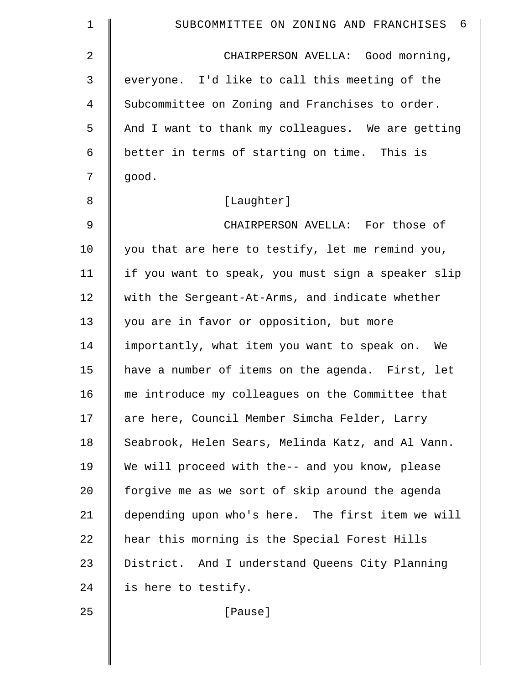| 1  | SUBCOMMITTEE ON ZONING AND FRANCHISES<br>- 6       |
|----|----------------------------------------------------|
| 2  | CHAIRPERSON AVELLA: Good morning,                  |
| 3  | everyone. I'd like to call this meeting of the     |
| 4  | Subcommittee on Zoning and Franchises to order.    |
| 5  | And I want to thank my colleagues. We are getting  |
| 6  | better in terms of starting on time. This is       |
| 7  | good.                                              |
| 8  | [Laughter]                                         |
| 9  | CHAIRPERSON AVELLA: For those of                   |
| 10 | you that are here to testify, let me remind you,   |
| 11 | if you want to speak, you must sign a speaker slip |
| 12 | with the Sergeant-At-Arms, and indicate whether    |
| 13 | you are in favor or opposition, but more           |
| 14 | importantly, what item you want to speak on. We    |
| 15 | have a number of items on the agenda. First, let   |
| 16 | me introduce my colleagues on the Committee that   |
| 17 | are here, Council Member Simcha Felder, Larry      |
| 18 | Seabrook, Helen Sears, Melinda Katz, and Al Vann.  |
| 19 | We will proceed with the-- and you know, please    |
| 20 | forgive me as we sort of skip around the agenda    |
| 21 | depending upon who's here. The first item we will  |
| 22 | hear this morning is the Special Forest Hills      |
| 23 | District. And I understand Queens City Planning    |
| 24 | is here to testify.                                |
| 25 | [Pause]                                            |
|    |                                                    |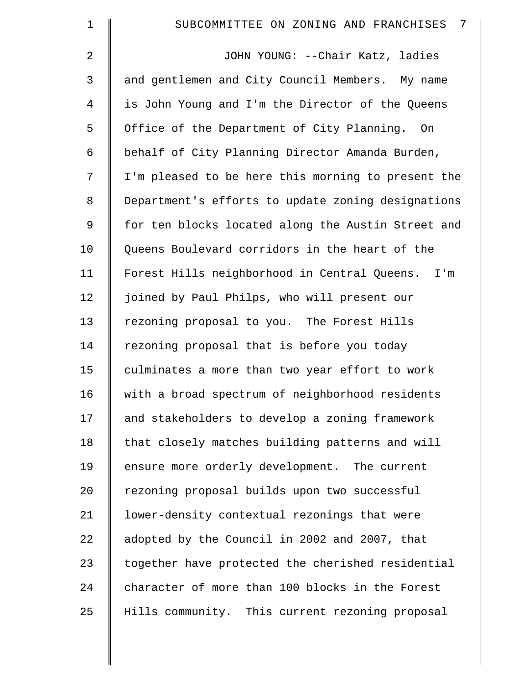| $\mathbf 1$    | 7<br>SUBCOMMITTEE ON ZONING AND FRANCHISES          |
|----------------|-----------------------------------------------------|
| 2              | JOHN YOUNG: --Chair Katz, ladies                    |
| 3              | and gentlemen and City Council Members. My name     |
| 4              | is John Young and I'm the Director of the Queens    |
| 5              | Office of the Department of City Planning. On       |
| 6              | behalf of City Planning Director Amanda Burden,     |
| 7              | I'm pleased to be here this morning to present the  |
| 8              | Department's efforts to update zoning designations  |
| $\overline{9}$ | for ten blocks located along the Austin Street and  |
| 10             | Queens Boulevard corridors in the heart of the      |
| 11             | Forest Hills neighborhood in Central Queens.<br>I'm |
| 12             | joined by Paul Philps, who will present our         |
| 13             | rezoning proposal to you. The Forest Hills          |
| 14             | rezoning proposal that is before you today          |
| 15             | culminates a more than two year effort to work      |
| 16             | with a broad spectrum of neighborhood residents     |
| 17             | and stakeholders to develop a zoning framework      |
| 18             | that closely matches building patterns and will     |
| 19             | ensure more orderly development. The current        |
| 20             | rezoning proposal builds upon two successful        |
| 21             | lower-density contextual rezonings that were        |
| 22             | adopted by the Council in 2002 and 2007, that       |
| 23             | together have protected the cherished residential   |
| 24             | character of more than 100 blocks in the Forest     |
| 25             | Hills community. This current rezoning proposal     |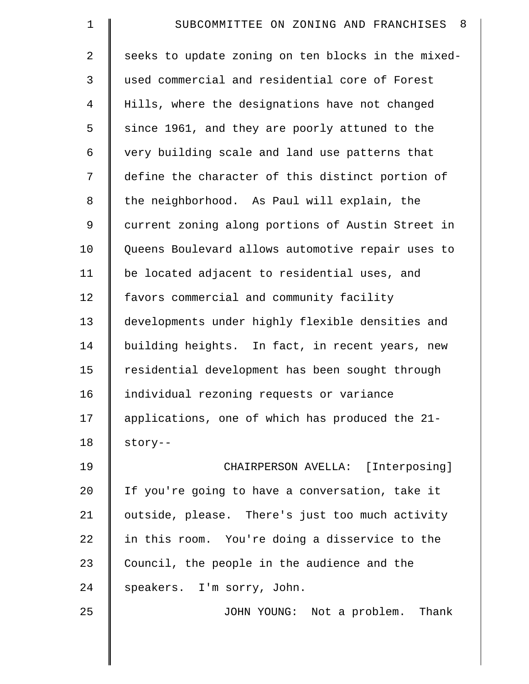| $\mathbf 1$    | SUBCOMMITTEE ON ZONING AND FRANCHISES 8            |
|----------------|----------------------------------------------------|
| $\overline{2}$ | seeks to update zoning on ten blocks in the mixed- |
| 3              | used commercial and residential core of Forest     |
| 4              | Hills, where the designations have not changed     |
| 5              | since 1961, and they are poorly attuned to the     |
| 6              | very building scale and land use patterns that     |
| 7              | define the character of this distinct portion of   |
| 8              | the neighborhood. As Paul will explain, the        |
| 9              | current zoning along portions of Austin Street in  |
| 10             | Queens Boulevard allows automotive repair uses to  |
| 11             | be located adjacent to residential uses, and       |
| 12             | favors commercial and community facility           |
| 13             | developments under highly flexible densities and   |
| 14             | building heights. In fact, in recent years, new    |
| 15             | residential development has been sought through    |
| 16             | individual rezoning requests or variance           |
| 17             | applications, one of which has produced the 21-    |
| 18             | story--                                            |
| 19             | CHAIRPERSON AVELLA: [Interposing]                  |
| 20             | If you're going to have a conversation, take it    |
| 21             | outside, please. There's just too much activity    |
| 22             | in this room. You're doing a disservice to the     |
| 23             | Council, the people in the audience and the        |
| 24             | speakers. I'm sorry, John.                         |
| 25             | JOHN YOUNG: Not a problem. Thank                   |
|                |                                                    |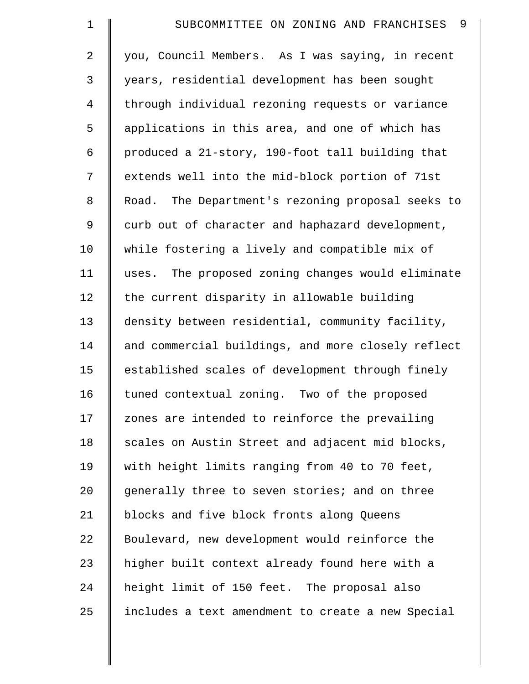| $\mathbf 1$    | 9<br>SUBCOMMITTEE ON ZONING AND FRANCHISES         |
|----------------|----------------------------------------------------|
| 2              | you, Council Members. As I was saying, in recent   |
| 3              | years, residential development has been sought     |
| $\overline{4}$ | through individual rezoning requests or variance   |
| 5              | applications in this area, and one of which has    |
| 6              | produced a 21-story, 190-foot tall building that   |
| 7              | extends well into the mid-block portion of 71st    |
| 8              | Road. The Department's rezoning proposal seeks to  |
| 9              | curb out of character and haphazard development,   |
| 10             | while fostering a lively and compatible mix of     |
| 11             | uses. The proposed zoning changes would eliminate  |
| 12             | the current disparity in allowable building        |
| 13             | density between residential, community facility,   |
| 14             | and commercial buildings, and more closely reflect |
| 15             | established scales of development through finely   |
| 16             | tuned contextual zoning. Two of the proposed       |
| 17             | zones are intended to reinforce the prevailing     |
| 18             | scales on Austin Street and adjacent mid blocks,   |
| 19             | with height limits ranging from 40 to 70 feet,     |
| 20             | generally three to seven stories; and on three     |
| 21             | blocks and five block fronts along Queens          |
| 22             | Boulevard, new development would reinforce the     |
| 23             | higher built context already found here with a     |
| 24             | height limit of 150 feet. The proposal also        |
| 25             | includes a text amendment to create a new Special  |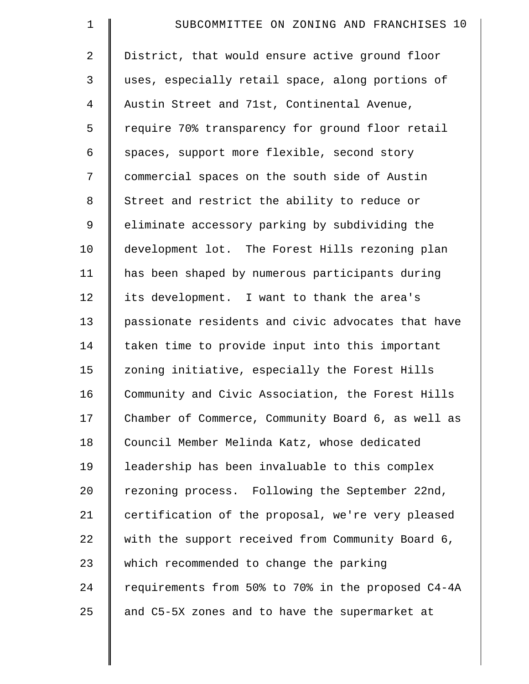| $\mathbf 1$    | SUBCOMMITTEE ON ZONING AND FRANCHISES 10           |
|----------------|----------------------------------------------------|
| $\overline{a}$ | District, that would ensure active ground floor    |
| 3              | uses, especially retail space, along portions of   |
| $\overline{4}$ | Austin Street and 71st, Continental Avenue,        |
| 5              | require 70% transparency for ground floor retail   |
| 6              | spaces, support more flexible, second story        |
| 7              | commercial spaces on the south side of Austin      |
| 8              | Street and restrict the ability to reduce or       |
| 9              | eliminate accessory parking by subdividing the     |
| 10             | development lot. The Forest Hills rezoning plan    |
| 11             | has been shaped by numerous participants during    |
| 12             | its development. I want to thank the area's        |
| 13             | passionate residents and civic advocates that have |
| 14             | taken time to provide input into this important    |
| 15             | zoning initiative, especially the Forest Hills     |
| 16             | Community and Civic Association, the Forest Hills  |
| 17             | Chamber of Commerce, Community Board 6, as well as |
| 18             | Council Member Melinda Katz, whose dedicated       |
| 19             | leadership has been invaluable to this complex     |
| 20             | rezoning process. Following the September 22nd,    |
| 21             | certification of the proposal, we're very pleased  |
| 22             | with the support received from Community Board 6,  |
| 23             | which recommended to change the parking            |
| 24             | requirements from 50% to 70% in the proposed C4-4A |
| 25             | and C5-5X zones and to have the supermarket at     |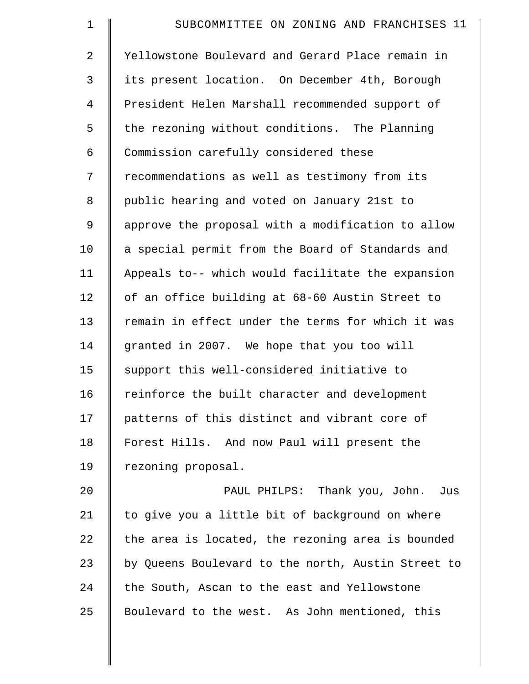| $\mathbf 1$    | SUBCOMMITTEE ON ZONING AND FRANCHISES 11           |
|----------------|----------------------------------------------------|
| $\overline{a}$ | Yellowstone Boulevard and Gerard Place remain in   |
| 3              | its present location. On December 4th, Borough     |
| $\overline{4}$ | President Helen Marshall recommended support of    |
| 5              | the rezoning without conditions. The Planning      |
| 6              | Commission carefully considered these              |
| 7              | recommendations as well as testimony from its      |
| 8              | public hearing and voted on January 21st to        |
| 9              | approve the proposal with a modification to allow  |
| 10             | a special permit from the Board of Standards and   |
| 11             | Appeals to-- which would facilitate the expansion  |
| 12             | of an office building at 68-60 Austin Street to    |
| 13             | remain in effect under the terms for which it was  |
| 14             | granted in 2007. We hope that you too will         |
| 15             | support this well-considered initiative to         |
| 16             | reinforce the built character and development      |
| 17             | patterns of this distinct and vibrant core of      |
| 18             | Forest Hills. And now Paul will present the        |
| 19             | rezoning proposal.                                 |
| 20             | PAUL PHILPS: Thank you, John. Jus                  |
| 21             | to give you a little bit of background on where    |
| 22             | the area is located, the rezoning area is bounded  |
| 23             | by Queens Boulevard to the north, Austin Street to |
| 24             | the South, Ascan to the east and Yellowstone       |
| 25             | Boulevard to the west. As John mentioned, this     |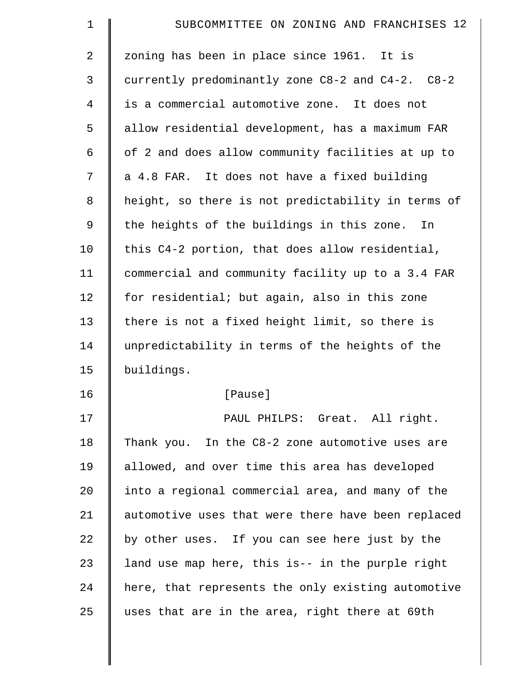| $\mathbf 1$    | SUBCOMMITTEE ON ZONING AND FRANCHISES 12           |
|----------------|----------------------------------------------------|
| $\overline{2}$ | zoning has been in place since 1961. It is         |
| 3              | currently predominantly zone C8-2 and C4-2. C8-2   |
| 4              | is a commercial automotive zone. It does not       |
| 5              | allow residential development, has a maximum FAR   |
| 6              | of 2 and does allow community facilities at up to  |
| 7              | a 4.8 FAR. It does not have a fixed building       |
| $\,8\,$        | height, so there is not predictability in terms of |
| 9              | the heights of the buildings in this zone.<br>In   |
| 10             | this C4-2 portion, that does allow residential,    |
| 11             | commercial and community facility up to a 3.4 FAR  |
| 12             | for residential; but again, also in this zone      |
| 13             | there is not a fixed height limit, so there is     |
| 14             | unpredictability in terms of the heights of the    |
| 15             | buildings.                                         |
| 16             | [Pause]                                            |
| 17             | PAUL PHILPS: Great. All right.                     |
| 18             | Thank you. In the C8-2 zone automotive uses are    |
| 19             | allowed, and over time this area has developed     |
| 20             | into a regional commercial area, and many of the   |
| 21             | automotive uses that were there have been replaced |
| 22             | by other uses. If you can see here just by the     |
| 23             | land use map here, this is-- in the purple right   |
| 24             | here, that represents the only existing automotive |
| 25             | uses that are in the area, right there at 69th     |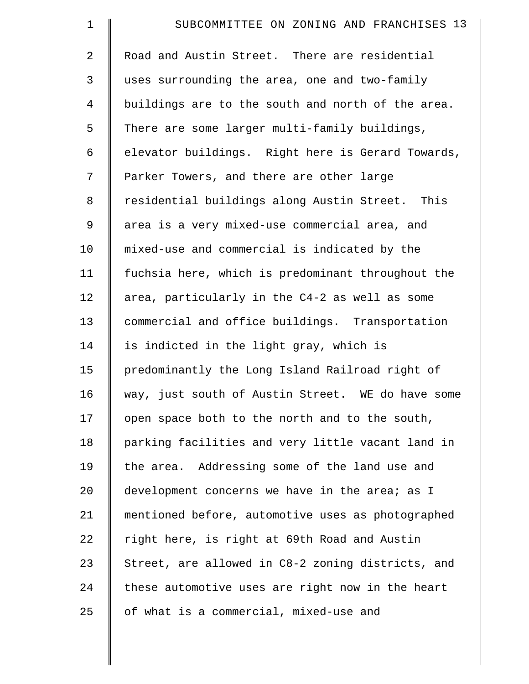| $\mathbf 1$    | SUBCOMMITTEE ON ZONING AND FRANCHISES 13          |
|----------------|---------------------------------------------------|
| $\overline{2}$ | Road and Austin Street. There are residential     |
| 3              | uses surrounding the area, one and two-family     |
| $\overline{4}$ | buildings are to the south and north of the area. |
| 5              | There are some larger multi-family buildings,     |
| 6              | elevator buildings. Right here is Gerard Towards, |
| 7              | Parker Towers, and there are other large          |
| 8              | residential buildings along Austin Street. This   |
| 9              | area is a very mixed-use commercial area, and     |
| 10             | mixed-use and commercial is indicated by the      |
| 11             | fuchsia here, which is predominant throughout the |
| 12             | area, particularly in the C4-2 as well as some    |
| 13             | commercial and office buildings. Transportation   |
| 14             | is indicted in the light gray, which is           |
| 15             | predominantly the Long Island Railroad right of   |
| 16             | way, just south of Austin Street. WE do have some |
| 17             | open space both to the north and to the south,    |
| 18             | parking facilities and very little vacant land in |
| 19             | the area. Addressing some of the land use and     |
| 20             | development concerns we have in the area; as I    |
| 21             | mentioned before, automotive uses as photographed |
| 22             | right here, is right at 69th Road and Austin      |
| 23             | Street, are allowed in C8-2 zoning districts, and |
| 24             | these automotive uses are right now in the heart  |
| 25             | of what is a commercial, mixed-use and            |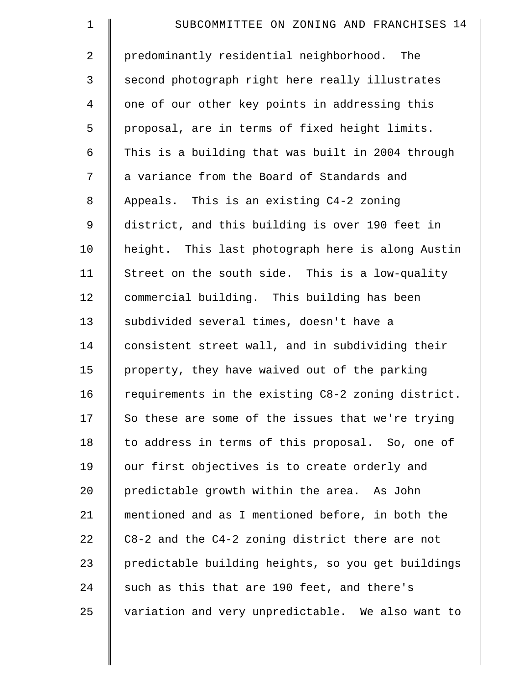| $\mathbf 1$    | SUBCOMMITTEE ON ZONING AND FRANCHISES 14           |
|----------------|----------------------------------------------------|
| 2              | predominantly residential neighborhood. The        |
| 3              | second photograph right here really illustrates    |
| $\overline{4}$ | one of our other key points in addressing this     |
| 5              | proposal, are in terms of fixed height limits.     |
| 6              | This is a building that was built in 2004 through  |
| 7              | a variance from the Board of Standards and         |
| $\,8\,$        | Appeals. This is an existing C4-2 zoning           |
| 9              | district, and this building is over 190 feet in    |
| 10             | height. This last photograph here is along Austin  |
| 11             | Street on the south side. This is a low-quality    |
| 12             | commercial building. This building has been        |
| 13             | subdivided several times, doesn't have a           |
| 14             | consistent street wall, and in subdividing their   |
| 15             | property, they have waived out of the parking      |
| 16             | requirements in the existing C8-2 zoning district. |
| 17             | So these are some of the issues that we're trying  |
| 18             | to address in terms of this proposal. So, one of   |
| 19             | our first objectives is to create orderly and      |
| 20             | predictable growth within the area. As John        |
| 21             | mentioned and as I mentioned before, in both the   |
| 22             | C8-2 and the C4-2 zoning district there are not    |
| 23             | predictable building heights, so you get buildings |
| 24             | such as this that are 190 feet, and there's        |
| 25             | variation and very unpredictable. We also want to  |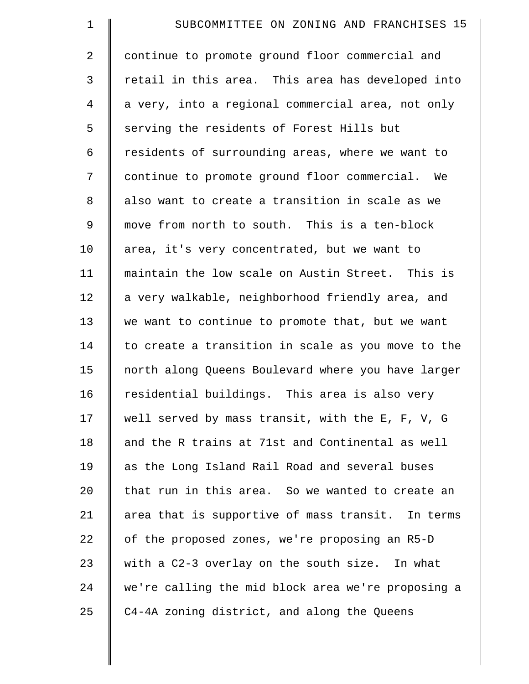| $\mathbf 1$    | SUBCOMMITTEE ON ZONING AND FRANCHISES 15           |
|----------------|----------------------------------------------------|
| $\overline{2}$ | continue to promote ground floor commercial and    |
| 3              | retail in this area. This area has developed into  |
| 4              | a very, into a regional commercial area, not only  |
| 5              | serving the residents of Forest Hills but          |
| 6              | residents of surrounding areas, where we want to   |
| 7              | continue to promote ground floor commercial. We    |
| 8              | also want to create a transition in scale as we    |
| 9              | move from north to south. This is a ten-block      |
| 10             | area, it's very concentrated, but we want to       |
| 11             | maintain the low scale on Austin Street. This is   |
| 12             | a very walkable, neighborhood friendly area, and   |
| 13             | we want to continue to promote that, but we want   |
| 14             | to create a transition in scale as you move to the |
| 15             | north along Queens Boulevard where you have larger |
| 16             | residential buildings. This area is also very      |
| 17             | well served by mass transit, with the E, F, V, G   |
| 18             | and the R trains at 71st and Continental as well   |
| 19             | as the Long Island Rail Road and several buses     |
| 20             | that run in this area. So we wanted to create an   |
| 21             | area that is supportive of mass transit. In terms  |
| 22             | of the proposed zones, we're proposing an R5-D     |
| 23             | with a C2-3 overlay on the south size. In what     |
| 24             | we're calling the mid block area we're proposing a |
| 25             | C4-4A zoning district, and along the Queens        |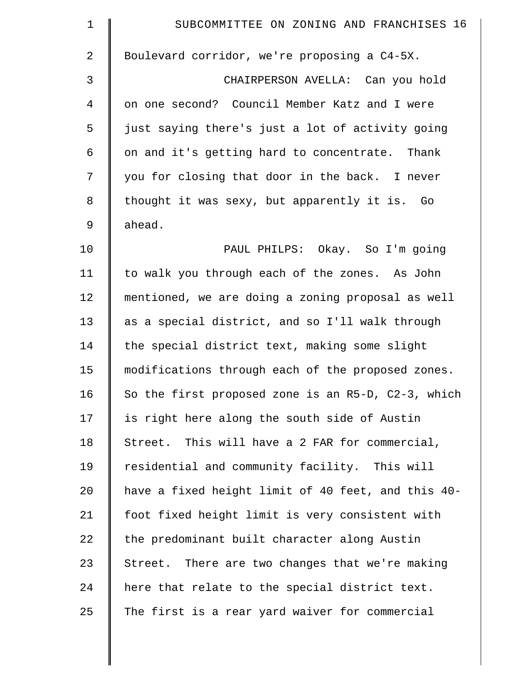| $\mathbf 1$  | SUBCOMMITTEE ON ZONING AND FRANCHISES 16           |
|--------------|----------------------------------------------------|
| $\mathbf{2}$ | Boulevard corridor, we're proposing a C4-5X.       |
| 3            | CHAIRPERSON AVELLA: Can you hold                   |
| 4            | on one second? Council Member Katz and I were      |
| 5            | just saying there's just a lot of activity going   |
| 6            | on and it's getting hard to concentrate. Thank     |
| 7            | you for closing that door in the back. I never     |
| 8            | thought it was sexy, but apparently it is. Go      |
| $\mathsf 9$  | ahead.                                             |
| 10           | PAUL PHILPS: Okay. So I'm going                    |
| 11           | to walk you through each of the zones. As John     |
| 12           | mentioned, we are doing a zoning proposal as well  |
| 13           | as a special district, and so I'll walk through    |
| 14           | the special district text, making some slight      |
| 15           | modifications through each of the proposed zones.  |
| 16           | So the first proposed zone is an R5-D, C2-3, which |
| 17           | is right here along the south side of Austin       |
| 18           | Street. This will have a 2 FAR for commercial,     |
| 19           | residential and community facility. This will      |
| 20           | have a fixed height limit of 40 feet, and this 40- |
| 21           | foot fixed height limit is very consistent with    |
| 22           | the predominant built character along Austin       |
| 23           | Street. There are two changes that we're making    |
| 24           | here that relate to the special district text.     |
| 25           | The first is a rear yard waiver for commercial     |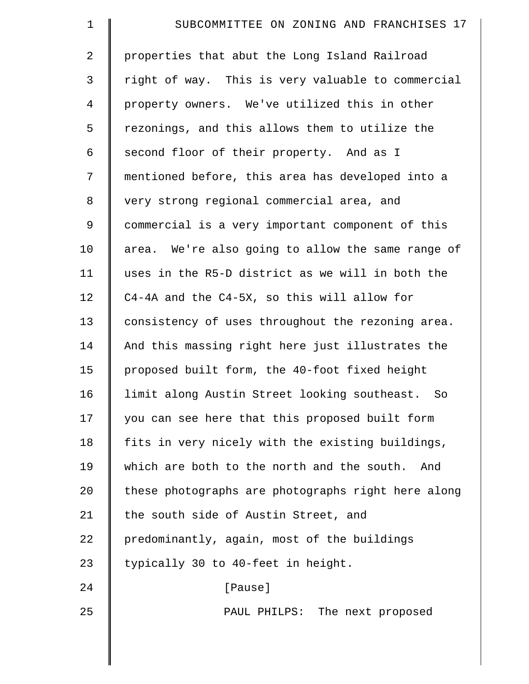| 1              | SUBCOMMITTEE ON ZONING AND FRANCHISES 17           |
|----------------|----------------------------------------------------|
| 2              | properties that abut the Long Island Railroad      |
| 3              | right of way. This is very valuable to commercial  |
| $\overline{4}$ | property owners. We've utilized this in other      |
| 5              | rezonings, and this allows them to utilize the     |
| 6              | second floor of their property. And as I           |
| 7              | mentioned before, this area has developed into a   |
| 8              | very strong regional commercial area, and          |
| $\mathsf 9$    | commercial is a very important component of this   |
| 10             | area. We're also going to allow the same range of  |
| 11             | uses in the R5-D district as we will in both the   |
| 12             | C4-4A and the C4-5X, so this will allow for        |
| 13             | consistency of uses throughout the rezoning area.  |
| 14             | And this massing right here just illustrates the   |
| 15             | proposed built form, the 40-foot fixed height      |
| 16             | limit along Austin Street looking southeast. So    |
| 17             | you can see here that this proposed built form     |
| 18             | fits in very nicely with the existing buildings,   |
| 19             | which are both to the north and the south.<br>And  |
| 20             | these photographs are photographs right here along |
| 21             | the south side of Austin Street, and               |
| 22             | predominantly, again, most of the buildings        |
| 23             | typically 30 to 40-feet in height.                 |
| 24             | [Pause]                                            |
| 25             | PAUL PHILPS: The next proposed                     |
|                |                                                    |
|                |                                                    |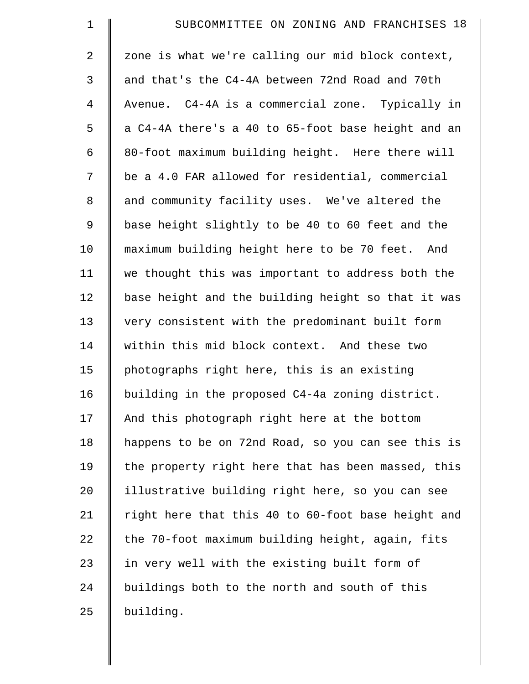| $\mathbf 1$    | SUBCOMMITTEE ON ZONING AND FRANCHISES 18           |
|----------------|----------------------------------------------------|
| $\overline{2}$ | zone is what we're calling our mid block context,  |
| 3              | and that's the C4-4A between 72nd Road and 70th    |
| $\overline{4}$ | Avenue. C4-4A is a commercial zone. Typically in   |
| 5              | a C4-4A there's a 40 to 65-foot base height and an |
| 6              | 80-foot maximum building height. Here there will   |
| 7              | be a 4.0 FAR allowed for residential, commercial   |
| $\,8\,$        | and community facility uses. We've altered the     |
| 9              | base height slightly to be 40 to 60 feet and the   |
| 10             | maximum building height here to be 70 feet. And    |
| 11             | we thought this was important to address both the  |
| 12             | base height and the building height so that it was |
| 13             | very consistent with the predominant built form    |
| 14             | within this mid block context. And these two       |
| 15             | photographs right here, this is an existing        |
| 16             | building in the proposed C4-4a zoning district.    |
| 17             | And this photograph right here at the bottom       |
| 18             | happens to be on 72nd Road, so you can see this is |
| 19             | the property right here that has been massed, this |
| 20             | illustrative building right here, so you can see   |
| 21             | right here that this 40 to 60-foot base height and |
| 22             | the 70-foot maximum building height, again, fits   |
| 23             | in very well with the existing built form of       |
| 24             | buildings both to the north and south of this      |
| 25             | building.                                          |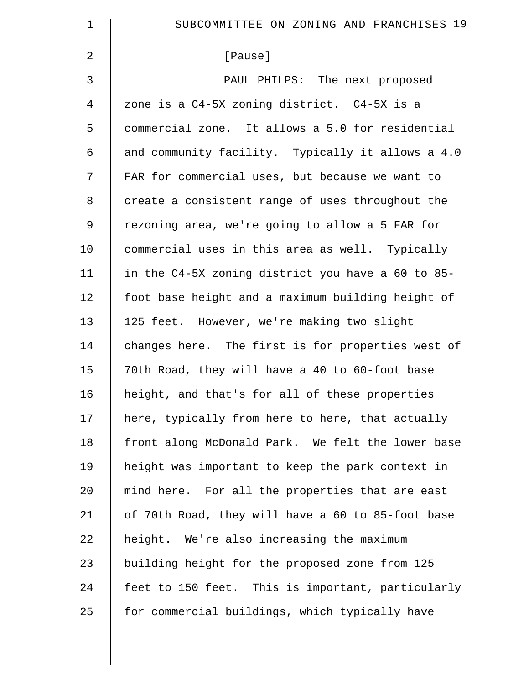| $\mathbf 1$    | SUBCOMMITTEE ON ZONING AND FRANCHISES 19          |
|----------------|---------------------------------------------------|
| 2              | [Pause]                                           |
| 3              | PAUL PHILPS: The next proposed                    |
| $\overline{4}$ | zone is a C4-5X zoning district. C4-5X is a       |
| 5              | commercial zone. It allows a 5.0 for residential  |
| 6              | and community facility. Typically it allows a 4.0 |
| 7              | FAR for commercial uses, but because we want to   |
| 8              | create a consistent range of uses throughout the  |
| 9              | rezoning area, we're going to allow a 5 FAR for   |
| 10             | commercial uses in this area as well. Typically   |
| 11             | in the C4-5X zoning district you have a 60 to 85- |
| 12             | foot base height and a maximum building height of |
| 13             | 125 feet. However, we're making two slight        |
| 14             | changes here. The first is for properties west of |
| 15             | 70th Road, they will have a 40 to 60-foot base    |
| 16             | height, and that's for all of these properties    |
| 17             | here, typically from here to here, that actually  |
| 18             | front along McDonald Park. We felt the lower base |
| 19             | height was important to keep the park context in  |
| 20             | mind here. For all the properties that are east   |
| 21             | of 70th Road, they will have a 60 to 85-foot base |
| 22             | height. We're also increasing the maximum         |
| 23             | building height for the proposed zone from 125    |
| 24             | feet to 150 feet. This is important, particularly |
| 25             | for commercial buildings, which typically have    |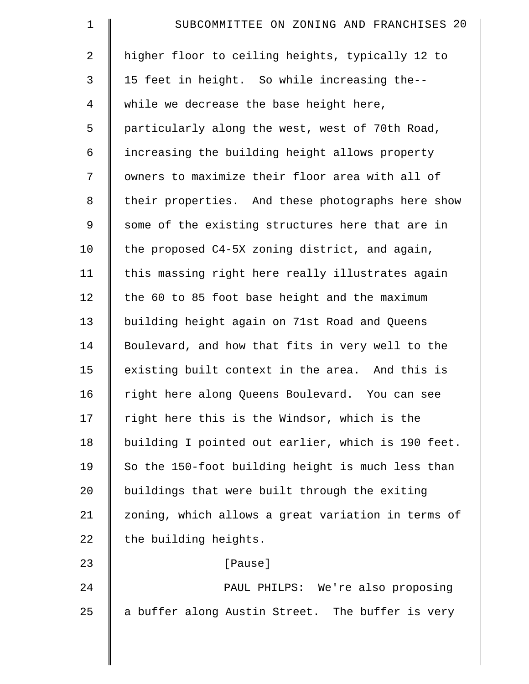| 1              | SUBCOMMITTEE ON ZONING AND FRANCHISES 20           |
|----------------|----------------------------------------------------|
| 2              | higher floor to ceiling heights, typically 12 to   |
| 3              | 15 feet in height. So while increasing the--       |
| $\overline{4}$ | while we decrease the base height here,            |
| 5              | particularly along the west, west of 70th Road,    |
| 6              | increasing the building height allows property     |
| 7              | owners to maximize their floor area with all of    |
| 8              | their properties. And these photographs here show  |
| $\mathsf 9$    | some of the existing structures here that are in   |
| 10             | the proposed C4-5X zoning district, and again,     |
| 11             | this massing right here really illustrates again   |
| 12             | the 60 to 85 foot base height and the maximum      |
| 13             | building height again on 71st Road and Queens      |
| 14             | Boulevard, and how that fits in very well to the   |
| 15             | existing built context in the area. And this is    |
| 16             | right here along Queens Boulevard. You can see     |
| 17             | right here this is the Windsor, which is the       |
| 18             | building I pointed out earlier, which is 190 feet. |
| 19             | So the 150-foot building height is much less than  |
| 20             | buildings that were built through the exiting      |
| 21             | zoning, which allows a great variation in terms of |
| 22             | the building heights.                              |
| 23             | [Pause]                                            |
| 24             | PAUL PHILPS: We're also proposing                  |
| 25             | a buffer along Austin Street. The buffer is very   |
|                |                                                    |

 $\parallel$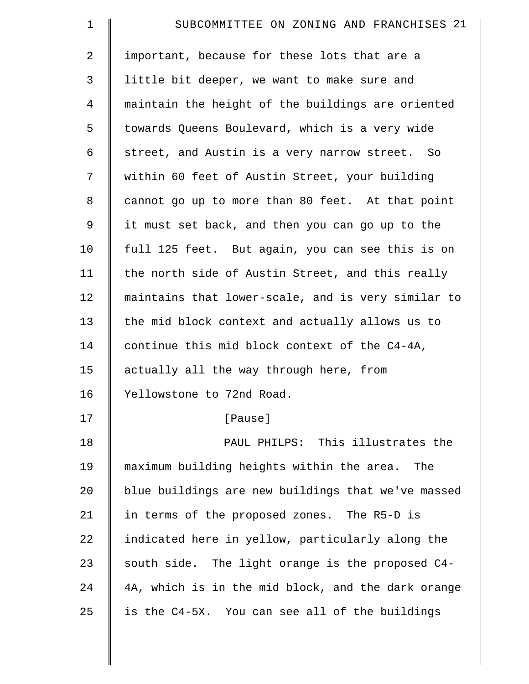| $\mathbf 1$    | SUBCOMMITTEE ON ZONING AND FRANCHISES 21           |
|----------------|----------------------------------------------------|
| $\overline{2}$ | important, because for these lots that are a       |
| 3              | little bit deeper, we want to make sure and        |
| $\overline{4}$ | maintain the height of the buildings are oriented  |
| 5              | towards Queens Boulevard, which is a very wide     |
| 6              | street, and Austin is a very narrow street. So     |
| 7              | within 60 feet of Austin Street, your building     |
| 8              | cannot go up to more than 80 feet. At that point   |
| 9              | it must set back, and then you can go up to the    |
| 10             | full 125 feet. But again, you can see this is on   |
| 11             | the north side of Austin Street, and this really   |
| 12             | maintains that lower-scale, and is very similar to |
| 13             | the mid block context and actually allows us to    |
| 14             | continue this mid block context of the C4-4A,      |
| 15             | actually all the way through here, from            |
| 16             | Yellowstone to 72nd Road.                          |
| 17             | [Pause]                                            |
| 18             | PAUL PHILPS: This illustrates the                  |
| 19             | maximum building heights within the area.<br>The   |
| 20             | blue buildings are new buildings that we've massed |
| 21             | in terms of the proposed zones. The R5-D is        |
| 22             | indicated here in yellow, particularly along the   |
| 23             | south side. The light orange is the proposed C4-   |
| 24             | 4A, which is in the mid block, and the dark orange |
| 25             | is the C4-5X. You can see all of the buildings     |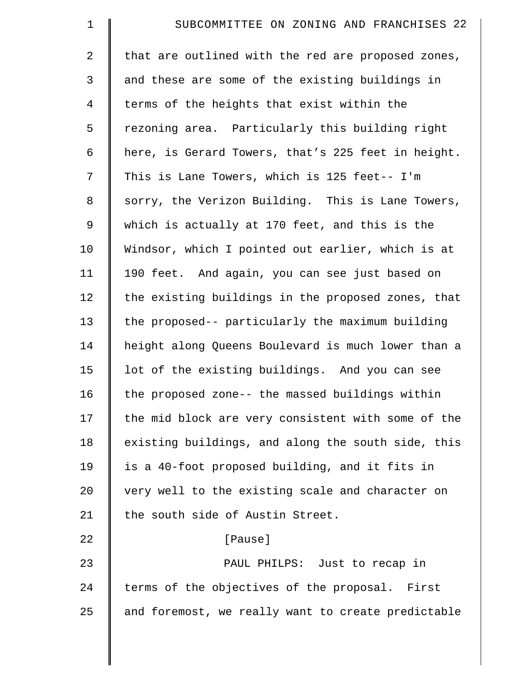| $\mathbf 1$    | SUBCOMMITTEE ON ZONING AND FRANCHISES 22           |
|----------------|----------------------------------------------------|
| $\overline{2}$ | that are outlined with the red are proposed zones, |
| 3              | and these are some of the existing buildings in    |
| $\overline{4}$ | terms of the heights that exist within the         |
| 5              | rezoning area. Particularly this building right    |
| 6              | here, is Gerard Towers, that's 225 feet in height. |
| 7              | This is Lane Towers, which is 125 feet-- I'm       |
| 8              | sorry, the Verizon Building. This is Lane Towers,  |
| 9              | which is actually at 170 feet, and this is the     |
| 10             | Windsor, which I pointed out earlier, which is at  |
| 11             | 190 feet. And again, you can see just based on     |
| 12             | the existing buildings in the proposed zones, that |
| 13             | the proposed-- particularly the maximum building   |
| 14             | height along Queens Boulevard is much lower than a |
| 15             | lot of the existing buildings. And you can see     |
| 16             | the proposed zone-- the massed buildings within    |
| 17             | the mid block are very consistent with some of the |
| 18             | existing buildings, and along the south side, this |
| 19             | is a 40-foot proposed building, and it fits in     |
| 20             | very well to the existing scale and character on   |
| 21             | the south side of Austin Street.                   |
| 22             | [Pause]                                            |
| 23             | PAUL PHILPS: Just to recap in                      |
| 24             | terms of the objectives of the proposal. First     |
| 25             | and foremost, we really want to create predictable |
|                |                                                    |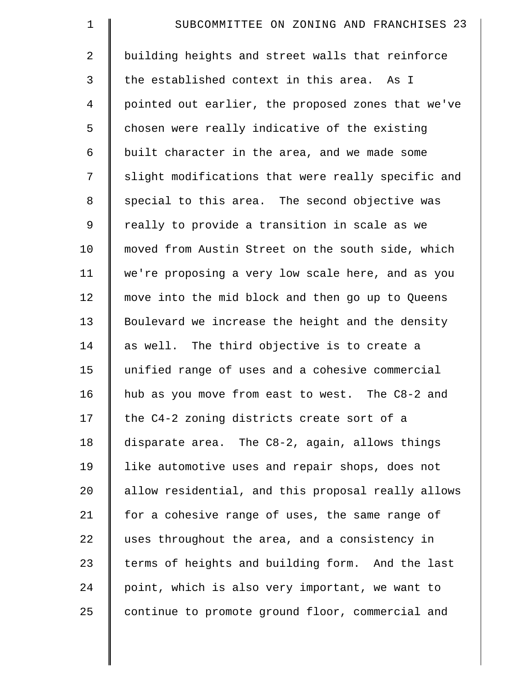| $\mathbf 1$    | SUBCOMMITTEE ON ZONING AND FRANCHISES 23           |
|----------------|----------------------------------------------------|
| $\overline{2}$ | building heights and street walls that reinforce   |
| 3              | the established context in this area. As I         |
| $\overline{4}$ | pointed out earlier, the proposed zones that we've |
| 5              | chosen were really indicative of the existing      |
| 6              | built character in the area, and we made some      |
| 7              | slight modifications that were really specific and |
| $\,8\,$        | special to this area. The second objective was     |
| 9              | really to provide a transition in scale as we      |
| 10             | moved from Austin Street on the south side, which  |
| 11             | we're proposing a very low scale here, and as you  |
| 12             | move into the mid block and then go up to Queens   |
| 13             | Boulevard we increase the height and the density   |
| 14             | as well. The third objective is to create a        |
| 15             | unified range of uses and a cohesive commercial    |
| 16             | hub as you move from east to west. The C8-2 and    |
| 17             | the C4-2 zoning districts create sort of a         |
| 18             | disparate area. The C8-2, again, allows things     |
| 19             | like automotive uses and repair shops, does not    |
| 20             | allow residential, and this proposal really allows |
| 21             | for a cohesive range of uses, the same range of    |
| 22             | uses throughout the area, and a consistency in     |
| 23             | terms of heights and building form. And the last   |
| 24             | point, which is also very important, we want to    |
| 25             | continue to promote ground floor, commercial and   |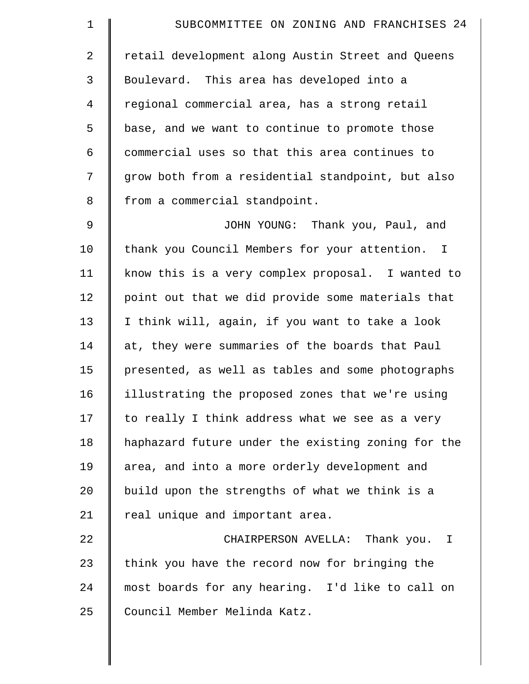| $\mathbf 1$    | SUBCOMMITTEE ON ZONING AND FRANCHISES 24           |
|----------------|----------------------------------------------------|
| $\overline{a}$ | retail development along Austin Street and Queens  |
| 3              | Boulevard. This area has developed into a          |
| $\overline{4}$ | regional commercial area, has a strong retail      |
| 5              | base, and we want to continue to promote those     |
| 6              | commercial uses so that this area continues to     |
| 7              | grow both from a residential standpoint, but also  |
| 8              | from a commercial standpoint.                      |
| 9              | JOHN YOUNG: Thank you, Paul, and                   |
| 10             | thank you Council Members for your attention. I    |
| 11             | know this is a very complex proposal. I wanted to  |
| 12             | point out that we did provide some materials that  |
| 13             | I think will, again, if you want to take a look    |
| 14             | at, they were summaries of the boards that Paul    |
| 15             | presented, as well as tables and some photographs  |
| 16             | illustrating the proposed zones that we're using   |
| 17             | to really I think address what we see as a very    |
| 18             | haphazard future under the existing zoning for the |
| 19             | area, and into a more orderly development and      |
| 20             | build upon the strengths of what we think is a     |
| 21             | real unique and important area.                    |
| 22             | CHAIRPERSON AVELLA: Thank you. I                   |
| 23             | think you have the record now for bringing the     |
| 24             | most boards for any hearing. I'd like to call on   |
| 25             | Council Member Melinda Katz.                       |
|                |                                                    |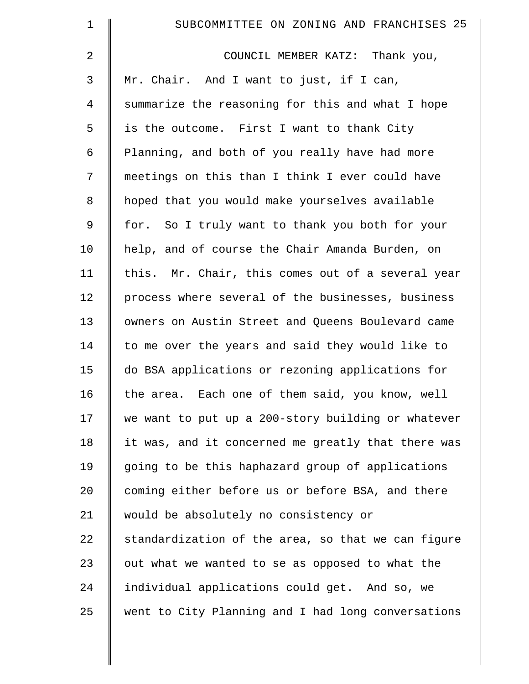| 1       | SUBCOMMITTEE ON ZONING AND FRANCHISES 25           |
|---------|----------------------------------------------------|
| 2       | COUNCIL MEMBER KATZ: Thank you,                    |
| 3       | Mr. Chair. And I want to just, if I can,           |
| 4       | summarize the reasoning for this and what I hope   |
| 5       | is the outcome. First I want to thank City         |
| 6       | Planning, and both of you really have had more     |
| 7       | meetings on this than I think I ever could have    |
| $\,8\,$ | hoped that you would make yourselves available     |
| 9       | for. So I truly want to thank you both for your    |
| 10      | help, and of course the Chair Amanda Burden, on    |
| 11      | this. Mr. Chair, this comes out of a several year  |
| 12      | process where several of the businesses, business  |
| 13      | owners on Austin Street and Queens Boulevard came  |
| 14      | to me over the years and said they would like to   |
| 15      | do BSA applications or rezoning applications for   |
| 16      | Each one of them said, you know, well<br>the area. |
| 17      | we want to put up a 200-story building or whatever |
| 18      | it was, and it concerned me greatly that there was |
| 19      | going to be this haphazard group of applications   |
| 20      | coming either before us or before BSA, and there   |
| 21      | would be absolutely no consistency or              |
| 22      | standardization of the area, so that we can figure |
| 23      | out what we wanted to se as opposed to what the    |
| 24      | individual applications could get. And so, we      |
| 25      | went to City Planning and I had long conversations |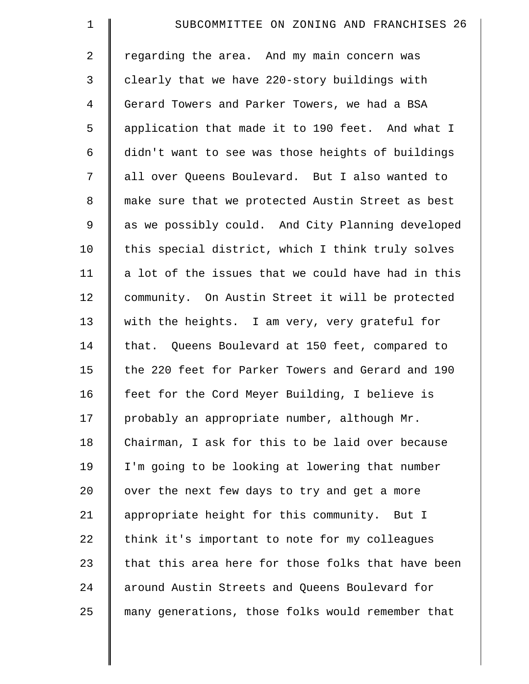| $\mathbf 1$    | SUBCOMMITTEE ON ZONING AND FRANCHISES 26           |
|----------------|----------------------------------------------------|
| $\overline{2}$ | regarding the area. And my main concern was        |
| 3              | clearly that we have 220-story buildings with      |
| $\overline{4}$ | Gerard Towers and Parker Towers, we had a BSA      |
| 5              | application that made it to 190 feet. And what I   |
| 6              | didn't want to see was those heights of buildings  |
| 7              | all over Queens Boulevard. But I also wanted to    |
| 8              | make sure that we protected Austin Street as best  |
| 9              | as we possibly could. And City Planning developed  |
| 10             | this special district, which I think truly solves  |
| 11             | a lot of the issues that we could have had in this |
| 12             | community. On Austin Street it will be protected   |
| 13             | with the heights. I am very, very grateful for     |
| 14             | that. Queens Boulevard at 150 feet, compared to    |
| 15             | the 220 feet for Parker Towers and Gerard and 190  |
| 16             | feet for the Cord Meyer Building, I believe is     |
| 17             | probably an appropriate number, although Mr.       |
| 18             | Chairman, I ask for this to be laid over because   |
| 19             | I'm going to be looking at lowering that number    |
| 20             | over the next few days to try and get a more       |
| 21             | appropriate height for this community. But I       |
| 22             | think it's important to note for my colleagues     |
| 23             | that this area here for those folks that have been |
| 24             | around Austin Streets and Queens Boulevard for     |
| 25             | many generations, those folks would remember that  |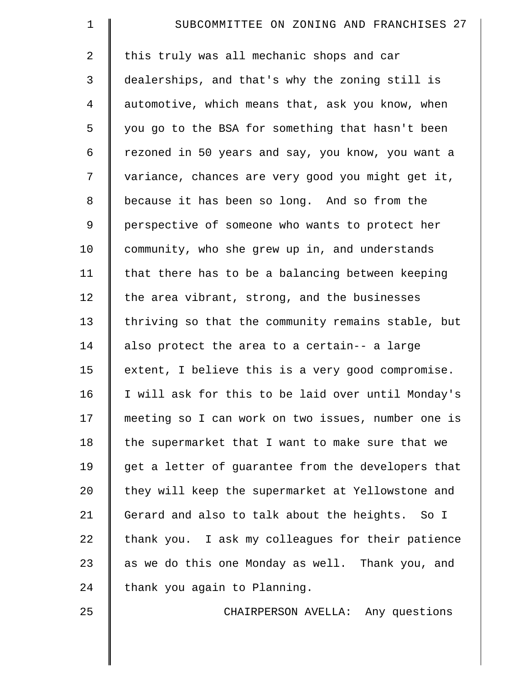| 1              | SUBCOMMITTEE ON ZONING AND FRANCHISES 27           |
|----------------|----------------------------------------------------|
| 2              | this truly was all mechanic shops and car          |
| 3              | dealerships, and that's why the zoning still is    |
| $\overline{4}$ | automotive, which means that, ask you know, when   |
| 5              | you go to the BSA for something that hasn't been   |
| 6              | rezoned in 50 years and say, you know, you want a  |
| 7              | variance, chances are very good you might get it,  |
| 8              | because it has been so long. And so from the       |
| 9              | perspective of someone who wants to protect her    |
| 10             | community, who she grew up in, and understands     |
| 11             | that there has to be a balancing between keeping   |
| 12             | the area vibrant, strong, and the businesses       |
| 13             | thriving so that the community remains stable, but |
| 14             | also protect the area to a certain-- a large       |
| 15             | extent, I believe this is a very good compromise.  |
| 16             | I will ask for this to be laid over until Monday's |
| 17             | meeting so I can work on two issues, number one is |
| 18             | the supermarket that I want to make sure that we   |
| 19             | get a letter of guarantee from the developers that |
| 20             | they will keep the supermarket at Yellowstone and  |
| 21             | Gerard and also to talk about the heights. So I    |
| 22             | thank you. I ask my colleagues for their patience  |
| 23             | as we do this one Monday as well. Thank you, and   |
| 24             | thank you again to Planning.                       |
| 25             | CHAIRPERSON AVELLA: Any questions                  |
|                |                                                    |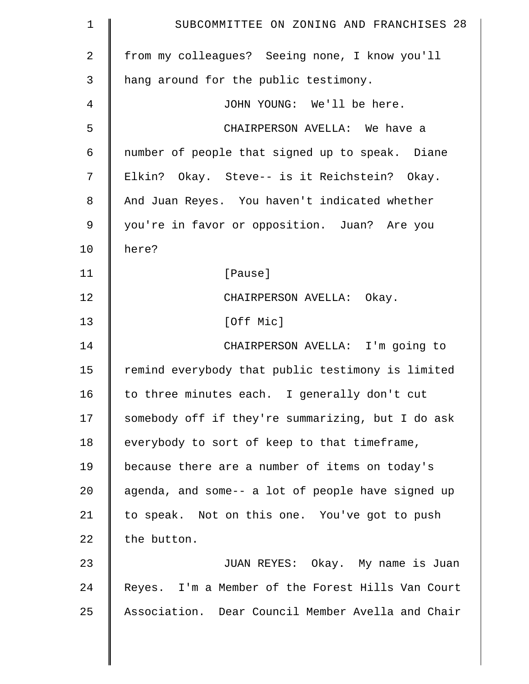| $\mathbf 1$    | SUBCOMMITTEE ON ZONING AND FRANCHISES 28          |
|----------------|---------------------------------------------------|
| $\overline{2}$ | from my colleagues? Seeing none, I know you'll    |
| 3              | hang around for the public testimony.             |
| 4              | JOHN YOUNG: We'll be here.                        |
| 5              | CHAIRPERSON AVELLA: We have a                     |
| 6              | number of people that signed up to speak. Diane   |
| 7              | Elkin? Okay. Steve-- is it Reichstein? Okay.      |
| 8              | And Juan Reyes. You haven't indicated whether     |
| 9              | you're in favor or opposition. Juan? Are you      |
| 10             | here?                                             |
| 11             | [Pause]                                           |
| 12             | CHAIRPERSON AVELLA: Okay.                         |
| 13             | [Off Mic]                                         |
| 14             | CHAIRPERSON AVELLA: I'm going to                  |
| 15             | remind everybody that public testimony is limited |
| 16             | to three minutes each. I generally don't cut      |
| 17             | somebody off if they're summarizing, but I do ask |
| 18             | everybody to sort of keep to that timeframe,      |
| 19             | because there are a number of items on today's    |
| 20             | agenda, and some-- a lot of people have signed up |
| 21             | to speak. Not on this one. You've got to push     |
| 22             | the button.                                       |
| 23             | JUAN REYES: Okay. My name is Juan                 |
| 24             | Reyes. I'm a Member of the Forest Hills Van Court |
| 25             | Association. Dear Council Member Avella and Chair |
|                |                                                   |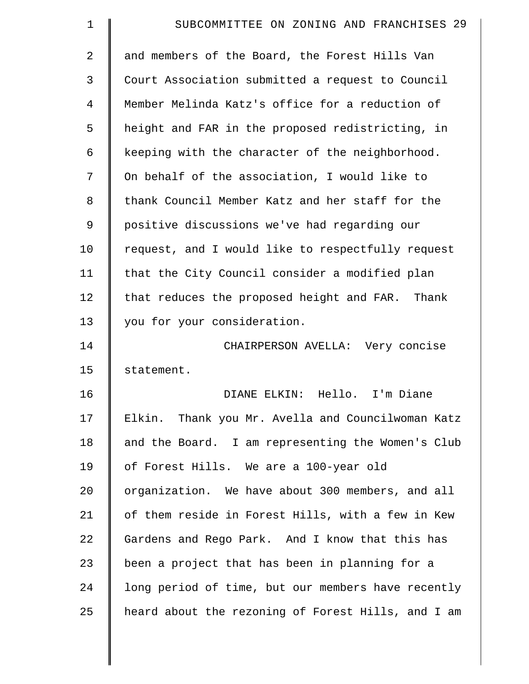| 1  | SUBCOMMITTEE ON ZONING AND FRANCHISES 29           |
|----|----------------------------------------------------|
| 2  | and members of the Board, the Forest Hills Van     |
| 3  | Court Association submitted a request to Council   |
| 4  | Member Melinda Katz's office for a reduction of    |
| 5  | height and FAR in the proposed redistricting, in   |
| 6  | keeping with the character of the neighborhood.    |
| 7  | On behalf of the association, I would like to      |
| 8  | thank Council Member Katz and her staff for the    |
| 9  | positive discussions we've had regarding our       |
| 10 | request, and I would like to respectfully request  |
| 11 | that the City Council consider a modified plan     |
| 12 | that reduces the proposed height and FAR. Thank    |
| 13 | you for your consideration.                        |
| 14 | CHAIRPERSON AVELLA: Very concise                   |
| 15 | statement.                                         |
| 16 | DIANE ELKIN: Hello. I'm Diane                      |
| 17 | Elkin. Thank you Mr. Avella and Councilwoman Katz  |
| 18 | and the Board. I am representing the Women's Club  |
| 19 | of Forest Hills. We are a 100-year old             |
| 20 | organization. We have about 300 members, and all   |
| 21 | of them reside in Forest Hills, with a few in Kew  |
| 22 | Gardens and Rego Park. And I know that this has    |
| 23 | been a project that has been in planning for a     |
| 24 | long period of time, but our members have recently |
| 25 | heard about the rezoning of Forest Hills, and I am |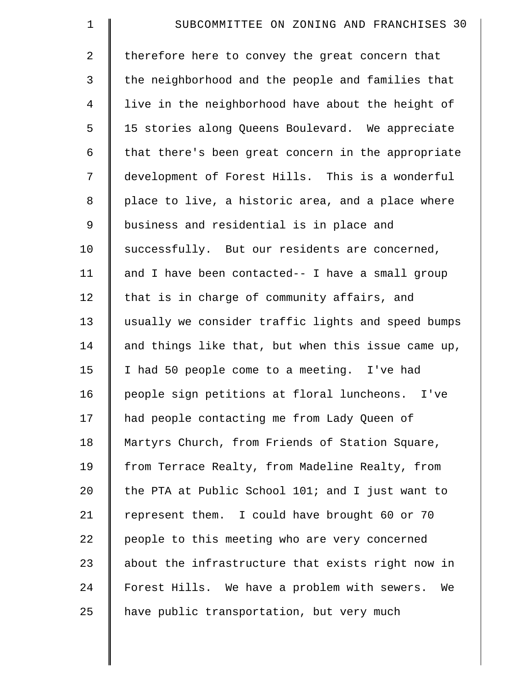| $\mathbf 1$    | SUBCOMMITTEE ON ZONING AND FRANCHISES 30           |
|----------------|----------------------------------------------------|
| $\overline{2}$ | therefore here to convey the great concern that    |
| 3              | the neighborhood and the people and families that  |
| $\overline{4}$ | live in the neighborhood have about the height of  |
| 5              | 15 stories along Queens Boulevard. We appreciate   |
| 6              | that there's been great concern in the appropriate |
| 7              | development of Forest Hills. This is a wonderful   |
| 8              | place to live, a historic area, and a place where  |
| $\mathsf 9$    | business and residential is in place and           |
| 10             | successfully. But our residents are concerned,     |
| 11             | and I have been contacted-- I have a small group   |
| 12             | that is in charge of community affairs, and        |
| 13             | usually we consider traffic lights and speed bumps |
| 14             | and things like that, but when this issue came up, |
| 15             | I had 50 people come to a meeting. I've had        |
| 16             | people sign petitions at floral luncheons.<br>I've |
| 17             | had people contacting me from Lady Queen of        |
| 18             | Martyrs Church, from Friends of Station Square,    |
| 19             | from Terrace Realty, from Madeline Realty, from    |
| 20             | the PTA at Public School 101; and I just want to   |
| 21             | represent them. I could have brought 60 or 70      |
| 22             | people to this meeting who are very concerned      |
| 23             | about the infrastructure that exists right now in  |
| 24             | Forest Hills. We have a problem with sewers.<br>We |
| 25             | have public transportation, but very much          |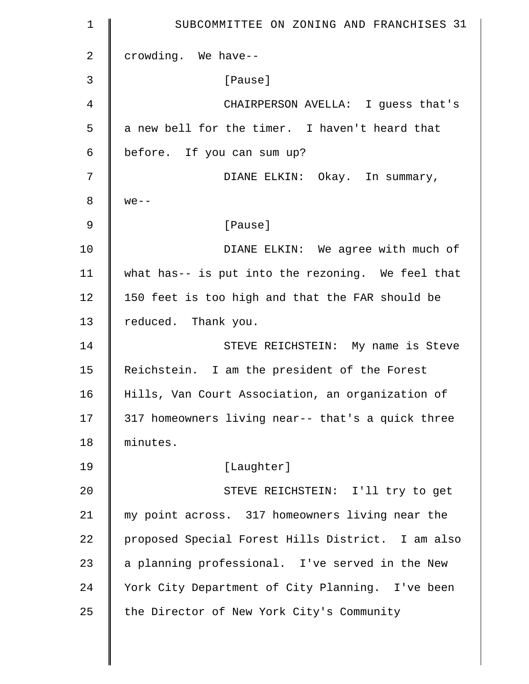| $\mathbf 1$    | SUBCOMMITTEE ON ZONING AND FRANCHISES 31          |
|----------------|---------------------------------------------------|
| $\overline{2}$ | crowding. We have--                               |
| 3              | [Pause]                                           |
| $\overline{4}$ | CHAIRPERSON AVELLA: I guess that's                |
| 5              | a new bell for the timer. I haven't heard that    |
| 6              | before. If you can sum up?                        |
| 7              | DIANE ELKIN: Okay. In summary,                    |
| 8              | $we --$                                           |
| 9              | [Pause]                                           |
| 10             | DIANE ELKIN: We agree with much of                |
| 11             | what has-- is put into the rezoning. We feel that |
| 12             | 150 feet is too high and that the FAR should be   |
| 13             | reduced. Thank you.                               |
| 14             | STEVE REICHSTEIN: My name is Steve                |
| 15             | Reichstein. I am the president of the Forest      |
| 16             | Hills, Van Court Association, an organization of  |
| 17             | 317 homeowners living near-- that's a quick three |
| 18             | minutes.                                          |
| 19             | [Laughter]                                        |
| 20             | STEVE REICHSTEIN: I'll try to get                 |
| 21             | my point across. 317 homeowners living near the   |
| 22             | proposed Special Forest Hills District. I am also |
| 23             | a planning professional. I've served in the New   |
| 24             | York City Department of City Planning. I've been  |
| 25             | the Director of New York City's Community         |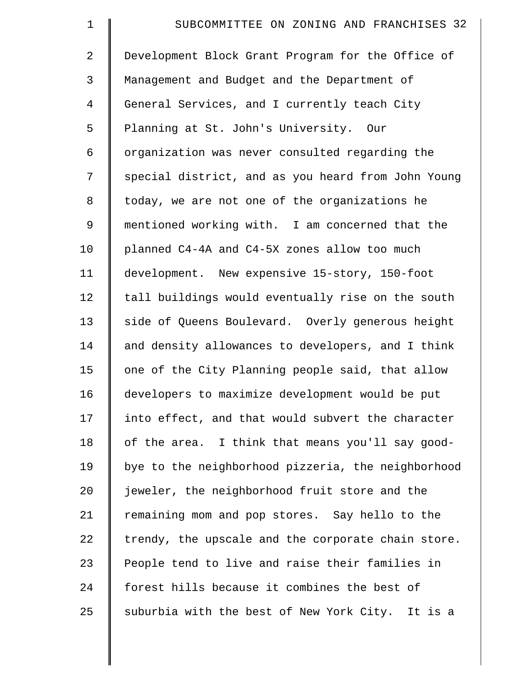| $\mathbf 1$    | SUBCOMMITTEE ON ZONING AND FRANCHISES 32           |
|----------------|----------------------------------------------------|
| 2              | Development Block Grant Program for the Office of  |
| 3              | Management and Budget and the Department of        |
| $\overline{4}$ | General Services, and I currently teach City       |
| 5              | Planning at St. John's University. Our             |
| 6              | organization was never consulted regarding the     |
| 7              | special district, and as you heard from John Young |
| 8              | today, we are not one of the organizations he      |
| 9              | mentioned working with. I am concerned that the    |
| 10             | planned C4-4A and C4-5X zones allow too much       |
| 11             | development. New expensive 15-story, 150-foot      |
| 12             | tall buildings would eventually rise on the south  |
| 13             | side of Queens Boulevard. Overly generous height   |
| 14             | and density allowances to developers, and I think  |
| 15             | one of the City Planning people said, that allow   |
| 16             | developers to maximize development would be put    |
| 17             | into effect, and that would subvert the character  |
| 18             | of the area. I think that means you'll say good-   |
| 19             | bye to the neighborhood pizzeria, the neighborhood |
| 20             | jeweler, the neighborhood fruit store and the      |
| 21             | remaining mom and pop stores. Say hello to the     |
| 22             | trendy, the upscale and the corporate chain store. |
| 23             | People tend to live and raise their families in    |
| 24             | forest hills because it combines the best of       |
| 25             | suburbia with the best of New York City. It is a   |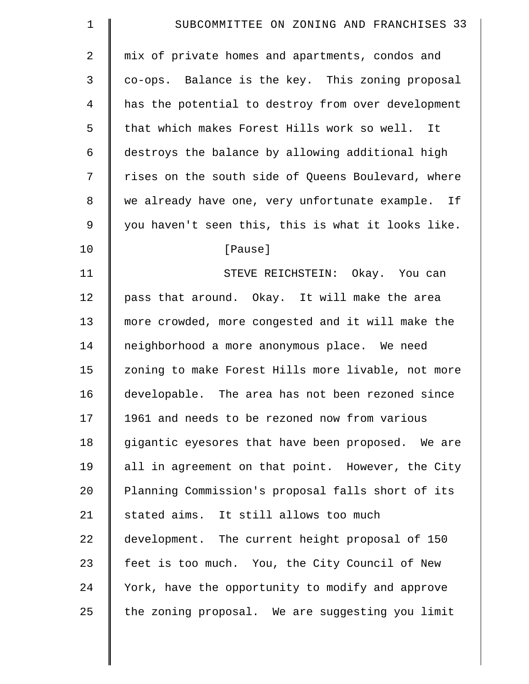| $\mathbf 1$    | SUBCOMMITTEE ON ZONING AND FRANCHISES 33           |
|----------------|----------------------------------------------------|
| $\overline{2}$ | mix of private homes and apartments, condos and    |
| 3              | co-ops. Balance is the key. This zoning proposal   |
| 4              | has the potential to destroy from over development |
| 5              | that which makes Forest Hills work so well. It     |
| 6              | destroys the balance by allowing additional high   |
| 7              | rises on the south side of Queens Boulevard, where |
| 8              | we already have one, very unfortunate example. If  |
| 9              | you haven't seen this, this is what it looks like. |
| 10             | [Pause]                                            |
| 11             | STEVE REICHSTEIN: Okay. You can                    |
| 12             | pass that around. Okay. It will make the area      |
| 13             | more crowded, more congested and it will make the  |
| 14             | neighborhood a more anonymous place. We need       |
| 15             | zoning to make Forest Hills more livable, not more |
| 16             | developable. The area has not been rezoned since   |
| 17             | 1961 and needs to be rezoned now from various      |
| 18             | gigantic eyesores that have been proposed. We are  |
| 19             | all in agreement on that point. However, the City  |
| 20             | Planning Commission's proposal falls short of its  |
| 21             | stated aims. It still allows too much              |
| 22             | development. The current height proposal of 150    |
| 23             | feet is too much. You, the City Council of New     |
| 24             | York, have the opportunity to modify and approve   |
| 25             | the zoning proposal. We are suggesting you limit   |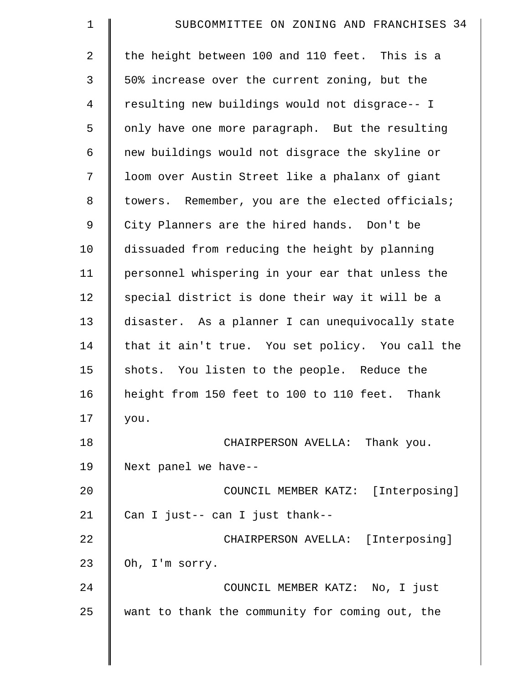| $\mathbf 1$    | SUBCOMMITTEE ON ZONING AND FRANCHISES 34         |
|----------------|--------------------------------------------------|
| $\overline{2}$ | the height between 100 and 110 feet. This is a   |
| 3              | 50% increase over the current zoning, but the    |
| $\overline{4}$ | resulting new buildings would not disgrace-- I   |
| 5              | only have one more paragraph. But the resulting  |
| 6              | new buildings would not disgrace the skyline or  |
| 7              | loom over Austin Street like a phalanx of giant  |
| 8              | towers. Remember, you are the elected officials; |
| 9              | City Planners are the hired hands. Don't be      |
| 10             | dissuaded from reducing the height by planning   |
| 11             | personnel whispering in your ear that unless the |
| 12             | special district is done their way it will be a  |
| 13             | disaster. As a planner I can unequivocally state |
| 14             | that it ain't true. You set policy. You call the |
| 15             | shots. You listen to the people. Reduce the      |
| 16             | height from 150 feet to 100 to 110 feet. Thank   |
| 17             | you.                                             |
| 18             | CHAIRPERSON AVELLA: Thank you.                   |
| 19             | Next panel we have--                             |
| 20             | COUNCIL MEMBER KATZ: [Interposing]               |
| 21             | Can I just-- can I just thank--                  |
| 22             | CHAIRPERSON AVELLA: [Interposing]                |
| 23             | Oh, I'm sorry.                                   |
| 24             | COUNCIL MEMBER KATZ: No, I just                  |
| 25             | want to thank the community for coming out, the  |
|                |                                                  |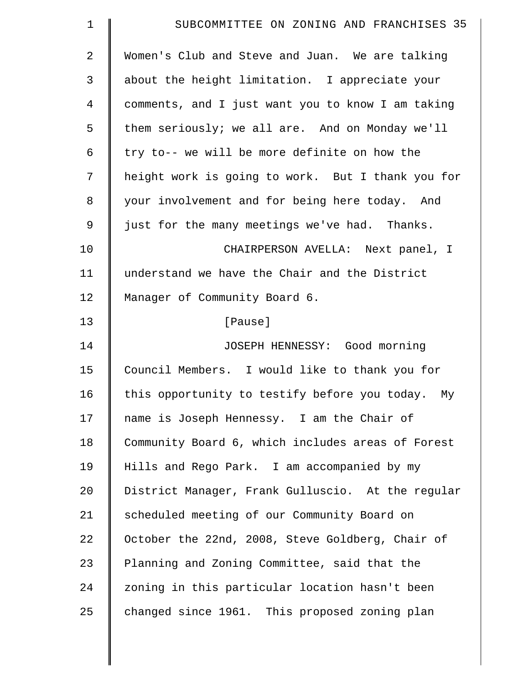| $\mathbf 1$    | SUBCOMMITTEE ON ZONING AND FRANCHISES 35          |
|----------------|---------------------------------------------------|
| $\overline{2}$ | Women's Club and Steve and Juan. We are talking   |
| 3              | about the height limitation. I appreciate your    |
| 4              | comments, and I just want you to know I am taking |
| 5              | them seriously; we all are. And on Monday we'll   |
| 6              | try to-- we will be more definite on how the      |
| 7              | height work is going to work. But I thank you for |
| 8              | your involvement and for being here today. And    |
| $\mathsf 9$    | just for the many meetings we've had. Thanks.     |
| 10             | CHAIRPERSON AVELLA: Next panel, I                 |
| 11             | understand we have the Chair and the District     |
| 12             | Manager of Community Board 6.                     |
| 13             | [Pause]                                           |
| 14             | JOSEPH HENNESSY: Good morning                     |
| 15             | Council Members. I would like to thank you for    |
| 16             | this opportunity to testify before you today. My  |
| 17             | name is Joseph Hennessy. I am the Chair of        |
| 18             | Community Board 6, which includes areas of Forest |
| 19             | Hills and Rego Park. I am accompanied by my       |
| 20             | District Manager, Frank Gulluscio. At the regular |
| 21             | scheduled meeting of our Community Board on       |
| 22             | October the 22nd, 2008, Steve Goldberg, Chair of  |
| 23             | Planning and Zoning Committee, said that the      |
| 24             | zoning in this particular location hasn't been    |
| 25             | changed since 1961. This proposed zoning plan     |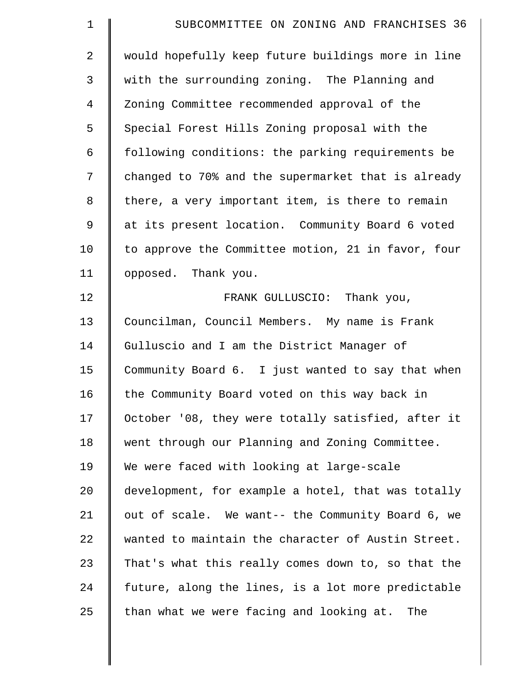| $\mathbf 1$    | SUBCOMMITTEE ON ZONING AND FRANCHISES 36           |
|----------------|----------------------------------------------------|
| $\overline{2}$ | would hopefully keep future buildings more in line |
| 3              | with the surrounding zoning. The Planning and      |
| $\overline{4}$ | Zoning Committee recommended approval of the       |
| 5              | Special Forest Hills Zoning proposal with the      |
| 6              | following conditions: the parking requirements be  |
| 7              | changed to 70% and the supermarket that is already |
| 8              | there, a very important item, is there to remain   |
| 9              | at its present location. Community Board 6 voted   |
| 10             | to approve the Committee motion, 21 in favor, four |
| 11             | opposed. Thank you.                                |
| 12             | FRANK GULLUSCIO: Thank you,                        |
| 13             | Councilman, Council Members. My name is Frank      |
| 14             | Gulluscio and I am the District Manager of         |
| 15             | Community Board 6. I just wanted to say that when  |
| 16             | the Community Board voted on this way back in      |
| 17             | October '08, they were totally satisfied, after it |
| 18             | went through our Planning and Zoning Committee.    |
| 19             | We were faced with looking at large-scale          |
| $20 \,$        | development, for example a hotel, that was totally |
| 21             | out of scale. We want-- the Community Board 6, we  |
| 22             | wanted to maintain the character of Austin Street. |
| 23             | That's what this really comes down to, so that the |
| 24             | future, along the lines, is a lot more predictable |
| 25             | than what we were facing and looking at.<br>The    |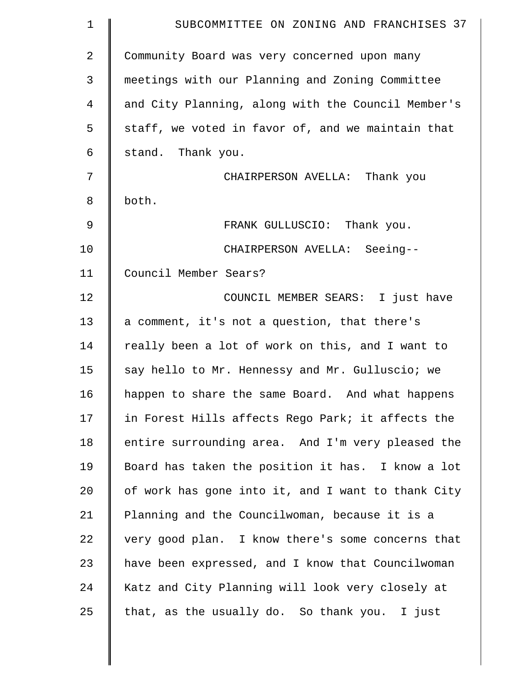| $\mathbf 1$    | SUBCOMMITTEE ON ZONING AND FRANCHISES 37           |
|----------------|----------------------------------------------------|
| $\overline{2}$ | Community Board was very concerned upon many       |
| 3              | meetings with our Planning and Zoning Committee    |
| 4              | and City Planning, along with the Council Member's |
| 5              | staff, we voted in favor of, and we maintain that  |
| 6              | stand. Thank you.                                  |
| 7              | CHAIRPERSON AVELLA: Thank you                      |
| 8              | both.                                              |
| 9              | FRANK GULLUSCIO: Thank you.                        |
| 10             | CHAIRPERSON AVELLA: Seeing--                       |
| 11             | Council Member Sears?                              |
| 12             | COUNCIL MEMBER SEARS: I just have                  |
| 13             | a comment, it's not a question, that there's       |
| 14             | really been a lot of work on this, and I want to   |
| 15             | say hello to Mr. Hennessy and Mr. Gulluscio; we    |
| 16             | happen to share the same Board. And what happens   |
| 17             | in Forest Hills affects Rego Park; it affects the  |
| 18             | entire surrounding area. And I'm very pleased the  |
| 19             | Board has taken the position it has. I know a lot  |
| 20             | of work has gone into it, and I want to thank City |
| 21             | Planning and the Councilwoman, because it is a     |
| 22             | very good plan. I know there's some concerns that  |
| 23             | have been expressed, and I know that Councilwoman  |
| 24             | Katz and City Planning will look very closely at   |
| 25             | that, as the usually do. So thank you. I just      |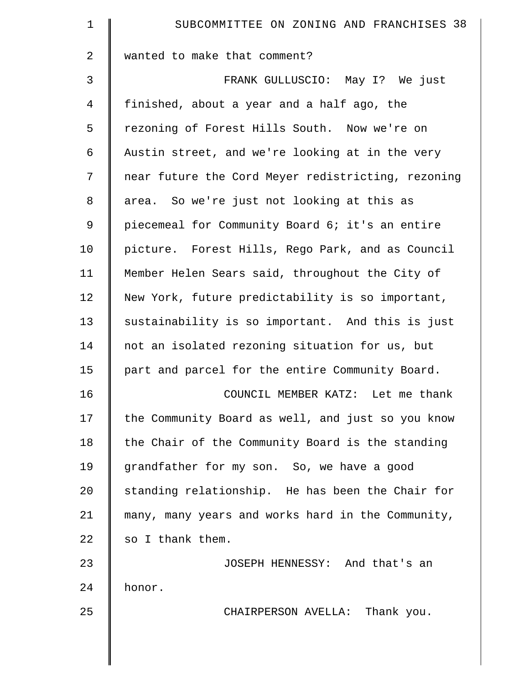| $\mathbf 1$    | SUBCOMMITTEE ON ZONING AND FRANCHISES 38           |
|----------------|----------------------------------------------------|
| 2              | wanted to make that comment?                       |
| $\mathfrak{Z}$ | FRANK GULLUSCIO: May I? We just                    |
| 4              | finished, about a year and a half ago, the         |
| 5              | rezoning of Forest Hills South. Now we're on       |
| 6              | Austin street, and we're looking at in the very    |
| 7              | near future the Cord Meyer redistricting, rezoning |
| 8              | area. So we're just not looking at this as         |
| $\mathsf 9$    | piecemeal for Community Board 6; it's an entire    |
| 10             | picture. Forest Hills, Rego Park, and as Council   |
| 11             | Member Helen Sears said, throughout the City of    |
| 12             | New York, future predictability is so important,   |
| 13             | sustainability is so important. And this is just   |
| 14             | not an isolated rezoning situation for us, but     |
| 15             | part and parcel for the entire Community Board.    |
| 16             | COUNCIL MEMBER KATZ: Let me thank                  |
| 17             | the Community Board as well, and just so you know  |
| 18             | the Chair of the Community Board is the standing   |
| 19             | grandfather for my son. So, we have a good         |
| 20             | standing relationship. He has been the Chair for   |
| 21             | many, many years and works hard in the Community,  |
| 22             | so I thank them.                                   |
| 23             | JOSEPH HENNESSY: And that's an                     |
| 24             | honor.                                             |
| 25             | CHAIRPERSON AVELLA: Thank you.                     |
|                |                                                    |
|                |                                                    |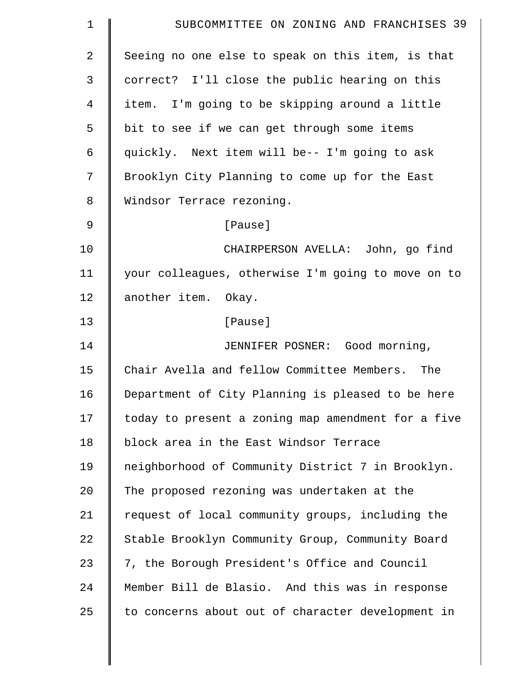| 1              | SUBCOMMITTEE ON ZONING AND FRANCHISES 39           |
|----------------|----------------------------------------------------|
| $\overline{2}$ | Seeing no one else to speak on this item, is that  |
| 3              | correct? I'll close the public hearing on this     |
| 4              | item. I'm going to be skipping around a little     |
| 5              | bit to see if we can get through some items        |
| 6              | quickly. Next item will be-- I'm going to ask      |
| 7              | Brooklyn City Planning to come up for the East     |
| 8              | Windsor Terrace rezoning.                          |
| $\mathsf 9$    | [Pause]                                            |
| 10             | CHAIRPERSON AVELLA: John, go find                  |
| 11             | your colleagues, otherwise I'm going to move on to |
| 12             | another item. Okay.                                |
| 13             | [Pause]                                            |
| 14             | JENNIFER POSNER: Good morning,                     |
| 15             | Chair Avella and fellow Committee Members. The     |
| 16             | Department of City Planning is pleased to be here  |
| 17             | today to present a zoning map amendment for a five |
| 18             | block area in the East Windsor Terrace             |
| 19             | neighborhood of Community District 7 in Brooklyn.  |
| 20             | The proposed rezoning was undertaken at the        |
| 21             | request of local community groups, including the   |
| 22             | Stable Brooklyn Community Group, Community Board   |
| 23             | 7, the Borough President's Office and Council      |
| 24             | Member Bill de Blasio. And this was in response    |
| 25             | to concerns about out of character development in  |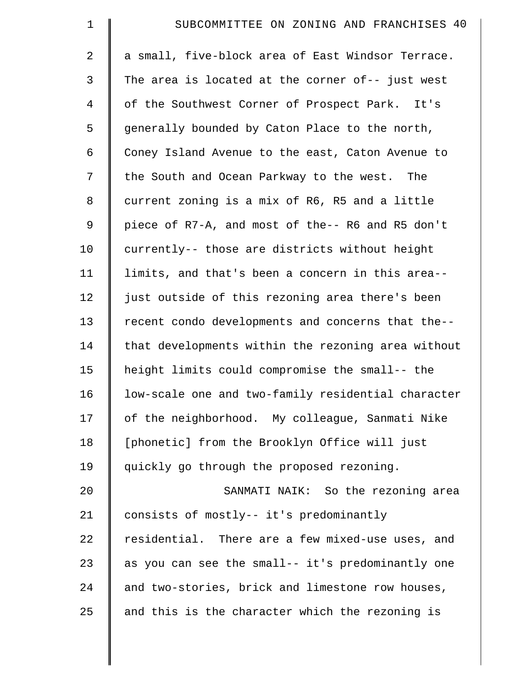| $\mathbf 1$    | SUBCOMMITTEE ON ZONING AND FRANCHISES 40           |
|----------------|----------------------------------------------------|
| 2              | a small, five-block area of East Windsor Terrace.  |
| 3              | The area is located at the corner of-- just west   |
| $\overline{4}$ | of the Southwest Corner of Prospect Park. It's     |
| 5              | generally bounded by Caton Place to the north,     |
| 6              | Coney Island Avenue to the east, Caton Avenue to   |
| 7              | the South and Ocean Parkway to the west. The       |
| 8              | current zoning is a mix of R6, R5 and a little     |
| 9              | piece of R7-A, and most of the-- R6 and R5 don't   |
| 10             | currently-- those are districts without height     |
| 11             | limits, and that's been a concern in this area--   |
| 12             | just outside of this rezoning area there's been    |
| 13             | recent condo developments and concerns that the--  |
| 14             | that developments within the rezoning area without |
| 15             | height limits could compromise the small-- the     |
| 16             | low-scale one and two-family residential character |
| 17             | of the neighborhood. My colleague, Sanmati Nike    |
| 18             | [phonetic] from the Brooklyn Office will just      |
| 19             | quickly go through the proposed rezoning.          |
| 20             | SANMATI NAIK: So the rezoning area                 |
| 21             | consists of mostly-- it's predominantly            |
| 22             | residential. There are a few mixed-use uses, and   |
| 23             | as you can see the small-- it's predominantly one  |
| 24             | and two-stories, brick and limestone row houses,   |
| 25             | and this is the character which the rezoning is    |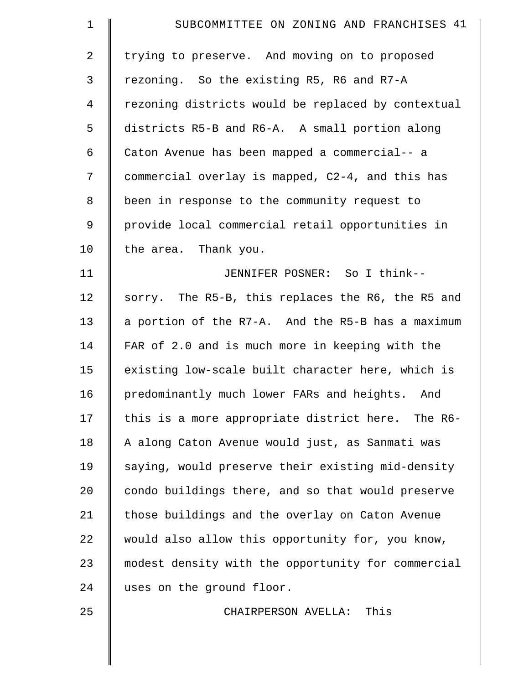| $\mathbf 1$    | SUBCOMMITTEE ON ZONING AND FRANCHISES 41           |
|----------------|----------------------------------------------------|
| $\overline{2}$ | trying to preserve. And moving on to proposed      |
| 3              | rezoning. So the existing R5, R6 and R7-A          |
| 4              | rezoning districts would be replaced by contextual |
| 5              | districts R5-B and R6-A. A small portion along     |
| 6              | Caton Avenue has been mapped a commercial-- a      |
| 7              | commercial overlay is mapped, C2-4, and this has   |
| 8              | been in response to the community request to       |
| 9              | provide local commercial retail opportunities in   |
| 10             | the area. Thank you.                               |
| 11             | JENNIFER POSNER: So I think--                      |
| 12             | sorry. The R5-B, this replaces the R6, the R5 and  |
| 13             | a portion of the R7-A. And the R5-B has a maximum  |
| 14             | FAR of 2.0 and is much more in keeping with the    |
| 15             | existing low-scale built character here, which is  |
| 16             | predominantly much lower FARs and heights. And     |
| 17             | this is a more appropriate district here. The R6-  |
| 18             | A along Caton Avenue would just, as Sanmati was    |
| 19             | saying, would preserve their existing mid-density  |
| 20             | condo buildings there, and so that would preserve  |
| 21             | those buildings and the overlay on Caton Avenue    |
| 22             | would also allow this opportunity for, you know,   |
| 23             | modest density with the opportunity for commercial |
| 24             | uses on the ground floor.                          |
| 25             | This<br>CHAIRPERSON AVELLA:                        |
|                |                                                    |
|                |                                                    |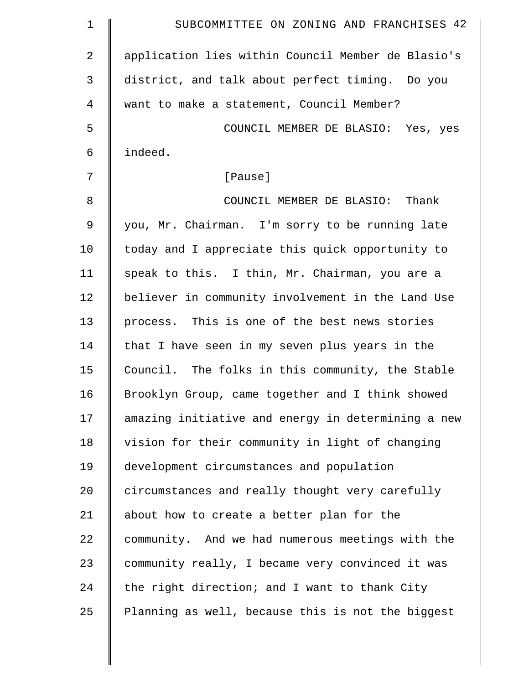| $\mathbf 1$    | SUBCOMMITTEE ON ZONING AND FRANCHISES 42           |
|----------------|----------------------------------------------------|
| $\overline{a}$ | application lies within Council Member de Blasio's |
| 3              | district, and talk about perfect timing. Do you    |
| 4              | want to make a statement, Council Member?          |
| 5              | COUNCIL MEMBER DE BLASIO: Yes, yes                 |
| 6              | indeed.                                            |
| 7              | [Pause]                                            |
| 8              | COUNCIL MEMBER DE BLASIO: Thank                    |
| $\mathsf 9$    | you, Mr. Chairman. I'm sorry to be running late    |
| 10             | today and I appreciate this quick opportunity to   |
| 11             | speak to this. I thin, Mr. Chairman, you are a     |
| 12             | believer in community involvement in the Land Use  |
| 13             | process. This is one of the best news stories      |
| 14             | that I have seen in my seven plus years in the     |
| 15             | Council. The folks in this community, the Stable   |
| 16             | Brooklyn Group, came together and I think showed   |
| 17             | amazing initiative and energy in determining a new |
| 18             | vision for their community in light of changing    |
| 19             | development circumstances and population           |
| 20             | circumstances and really thought very carefully    |
| 21             | about how to create a better plan for the          |
| 22             | community. And we had numerous meetings with the   |
| 23             | community really, I became very convinced it was   |
| 24             | the right direction; and I want to thank City      |
| 25             | Planning as well, because this is not the biggest  |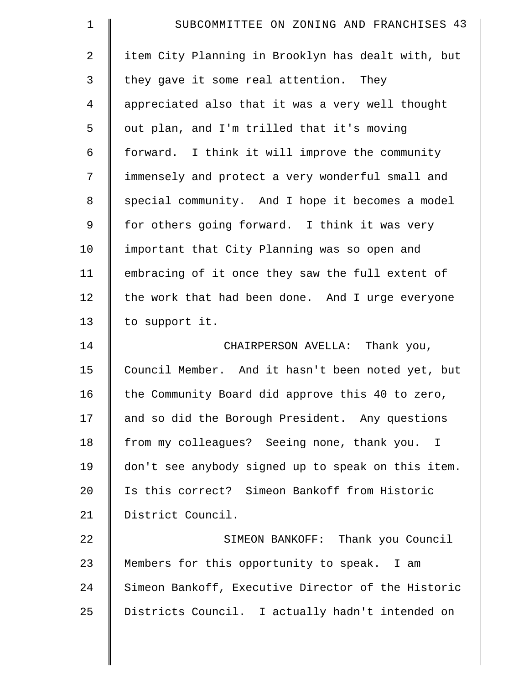| $\mathbf 1$    | SUBCOMMITTEE ON ZONING AND FRANCHISES 43           |
|----------------|----------------------------------------------------|
| $\overline{2}$ | item City Planning in Brooklyn has dealt with, but |
| 3              | they gave it some real attention. They             |
| $\overline{4}$ | appreciated also that it was a very well thought   |
| 5              | out plan, and I'm trilled that it's moving         |
| 6              | forward. I think it will improve the community     |
| 7              | immensely and protect a very wonderful small and   |
| $\,8\,$        | special community. And I hope it becomes a model   |
| 9              | for others going forward. I think it was very      |
| 10             | important that City Planning was so open and       |
| 11             | embracing of it once they saw the full extent of   |
| 12             | the work that had been done. And I urge everyone   |
| 13             | to support it.                                     |
| 14             | CHAIRPERSON AVELLA: Thank you,                     |
| 15             | Council Member. And it hasn't been noted yet, but  |
| 16             | the Community Board did approve this 40 to zero,   |
| 17             | and so did the Borough President. Any questions    |
| 18             | from my colleagues? Seeing none, thank you. I      |
| 19             | don't see anybody signed up to speak on this item. |
| 20             | Is this correct? Simeon Bankoff from Historic      |
| 21             | District Council.                                  |
| 22             | SIMEON BANKOFF: Thank you Council                  |
| 23             | Members for this opportunity to speak. I am        |
| 24             | Simeon Bankoff, Executive Director of the Historic |
| 25             | Districts Council. I actually hadn't intended on   |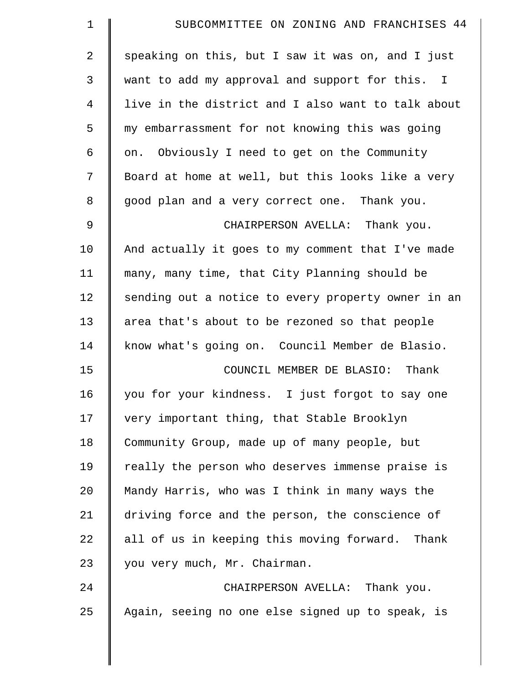| $\mathbf 1$ | SUBCOMMITTEE ON ZONING AND FRANCHISES 44           |
|-------------|----------------------------------------------------|
| 2           | speaking on this, but I saw it was on, and I just  |
| 3           | want to add my approval and support for this. I    |
| 4           | live in the district and I also want to talk about |
| 5           | my embarrassment for not knowing this was going    |
| 6           | on. Obviously I need to get on the Community       |
| 7           | Board at home at well, but this looks like a very  |
| 8           | good plan and a very correct one. Thank you.       |
| 9           | CHAIRPERSON AVELLA: Thank you.                     |
| 10          | And actually it goes to my comment that I've made  |
| 11          | many, many time, that City Planning should be      |
| 12          | sending out a notice to every property owner in an |
| 13          | area that's about to be rezoned so that people     |
| 14          | know what's going on. Council Member de Blasio.    |
| 15          | COUNCIL MEMBER DE BLASIO: Thank                    |
| 16          | you for your kindness. I just forgot to say one    |
| 17          | very important thing, that Stable Brooklyn         |
| 18          | Community Group, made up of many people, but       |
| 19          | really the person who deserves immense praise is   |
| 20          | Mandy Harris, who was I think in many ways the     |
| 21          | driving force and the person, the conscience of    |
| 22          | all of us in keeping this moving forward. Thank    |
| 23          | you very much, Mr. Chairman.                       |
| 24          | CHAIRPERSON AVELLA: Thank you.                     |
| 25          | Again, seeing no one else signed up to speak, is   |
|             |                                                    |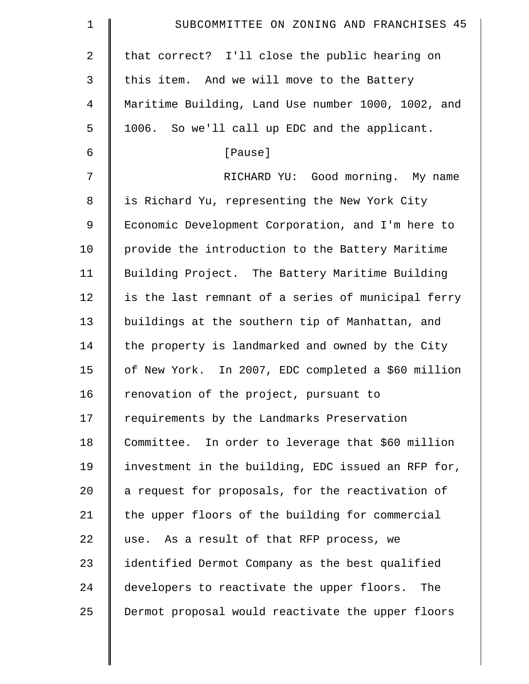| $\mathbf 1$ | SUBCOMMITTEE ON ZONING AND FRANCHISES 45           |
|-------------|----------------------------------------------------|
| 2           | that correct? I'll close the public hearing on     |
| 3           | this item. And we will move to the Battery         |
| 4           | Maritime Building, Land Use number 1000, 1002, and |
| 5           | 1006. So we'll call up EDC and the applicant.      |
| 6           | [Pause]                                            |
| 7           | RICHARD YU: Good morning. My name                  |
| 8           | is Richard Yu, representing the New York City      |
| 9           | Economic Development Corporation, and I'm here to  |
| 10          | provide the introduction to the Battery Maritime   |
| 11          | Building Project. The Battery Maritime Building    |
| 12          | is the last remnant of a series of municipal ferry |
| 13          | buildings at the southern tip of Manhattan, and    |
| 14          | the property is landmarked and owned by the City   |
| 15          | of New York. In 2007, EDC completed a \$60 million |
| 16          | renovation of the project, pursuant to             |
| 17          | requirements by the Landmarks Preservation         |
| 18          | Committee. In order to leverage that \$60 million  |
| 19          | investment in the building, EDC issued an RFP for, |
| 20          | a request for proposals, for the reactivation of   |
| 21          | the upper floors of the building for commercial    |
| 22          | use. As a result of that RFP process, we           |
| 23          | identified Dermot Company as the best qualified    |
| 24          | developers to reactivate the upper floors. The     |
| 25          | Dermot proposal would reactivate the upper floors  |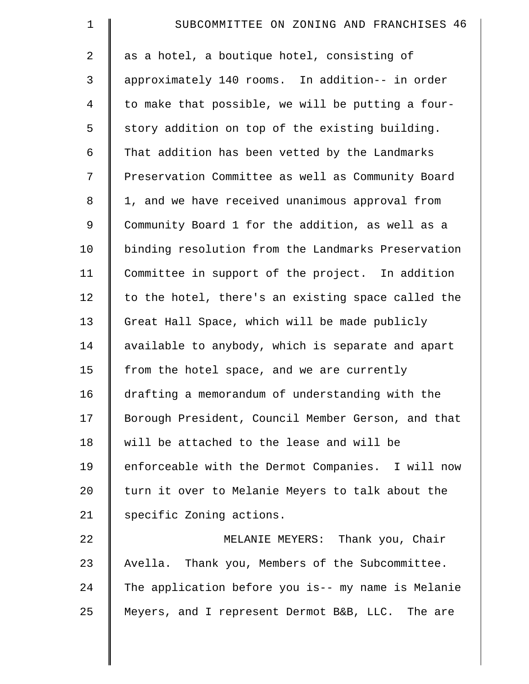| $\mathbf 1$    | SUBCOMMITTEE ON ZONING AND FRANCHISES 46           |
|----------------|----------------------------------------------------|
| $\overline{a}$ | as a hotel, a boutique hotel, consisting of        |
| 3              | approximately 140 rooms. In addition-- in order    |
| $\overline{4}$ | to make that possible, we will be putting a four-  |
| 5              | story addition on top of the existing building.    |
| 6              | That addition has been vetted by the Landmarks     |
| 7              | Preservation Committee as well as Community Board  |
| $\,8\,$        | 1, and we have received unanimous approval from    |
| 9              | Community Board 1 for the addition, as well as a   |
| 10             | binding resolution from the Landmarks Preservation |
| 11             | Committee in support of the project. In addition   |
| 12             | to the hotel, there's an existing space called the |
| 13             | Great Hall Space, which will be made publicly      |
| 14             | available to anybody, which is separate and apart  |
| 15             | from the hotel space, and we are currently         |
| 16             | drafting a memorandum of understanding with the    |
| 17             | Borough President, Council Member Gerson, and that |
| 18             | will be attached to the lease and will be          |
| 19             | enforceable with the Dermot Companies. I will now  |
| 20             | turn it over to Melanie Meyers to talk about the   |
| 21             | specific Zoning actions.                           |
| 22             | MELANIE MEYERS: Thank you, Chair                   |
| 23             | Avella. Thank you, Members of the Subcommittee.    |
| 24             | The application before you is-- my name is Melanie |
| 25             | Meyers, and I represent Dermot B&B, LLC. The are   |
|                |                                                    |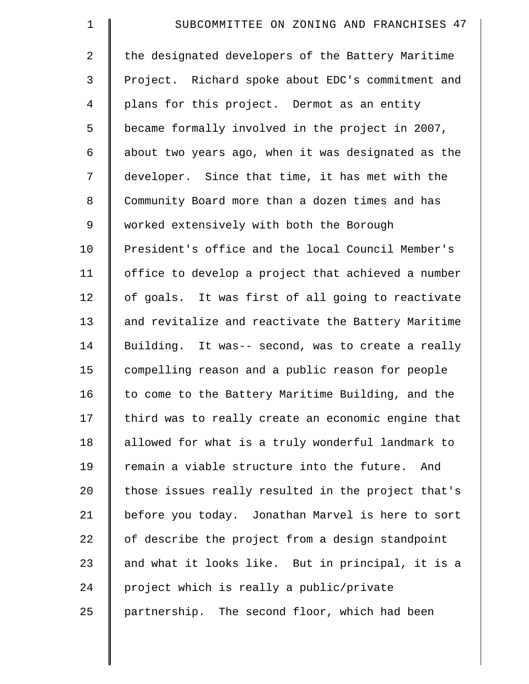| $\mathbf 1$    | SUBCOMMITTEE ON ZONING AND FRANCHISES 47           |
|----------------|----------------------------------------------------|
| 2              | the designated developers of the Battery Maritime  |
| 3              | Project. Richard spoke about EDC's commitment and  |
| $\overline{4}$ | plans for this project. Dermot as an entity        |
| 5              | became formally involved in the project in 2007,   |
| 6              | about two years ago, when it was designated as the |
| 7              | developer. Since that time, it has met with the    |
| $\,8\,$        | Community Board more than a dozen times and has    |
| 9              | worked extensively with both the Borough           |
| 10             | President's office and the local Council Member's  |
| 11             | office to develop a project that achieved a number |
| 12             | of goals. It was first of all going to reactivate  |
| 13             | and revitalize and reactivate the Battery Maritime |
| 14             | Building. It was-- second, was to create a really  |
| 15             | compelling reason and a public reason for people   |
| 16             | to come to the Battery Maritime Building, and the  |
| 17             | third was to really create an economic engine that |
| 18             | allowed for what is a truly wonderful landmark to  |
| 19             | remain a viable structure into the future. And     |
| 20             | those issues really resulted in the project that's |
| 21             | before you today. Jonathan Marvel is here to sort  |
| 22             | of describe the project from a design standpoint   |
| 23             | and what it looks like. But in principal, it is a  |
| 24             | project which is really a public/private           |
| 25             | partnership. The second floor, which had been      |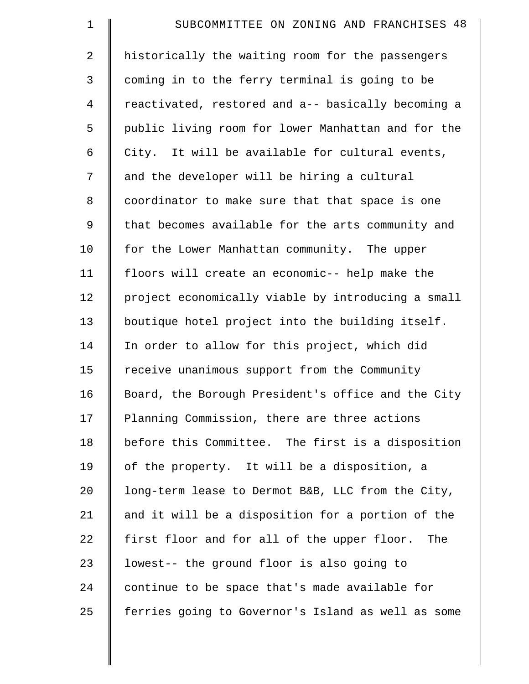| $\mathbf 1$    | SUBCOMMITTEE ON ZONING AND FRANCHISES 48           |
|----------------|----------------------------------------------------|
| $\overline{2}$ | historically the waiting room for the passengers   |
| 3              | coming in to the ferry terminal is going to be     |
| $\overline{4}$ | reactivated, restored and a-- basically becoming a |
| 5              | public living room for lower Manhattan and for the |
| 6              | City. It will be available for cultural events,    |
| 7              | and the developer will be hiring a cultural        |
| 8              | coordinator to make sure that that space is one    |
| 9              | that becomes available for the arts community and  |
| 10             | for the Lower Manhattan community. The upper       |
| 11             | floors will create an economic-- help make the     |
| 12             | project economically viable by introducing a small |
| 13             | boutique hotel project into the building itself.   |
| 14             | In order to allow for this project, which did      |
| 15             | receive unanimous support from the Community       |
| 16             | Board, the Borough President's office and the City |
| 17             | Planning Commission, there are three actions       |
| 18             | before this Committee. The first is a disposition  |
| 19             | of the property. It will be a disposition, a       |
| 20             | long-term lease to Dermot B&B, LLC from the City,  |
| 21             | and it will be a disposition for a portion of the  |
| 22             | first floor and for all of the upper floor.<br>The |
| 23             | lowest-- the ground floor is also going to         |
| 24             | continue to be space that's made available for     |
| 25             | ferries going to Governor's Island as well as some |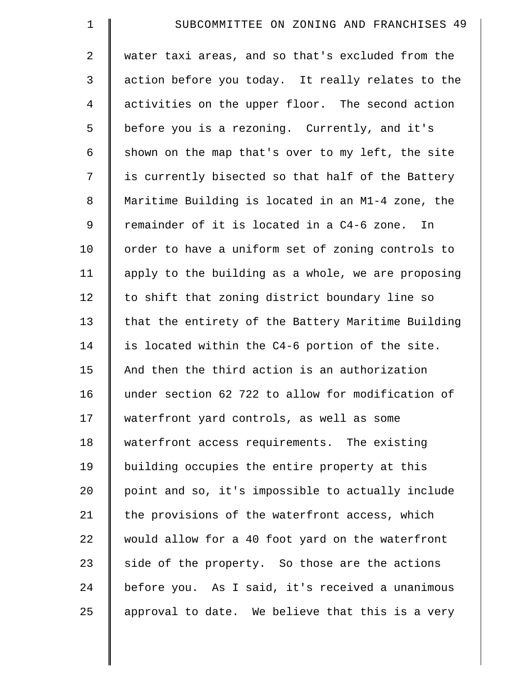| $\mathbf 1$    | SUBCOMMITTEE ON ZONING AND FRANCHISES 49           |
|----------------|----------------------------------------------------|
| $\overline{2}$ | water taxi areas, and so that's excluded from the  |
| 3              | action before you today. It really relates to the  |
| 4              | activities on the upper floor. The second action   |
| 5              | before you is a rezoning. Currently, and it's      |
| 6              | shown on the map that's over to my left, the site  |
| 7              | is currently bisected so that half of the Battery  |
| 8              | Maritime Building is located in an M1-4 zone, the  |
| 9              | remainder of it is located in a C4-6 zone.<br>In   |
| 10             | order to have a uniform set of zoning controls to  |
| 11             | apply to the building as a whole, we are proposing |
| 12             | to shift that zoning district boundary line so     |
| 13             | that the entirety of the Battery Maritime Building |
| 14             | is located within the C4-6 portion of the site.    |
| 15             | And then the third action is an authorization      |
| 16             | under section 62 722 to allow for modification of  |
| 17             | waterfront yard controls, as well as some          |
| 18             | waterfront access requirements. The existing       |
| 19             | building occupies the entire property at this      |
| 20             | point and so, it's impossible to actually include  |
| 21             | the provisions of the waterfront access, which     |
| 22             | would allow for a 40 foot yard on the waterfront   |
| 23             | side of the property. So those are the actions     |
| 24             | before you. As I said, it's received a unanimous   |
| 25             | approval to date. We believe that this is a very   |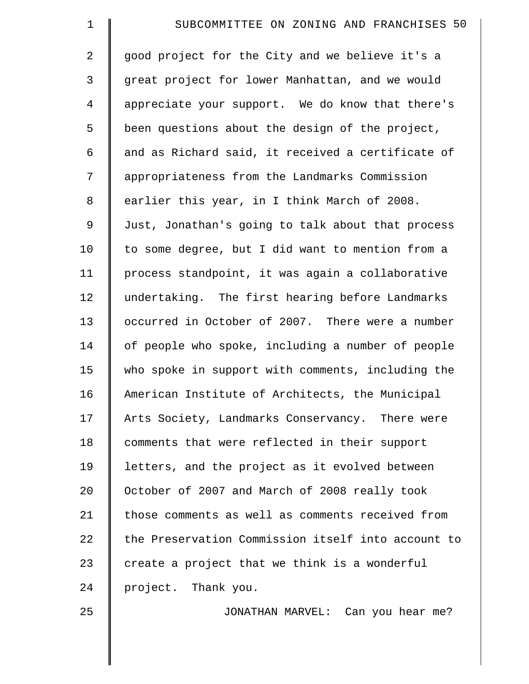| $\mathbf 1$    | SUBCOMMITTEE ON ZONING AND FRANCHISES 50           |
|----------------|----------------------------------------------------|
| 2              | good project for the City and we believe it's a    |
| 3              | great project for lower Manhattan, and we would    |
| $\overline{4}$ | appreciate your support. We do know that there's   |
| 5              | been questions about the design of the project,    |
| 6              | and as Richard said, it received a certificate of  |
| 7              | appropriateness from the Landmarks Commission      |
| 8              | earlier this year, in I think March of 2008.       |
| 9              | Just, Jonathan's going to talk about that process  |
| 10             | to some degree, but I did want to mention from a   |
| 11             | process standpoint, it was again a collaborative   |
| 12             | undertaking. The first hearing before Landmarks    |
| 13             | occurred in October of 2007. There were a number   |
| 14             | of people who spoke, including a number of people  |
| 15             | who spoke in support with comments, including the  |
| 16             | American Institute of Architects, the Municipal    |
| 17             | Arts Society, Landmarks Conservancy. There were    |
| 18             | comments that were reflected in their support      |
| 19             | letters, and the project as it evolved between     |
| 20             | October of 2007 and March of 2008 really took      |
| 21             | those comments as well as comments received from   |
| 22             | the Preservation Commission itself into account to |
| 23             | create a project that we think is a wonderful      |
| 24             | project. Thank you.                                |
| 25             | JONATHAN MARVEL: Can you hear me?                  |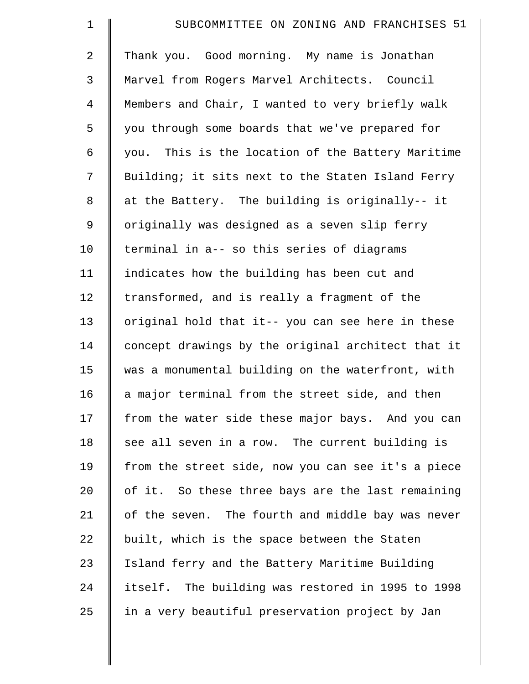| $\mathbf 1$    | SUBCOMMITTEE ON ZONING AND FRANCHISES 51           |
|----------------|----------------------------------------------------|
| $\overline{a}$ | Thank you. Good morning. My name is Jonathan       |
| 3              | Marvel from Rogers Marvel Architects. Council      |
| $\overline{4}$ | Members and Chair, I wanted to very briefly walk   |
| 5              | you through some boards that we've prepared for    |
| 6              | you. This is the location of the Battery Maritime  |
| 7              | Building; it sits next to the Staten Island Ferry  |
| 8              | at the Battery. The building is originally-- it    |
| 9              | originally was designed as a seven slip ferry      |
| 10             | terminal in a-- so this series of diagrams         |
| 11             | indicates how the building has been cut and        |
| 12             | transformed, and is really a fragment of the       |
| 13             | original hold that it-- you can see here in these  |
| 14             | concept drawings by the original architect that it |
| 15             | was a monumental building on the waterfront, with  |
| 16             | a major terminal from the street side, and then    |
| 17             | from the water side these major bays. And you can  |
| 18             | see all seven in a row. The current building is    |
| 19             | from the street side, now you can see it's a piece |
| 20             | of it. So these three bays are the last remaining  |
| 21             | of the seven. The fourth and middle bay was never  |
| 22             | built, which is the space between the Staten       |
| 23             | Island ferry and the Battery Maritime Building     |
| 24             | itself. The building was restored in 1995 to 1998  |
| 25             | in a very beautiful preservation project by Jan    |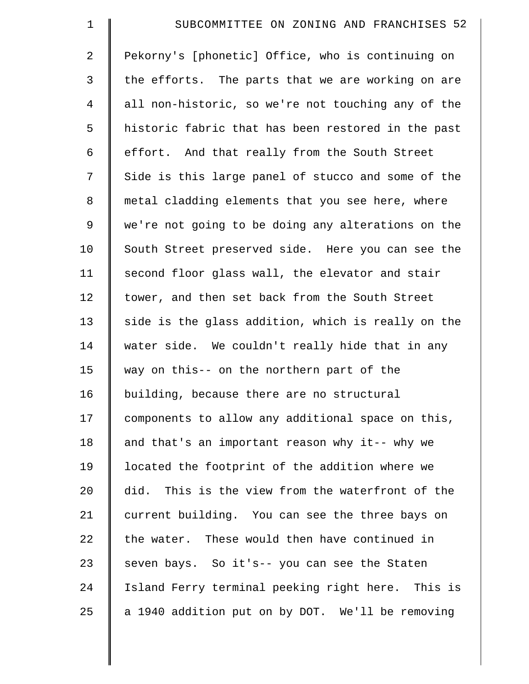| $\mathbf 1$    | SUBCOMMITTEE ON ZONING AND FRANCHISES 52           |
|----------------|----------------------------------------------------|
| $\overline{2}$ | Pekorny's [phonetic] Office, who is continuing on  |
| 3              | the efforts. The parts that we are working on are  |
| $\overline{4}$ | all non-historic, so we're not touching any of the |
| 5              | historic fabric that has been restored in the past |
| 6              | effort. And that really from the South Street      |
| 7              | Side is this large panel of stucco and some of the |
| 8              | metal cladding elements that you see here, where   |
| $\mathsf 9$    | we're not going to be doing any alterations on the |
| 10             | South Street preserved side. Here you can see the  |
| 11             | second floor glass wall, the elevator and stair    |
| 12             | tower, and then set back from the South Street     |
| 13             | side is the glass addition, which is really on the |
| 14             | water side. We couldn't really hide that in any    |
| 15             | way on this-- on the northern part of the          |
| 16             | building, because there are no structural          |
| 17             | components to allow any additional space on this,  |
| 18             | and that's an important reason why it-- why we     |
| 19             | located the footprint of the addition where we     |
| 20             | did. This is the view from the waterfront of the   |
| 21             | current building. You can see the three bays on    |
| 22             | the water. These would then have continued in      |
| 23             | seven bays. So it's-- you can see the Staten       |
| 24             | Island Ferry terminal peeking right here. This is  |
| 25             | a 1940 addition put on by DOT. We'll be removing   |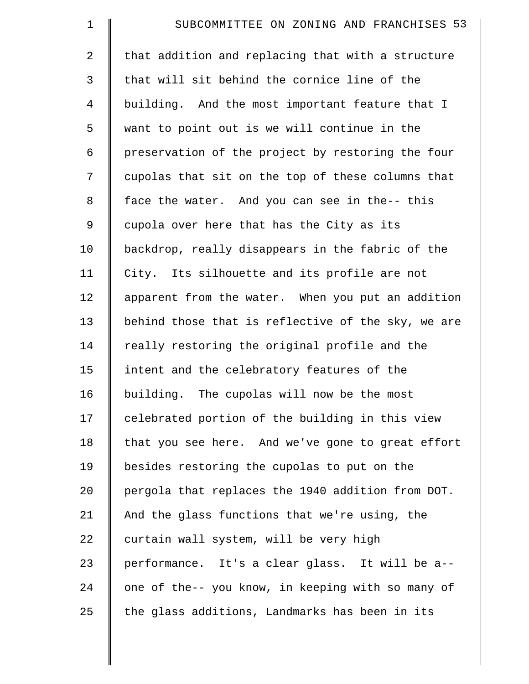| $\mathbf 1$    | SUBCOMMITTEE ON ZONING AND FRANCHISES 53           |
|----------------|----------------------------------------------------|
| $\overline{2}$ | that addition and replacing that with a structure  |
| 3              | that will sit behind the cornice line of the       |
| $\overline{4}$ | building. And the most important feature that I    |
| 5              | want to point out is we will continue in the       |
| 6              | preservation of the project by restoring the four  |
| 7              | cupolas that sit on the top of these columns that  |
| 8              | face the water. And you can see in the-- this      |
| 9              | cupola over here that has the City as its          |
| 10             | backdrop, really disappears in the fabric of the   |
| 11             | City. Its silhouette and its profile are not       |
| 12             | apparent from the water. When you put an addition  |
| 13             | behind those that is reflective of the sky, we are |
| 14             | really restoring the original profile and the      |
| 15             | intent and the celebratory features of the         |
| 16             | building. The cupolas will now be the most         |
| 17             | celebrated portion of the building in this view    |
| 18             | that you see here. And we've gone to great effort  |
| 19             | besides restoring the cupolas to put on the        |
| 20             | pergola that replaces the 1940 addition from DOT.  |
| 21             | And the glass functions that we're using, the      |
| 22             | curtain wall system, will be very high             |
| 23             | performance. It's a clear glass. It will be a--    |
| 24             | one of the-- you know, in keeping with so many of  |
| 25             | the glass additions, Landmarks has been in its     |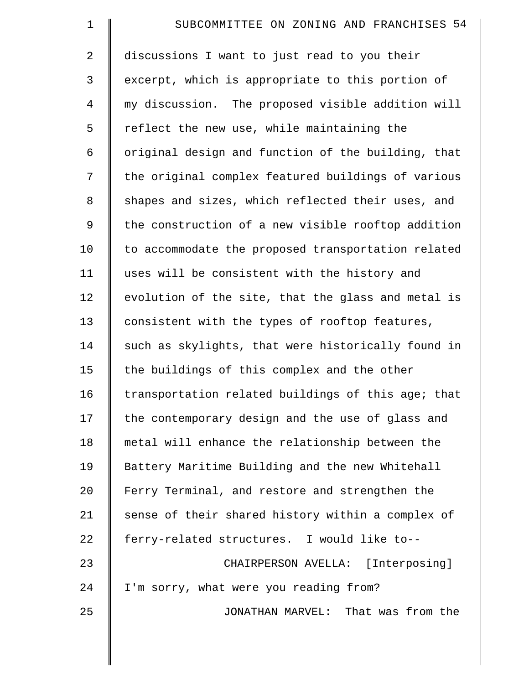| $\mathbf 1$    | SUBCOMMITTEE ON ZONING AND FRANCHISES 54           |
|----------------|----------------------------------------------------|
| $\overline{2}$ | discussions I want to just read to you their       |
| 3              | excerpt, which is appropriate to this portion of   |
| $\overline{4}$ | my discussion. The proposed visible addition will  |
| 5              | reflect the new use, while maintaining the         |
| 6              | original design and function of the building, that |
| 7              | the original complex featured buildings of various |
| 8              | shapes and sizes, which reflected their uses, and  |
| 9              | the construction of a new visible rooftop addition |
| 10             | to accommodate the proposed transportation related |
| 11             | uses will be consistent with the history and       |
| 12             | evolution of the site, that the glass and metal is |
| 13             | consistent with the types of rooftop features,     |
| 14             | such as skylights, that were historically found in |
| 15             | the buildings of this complex and the other        |
| 16             | transportation related buildings of this age; that |
| 17             | the contemporary design and the use of glass and   |
| 18             | metal will enhance the relationship between the    |
| 19             | Battery Maritime Building and the new Whitehall    |
| 20             | Ferry Terminal, and restore and strengthen the     |
| 21             | sense of their shared history within a complex of  |
| 22             | ferry-related structures. I would like to--        |
| 23             | CHAIRPERSON AVELLA: [Interposing]                  |
| 24             | I'm sorry, what were you reading from?             |
| 25             | JONATHAN MARVEL: That was from the                 |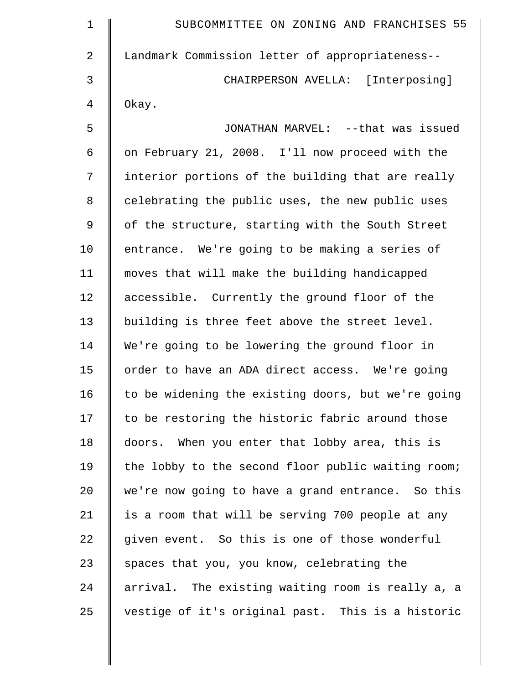| $\mathbf 1$    | SUBCOMMITTEE ON ZONING AND FRANCHISES 55           |
|----------------|----------------------------------------------------|
| $\overline{2}$ | Landmark Commission letter of appropriateness--    |
| 3              | CHAIRPERSON AVELLA: [Interposing]                  |
| 4              | Okay.                                              |
| 5              | JONATHAN MARVEL: --that was issued                 |
| 6              | on February 21, 2008. I'll now proceed with the    |
| 7              | interior portions of the building that are really  |
| 8              | celebrating the public uses, the new public uses   |
| 9              | of the structure, starting with the South Street   |
| 10             | entrance. We're going to be making a series of     |
| 11             | moves that will make the building handicapped      |
| 12             | accessible. Currently the ground floor of the      |
| 13             | building is three feet above the street level.     |
| 14             | We're going to be lowering the ground floor in     |
| 15             | order to have an ADA direct access. We're going    |
| 16             | to be widening the existing doors, but we're going |
| 17             | to be restoring the historic fabric around those   |
| 18             | doors. When you enter that lobby area, this is     |
| 19             | the lobby to the second floor public waiting room; |
| 20             | we're now going to have a grand entrance. So this  |
| 21             | is a room that will be serving 700 people at any   |
| 22             | given event. So this is one of those wonderful     |
| 23             | spaces that you, you know, celebrating the         |
| 24             | arrival. The existing waiting room is really a, a  |
| 25             | vestige of it's original past. This is a historic  |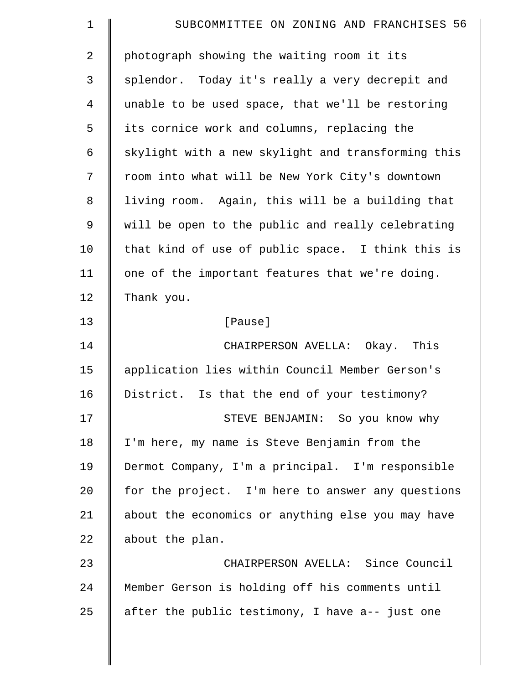| $\mathbf 1$    | SUBCOMMITTEE ON ZONING AND FRANCHISES 56           |
|----------------|----------------------------------------------------|
| $\overline{2}$ | photograph showing the waiting room it its         |
| 3              | splendor. Today it's really a very decrepit and    |
| 4              | unable to be used space, that we'll be restoring   |
| 5              | its cornice work and columns, replacing the        |
| 6              | skylight with a new skylight and transforming this |
| 7              | room into what will be New York City's downtown    |
| 8              | living room. Again, this will be a building that   |
| $\mathsf 9$    | will be open to the public and really celebrating  |
| 10             | that kind of use of public space. I think this is  |
| 11             | one of the important features that we're doing.    |
| 12             | Thank you.                                         |
| 13             | [Pause]                                            |
| 14             | CHAIRPERSON AVELLA: Okay. This                     |
| 15             | application lies within Council Member Gerson's    |
| 16             | District. Is that the end of your testimony?       |
| 17             | STEVE BENJAMIN: So you know why                    |
| 18             | I'm here, my name is Steve Benjamin from the       |
| 19             | Dermot Company, I'm a principal. I'm responsible   |
| 20             | for the project. I'm here to answer any questions  |
| 21             | about the economics or anything else you may have  |
| 22             | about the plan.                                    |
| 23             | CHAIRPERSON AVELLA: Since Council                  |
| 24             | Member Gerson is holding off his comments until    |
| 25             | after the public testimony, I have a-- just one    |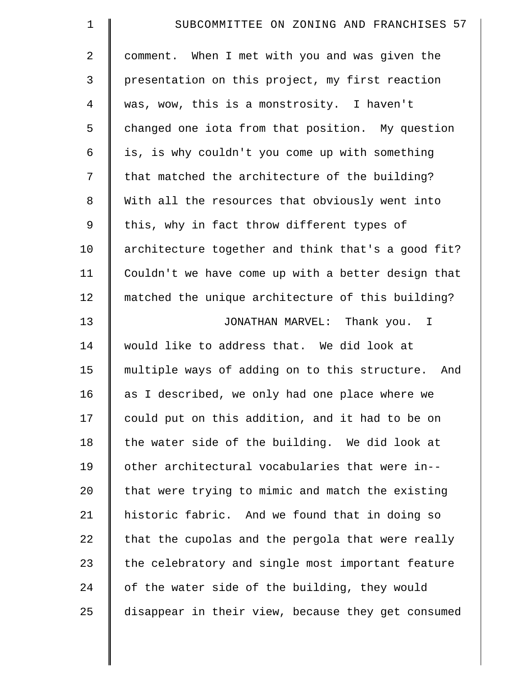| $\mathbf 1$    | SUBCOMMITTEE ON ZONING AND FRANCHISES 57           |
|----------------|----------------------------------------------------|
| $\overline{2}$ | comment. When I met with you and was given the     |
| 3              | presentation on this project, my first reaction    |
| 4              | was, wow, this is a monstrosity. I haven't         |
| 5              | changed one iota from that position. My question   |
| 6              | is, is why couldn't you come up with something     |
| 7              | that matched the architecture of the building?     |
| $\,8\,$        | With all the resources that obviously went into    |
| $\mathsf 9$    | this, why in fact throw different types of         |
| 10             | architecture together and think that's a good fit? |
| 11             | Couldn't we have come up with a better design that |
| 12             | matched the unique architecture of this building?  |
| 13             | JONATHAN MARVEL: Thank you. I                      |
| 14             | would like to address that. We did look at         |
| 15             | multiple ways of adding on to this structure. And  |
| 16             | as I described, we only had one place where we     |
| 17             | could put on this addition, and it had to be on    |
| 18             | the water side of the building. We did look at     |
| 19             | other architectural vocabularies that were in--    |
| 20             | that were trying to mimic and match the existing   |
| 21             | historic fabric. And we found that in doing so     |
| 22             | that the cupolas and the pergola that were really  |
| 23             | the celebratory and single most important feature  |
| 24             | of the water side of the building, they would      |
| 25             | disappear in their view, because they get consumed |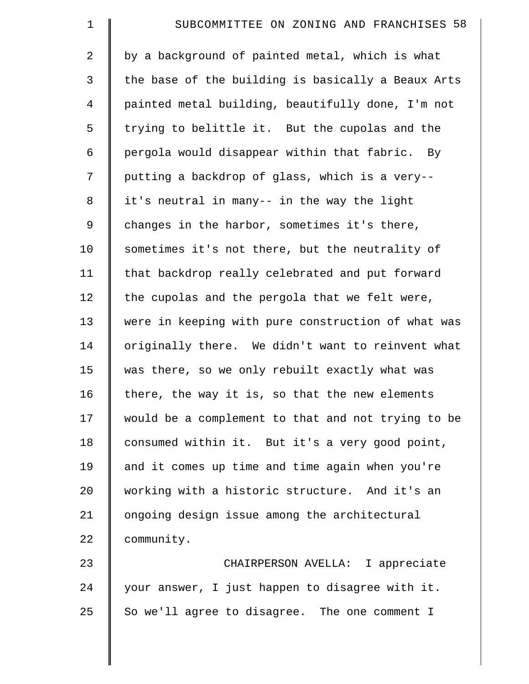| $\mathbf 1$    | SUBCOMMITTEE ON ZONING AND FRANCHISES 58           |
|----------------|----------------------------------------------------|
| $\overline{a}$ | by a background of painted metal, which is what    |
| 3              | the base of the building is basically a Beaux Arts |
| 4              | painted metal building, beautifully done, I'm not  |
| 5              | trying to belittle it. But the cupolas and the     |
| 6              | pergola would disappear within that fabric. By     |
| 7              | putting a backdrop of glass, which is a very--     |
| 8              | it's neutral in many-- in the way the light        |
| 9              | changes in the harbor, sometimes it's there,       |
| 10             | sometimes it's not there, but the neutrality of    |
| 11             | that backdrop really celebrated and put forward    |
| 12             | the cupolas and the pergola that we felt were,     |
| 13             | were in keeping with pure construction of what was |
| 14             | originally there. We didn't want to reinvent what  |
| 15             | was there, so we only rebuilt exactly what was     |
| 16             | there, the way it is, so that the new elements     |
| 17             | would be a complement to that and not trying to be |
| 18             | consumed within it. But it's a very good point,    |
| 19             | and it comes up time and time again when you're    |
| 20             | working with a historic structure. And it's an     |
| 21             | ongoing design issue among the architectural       |
| 22             | community.                                         |
| 23             | CHAIRPERSON AVELLA: I appreciate                   |
| 24             | your answer, I just happen to disagree with it.    |
| 25             | So we'll agree to disagree. The one comment I      |
|                |                                                    |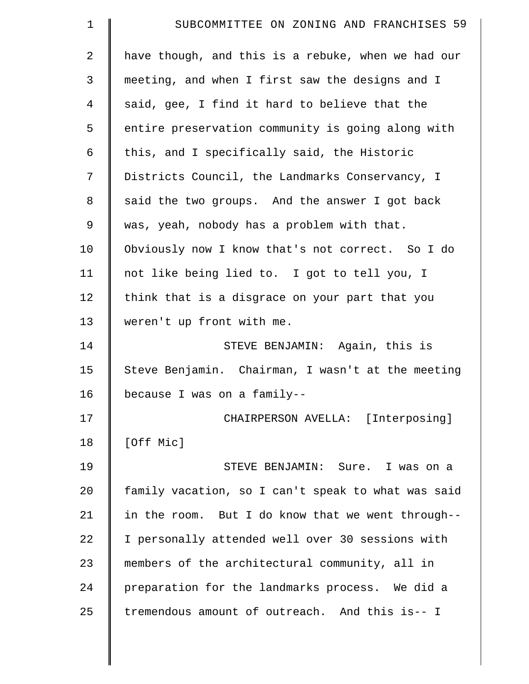| $\mathbf 1$    | SUBCOMMITTEE ON ZONING AND FRANCHISES 59           |
|----------------|----------------------------------------------------|
| $\overline{2}$ | have though, and this is a rebuke, when we had our |
| 3              | meeting, and when I first saw the designs and I    |
| 4              | said, gee, I find it hard to believe that the      |
| 5              | entire preservation community is going along with  |
| 6              | this, and I specifically said, the Historic        |
| 7              | Districts Council, the Landmarks Conservancy, I    |
| 8              | said the two groups. And the answer I got back     |
| 9              | was, yeah, nobody has a problem with that.         |
| 10             | Obviously now I know that's not correct. So I do   |
| 11             | not like being lied to. I got to tell you, I       |
| 12             | think that is a disgrace on your part that you     |
| 13             | weren't up front with me.                          |
| 14             | STEVE BENJAMIN: Again, this is                     |
| 15             | Steve Benjamin. Chairman, I wasn't at the meeting  |
| 16             | because I was on a family--                        |
| 17             | CHAIRPERSON AVELLA: [Interposing]                  |
| 18             | [Off Mic]                                          |
| 19             | STEVE BENJAMIN: Sure. I was on a                   |
| 20             | family vacation, so I can't speak to what was said |
| 21             | in the room. But I do know that we went through--  |
| 22             | I personally attended well over 30 sessions with   |
| 23             | members of the architectural community, all in     |
| 24             | preparation for the landmarks process. We did a    |
| 25             | tremendous amount of outreach. And this is-- I     |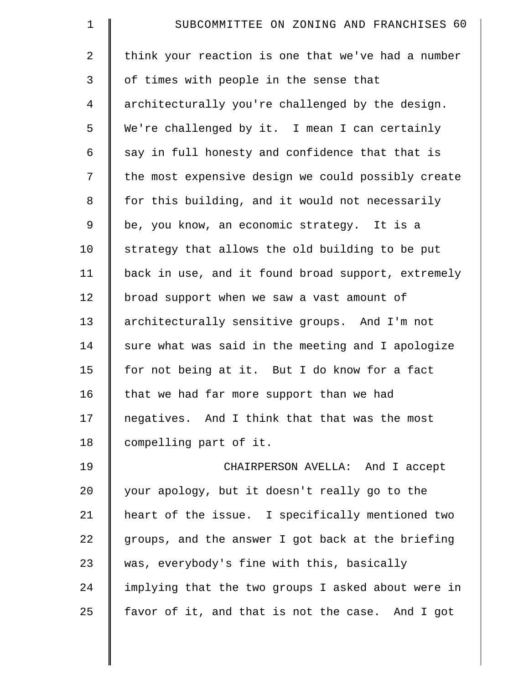| $\mathbf 1$    | SUBCOMMITTEE ON ZONING AND FRANCHISES 60           |
|----------------|----------------------------------------------------|
| 2              | think your reaction is one that we've had a number |
| 3              | of times with people in the sense that             |
| $\overline{4}$ | architecturally you're challenged by the design.   |
| 5              | We're challenged by it. I mean I can certainly     |
| 6              | say in full honesty and confidence that that is    |
| 7              | the most expensive design we could possibly create |
| $\,8\,$        | for this building, and it would not necessarily    |
| 9              | be, you know, an economic strategy. It is a        |
| 10             | strategy that allows the old building to be put    |
| 11             | back in use, and it found broad support, extremely |
| 12             | broad support when we saw a vast amount of         |
| 13             | architecturally sensitive groups. And I'm not      |
| 14             | sure what was said in the meeting and I apologize  |
| 15             | for not being at it. But I do know for a fact      |
| 16             | that we had far more support than we had           |
| 17             | negatives. And I think that that was the most      |
| 18             | compelling part of it.                             |
| 19             | CHAIRPERSON AVELLA: And I accept                   |
| 20             | your apology, but it doesn't really go to the      |
| 21             | heart of the issue. I specifically mentioned two   |
| 22             | groups, and the answer I got back at the briefing  |
| 23             | was, everybody's fine with this, basically         |
| 24             | implying that the two groups I asked about were in |
| 25             | favor of it, and that is not the case. And I got   |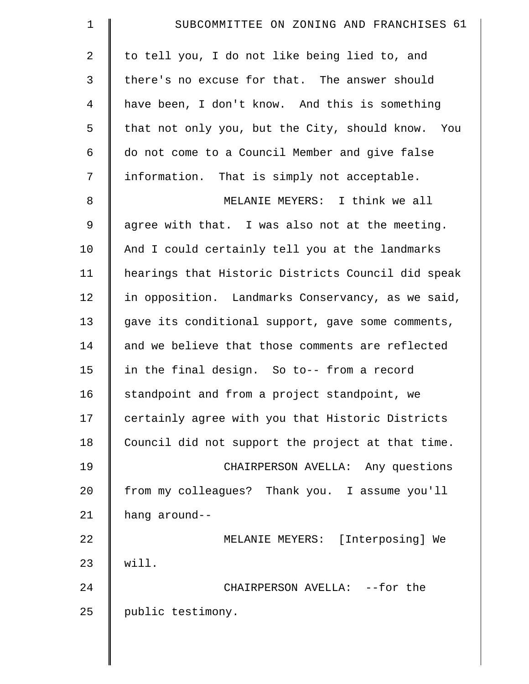| $\mathbf 1$    | SUBCOMMITTEE ON ZONING AND FRANCHISES 61           |
|----------------|----------------------------------------------------|
| $\overline{2}$ | to tell you, I do not like being lied to, and      |
| 3              | there's no excuse for that. The answer should      |
| 4              | have been, I don't know. And this is something     |
| 5              | that not only you, but the City, should know. You  |
| 6              | do not come to a Council Member and give false     |
| 7              | information. That is simply not acceptable.        |
| $\,8\,$        | MELANIE MEYERS: I think we all                     |
| 9              | agree with that. I was also not at the meeting.    |
| 10             | And I could certainly tell you at the landmarks    |
| 11             | hearings that Historic Districts Council did speak |
| 12             | in opposition. Landmarks Conservancy, as we said,  |
| 13             | gave its conditional support, gave some comments,  |
| 14             | and we believe that those comments are reflected   |
| 15             | in the final design. So to-- from a record         |
| 16             | standpoint and from a project standpoint, we       |
| 17             | certainly agree with you that Historic Districts   |
| 18             | Council did not support the project at that time.  |
| 19             | CHAIRPERSON AVELLA: Any questions                  |
| 20             | from my colleagues? Thank you. I assume you'll     |
| 21             | hang around--                                      |
| 22             | MELANIE MEYERS: [Interposing] We                   |
| 23             | will.                                              |
| 24             | CHAIRPERSON AVELLA: --for the                      |
| 25             | public testimony.                                  |
|                |                                                    |

 $\parallel$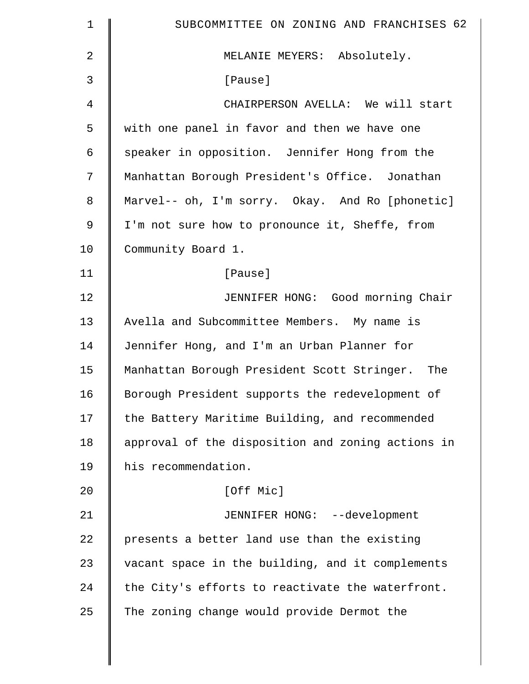| $\mathbf 1$    | SUBCOMMITTEE ON ZONING AND FRANCHISES 62          |
|----------------|---------------------------------------------------|
| $\overline{2}$ | MELANIE MEYERS: Absolutely.                       |
| 3              | [Pause]                                           |
| $\overline{4}$ | CHAIRPERSON AVELLA: We will start                 |
| 5              | with one panel in favor and then we have one      |
| 6              | speaker in opposition. Jennifer Hong from the     |
| 7              | Manhattan Borough President's Office. Jonathan    |
| 8              | Marvel-- oh, I'm sorry. Okay. And Ro [phonetic]   |
| 9              | I'm not sure how to pronounce it, Sheffe, from    |
| 10             | Community Board 1.                                |
| 11             | [Pause]                                           |
| 12             | JENNIFER HONG: Good morning Chair                 |
| 13             | Avella and Subcommittee Members. My name is       |
| 14             | Jennifer Hong, and I'm an Urban Planner for       |
| 15             | Manhattan Borough President Scott Stringer. The   |
| 16             | Borough President supports the redevelopment of   |
| 17             | the Battery Maritime Building, and recommended    |
| 18             | approval of the disposition and zoning actions in |
| 19             | his recommendation.                               |
| 20             | [Off Mic]                                         |
| 21             | JENNIFER HONG: --development                      |
| 22             | presents a better land use than the existing      |
| 23             | vacant space in the building, and it complements  |
| 24             | the City's efforts to reactivate the waterfront.  |
| 25             | The zoning change would provide Dermot the        |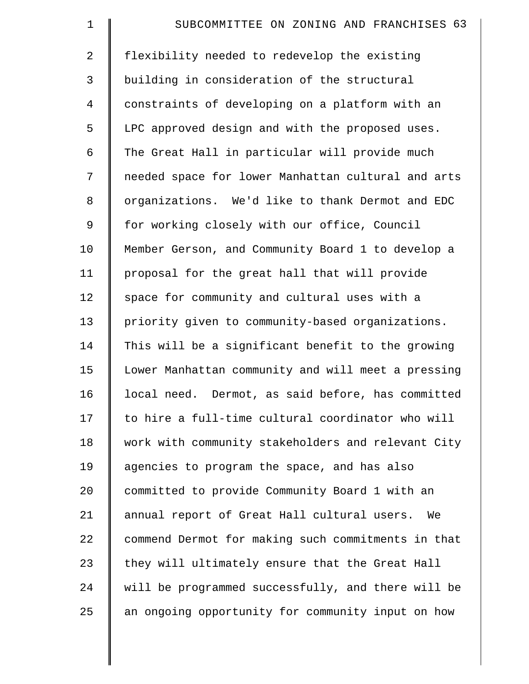| $\mathbf 1$    | SUBCOMMITTEE ON ZONING AND FRANCHISES 63           |
|----------------|----------------------------------------------------|
| $\overline{a}$ | flexibility needed to redevelop the existing       |
| 3              | building in consideration of the structural        |
| $\overline{4}$ | constraints of developing on a platform with an    |
| 5              | LPC approved design and with the proposed uses.    |
| 6              | The Great Hall in particular will provide much     |
| 7              | needed space for lower Manhattan cultural and arts |
| 8              | organizations. We'd like to thank Dermot and EDC   |
| 9              | for working closely with our office, Council       |
| 10             | Member Gerson, and Community Board 1 to develop a  |
| 11             | proposal for the great hall that will provide      |
| 12             | space for community and cultural uses with a       |
| 13             | priority given to community-based organizations.   |
| 14             | This will be a significant benefit to the growing  |
| 15             | Lower Manhattan community and will meet a pressing |
| 16             | local need. Dermot, as said before, has committed  |
| 17             | to hire a full-time cultural coordinator who will  |
| 18             | work with community stakeholders and relevant City |
| 19             | agencies to program the space, and has also        |
| 20             | committed to provide Community Board 1 with an     |
| 21             | annual report of Great Hall cultural users.<br>We  |
| 22             | commend Dermot for making such commitments in that |
| 23             | they will ultimately ensure that the Great Hall    |
| 24             | will be programmed successfully, and there will be |
| 25             | an ongoing opportunity for community input on how  |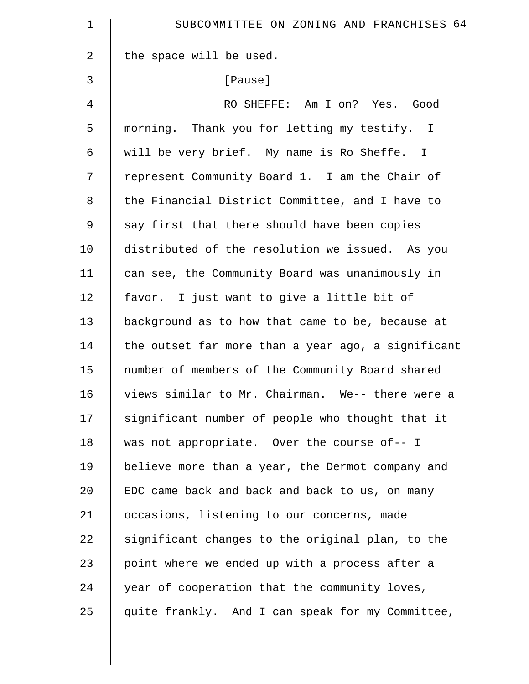| $\mathbf 1$ | SUBCOMMITTEE ON ZONING AND FRANCHISES 64           |
|-------------|----------------------------------------------------|
| 2           | the space will be used.                            |
| 3           | [Pause]                                            |
| 4           | RO SHEFFE: Am I on? Yes. Good                      |
| 5           | morning. Thank you for letting my testify. I       |
| 6           | will be very brief. My name is Ro Sheffe. I        |
| 7           | represent Community Board 1. I am the Chair of     |
| 8           | the Financial District Committee, and I have to    |
| $\mathsf 9$ | say first that there should have been copies       |
| 10          | distributed of the resolution we issued. As you    |
| 11          | can see, the Community Board was unanimously in    |
| 12          | favor. I just want to give a little bit of         |
| 13          | background as to how that came to be, because at   |
| 14          | the outset far more than a year ago, a significant |
| 15          | number of members of the Community Board shared    |
| 16          | views similar to Mr. Chairman. We-- there were a   |
| 17          | significant number of people who thought that it   |
| 18          | was not appropriate. Over the course of-- I        |
| 19          | believe more than a year, the Dermot company and   |
| 20          | EDC came back and back and back to us, on many     |
| 21          | occasions, listening to our concerns, made         |
| 22          | significant changes to the original plan, to the   |
| 23          | point where we ended up with a process after a     |
| 24          | year of cooperation that the community loves,      |
| 25          | quite frankly. And I can speak for my Committee,   |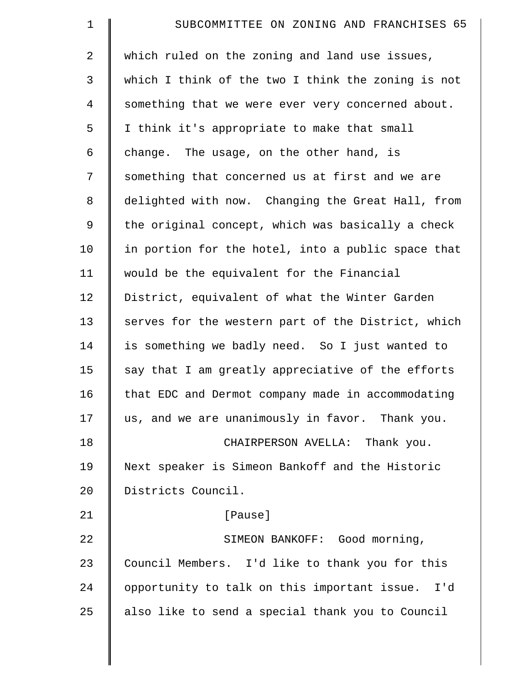| $\mathbf 1$    | SUBCOMMITTEE ON ZONING AND FRANCHISES 65            |
|----------------|-----------------------------------------------------|
| 2              | which ruled on the zoning and land use issues,      |
| 3              | which I think of the two I think the zoning is not  |
| $\overline{4}$ | something that we were ever very concerned about.   |
| 5              | I think it's appropriate to make that small         |
| 6              | change. The usage, on the other hand, is            |
| 7              | something that concerned us at first and we are     |
| $\,8\,$        | delighted with now. Changing the Great Hall, from   |
| 9              | the original concept, which was basically a check   |
| 10             | in portion for the hotel, into a public space that  |
| 11             | would be the equivalent for the Financial           |
| 12             | District, equivalent of what the Winter Garden      |
| 13             | serves for the western part of the District, which  |
| 14             | is something we badly need. So I just wanted to     |
| 15             | say that I am greatly appreciative of the efforts   |
| 16             | that EDC and Dermot company made in accommodating   |
| 17             | us, and we are unanimously in favor. Thank you.     |
| 18             | CHAIRPERSON AVELLA: Thank you.                      |
| 19             | Next speaker is Simeon Bankoff and the Historic     |
| 20             | Districts Council.                                  |
| 21             | [Pause]                                             |
| 22             | SIMEON BANKOFF: Good morning,                       |
| 23             | Council Members. I'd like to thank you for this     |
| 24             | opportunity to talk on this important issue.<br>I'd |
| 25             | also like to send a special thank you to Council    |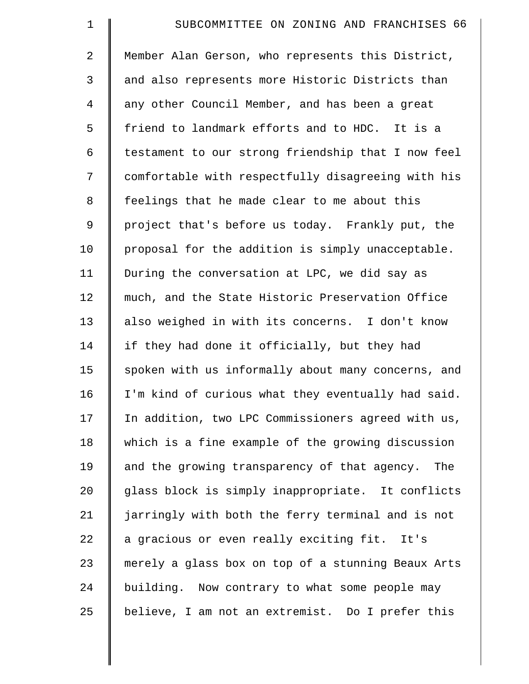| $\mathbf 1$    | SUBCOMMITTEE ON ZONING AND FRANCHISES 66            |
|----------------|-----------------------------------------------------|
| $\overline{2}$ | Member Alan Gerson, who represents this District,   |
| 3              | and also represents more Historic Districts than    |
| $\overline{4}$ | any other Council Member, and has been a great      |
| 5              | friend to landmark efforts and to HDC. It is a      |
| 6              | testament to our strong friendship that I now feel  |
| 7              | comfortable with respectfully disagreeing with his  |
| 8              | feelings that he made clear to me about this        |
| 9              | project that's before us today. Frankly put, the    |
| 10             | proposal for the addition is simply unacceptable.   |
| 11             | During the conversation at LPC, we did say as       |
| 12             | much, and the State Historic Preservation Office    |
| 13             | also weighed in with its concerns. I don't know     |
| 14             | if they had done it officially, but they had        |
| 15             | spoken with us informally about many concerns, and  |
| 16             | I'm kind of curious what they eventually had said.  |
| 17             | In addition, two LPC Commissioners agreed with us,  |
| 18             | which is a fine example of the growing discussion   |
| 19             | and the growing transparency of that agency.<br>The |
| 20             | glass block is simply inappropriate. It conflicts   |
| 21             | jarringly with both the ferry terminal and is not   |
| 22             | a gracious or even really exciting fit. It's        |
| 23             | merely a glass box on top of a stunning Beaux Arts  |
| 24             | building. Now contrary to what some people may      |
| 25             | believe, I am not an extremist. Do I prefer this    |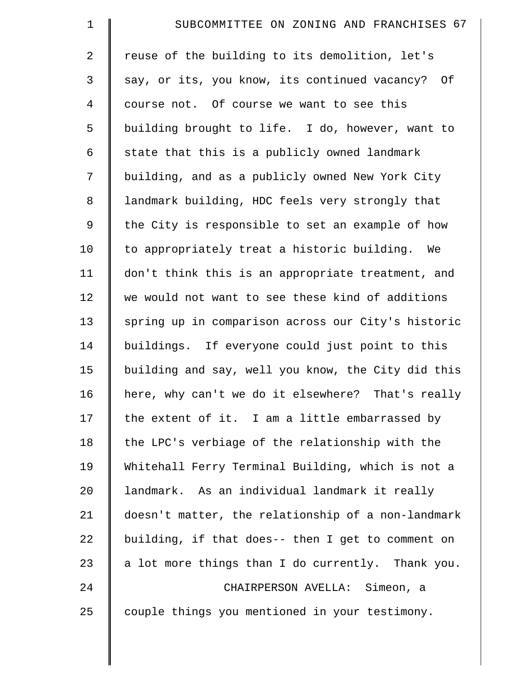| $\mathbf 1$    | SUBCOMMITTEE ON ZONING AND FRANCHISES 67           |
|----------------|----------------------------------------------------|
| $\overline{a}$ | reuse of the building to its demolition, let's     |
| 3              | say, or its, you know, its continued vacancy? Of   |
| $\overline{4}$ | course not. Of course we want to see this          |
| 5              | building brought to life. I do, however, want to   |
| 6              | state that this is a publicly owned landmark       |
| 7              | building, and as a publicly owned New York City    |
| 8              | landmark building, HDC feels very strongly that    |
| 9              | the City is responsible to set an example of how   |
| 10             | to appropriately treat a historic building. We     |
| 11             | don't think this is an appropriate treatment, and  |
| 12             | we would not want to see these kind of additions   |
| 13             | spring up in comparison across our City's historic |
| 14             | buildings. If everyone could just point to this    |
| 15             | building and say, well you know, the City did this |
| 16             | here, why can't we do it elsewhere? That's really  |
| 17             | the extent of it. I am a little embarrassed by     |
| 18             | the LPC's verbiage of the relationship with the    |
| 19             | Whitehall Ferry Terminal Building, which is not a  |
| 20             | landmark. As an individual landmark it really      |
| 21             | doesn't matter, the relationship of a non-landmark |
| 22             | building, if that does-- then I get to comment on  |
| 23             | a lot more things than I do currently. Thank you.  |
| 24             | CHAIRPERSON AVELLA: Simeon, a                      |
| 25             | couple things you mentioned in your testimony.     |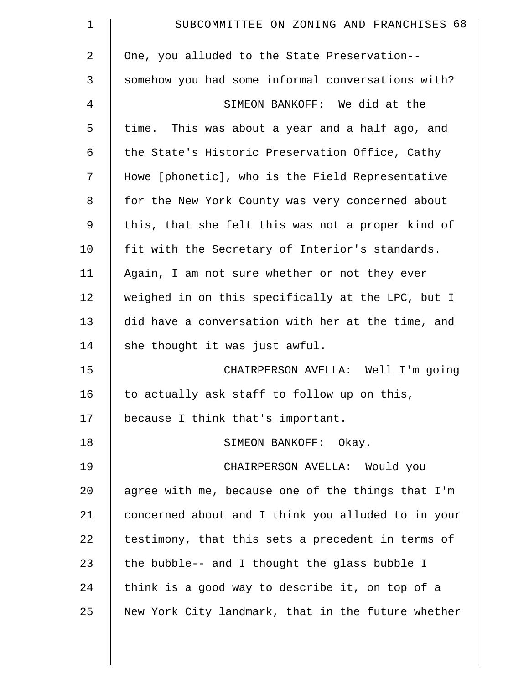| $\mathbf 1$ | SUBCOMMITTEE ON ZONING AND FRANCHISES 68           |
|-------------|----------------------------------------------------|
| 2           | One, you alluded to the State Preservation--       |
| 3           | somehow you had some informal conversations with?  |
| 4           | SIMEON BANKOFF: We did at the                      |
| 5           | time. This was about a year and a half ago, and    |
| 6           | the State's Historic Preservation Office, Cathy    |
| 7           | Howe [phonetic], who is the Field Representative   |
| 8           | for the New York County was very concerned about   |
| 9           | this, that she felt this was not a proper kind of  |
| 10          | fit with the Secretary of Interior's standards.    |
| 11          | Again, I am not sure whether or not they ever      |
| 12          | weighed in on this specifically at the LPC, but I  |
| 13          | did have a conversation with her at the time, and  |
| 14          | she thought it was just awful.                     |
| 15          | CHAIRPERSON AVELLA: Well I'm going                 |
| 16          | to actually ask staff to follow up on this,        |
| 17          | because I think that's important.                  |
| 18          | SIMEON BANKOFF: Okay.                              |
| 19          | CHAIRPERSON AVELLA: Would you                      |
| 20          | agree with me, because one of the things that I'm  |
| 21          | concerned about and I think you alluded to in your |
| 22          | testimony, that this sets a precedent in terms of  |
| 23          | the bubble-- and I thought the glass bubble I      |
| 24          | think is a good way to describe it, on top of a    |
| 25          | New York City landmark, that in the future whether |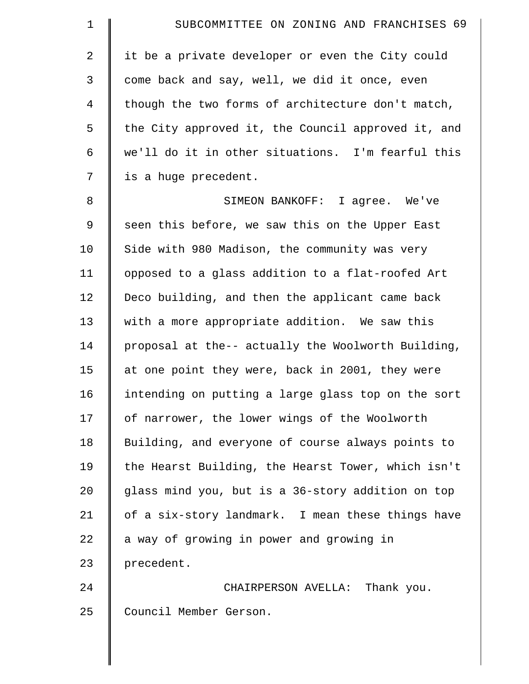| $\mathbf 1$    | SUBCOMMITTEE ON ZONING AND FRANCHISES 69           |
|----------------|----------------------------------------------------|
| $\overline{2}$ | it be a private developer or even the City could   |
| 3              | come back and say, well, we did it once, even      |
| $\overline{4}$ | though the two forms of architecture don't match,  |
| 5              | the City approved it, the Council approved it, and |
| 6              | we'll do it in other situations. I'm fearful this  |
| 7              | is a huge precedent.                               |
| $\,8\,$        | SIMEON BANKOFF: I agree. We've                     |
| 9              | seen this before, we saw this on the Upper East    |
| 10             | Side with 980 Madison, the community was very      |
| 11             | opposed to a glass addition to a flat-roofed Art   |
| 12             | Deco building, and then the applicant came back    |
| 13             | with a more appropriate addition. We saw this      |
| 14             | proposal at the-- actually the Woolworth Building, |
| 15             | at one point they were, back in 2001, they were    |
| 16             | intending on putting a large glass top on the sort |
| 17             | of narrower, the lower wings of the Woolworth      |
| 18             | Building, and everyone of course always points to  |
| 19             | the Hearst Building, the Hearst Tower, which isn't |
| 20             | glass mind you, but is a 36-story addition on top  |
| 21             | of a six-story landmark. I mean these things have  |
| 22             | a way of growing in power and growing in           |
| 23             | precedent.                                         |
| 24             | CHAIRPERSON AVELLA: Thank you.                     |
| 25             | Council Member Gerson.                             |
|                |                                                    |

 $\parallel$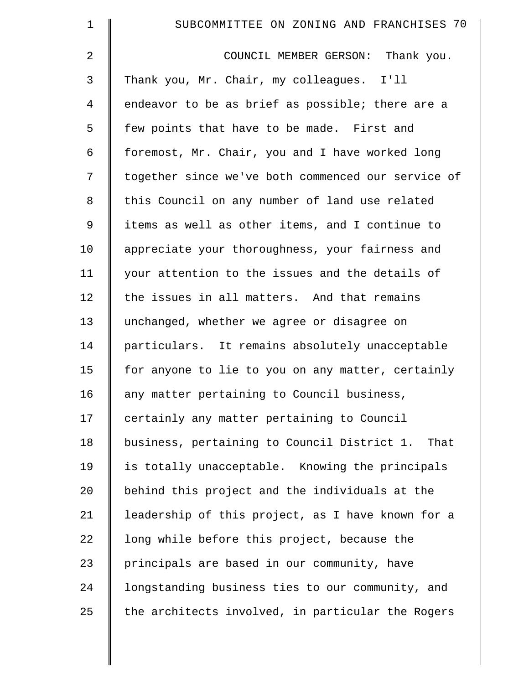| $\mathbf 1$ | SUBCOMMITTEE ON ZONING AND FRANCHISES 70            |
|-------------|-----------------------------------------------------|
| 2           | COUNCIL MEMBER GERSON:<br>Thank you.                |
| 3           | Thank you, Mr. Chair, my colleagues. I'll           |
| 4           | endeavor to be as brief as possible; there are a    |
| 5           | few points that have to be made. First and          |
| 6           | foremost, Mr. Chair, you and I have worked long     |
| 7           | together since we've both commenced our service of  |
| 8           | this Council on any number of land use related      |
| 9           | items as well as other items, and I continue to     |
| 10          | appreciate your thoroughness, your fairness and     |
| 11          | your attention to the issues and the details of     |
| 12          | the issues in all matters. And that remains         |
| 13          | unchanged, whether we agree or disagree on          |
| 14          | particulars. It remains absolutely unacceptable     |
| 15          | for anyone to lie to you on any matter, certainly   |
| 16          | any matter pertaining to Council business,          |
| 17          | certainly any matter pertaining to Council          |
| 18          | business, pertaining to Council District 1.<br>That |
| 19          | is totally unacceptable. Knowing the principals     |
| $20 \,$     | behind this project and the individuals at the      |
| 21          | leadership of this project, as I have known for a   |
| 22          | long while before this project, because the         |
| 23          | principals are based in our community, have         |
| 24          | longstanding business ties to our community, and    |
| 25          | the architects involved, in particular the Rogers   |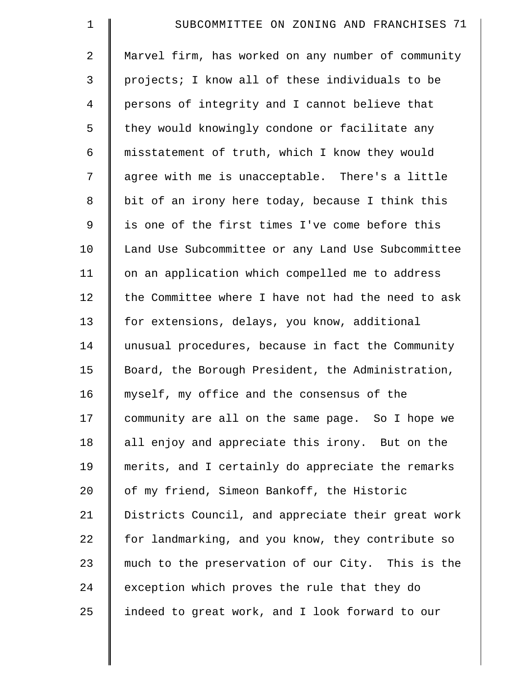| $\mathbf 1$    | SUBCOMMITTEE ON ZONING AND FRANCHISES 71           |
|----------------|----------------------------------------------------|
| $\overline{2}$ | Marvel firm, has worked on any number of community |
| 3              | projects; I know all of these individuals to be    |
| $\overline{4}$ | persons of integrity and I cannot believe that     |
| 5              | they would knowingly condone or facilitate any     |
| 6              | misstatement of truth, which I know they would     |
| 7              | agree with me is unacceptable. There's a little    |
| $\,8\,$        | bit of an irony here today, because I think this   |
| 9              | is one of the first times I've come before this    |
| 10             | Land Use Subcommittee or any Land Use Subcommittee |
| 11             | on an application which compelled me to address    |
| 12             | the Committee where I have not had the need to ask |
| 13             | for extensions, delays, you know, additional       |
| 14             | unusual procedures, because in fact the Community  |
| 15             | Board, the Borough President, the Administration,  |
| 16             | myself, my office and the consensus of the         |
| 17             | community are all on the same page. So I hope we   |
| 18             | all enjoy and appreciate this irony. But on the    |
| 19             | merits, and I certainly do appreciate the remarks  |
| 20             | of my friend, Simeon Bankoff, the Historic         |
| 21             | Districts Council, and appreciate their great work |
| 22             | for landmarking, and you know, they contribute so  |
| 23             | much to the preservation of our City. This is the  |
| 24             | exception which proves the rule that they do       |
| 25             | indeed to great work, and I look forward to our    |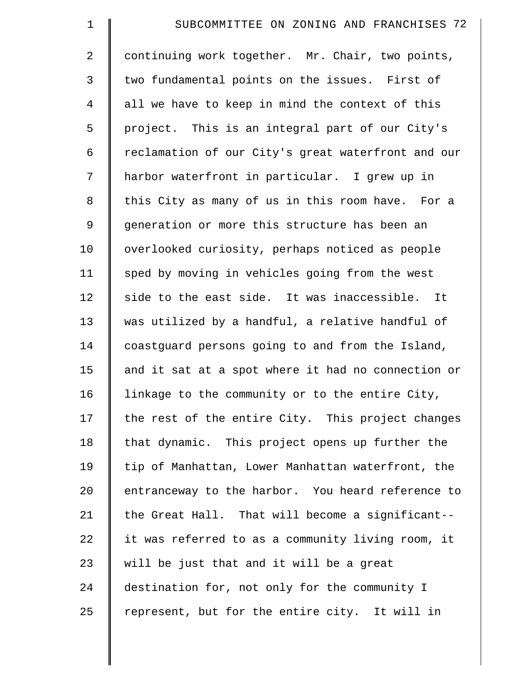| $\mathbf 1$    | SUBCOMMITTEE ON ZONING AND FRANCHISES 72           |
|----------------|----------------------------------------------------|
| $\overline{2}$ | continuing work together. Mr. Chair, two points,   |
| 3              | two fundamental points on the issues. First of     |
| $\overline{4}$ | all we have to keep in mind the context of this    |
| 5              | project. This is an integral part of our City's    |
| 6              | reclamation of our City's great waterfront and our |
| 7              | harbor waterfront in particular. I grew up in      |
| 8              | this City as many of us in this room have. For a   |
| 9              | generation or more this structure has been an      |
| 10             | overlooked curiosity, perhaps noticed as people    |
| 11             | sped by moving in vehicles going from the west     |
| 12             | side to the east side. It was inaccessible. It     |
| 13             | was utilized by a handful, a relative handful of   |
| 14             | coastguard persons going to and from the Island,   |
| 15             | and it sat at a spot where it had no connection or |
| 16             | linkage to the community or to the entire City,    |
| 17             | the rest of the entire City. This project changes  |
| 18             | that dynamic. This project opens up further the    |
| 19             | tip of Manhattan, Lower Manhattan waterfront, the  |
| 20             | entranceway to the harbor. You heard reference to  |
| 21             | the Great Hall. That will become a significant--   |
| 22             | it was referred to as a community living room, it  |
| 23             | will be just that and it will be a great           |
| 24             | destination for, not only for the community I      |
| 25             | represent, but for the entire city. It will in     |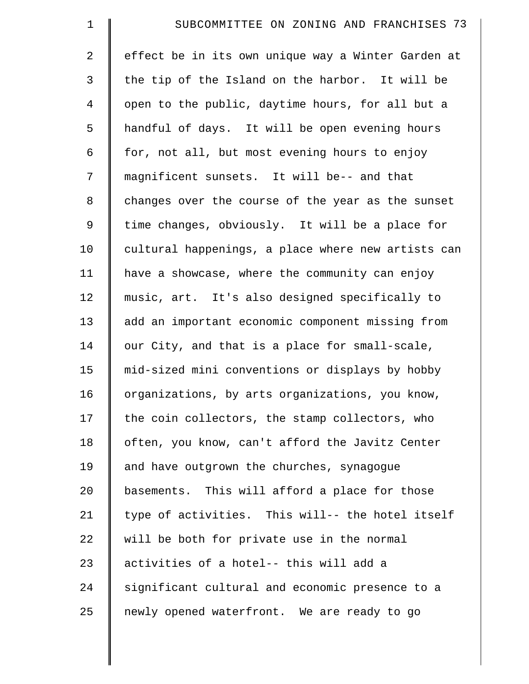| $\mathbf 1$    | SUBCOMMITTEE ON ZONING AND FRANCHISES 73           |
|----------------|----------------------------------------------------|
| 2              | effect be in its own unique way a Winter Garden at |
| 3              | the tip of the Island on the harbor. It will be    |
| $\overline{4}$ | open to the public, daytime hours, for all but a   |
| 5              | handful of days. It will be open evening hours     |
| 6              | for, not all, but most evening hours to enjoy      |
| 7              | magnificent sunsets. It will be-- and that         |
| 8              | changes over the course of the year as the sunset  |
| $\mathsf 9$    | time changes, obviously. It will be a place for    |
| 10             | cultural happenings, a place where new artists can |
| 11             | have a showcase, where the community can enjoy     |
| 12             | music, art. It's also designed specifically to     |
| 13             | add an important economic component missing from   |
| 14             | our City, and that is a place for small-scale,     |
| 15             | mid-sized mini conventions or displays by hobby    |
| 16             | organizations, by arts organizations, you know,    |
| 17             | the coin collectors, the stamp collectors, who     |
| 18             | often, you know, can't afford the Javitz Center    |
| 19             | and have outgrown the churches, synagogue          |
| 20             | basements. This will afford a place for those      |
| 21             | type of activities. This will-- the hotel itself   |
| 22             | will be both for private use in the normal         |
| 23             | activities of a hotel-- this will add a            |
| 24             | significant cultural and economic presence to a    |
| 25             | newly opened waterfront. We are ready to go        |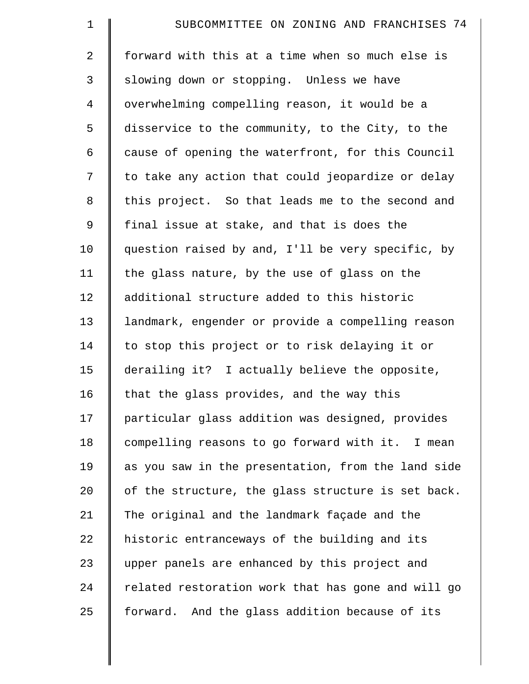| $\mathbf 1$    | SUBCOMMITTEE ON ZONING AND FRANCHISES 74           |
|----------------|----------------------------------------------------|
| $\overline{2}$ | forward with this at a time when so much else is   |
| 3              | slowing down or stopping. Unless we have           |
| $\overline{4}$ | overwhelming compelling reason, it would be a      |
| 5              | disservice to the community, to the City, to the   |
| 6              | cause of opening the waterfront, for this Council  |
| 7              | to take any action that could jeopardize or delay  |
| 8              | this project. So that leads me to the second and   |
| $\mathsf 9$    | final issue at stake, and that is does the         |
| 10             | question raised by and, I'll be very specific, by  |
| 11             | the glass nature, by the use of glass on the       |
| 12             | additional structure added to this historic        |
| 13             | landmark, engender or provide a compelling reason  |
| 14             | to stop this project or to risk delaying it or     |
| 15             | derailing it? I actually believe the opposite,     |
| 16             | that the glass provides, and the way this          |
| 17             | particular glass addition was designed, provides   |
| 18             | compelling reasons to go forward with it. I mean   |
| 19             | as you saw in the presentation, from the land side |
| 20             | of the structure, the glass structure is set back. |
| 21             | The original and the landmark façade and the       |
| 22             | historic entranceways of the building and its      |
| 23             | upper panels are enhanced by this project and      |
| 24             | related restoration work that has gone and will go |
| 25             | forward. And the glass addition because of its     |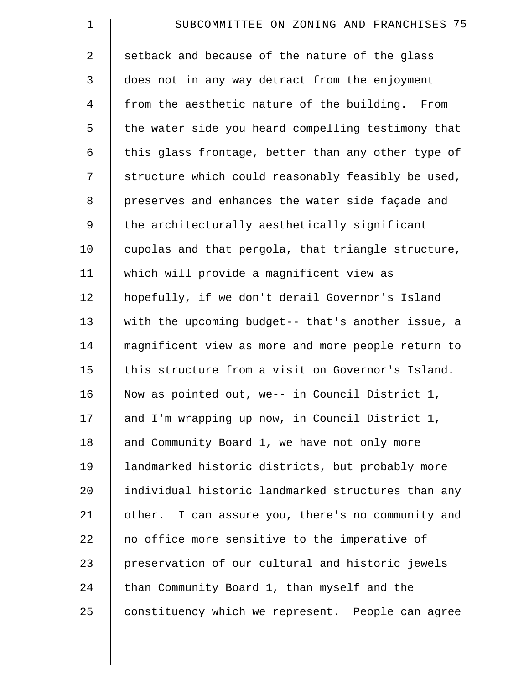| $\mathbf 1$    | SUBCOMMITTEE ON ZONING AND FRANCHISES 75           |
|----------------|----------------------------------------------------|
| $\overline{2}$ | setback and because of the nature of the glass     |
| 3              | does not in any way detract from the enjoyment     |
| $\overline{4}$ | from the aesthetic nature of the building. From    |
| 5              | the water side you heard compelling testimony that |
| 6              | this glass frontage, better than any other type of |
| 7              | structure which could reasonably feasibly be used, |
| 8              | preserves and enhances the water side façade and   |
| 9              | the architecturally aesthetically significant      |
| 10             | cupolas and that pergola, that triangle structure, |
| 11             | which will provide a magnificent view as           |
| 12             | hopefully, if we don't derail Governor's Island    |
| 13             | with the upcoming budget-- that's another issue, a |
| 14             | magnificent view as more and more people return to |
| 15             | this structure from a visit on Governor's Island.  |
| 16             | Now as pointed out, we-- in Council District 1,    |
| 17             | and I'm wrapping up now, in Council District 1,    |
| 18             | and Community Board 1, we have not only more       |
| 19             | landmarked historic districts, but probably more   |
| 20             | individual historic landmarked structures than any |
| 21             | other. I can assure you, there's no community and  |
| 22             | no office more sensitive to the imperative of      |
| 23             | preservation of our cultural and historic jewels   |
| 24             | than Community Board 1, than myself and the        |
| 25             | constituency which we represent. People can agree  |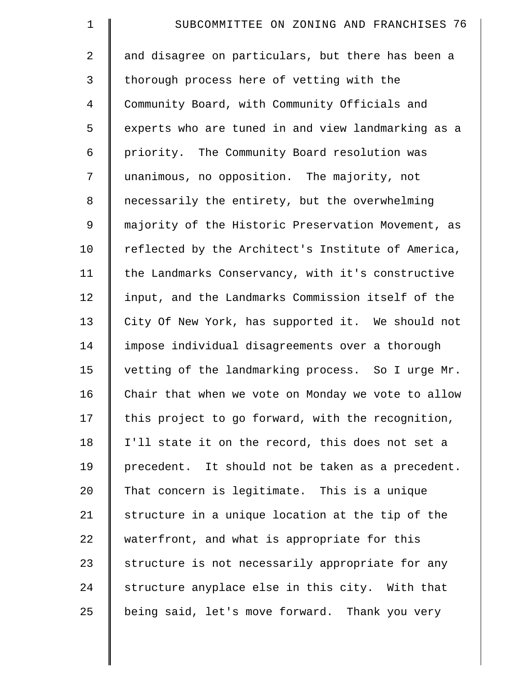| $\mathbf 1$    | SUBCOMMITTEE ON ZONING AND FRANCHISES 76           |
|----------------|----------------------------------------------------|
| 2              | and disagree on particulars, but there has been a  |
| 3              | thorough process here of vetting with the          |
| $\overline{4}$ | Community Board, with Community Officials and      |
| 5              | experts who are tuned in and view landmarking as a |
| 6              | priority. The Community Board resolution was       |
| 7              | unanimous, no opposition. The majority, not        |
| 8              | necessarily the entirety, but the overwhelming     |
| 9              | majority of the Historic Preservation Movement, as |
| 10             | reflected by the Architect's Institute of America, |
| 11             | the Landmarks Conservancy, with it's constructive  |
| 12             | input, and the Landmarks Commission itself of the  |
| 13             | City Of New York, has supported it. We should not  |
| 14             | impose individual disagreements over a thorough    |
| 15             | vetting of the landmarking process. So I urge Mr.  |
| 16             | Chair that when we vote on Monday we vote to allow |
| 17             | this project to go forward, with the recognition,  |
| 18             | I'll state it on the record, this does not set a   |
| 19             | precedent. It should not be taken as a precedent.  |
| 20             | That concern is legitimate. This is a unique       |
| 21             | structure in a unique location at the tip of the   |
| 22             | waterfront, and what is appropriate for this       |
| 23             | structure is not necessarily appropriate for any   |
| 24             | structure anyplace else in this city. With that    |
| 25             | being said, let's move forward. Thank you very     |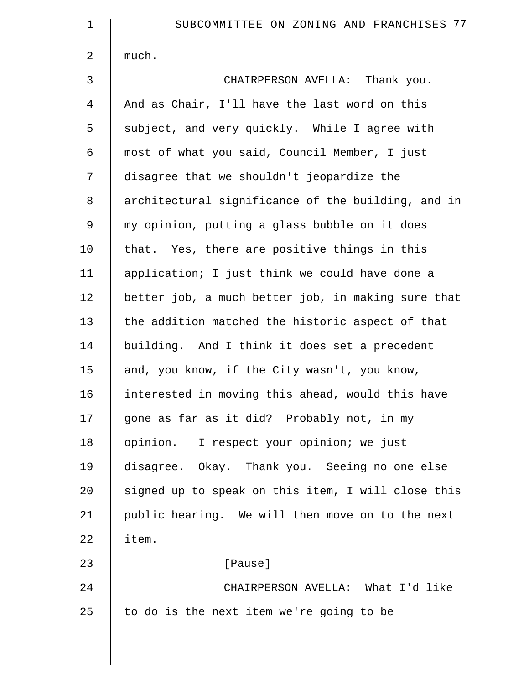| $\mathbf 1$    | SUBCOMMITTEE ON ZONING AND FRANCHISES 77           |
|----------------|----------------------------------------------------|
| $\overline{2}$ | much.                                              |
| 3              | CHAIRPERSON AVELLA: Thank you.                     |
| $\overline{4}$ | And as Chair, I'll have the last word on this      |
| 5              | subject, and very quickly. While I agree with      |
| 6              | most of what you said, Council Member, I just      |
| 7              | disagree that we shouldn't jeopardize the          |
| 8              | architectural significance of the building, and in |
| $\mathsf 9$    | my opinion, putting a glass bubble on it does      |
| 10             | that. Yes, there are positive things in this       |
| 11             | application; I just think we could have done a     |
| 12             | better job, a much better job, in making sure that |
| 13             | the addition matched the historic aspect of that   |
| 14             | building. And I think it does set a precedent      |
| 15             | and, you know, if the City wasn't, you know,       |
| 16             | interested in moving this ahead, would this have   |
| 17             | gone as far as it did? Probably not, in my         |
| 18             | opinion. I respect your opinion; we just           |
| 19             | disagree. Okay. Thank you. Seeing no one else      |
| 20             | signed up to speak on this item, I will close this |
| 21             | public hearing. We will then move on to the next   |
| 22             | item.                                              |
| 23             | [Pause]                                            |
| 24             | CHAIRPERSON AVELLA: What I'd like                  |
| 25             | to do is the next item we're going to be           |
|                |                                                    |
|                |                                                    |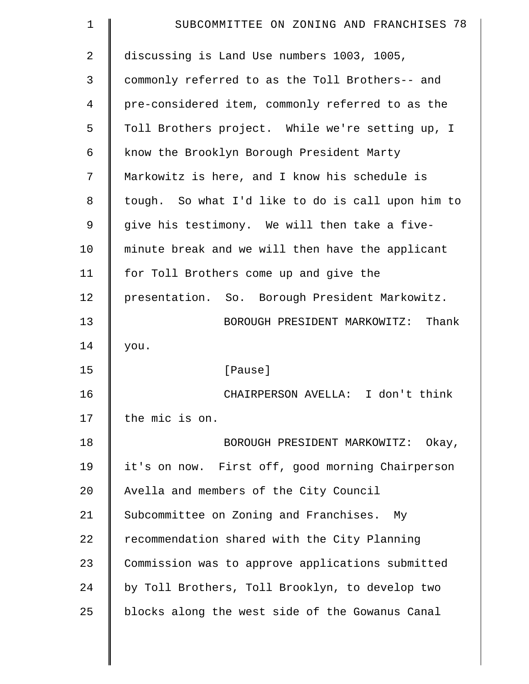| $\mathbf 1$    | SUBCOMMITTEE ON ZONING AND FRANCHISES 78          |
|----------------|---------------------------------------------------|
| $\overline{2}$ | discussing is Land Use numbers 1003, 1005,        |
| 3              | commonly referred to as the Toll Brothers-- and   |
| 4              | pre-considered item, commonly referred to as the  |
| 5              | Toll Brothers project. While we're setting up, I  |
| 6              | know the Brooklyn Borough President Marty         |
| 7              | Markowitz is here, and I know his schedule is     |
| 8              | tough. So what I'd like to do is call upon him to |
| 9              | give his testimony. We will then take a five-     |
| 10             | minute break and we will then have the applicant  |
| 11             | for Toll Brothers come up and give the            |
| 12             | presentation. So. Borough President Markowitz.    |
| 13             | BOROUGH PRESIDENT MARKOWITZ: Thank                |
| 14             | you.                                              |
| 15             | [Pause]                                           |
| 16             | CHAIRPERSON AVELLA: I don't think                 |
| 17             | the mic is on.                                    |
| 18             | BOROUGH PRESIDENT MARKOWITZ: Okay,                |
| 19             | it's on now. First off, good morning Chairperson  |
| 20             | Avella and members of the City Council            |
| 21             | Subcommittee on Zoning and Franchises. My         |
| 22             | recommendation shared with the City Planning      |
| 23             | Commission was to approve applications submitted  |
| 24             | by Toll Brothers, Toll Brooklyn, to develop two   |
| 25             | blocks along the west side of the Gowanus Canal   |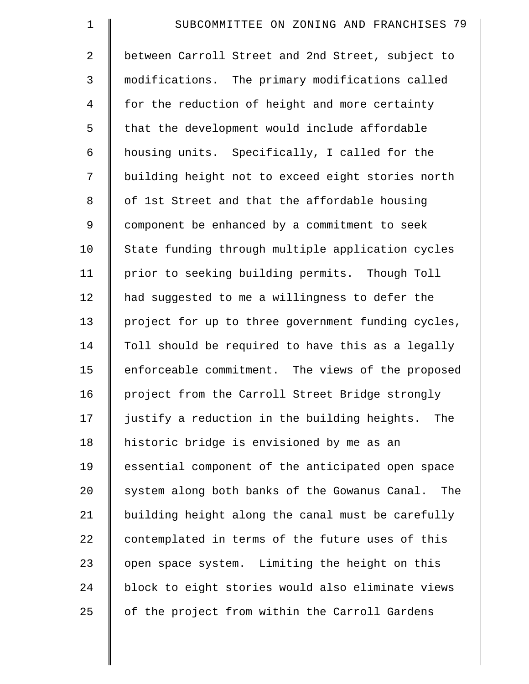| $\mathbf 1$    | SUBCOMMITTEE ON ZONING AND FRANCHISES 79            |
|----------------|-----------------------------------------------------|
| $\overline{a}$ | between Carroll Street and 2nd Street, subject to   |
| 3              | modifications. The primary modifications called     |
| $\overline{4}$ | for the reduction of height and more certainty      |
| 5              | that the development would include affordable       |
| 6              | housing units. Specifically, I called for the       |
| 7              | building height not to exceed eight stories north   |
| 8              | of 1st Street and that the affordable housing       |
| $\mathsf 9$    | component be enhanced by a commitment to seek       |
| 10             | State funding through multiple application cycles   |
| 11             | prior to seeking building permits. Though Toll      |
| 12             | had suggested to me a willingness to defer the      |
| 13             | project for up to three government funding cycles,  |
| 14             | Toll should be required to have this as a legally   |
| 15             | enforceable commitment. The views of the proposed   |
| 16             | project from the Carroll Street Bridge strongly     |
| 17             | justify a reduction in the building heights.<br>The |
| 18             | historic bridge is envisioned by me as an           |
| 19             | essential component of the anticipated open space   |
| 20             | system along both banks of the Gowanus Canal. The   |
| 21             | building height along the canal must be carefully   |
| 22             | contemplated in terms of the future uses of this    |
| 23             | open space system. Limiting the height on this      |
| 24             | block to eight stories would also eliminate views   |
| 25             | of the project from within the Carroll Gardens      |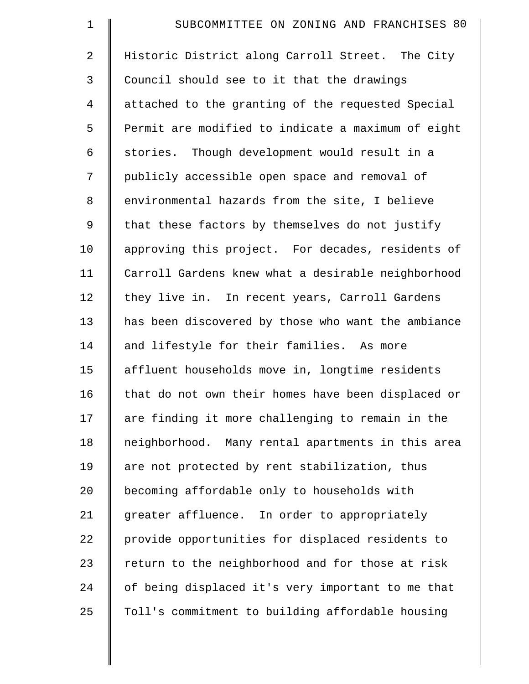| $\mathbf 1$    | SUBCOMMITTEE ON ZONING AND FRANCHISES 80           |
|----------------|----------------------------------------------------|
| $\overline{2}$ | Historic District along Carroll Street. The City   |
| 3              | Council should see to it that the drawings         |
| 4              | attached to the granting of the requested Special  |
| 5              | Permit are modified to indicate a maximum of eight |
| 6              | stories. Though development would result in a      |
| 7              | publicly accessible open space and removal of      |
| 8              | environmental hazards from the site, I believe     |
| 9              | that these factors by themselves do not justify    |
| 10             | approving this project. For decades, residents of  |
| 11             | Carroll Gardens knew what a desirable neighborhood |
| 12             | they live in. In recent years, Carroll Gardens     |
| 13             | has been discovered by those who want the ambiance |
| 14             | and lifestyle for their families. As more          |
| 15             | affluent households move in, longtime residents    |
| 16             | that do not own their homes have been displaced or |
| 17             | are finding it more challenging to remain in the   |
| 18             | neighborhood. Many rental apartments in this area  |
| 19             | are not protected by rent stabilization, thus      |
| 20             | becoming affordable only to households with        |
| 21             | greater affluence. In order to appropriately       |
| 22             | provide opportunities for displaced residents to   |
| 23             | return to the neighborhood and for those at risk   |
| 24             | of being displaced it's very important to me that  |
| 25             | Toll's commitment to building affordable housing   |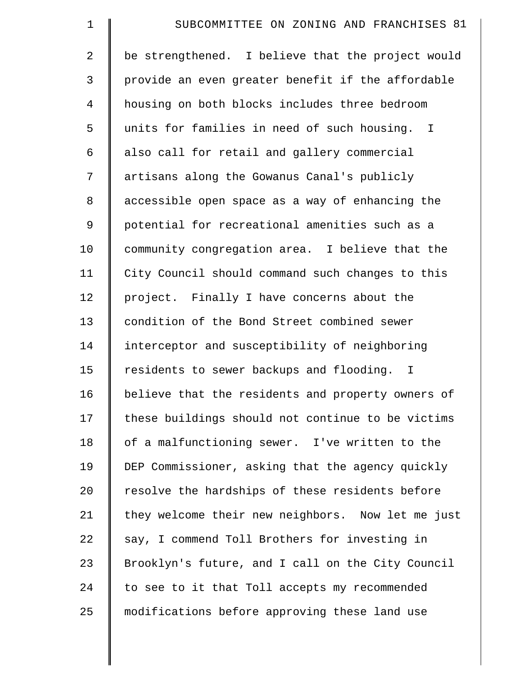| $\mathbf 1$    | SUBCOMMITTEE ON ZONING AND FRANCHISES 81          |
|----------------|---------------------------------------------------|
| $\overline{2}$ | be strengthened. I believe that the project would |
| 3              | provide an even greater benefit if the affordable |
| $\overline{4}$ | housing on both blocks includes three bedroom     |
| 5              | units for families in need of such housing. I     |
| 6              | also call for retail and gallery commercial       |
| 7              | artisans along the Gowanus Canal's publicly       |
| 8              | accessible open space as a way of enhancing the   |
| 9              | potential for recreational amenities such as a    |
| 10             | community congregation area. I believe that the   |
| 11             | City Council should command such changes to this  |
| 12             | project. Finally I have concerns about the        |
| 13             | condition of the Bond Street combined sewer       |
| 14             | interceptor and susceptibility of neighboring     |
| 15             | residents to sewer backups and flooding. I        |
| 16             | believe that the residents and property owners of |
| 17             | these buildings should not continue to be victims |
| 18             | of a malfunctioning sewer. I've written to the    |
| 19             | DEP Commissioner, asking that the agency quickly  |
| 20             | resolve the hardships of these residents before   |
| 21             | they welcome their new neighbors. Now let me just |
| 22             | say, I commend Toll Brothers for investing in     |
| 23             | Brooklyn's future, and I call on the City Council |
| 24             | to see to it that Toll accepts my recommended     |
| 25             | modifications before approving these land use     |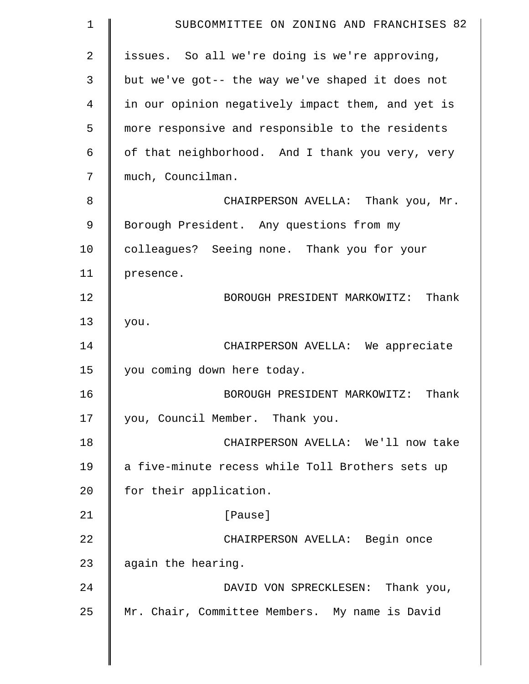| $\mathbf 1$ | SUBCOMMITTEE ON ZONING AND FRANCHISES 82          |
|-------------|---------------------------------------------------|
| 2           | issues. So all we're doing is we're approving,    |
| 3           | but we've got-- the way we've shaped it does not  |
| 4           | in our opinion negatively impact them, and yet is |
| 5           | more responsive and responsible to the residents  |
| 6           | of that neighborhood. And I thank you very, very  |
| 7           | much, Councilman.                                 |
| 8           | CHAIRPERSON AVELLA: Thank you, Mr.                |
| 9           | Borough President. Any questions from my          |
| 10          | colleagues? Seeing none. Thank you for your       |
| 11          | presence.                                         |
| 12          | Thank<br>BOROUGH PRESIDENT MARKOWITZ:             |
| 13          | you.                                              |
| 14          | CHAIRPERSON AVELLA: We appreciate                 |
| 15          | you coming down here today.                       |
| 16          | Thank<br>BOROUGH PRESIDENT MARKOWITZ:             |
| 17          | you, Council Member. Thank you.                   |
| 18          | CHAIRPERSON AVELLA: We'll now take                |
| 19          | a five-minute recess while Toll Brothers sets up  |
| 20          | for their application.                            |
| 21          | [Pause]                                           |
| 22          | CHAIRPERSON AVELLA: Begin once                    |
| 23          | again the hearing.                                |
| 24          | DAVID VON SPRECKLESEN: Thank you,                 |
| 25          | Mr. Chair, Committee Members. My name is David    |
|             |                                                   |

 $\parallel$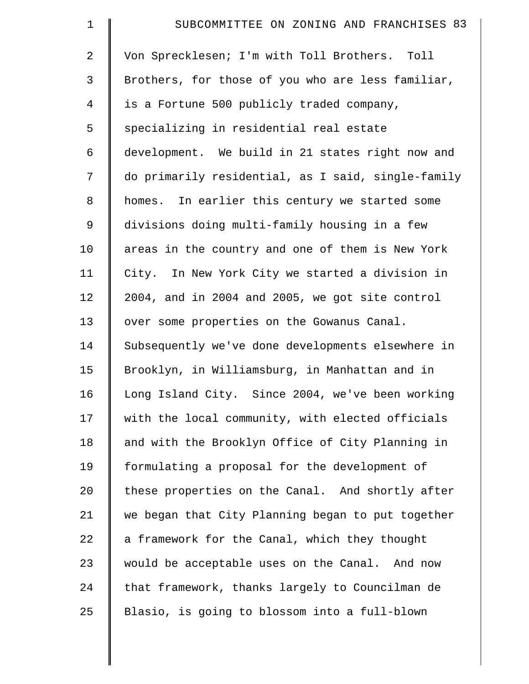| $\mathbf 1$    | SUBCOMMITTEE ON ZONING AND FRANCHISES 83           |
|----------------|----------------------------------------------------|
| 2              | Von Sprecklesen; I'm with Toll Brothers. Toll      |
| 3              | Brothers, for those of you who are less familiar,  |
| $\overline{4}$ | is a Fortune 500 publicly traded company,          |
| 5              | specializing in residential real estate            |
| 6              | development. We build in 21 states right now and   |
| 7              | do primarily residential, as I said, single-family |
| 8              | homes. In earlier this century we started some     |
| 9              | divisions doing multi-family housing in a few      |
| 10             | areas in the country and one of them is New York   |
| 11             | City. In New York City we started a division in    |
| 12             | 2004, and in 2004 and 2005, we got site control    |
| 13             | over some properties on the Gowanus Canal.         |
| 14             | Subsequently we've done developments elsewhere in  |
| 15             | Brooklyn, in Williamsburg, in Manhattan and in     |
| 16             | Long Island City. Since 2004, we've been working   |
| 17             | with the local community, with elected officials   |
| 18             | and with the Brooklyn Office of City Planning in   |
| 19             | formulating a proposal for the development of      |
| 20             | these properties on the Canal. And shortly after   |
| 21             | we began that City Planning began to put together  |
| 22             | a framework for the Canal, which they thought      |
| 23             | would be acceptable uses on the Canal. And now     |
| 24             | that framework, thanks largely to Councilman de    |
| 25             | Blasio, is going to blossom into a full-blown      |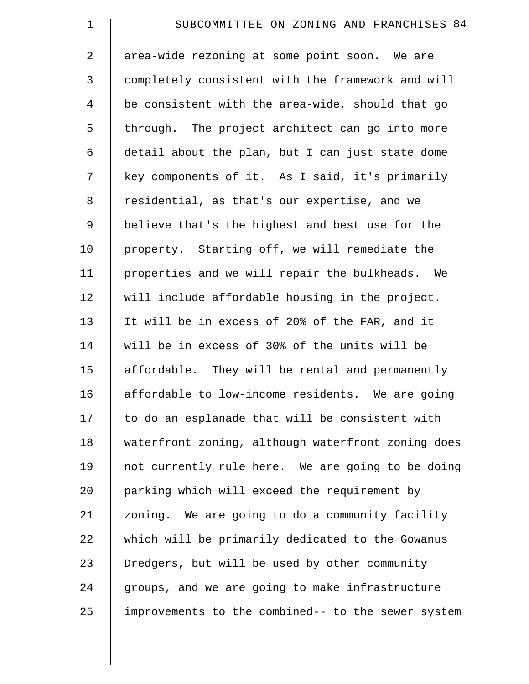| $\mathbf 1$    | SUBCOMMITTEE ON ZONING AND FRANCHISES 84           |
|----------------|----------------------------------------------------|
| 2              | area-wide rezoning at some point soon. We are      |
| 3              | completely consistent with the framework and will  |
| $\overline{4}$ | be consistent with the area-wide, should that go   |
| 5              | through. The project architect can go into more    |
| 6              | detail about the plan, but I can just state dome   |
| 7              | key components of it. As I said, it's primarily    |
| $\,8\,$        | residential, as that's our expertise, and we       |
| 9              | believe that's the highest and best use for the    |
| 10             | property. Starting off, we will remediate the      |
| 11             | properties and we will repair the bulkheads. We    |
| 12             | will include affordable housing in the project.    |
| 13             | It will be in excess of 20% of the FAR, and it     |
| 14             | will be in excess of 30% of the units will be      |
| 15             | affordable. They will be rental and permanently    |
| 16             | affordable to low-income residents. We are going   |
| 17             | to do an esplanade that will be consistent with    |
| 18             | waterfront zoning, although waterfront zoning does |
| 19             | not currently rule here. We are going to be doing  |
| 20             | parking which will exceed the requirement by       |
| 21             | zoning. We are going to do a community facility    |
| 22             | which will be primarily dedicated to the Gowanus   |
| 23             | Dredgers, but will be used by other community      |
| 24             | groups, and we are going to make infrastructure    |
| 25             | improvements to the combined-- to the sewer system |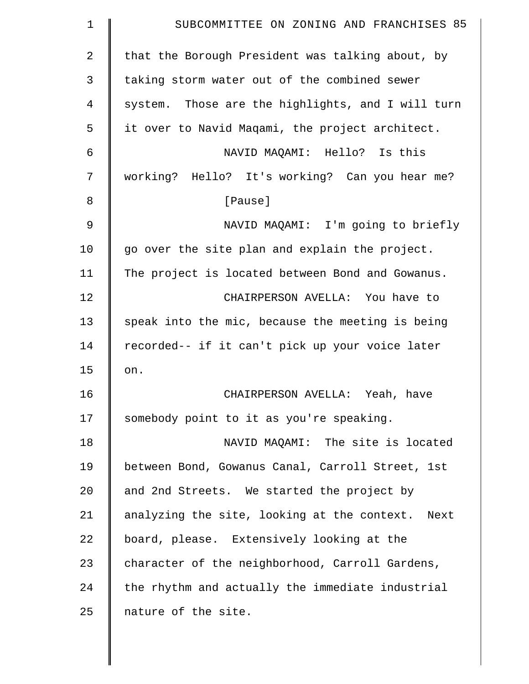| 1              | SUBCOMMITTEE ON ZONING AND FRANCHISES 85          |
|----------------|---------------------------------------------------|
| $\overline{2}$ | that the Borough President was talking about, by  |
| 3              | taking storm water out of the combined sewer      |
| 4              | system. Those are the highlights, and I will turn |
| 5              | it over to Navid Magami, the project architect.   |
| 6              | NAVID MAQAMI: Hello? Is this                      |
| 7              | working? Hello? It's working? Can you hear me?    |
| 8              | [Pause]                                           |
| $\mathsf 9$    | NAVID MAQAMI: I'm going to briefly                |
| 10             | go over the site plan and explain the project.    |
| 11             | The project is located between Bond and Gowanus.  |
| 12             | CHAIRPERSON AVELLA: You have to                   |
| 13             | speak into the mic, because the meeting is being  |
| 14             | recorded-- if it can't pick up your voice later   |
| 15             | on.                                               |
| 16             | CHAIRPERSON AVELLA: Yeah, have                    |
| 17             | somebody point to it as you're speaking.          |
| 18             | NAVID MAQAMI: The site is located                 |
| 19             | between Bond, Gowanus Canal, Carroll Street, 1st  |
| 20             | and 2nd Streets. We started the project by        |
| 21             | analyzing the site, looking at the context. Next  |
| 22             | board, please. Extensively looking at the         |
| 23             | character of the neighborhood, Carroll Gardens,   |
| 24             | the rhythm and actually the immediate industrial  |
| 25             | nature of the site.                               |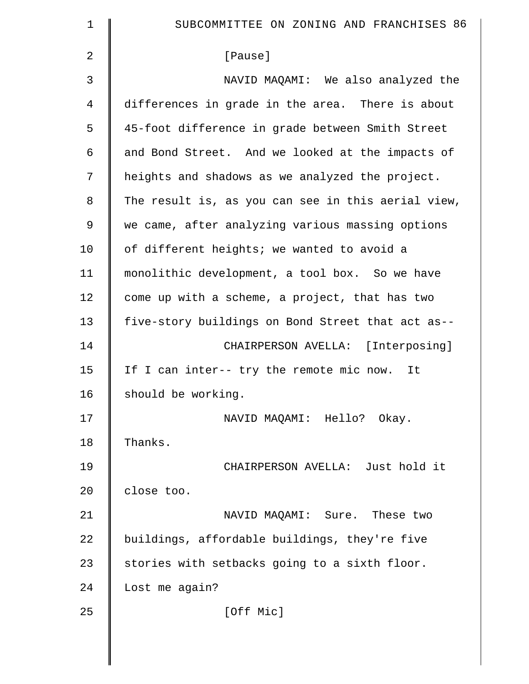| $\mathbf 1$    | SUBCOMMITTEE ON ZONING AND FRANCHISES 86           |
|----------------|----------------------------------------------------|
| $\overline{2}$ | [Pause]                                            |
| 3              | NAVID MAQAMI: We also analyzed the                 |
| 4              | differences in grade in the area. There is about   |
| 5              | 45-foot difference in grade between Smith Street   |
| 6              | and Bond Street. And we looked at the impacts of   |
| 7              | heights and shadows as we analyzed the project.    |
| 8              | The result is, as you can see in this aerial view, |
| 9              | we came, after analyzing various massing options   |
| 10             | of different heights; we wanted to avoid a         |
| 11             | monolithic development, a tool box. So we have     |
| 12             | come up with a scheme, a project, that has two     |
| 13             | five-story buildings on Bond Street that act as--  |
| 14             | CHAIRPERSON AVELLA: [Interposing]                  |
| 15             | If I can inter-- try the remote mic now. It        |
| 16             | should be working.                                 |
| 17             | NAVID MAQAMI: Hello? Okay.                         |
| 18             | Thanks.                                            |
| 19             | CHAIRPERSON AVELLA: Just hold it                   |
| 20             | close too.                                         |
| 21             | NAVID MAQAMI: Sure. These two                      |
| 22             | buildings, affordable buildings, they're five      |
| 23             | stories with setbacks going to a sixth floor.      |
| 24             | Lost me again?                                     |
| 25             | [Off Mic]                                          |
|                |                                                    |

 $\parallel$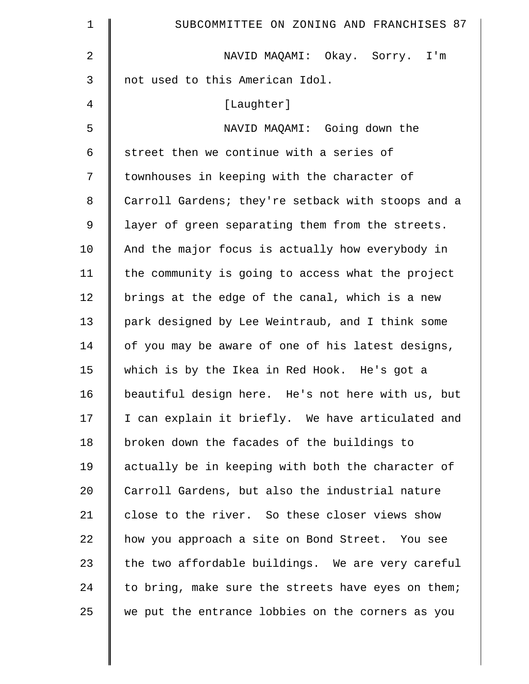| $\mathbf 1$    | SUBCOMMITTEE ON ZONING AND FRANCHISES 87           |
|----------------|----------------------------------------------------|
| $\overline{2}$ | NAVID MAQAMI: Okay. Sorry. I'm                     |
| $\mathsf{3}$   | not used to this American Idol.                    |
| 4              | [Laughter]                                         |
| 5              | NAVID MAQAMI: Going down the                       |
| 6              | street then we continue with a series of           |
| 7              | townhouses in keeping with the character of        |
| 8              | Carroll Gardens; they're setback with stoops and a |
| 9              | layer of green separating them from the streets.   |
| 10             | And the major focus is actually how everybody in   |
| 11             | the community is going to access what the project  |
| 12             | brings at the edge of the canal, which is a new    |
| 13             | park designed by Lee Weintraub, and I think some   |
| 14             | of you may be aware of one of his latest designs,  |
| 15             | which is by the Ikea in Red Hook. He's got a       |
| 16             | beautiful design here. He's not here with us, but  |
| 17             | I can explain it briefly. We have articulated and  |
| 18             | broken down the facades of the buildings to        |
| 19             | actually be in keeping with both the character of  |
| 20             | Carroll Gardens, but also the industrial nature    |
| 21             | close to the river. So these closer views show     |
| 22             | how you approach a site on Bond Street. You see    |
| 23             | the two affordable buildings. We are very careful  |
| 24             | to bring, make sure the streets have eyes on them; |
| 25             | we put the entrance lobbies on the corners as you  |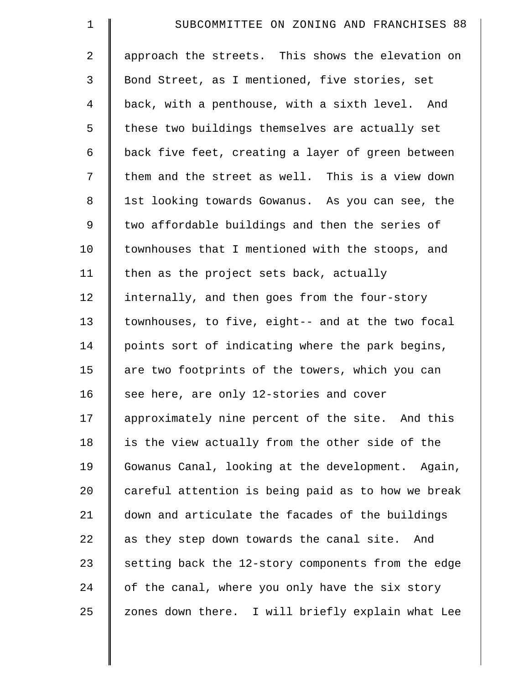| $\mathbf 1$    | SUBCOMMITTEE ON ZONING AND FRANCHISES 88           |
|----------------|----------------------------------------------------|
| $\overline{2}$ | approach the streets. This shows the elevation on  |
| 3              | Bond Street, as I mentioned, five stories, set     |
| $\overline{4}$ | back, with a penthouse, with a sixth level. And    |
| 5              | these two buildings themselves are actually set    |
| 6              | back five feet, creating a layer of green between  |
| 7              | them and the street as well. This is a view down   |
| $\,8\,$        | 1st looking towards Gowanus. As you can see, the   |
| 9              | two affordable buildings and then the series of    |
| 10             | townhouses that I mentioned with the stoops, and   |
| 11             | then as the project sets back, actually            |
| 12             | internally, and then goes from the four-story      |
| 13             | townhouses, to five, eight-- and at the two focal  |
| 14             | points sort of indicating where the park begins,   |
| 15             | are two footprints of the towers, which you can    |
| 16             | see here, are only 12-stories and cover            |
| 17             | approximately nine percent of the site. And this   |
| 18             | is the view actually from the other side of the    |
| 19             | Gowanus Canal, looking at the development. Again,  |
| 20             | careful attention is being paid as to how we break |
| 21             | down and articulate the facades of the buildings   |
| 22             | as they step down towards the canal site.<br>And   |
| 23             | setting back the 12-story components from the edge |
| 24             | of the canal, where you only have the six story    |
| 25             | zones down there. I will briefly explain what Lee  |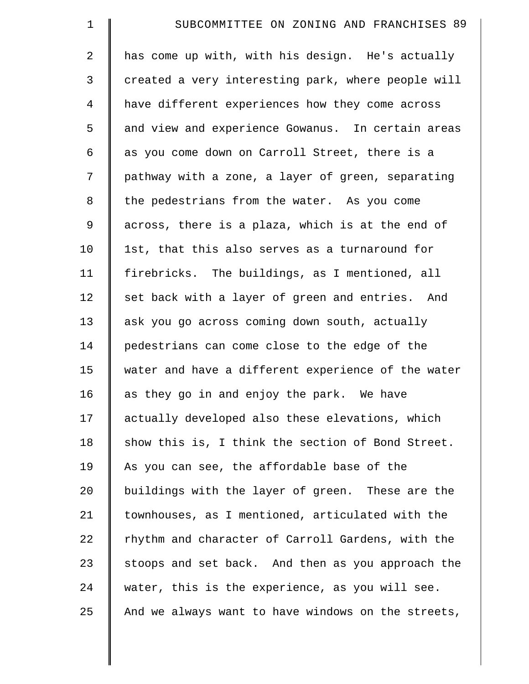| $\mathbf 1$    | SUBCOMMITTEE ON ZONING AND FRANCHISES 89           |
|----------------|----------------------------------------------------|
| $\overline{2}$ | has come up with, with his design. He's actually   |
| 3              | created a very interesting park, where people will |
| $\overline{4}$ | have different experiences how they come across    |
| 5              | and view and experience Gowanus. In certain areas  |
| 6              | as you come down on Carroll Street, there is a     |
| 7              | pathway with a zone, a layer of green, separating  |
| 8              | the pedestrians from the water. As you come        |
| 9              | across, there is a plaza, which is at the end of   |
| 10             | 1st, that this also serves as a turnaround for     |
| 11             | firebricks. The buildings, as I mentioned, all     |
| 12             | set back with a layer of green and entries. And    |
| 13             | ask you go across coming down south, actually      |
| 14             | pedestrians can come close to the edge of the      |
| 15             | water and have a different experience of the water |
| 16             | as they go in and enjoy the park. We have          |
| 17             | actually developed also these elevations, which    |
| 18             | show this is, I think the section of Bond Street.  |
| 19             | As you can see, the affordable base of the         |
| 20             | buildings with the layer of green. These are the   |
| 21             | townhouses, as I mentioned, articulated with the   |
| 22             | rhythm and character of Carroll Gardens, with the  |
| 23             | stoops and set back. And then as you approach the  |
| 24             | water, this is the experience, as you will see.    |
| 25             | And we always want to have windows on the streets, |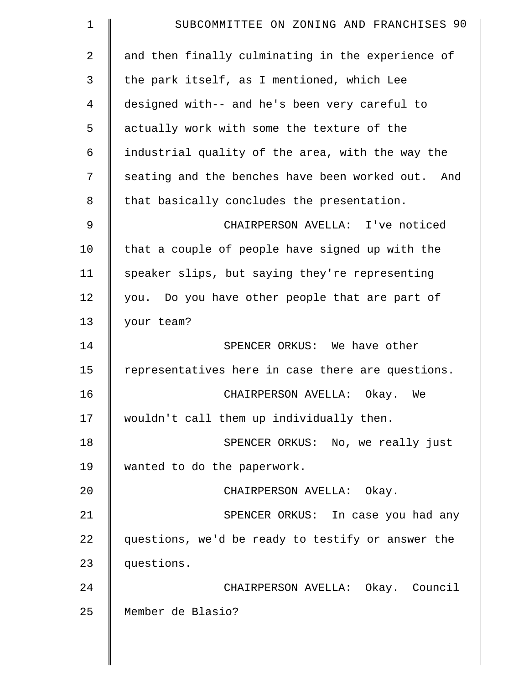| $\mathbf 1$    | SUBCOMMITTEE ON ZONING AND FRANCHISES 90          |
|----------------|---------------------------------------------------|
| $\overline{a}$ | and then finally culminating in the experience of |
| 3              | the park itself, as I mentioned, which Lee        |
| 4              | designed with-- and he's been very careful to     |
| 5              | actually work with some the texture of the        |
| 6              | industrial quality of the area, with the way the  |
| 7              | seating and the benches have been worked out. And |
| 8              | that basically concludes the presentation.        |
| 9              | CHAIRPERSON AVELLA: I've noticed                  |
| 10             | that a couple of people have signed up with the   |
| 11             | speaker slips, but saying they're representing    |
| 12             | you. Do you have other people that are part of    |
| 13             | your team?                                        |
| 14             | SPENCER ORKUS: We have other                      |
| 15             | representatives here in case there are questions. |
| 16             | CHAIRPERSON AVELLA: Okay. We                      |
| 17             | wouldn't call them up individually then.          |
| 18             | SPENCER ORKUS: No, we really just                 |
| 19             | wanted to do the paperwork.                       |
| 20             | CHAIRPERSON AVELLA: Okay.                         |
| 21             | SPENCER ORKUS: In case you had any                |
| 22             | questions, we'd be ready to testify or answer the |
| 23             | questions.                                        |
| 24             | CHAIRPERSON AVELLA: Okay. Council                 |
| 25             | Member de Blasio?                                 |
|                |                                                   |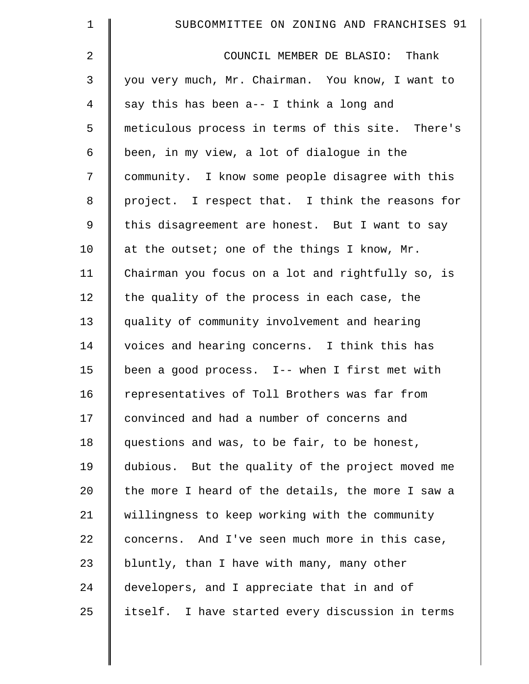| $\mathbf 1$    | SUBCOMMITTEE ON ZONING AND FRANCHISES 91          |
|----------------|---------------------------------------------------|
| $\overline{a}$ | COUNCIL MEMBER DE BLASIO: Thank                   |
| 3              | you very much, Mr. Chairman. You know, I want to  |
| $\overline{4}$ | say this has been a-- I think a long and          |
| 5              | meticulous process in terms of this site. There's |
| 6              | been, in my view, a lot of dialogue in the        |
| 7              | community. I know some people disagree with this  |
| 8              | project. I respect that. I think the reasons for  |
| 9              | this disagreement are honest. But I want to say   |
| 10             | at the outset; one of the things I know, Mr.      |
| 11             | Chairman you focus on a lot and rightfully so, is |
| 12             | the quality of the process in each case, the      |
| 13             | quality of community involvement and hearing      |
| 14             | voices and hearing concerns. I think this has     |
| 15             | been a good process. I-- when I first met with    |
| 16             | representatives of Toll Brothers was far from     |
| 17             | convinced and had a number of concerns and        |
| 18             | questions and was, to be fair, to be honest,      |
| 19             | dubious. But the quality of the project moved me  |
| 20             | the more I heard of the details, the more I saw a |
| 21             | willingness to keep working with the community    |
| 22             | concerns. And I've seen much more in this case,   |
| 23             | bluntly, than I have with many, many other        |
| 24             | developers, and I appreciate that in and of       |
| 25             | itself. I have started every discussion in terms  |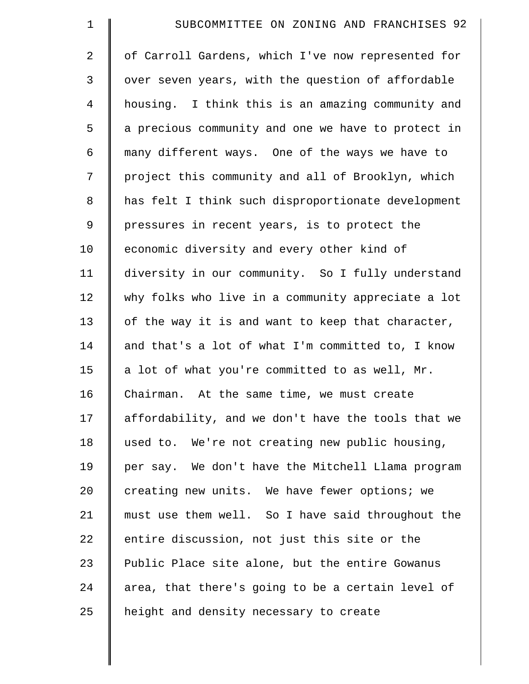| $\mathbf 1$    | SUBCOMMITTEE ON ZONING AND FRANCHISES 92           |
|----------------|----------------------------------------------------|
| $\overline{2}$ | of Carroll Gardens, which I've now represented for |
| 3              | over seven years, with the question of affordable  |
| $\overline{4}$ | housing. I think this is an amazing community and  |
| 5              | a precious community and one we have to protect in |
| 6              | many different ways. One of the ways we have to    |
| 7              | project this community and all of Brooklyn, which  |
| 8              | has felt I think such disproportionate development |
| 9              | pressures in recent years, is to protect the       |
| 10             | economic diversity and every other kind of         |
| 11             | diversity in our community. So I fully understand  |
| 12             | why folks who live in a community appreciate a lot |
| 13             | of the way it is and want to keep that character,  |
| 14             | and that's a lot of what I'm committed to, I know  |
| 15             | a lot of what you're committed to as well, Mr.     |
| 16             | Chairman. At the same time, we must create         |
| 17             | affordability, and we don't have the tools that we |
| 18             | used to. We're not creating new public housing,    |
| 19             | per say. We don't have the Mitchell Llama program  |
| 20             | creating new units. We have fewer options; we      |
| 21             | must use them well. So I have said throughout the  |
| 22             | entire discussion, not just this site or the       |
| 23             | Public Place site alone, but the entire Gowanus    |
| 24             | area, that there's going to be a certain level of  |
| 25             | height and density necessary to create             |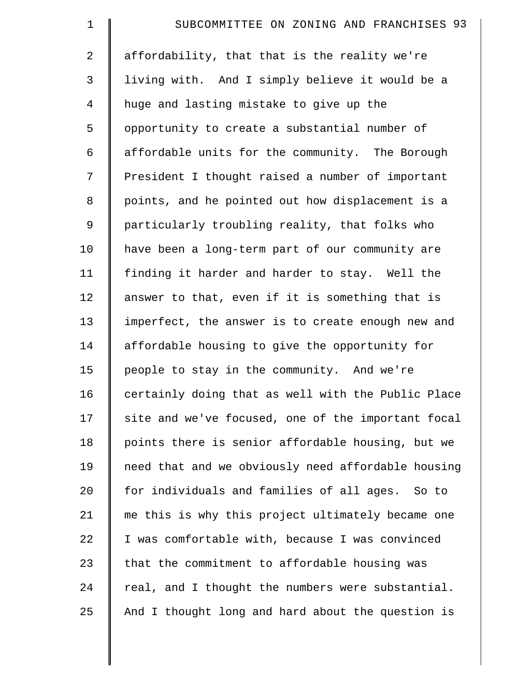| $\mathbf 1$    | SUBCOMMITTEE ON ZONING AND FRANCHISES 93           |
|----------------|----------------------------------------------------|
| $\overline{a}$ | affordability, that that is the reality we're      |
| 3              | living with. And I simply believe it would be a    |
| $\overline{4}$ | huge and lasting mistake to give up the            |
| 5              | opportunity to create a substantial number of      |
| 6              | affordable units for the community. The Borough    |
| 7              | President I thought raised a number of important   |
| 8              | points, and he pointed out how displacement is a   |
| 9              | particularly troubling reality, that folks who     |
| 10             | have been a long-term part of our community are    |
| 11             | finding it harder and harder to stay. Well the     |
| 12             | answer to that, even if it is something that is    |
| 13             | imperfect, the answer is to create enough new and  |
| 14             | affordable housing to give the opportunity for     |
| 15             | people to stay in the community. And we're         |
| 16             | certainly doing that as well with the Public Place |
| 17             | site and we've focused, one of the important focal |
| 18             | points there is senior affordable housing, but we  |
| 19             | need that and we obviously need affordable housing |
| 20             | for individuals and families of all ages. So to    |
| 21             | me this is why this project ultimately became one  |
| 22             | I was comfortable with, because I was convinced    |
| 23             | that the commitment to affordable housing was      |
| 24             | real, and I thought the numbers were substantial.  |
| 25             | And I thought long and hard about the question is  |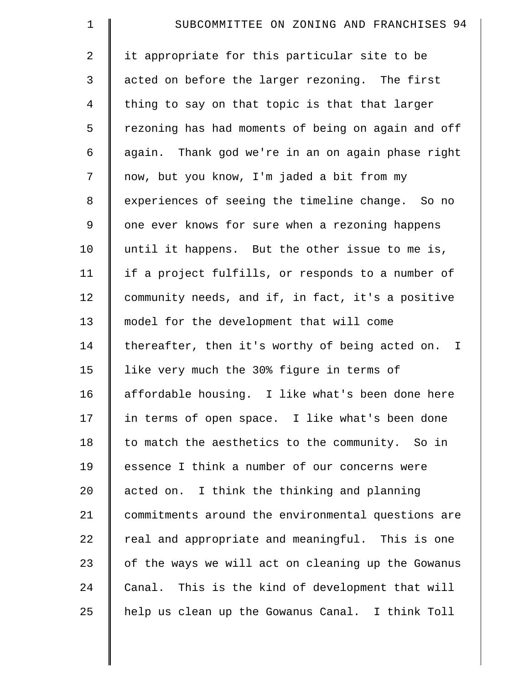| $\mathbf 1$    | SUBCOMMITTEE ON ZONING AND FRANCHISES 94           |
|----------------|----------------------------------------------------|
| $\overline{2}$ | it appropriate for this particular site to be      |
| 3              | acted on before the larger rezoning. The first     |
| $\overline{4}$ | thing to say on that topic is that that larger     |
| 5              | rezoning has had moments of being on again and off |
| 6              | again. Thank god we're in an on again phase right  |
| 7              | now, but you know, I'm jaded a bit from my         |
| 8              | experiences of seeing the timeline change. So no   |
| $\mathsf 9$    | one ever knows for sure when a rezoning happens    |
| 10             | until it happens. But the other issue to me is,    |
| 11             | if a project fulfills, or responds to a number of  |
| 12             | community needs, and if, in fact, it's a positive  |
| 13             | model for the development that will come           |
| 14             | thereafter, then it's worthy of being acted on. I  |
| 15             | like very much the 30% figure in terms of          |
| 16             | affordable housing. I like what's been done here   |
| 17             | in terms of open space. I like what's been done    |
| 18             | to match the aesthetics to the community. So in    |
| 19             | essence I think a number of our concerns were      |
| 20             | acted on. I think the thinking and planning        |
| 21             | commitments around the environmental questions are |
| 22             | real and appropriate and meaningful. This is one   |
| 23             | of the ways we will act on cleaning up the Gowanus |
| 24             | Canal. This is the kind of development that will   |
| 25             | help us clean up the Gowanus Canal. I think Toll   |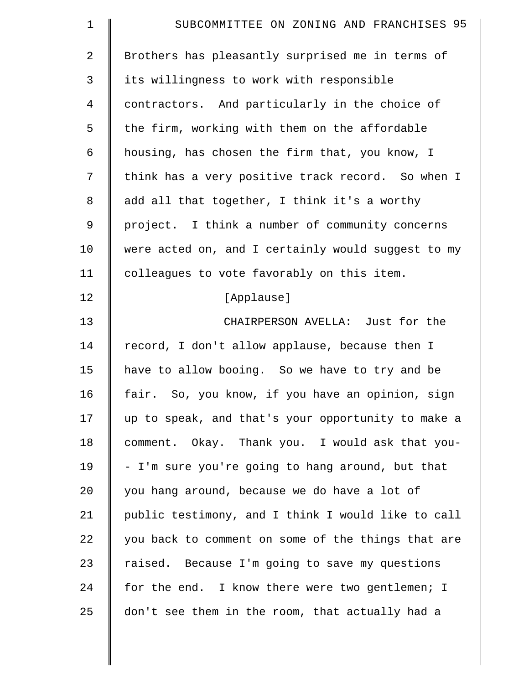| $\mathbf 1$    | SUBCOMMITTEE ON ZONING AND FRANCHISES 95           |
|----------------|----------------------------------------------------|
| $\overline{2}$ | Brothers has pleasantly surprised me in terms of   |
| 3              | its willingness to work with responsible           |
| 4              | contractors. And particularly in the choice of     |
| 5              | the firm, working with them on the affordable      |
| 6              | housing, has chosen the firm that, you know, I     |
| 7              | think has a very positive track record. So when I  |
| 8              | add all that together, I think it's a worthy       |
| 9              | project. I think a number of community concerns    |
| 10             | were acted on, and I certainly would suggest to my |
| 11             | colleagues to vote favorably on this item.         |
| 12             | [Applause]                                         |
| 13             | CHAIRPERSON AVELLA: Just for the                   |
| 14             | record, I don't allow applause, because then I     |
| 15             | have to allow booing. So we have to try and be     |
| 16             | fair. So, you know, if you have an opinion, sign   |
| 17             | up to speak, and that's your opportunity to make a |
| 18             | comment. Okay. Thank you. I would ask that you-    |
| 19             | - I'm sure you're going to hang around, but that   |
| 20             | you hang around, because we do have a lot of       |
| 21             | public testimony, and I think I would like to call |
| 22             | you back to comment on some of the things that are |
| 23             | raised. Because I'm going to save my questions     |
| 24             | for the end. I know there were two gentlemen; I    |
| 25             | don't see them in the room, that actually had a    |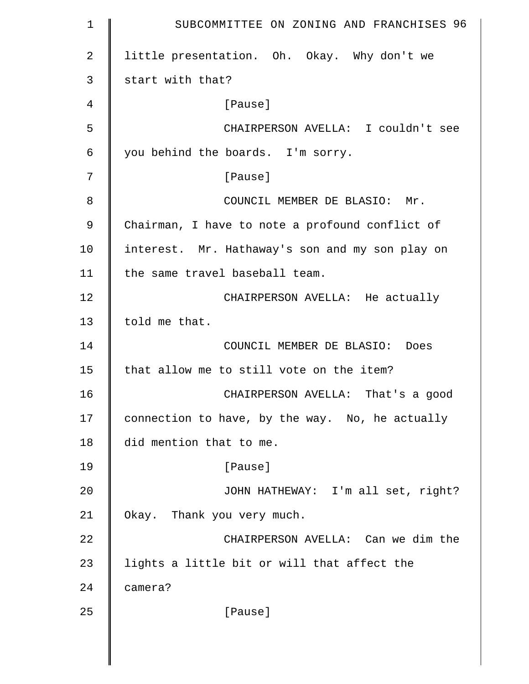1 SUBCOMMITTEE ON ZONING AND FRANCHISES 96 2 | little presentation. Oh. Okay. Why don't we  $3 \parallel$  start with that? 4 [Pause] 5 CHAIRPERSON AVELLA: I couldn't see  $6 \parallel$  you behind the boards. I'm sorry. 7 | **Pause** 8 **COUNCIL MEMBER DE BLASIO: Mr.** 9 Chairman, I have to note a profound conflict of 10 | interest. Mr. Hathaway's son and my son play on 11 | the same travel baseball team. 12 | CHAIRPERSON AVELLA: He actually 13  $\parallel$  told me that. 14 COUNCIL MEMBER DE BLASIO: Does 15  $\parallel$  that allow me to still vote on the item? 16 CHAIRPERSON AVELLA: That's a good 17 connection to have, by the way. No, he actually 18 did mention that to me. 19 | Pause] 20 JOHN HATHEWAY: I'm all set, right? 21 Okay. Thank you very much. 22 **CHAIRPERSON AVELLA:** Can we dim the 23 | lights a little bit or will that affect the 24 **camera?** 25 | [Pause]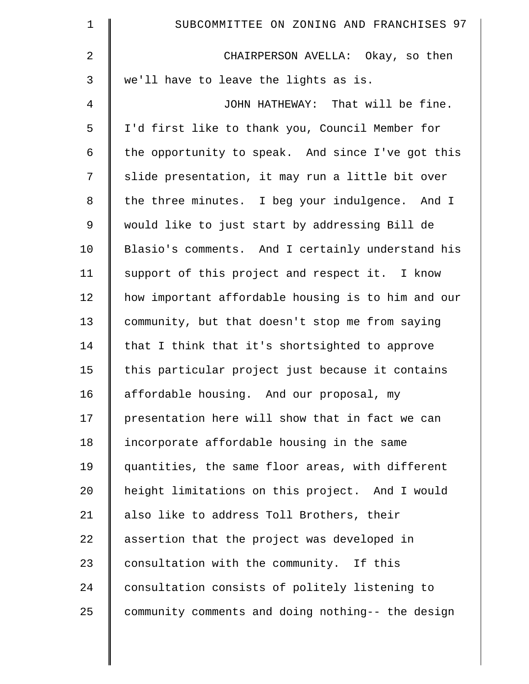| $\mathbf 1$ | SUBCOMMITTEE ON ZONING AND FRANCHISES 97           |
|-------------|----------------------------------------------------|
| 2           | CHAIRPERSON AVELLA: Okay, so then                  |
| 3           | we'll have to leave the lights as is.              |
| 4           | JOHN HATHEWAY: That will be fine.                  |
| 5           | I'd first like to thank you, Council Member for    |
| 6           | the opportunity to speak. And since I've got this  |
| 7           | slide presentation, it may run a little bit over   |
| 8           | the three minutes. I beg your indulgence. And I    |
| $\mathsf 9$ | would like to just start by addressing Bill de     |
| 10          | Blasio's comments. And I certainly understand his  |
| 11          | support of this project and respect it. I know     |
| 12          | how important affordable housing is to him and our |
| 13          | community, but that doesn't stop me from saying    |
| 14          | that I think that it's shortsighted to approve     |
| 15          | this particular project just because it contains   |
| 16          | affordable housing. And our proposal, my           |
| 17          | presentation here will show that in fact we can    |
| 18          | incorporate affordable housing in the same         |
| 19          | quantities, the same floor areas, with different   |
| 20          | height limitations on this project. And I would    |
| 21          | also like to address Toll Brothers, their          |
| 22          | assertion that the project was developed in        |
| 23          | consultation with the community. If this           |
| 24          | consultation consists of politely listening to     |
| 25          | community comments and doing nothing-- the design  |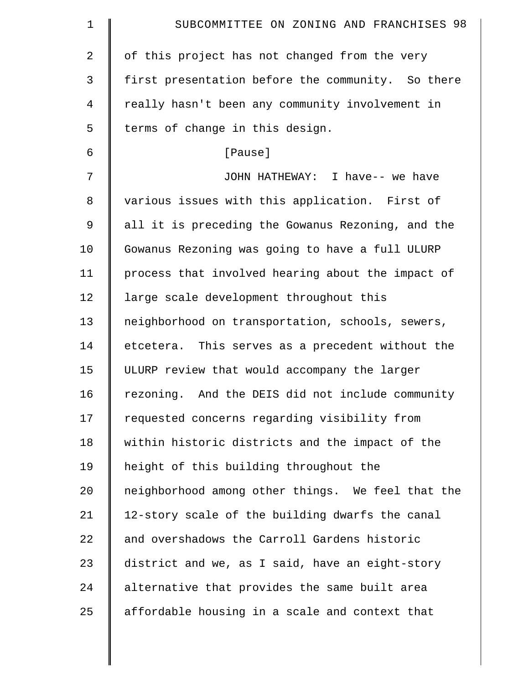| $\mathbf 1$    | SUBCOMMITTEE ON ZONING AND FRANCHISES 98          |
|----------------|---------------------------------------------------|
| $\overline{2}$ | of this project has not changed from the very     |
| 3              | first presentation before the community. So there |
| 4              | really hasn't been any community involvement in   |
| 5              | terms of change in this design.                   |
| 6              | [Pause]                                           |
| 7              | JOHN HATHEWAY: I have-- we have                   |
| 8              | various issues with this application. First of    |
| $\mathsf 9$    | all it is preceding the Gowanus Rezoning, and the |
| 10             | Gowanus Rezoning was going to have a full ULURP   |
| 11             | process that involved hearing about the impact of |
| 12             | large scale development throughout this           |
| 13             | neighborhood on transportation, schools, sewers,  |
| 14             | etcetera. This serves as a precedent without the  |
| 15             | ULURP review that would accompany the larger      |
| 16             | rezoning. And the DEIS did not include community  |
| 17             | requested concerns regarding visibility from      |
| 18             | within historic districts and the impact of the   |
| 19             | height of this building throughout the            |
| 20             | neighborhood among other things. We feel that the |
| 21             | 12-story scale of the building dwarfs the canal   |
| 22             | and overshadows the Carroll Gardens historic      |
| 23             | district and we, as I said, have an eight-story   |
| 24             | alternative that provides the same built area     |
| 25             | affordable housing in a scale and context that    |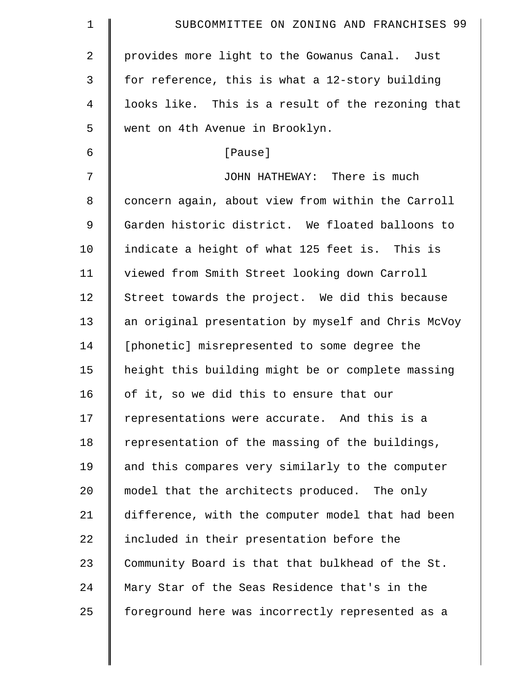| $\mathbf 1$ | SUBCOMMITTEE ON ZONING AND FRANCHISES 99           |
|-------------|----------------------------------------------------|
| 2           | provides more light to the Gowanus Canal. Just     |
| 3           | for reference, this is what a 12-story building    |
| 4           | looks like. This is a result of the rezoning that  |
| 5           | went on 4th Avenue in Brooklyn.                    |
| 6           | [Pause]                                            |
| 7           | JOHN HATHEWAY: There is much                       |
| 8           | concern again, about view from within the Carroll  |
| 9           | Garden historic district. We floated balloons to   |
| 10          | indicate a height of what 125 feet is. This is     |
| 11          | viewed from Smith Street looking down Carroll      |
| 12          | Street towards the project. We did this because    |
| 13          | an original presentation by myself and Chris McVoy |
| 14          | [phonetic] misrepresented to some degree the       |
| 15          | height this building might be or complete massing  |
| 16          | of it, so we did this to ensure that our           |
| 17          | representations were accurate. And this is a       |
| 18          | representation of the massing of the buildings,    |
| 19          | and this compares very similarly to the computer   |
| 20          | model that the architects produced. The only       |
| 21          | difference, with the computer model that had been  |
| 22          | included in their presentation before the          |
| 23          | Community Board is that that bulkhead of the St.   |
| 24          | Mary Star of the Seas Residence that's in the      |
| 25          | foreground here was incorrectly represented as a   |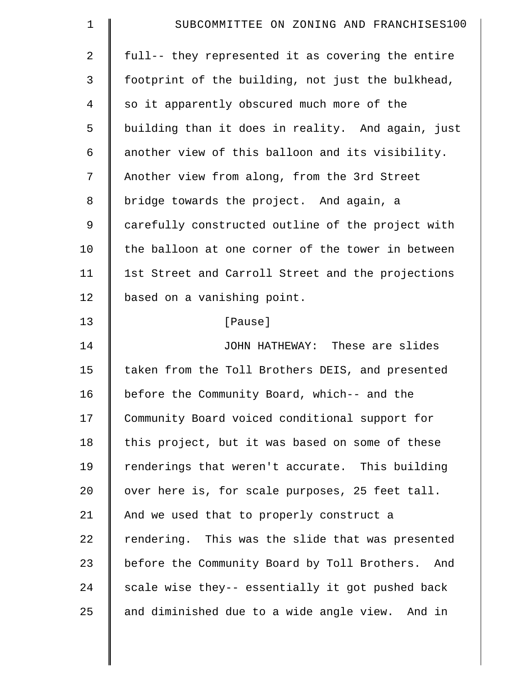| $\mathbf 1$    | SUBCOMMITTEE ON ZONING AND FRANCHISES100            |
|----------------|-----------------------------------------------------|
| $\overline{2}$ | full-- they represented it as covering the entire   |
| 3              | footprint of the building, not just the bulkhead,   |
| 4              | so it apparently obscured much more of the          |
| 5              | building than it does in reality. And again, just   |
| 6              | another view of this balloon and its visibility.    |
| 7              | Another view from along, from the 3rd Street        |
| 8              | bridge towards the project. And again, a            |
| 9              | carefully constructed outline of the project with   |
| 10             | the balloon at one corner of the tower in between   |
| 11             | 1st Street and Carroll Street and the projections   |
| 12             | based on a vanishing point.                         |
| 13             | [Pause]                                             |
| 14             | JOHN HATHEWAY: These are slides                     |
| 15             | taken from the Toll Brothers DEIS, and presented    |
| 16             | before the Community Board, which-- and the         |
| 17             | Community Board voiced conditional support for      |
| 18             | this project, but it was based on some of these     |
| 19             | renderings that weren't accurate. This building     |
| 20             | over here is, for scale purposes, 25 feet tall.     |
| 21             | And we used that to properly construct a            |
| 22             | rendering. This was the slide that was presented    |
| 23             | before the Community Board by Toll Brothers.<br>And |
| 24             | scale wise they-- essentially it got pushed back    |
| 25             | and diminished due to a wide angle view. And in     |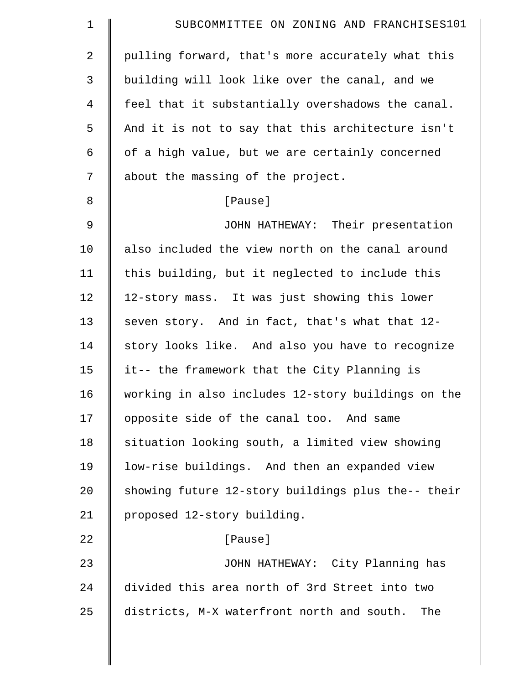| $\mathbf 1$    | SUBCOMMITTEE ON ZONING AND FRANCHISES101           |
|----------------|----------------------------------------------------|
| $\overline{2}$ | pulling forward, that's more accurately what this  |
| 3              | building will look like over the canal, and we     |
| $\overline{4}$ | feel that it substantially overshadows the canal.  |
| 5              | And it is not to say that this architecture isn't  |
| 6              | of a high value, but we are certainly concerned    |
| 7              | about the massing of the project.                  |
| 8              | [Pause]                                            |
| 9              | JOHN HATHEWAY: Their presentation                  |
| 10             | also included the view north on the canal around   |
| 11             | this building, but it neglected to include this    |
| 12             | 12-story mass. It was just showing this lower      |
| 13             | seven story. And in fact, that's what that 12-     |
| 14             | story looks like. And also you have to recognize   |
| 15             | it-- the framework that the City Planning is       |
| 16             | working in also includes 12-story buildings on the |
| 17             | opposite side of the canal too. And same           |
| 18             | situation looking south, a limited view showing    |
| 19             | low-rise buildings. And then an expanded view      |
| 20             | showing future 12-story buildings plus the-- their |
| 21             | proposed 12-story building.                        |
| 22             | [Pause]                                            |
| 23             | JOHN HATHEWAY: City Planning has                   |
| 24             | divided this area north of 3rd Street into two     |
| 25             | districts, M-X waterfront north and south.<br>The  |
|                |                                                    |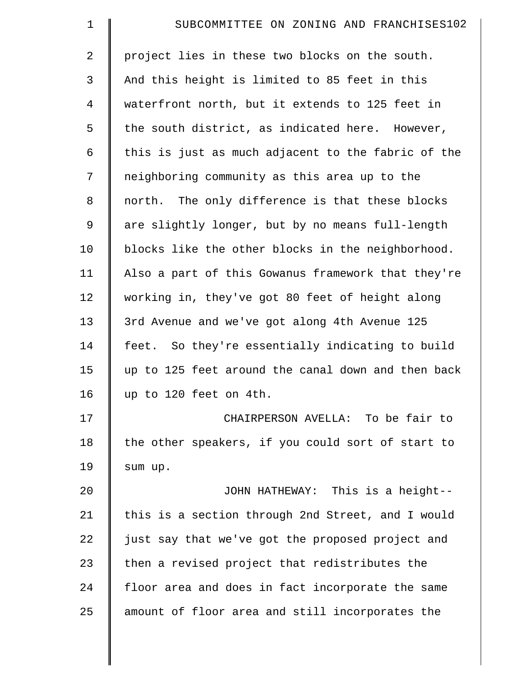| $\mathbf 1$    | SUBCOMMITTEE ON ZONING AND FRANCHISES102           |
|----------------|----------------------------------------------------|
| 2              | project lies in these two blocks on the south.     |
| 3              | And this height is limited to 85 feet in this      |
| $\overline{4}$ | waterfront north, but it extends to 125 feet in    |
| 5              | the south district, as indicated here. However,    |
| 6              | this is just as much adjacent to the fabric of the |
| 7              | neighboring community as this area up to the       |
| $\,8\,$        | north. The only difference is that these blocks    |
| $\mathsf 9$    | are slightly longer, but by no means full-length   |
| 10             | blocks like the other blocks in the neighborhood.  |
| 11             | Also a part of this Gowanus framework that they're |
| 12             | working in, they've got 80 feet of height along    |
| 13             | 3rd Avenue and we've got along 4th Avenue 125      |
| 14             | feet. So they're essentially indicating to build   |
| 15             | up to 125 feet around the canal down and then back |
| 16             | up to 120 feet on 4th.                             |
| 17             | CHAIRPERSON AVELLA: To be fair to                  |
| 18             | the other speakers, if you could sort of start to  |
| 19             | sum up.                                            |
| 20             | JOHN HATHEWAY: This is a height--                  |
| 21             | this is a section through 2nd Street, and I would  |
| 22             | just say that we've got the proposed project and   |
| 23             | then a revised project that redistributes the      |
| 24             | floor area and does in fact incorporate the same   |
| 25             | amount of floor area and still incorporates the    |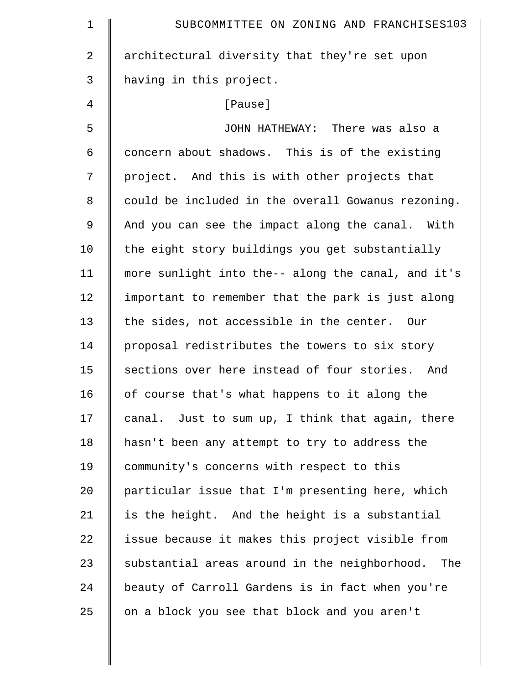| $\mathbf 1$    | SUBCOMMITTEE ON ZONING AND FRANCHISES103             |
|----------------|------------------------------------------------------|
| $\overline{2}$ | architectural diversity that they're set upon        |
| 3              | having in this project.                              |
| 4              | [Pause]                                              |
| 5              | JOHN HATHEWAY: There was also a                      |
| 6              | concern about shadows. This is of the existing       |
| 7              | project. And this is with other projects that        |
| 8              | could be included in the overall Gowanus rezoning.   |
| 9              | And you can see the impact along the canal. With     |
| 10             | the eight story buildings you get substantially      |
| 11             | more sunlight into the-- along the canal, and it's   |
| 12             | important to remember that the park is just along    |
| 13             | the sides, not accessible in the center. Our         |
| 14             | proposal redistributes the towers to six story       |
| 15             | sections over here instead of four stories. And      |
| 16             | of course that's what happens to it along the        |
| 17             | canal. Just to sum up, I think that again, there     |
| 18             | hasn't been any attempt to try to address the        |
| 19             | community's concerns with respect to this            |
| 20             | particular issue that I'm presenting here, which     |
| 21             | is the height. And the height is a substantial       |
| 22             | issue because it makes this project visible from     |
| 23             | substantial areas around in the neighborhood.<br>The |
| 24             | beauty of Carroll Gardens is in fact when you're     |
| 25             | on a block you see that block and you aren't         |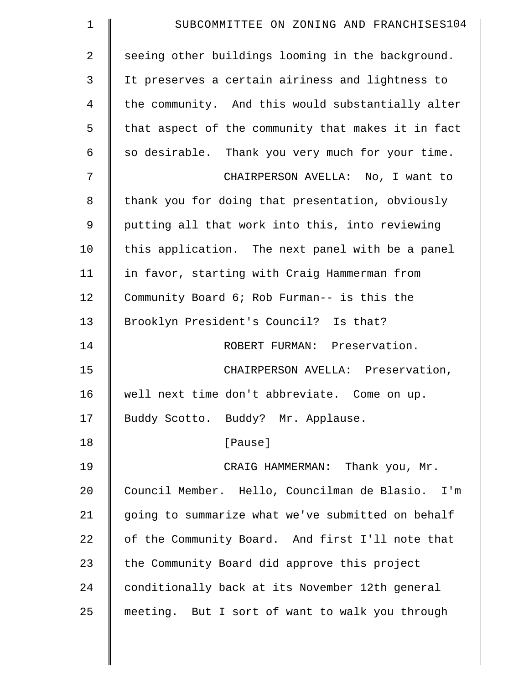| $\mathbf 1$    | SUBCOMMITTEE ON ZONING AND FRANCHISES104           |
|----------------|----------------------------------------------------|
| $\overline{2}$ | seeing other buildings looming in the background.  |
| 3              | It preserves a certain airiness and lightness to   |
| 4              | the community. And this would substantially alter  |
| 5              | that aspect of the community that makes it in fact |
| 6              | so desirable. Thank you very much for your time.   |
| 7              | CHAIRPERSON AVELLA: No, I want to                  |
| 8              | thank you for doing that presentation, obviously   |
| 9              | putting all that work into this, into reviewing    |
| 10             | this application. The next panel with be a panel   |
| 11             | in favor, starting with Craig Hammerman from       |
| 12             | Community Board 6; Rob Furman-- is this the        |
| 13             | Brooklyn President's Council? Is that?             |
| 14             | ROBERT FURMAN: Preservation.                       |
| 15             | CHAIRPERSON AVELLA: Preservation,                  |
| 16             | well next time don't abbreviate. Come on up.       |
| 17             | Buddy Scotto. Buddy? Mr. Applause.                 |
| 18             | [Pause]                                            |
| 19             | CRAIG HAMMERMAN: Thank you, Mr.                    |
| 20             | Council Member. Hello, Councilman de Blasio. I'm   |
| 21             | going to summarize what we've submitted on behalf  |
| 22             | of the Community Board. And first I'll note that   |
| 23             | the Community Board did approve this project       |
| 24             | conditionally back at its November 12th general    |
| 25             | meeting. But I sort of want to walk you through    |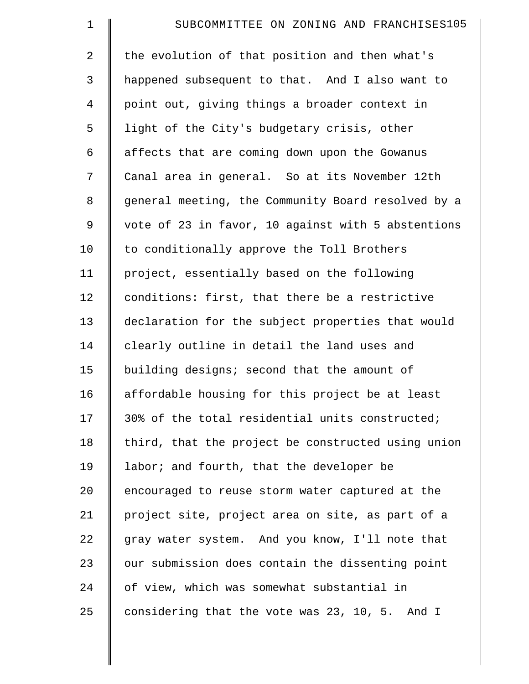| $\mathbf 1$    | SUBCOMMITTEE ON ZONING AND FRANCHISES105           |
|----------------|----------------------------------------------------|
| $\overline{a}$ | the evolution of that position and then what's     |
| 3              | happened subsequent to that. And I also want to    |
| $\overline{4}$ | point out, giving things a broader context in      |
| 5              | light of the City's budgetary crisis, other        |
| 6              | affects that are coming down upon the Gowanus      |
| 7              | Canal area in general. So at its November 12th     |
| 8              | general meeting, the Community Board resolved by a |
| 9              | vote of 23 in favor, 10 against with 5 abstentions |
| 10             | to conditionally approve the Toll Brothers         |
| 11             | project, essentially based on the following        |
| 12             | conditions: first, that there be a restrictive     |
| 13             | declaration for the subject properties that would  |
| 14             | clearly outline in detail the land uses and        |
| 15             | building designs; second that the amount of        |
| 16             | affordable housing for this project be at least    |
| 17             | 30% of the total residential units constructed;    |
| 18             | third, that the project be constructed using union |
| 19             | labor; and fourth, that the developer be           |
| 20             | encouraged to reuse storm water captured at the    |
| 21             | project site, project area on site, as part of a   |
| 22             | gray water system. And you know, I'll note that    |
| 23             | our submission does contain the dissenting point   |
| 24             | of view, which was somewhat substantial in         |
| 25             | considering that the vote was 23, 10, 5. And I     |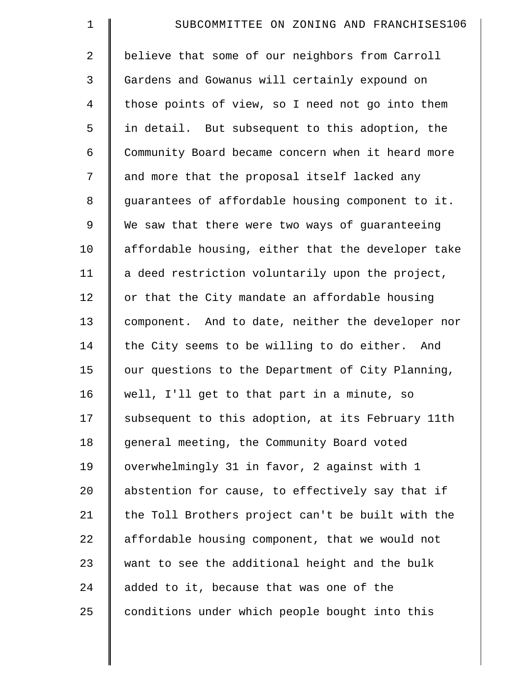| $\mathbf 1$    | SUBCOMMITTEE ON ZONING AND FRANCHISES106           |
|----------------|----------------------------------------------------|
| $\overline{2}$ | believe that some of our neighbors from Carroll    |
| 3              | Gardens and Gowanus will certainly expound on      |
| $\overline{4}$ | those points of view, so I need not go into them   |
| 5              | in detail. But subsequent to this adoption, the    |
| 6              | Community Board became concern when it heard more  |
| 7              | and more that the proposal itself lacked any       |
| 8              | guarantees of affordable housing component to it.  |
| 9              | We saw that there were two ways of guaranteeing    |
| 10             | affordable housing, either that the developer take |
| 11             | a deed restriction voluntarily upon the project,   |
| 12             | or that the City mandate an affordable housing     |
| 13             | component. And to date, neither the developer nor  |
| 14             | the City seems to be willing to do either. And     |
| 15             | our questions to the Department of City Planning,  |
| 16             | well, I'll get to that part in a minute, so        |
| 17             | subsequent to this adoption, at its February 11th  |
| 18             | general meeting, the Community Board voted         |
| 19             | overwhelmingly 31 in favor, 2 against with 1       |
| 20             | abstention for cause, to effectively say that if   |
| 21             | the Toll Brothers project can't be built with the  |
| 22             | affordable housing component, that we would not    |
| 23             | want to see the additional height and the bulk     |
| 24             | added to it, because that was one of the           |
| 25             | conditions under which people bought into this     |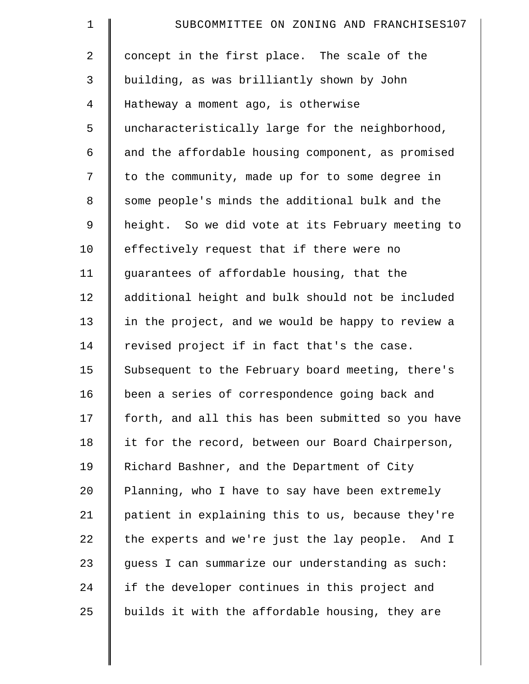| $\mathbf 1$    | SUBCOMMITTEE ON ZONING AND FRANCHISES107           |
|----------------|----------------------------------------------------|
| $\overline{2}$ | concept in the first place. The scale of the       |
| 3              | building, as was brilliantly shown by John         |
| $\overline{4}$ | Hatheway a moment ago, is otherwise                |
| 5              | uncharacteristically large for the neighborhood,   |
| 6              | and the affordable housing component, as promised  |
| 7              | to the community, made up for to some degree in    |
| 8              | some people's minds the additional bulk and the    |
| 9              | height. So we did vote at its February meeting to  |
| 10             | effectively request that if there were no          |
| 11             | guarantees of affordable housing, that the         |
| 12             | additional height and bulk should not be included  |
| 13             | in the project, and we would be happy to review a  |
| 14             | revised project if in fact that's the case.        |
| 15             | Subsequent to the February board meeting, there's  |
| 16             | been a series of correspondence going back and     |
| 17             | forth, and all this has been submitted so you have |
| 18             | it for the record, between our Board Chairperson,  |
| 19             | Richard Bashner, and the Department of City        |
| 20             | Planning, who I have to say have been extremely    |
| 21             | patient in explaining this to us, because they're  |
| 22             | the experts and we're just the lay people. And I   |
| 23             | guess I can summarize our understanding as such:   |
| 24             | if the developer continues in this project and     |
| 25             | builds it with the affordable housing, they are    |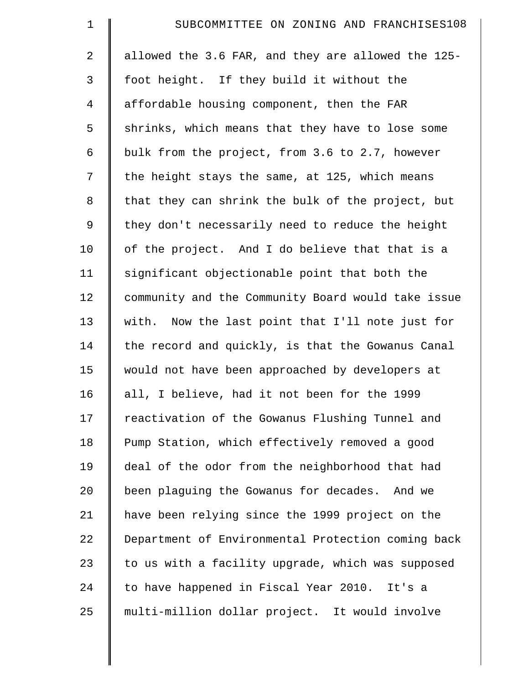| $\mathbf 1$    | SUBCOMMITTEE ON ZONING AND FRANCHISES108           |
|----------------|----------------------------------------------------|
| 2              | allowed the 3.6 FAR, and they are allowed the 125- |
| 3              | foot height. If they build it without the          |
| $\overline{4}$ | affordable housing component, then the FAR         |
| 5              | shrinks, which means that they have to lose some   |
| 6              | bulk from the project, from 3.6 to 2.7, however    |
| 7              | the height stays the same, at 125, which means     |
| 8              | that they can shrink the bulk of the project, but  |
| 9              | they don't necessarily need to reduce the height   |
| 10             | of the project. And I do believe that that is a    |
| 11             | significant objectionable point that both the      |
| 12             | community and the Community Board would take issue |
| 13             | with. Now the last point that I'll note just for   |
| 14             | the record and quickly, is that the Gowanus Canal  |
| 15             | would not have been approached by developers at    |
| 16             | all, I believe, had it not been for the 1999       |
| 17             | reactivation of the Gowanus Flushing Tunnel and    |
| 18             | Pump Station, which effectively removed a good     |
| 19             | deal of the odor from the neighborhood that had    |
| 20             | been plaguing the Gowanus for decades. And we      |
| 21             | have been relying since the 1999 project on the    |
| 22             | Department of Environmental Protection coming back |
| 23             | to us with a facility upgrade, which was supposed  |
| 24             | to have happened in Fiscal Year 2010. It's a       |
| 25             | multi-million dollar project. It would involve     |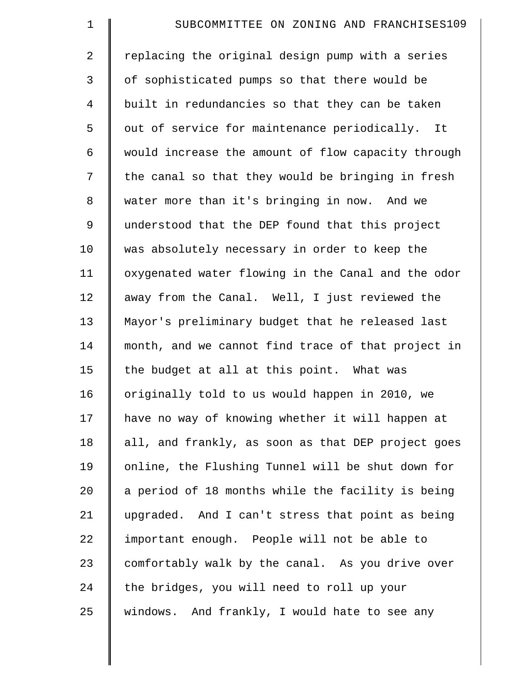| $\mathbf 1$    | SUBCOMMITTEE ON ZONING AND FRANCHISES109           |
|----------------|----------------------------------------------------|
| $\overline{2}$ | replacing the original design pump with a series   |
| 3              | of sophisticated pumps so that there would be      |
| $\overline{4}$ | built in redundancies so that they can be taken    |
| 5              | out of service for maintenance periodically.<br>It |
| 6              | would increase the amount of flow capacity through |
| 7              | the canal so that they would be bringing in fresh  |
| 8              | water more than it's bringing in now. And we       |
| $\mathsf 9$    | understood that the DEP found that this project    |
| 10             | was absolutely necessary in order to keep the      |
| 11             | oxygenated water flowing in the Canal and the odor |
| 12             | away from the Canal. Well, I just reviewed the     |
| 13             | Mayor's preliminary budget that he released last   |
| 14             | month, and we cannot find trace of that project in |
| 15             | the budget at all at this point. What was          |
| 16             | originally told to us would happen in 2010, we     |
| 17             | have no way of knowing whether it will happen at   |
| 18             | all, and frankly, as soon as that DEP project goes |
| 19             | online, the Flushing Tunnel will be shut down for  |
| 20             | a period of 18 months while the facility is being  |
| 21             | upgraded. And I can't stress that point as being   |
| 22             | important enough. People will not be able to       |
| 23             | comfortably walk by the canal. As you drive over   |
| 24             | the bridges, you will need to roll up your         |
| 25             | windows. And frankly, I would hate to see any      |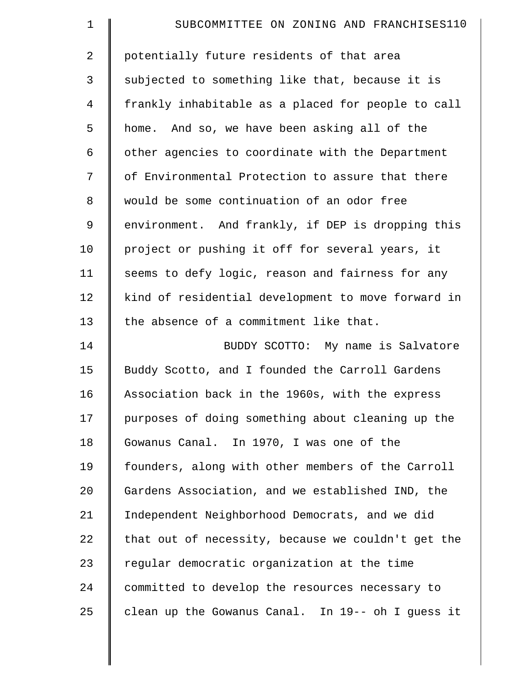| $\mathbf 1$ | SUBCOMMITTEE ON ZONING AND FRANCHISES110           |
|-------------|----------------------------------------------------|
| 2           | potentially future residents of that area          |
| 3           | subjected to something like that, because it is    |
| 4           | frankly inhabitable as a placed for people to call |
| 5           | home. And so, we have been asking all of the       |
| 6           | other agencies to coordinate with the Department   |
| 7           | of Environmental Protection to assure that there   |
| 8           | would be some continuation of an odor free         |
| 9           | environment. And frankly, if DEP is dropping this  |
| 10          | project or pushing it off for several years, it    |
| 11          | seems to defy logic, reason and fairness for any   |
| 12          | kind of residential development to move forward in |
| 13          | the absence of a commitment like that.             |
| 14          | BUDDY SCOTTO: My name is Salvatore                 |
| 15          | Buddy Scotto, and I founded the Carroll Gardens    |
| 16          | Association back in the 1960s, with the express    |
| 17          | purposes of doing something about cleaning up the  |
| 18          | Gowanus Canal. In 1970, I was one of the           |
| 19          | founders, along with other members of the Carroll  |
| 20          | Gardens Association, and we established IND, the   |
| 21          | Independent Neighborhood Democrats, and we did     |
| 22          | that out of necessity, because we couldn't get the |
| 23          | regular democratic organization at the time        |
| 24          | committed to develop the resources necessary to    |
| 25          | clean up the Gowanus Canal. In 19-- oh I quess it  |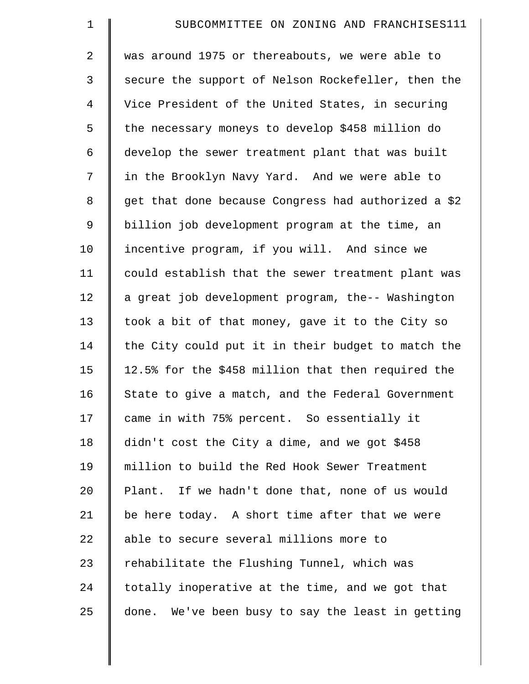| $\mathbf 1$    | SUBCOMMITTEE ON ZONING AND FRANCHISES111            |
|----------------|-----------------------------------------------------|
| $\overline{2}$ | was around 1975 or thereabouts, we were able to     |
| 3              | secure the support of Nelson Rockefeller, then the  |
| $\overline{4}$ | Vice President of the United States, in securing    |
| 5              | the necessary moneys to develop \$458 million do    |
| 6              | develop the sewer treatment plant that was built    |
| 7              | in the Brooklyn Navy Yard. And we were able to      |
| 8              | get that done because Congress had authorized a \$2 |
| 9              | billion job development program at the time, an     |
| 10             | incentive program, if you will. And since we        |
| 11             | could establish that the sewer treatment plant was  |
| 12             | a great job development program, the-- Washington   |
| 13             | took a bit of that money, gave it to the City so    |
| 14             | the City could put it in their budget to match the  |
| 15             | 12.5% for the \$458 million that then required the  |
| 16             | State to give a match, and the Federal Government   |
| 17             | came in with 75% percent. So essentially it         |
| 18             | didn't cost the City a dime, and we got \$458       |
| 19             | million to build the Red Hook Sewer Treatment       |
| 20             | Plant. If we hadn't done that, none of us would     |
| 21             | be here today. A short time after that we were      |
| 22             | able to secure several millions more to             |
| 23             | rehabilitate the Flushing Tunnel, which was         |
| 24             | totally inoperative at the time, and we got that    |
| 25             | done. We've been busy to say the least in getting   |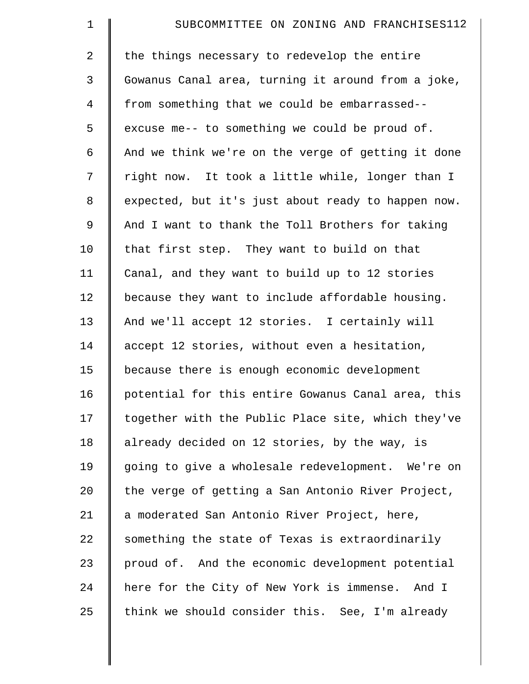| $\mathbf 1$    | SUBCOMMITTEE ON ZONING AND FRANCHISES112           |
|----------------|----------------------------------------------------|
| 2              | the things necessary to redevelop the entire       |
| 3              | Gowanus Canal area, turning it around from a joke, |
| $\overline{4}$ | from something that we could be embarrassed--      |
| 5              | excuse me-- to something we could be proud of.     |
| 6              | And we think we're on the verge of getting it done |
| 7              | right now. It took a little while, longer than I   |
| 8              | expected, but it's just about ready to happen now. |
| 9              | And I want to thank the Toll Brothers for taking   |
| 10             | that first step. They want to build on that        |
| 11             | Canal, and they want to build up to 12 stories     |
| 12             | because they want to include affordable housing.   |
| 13             | And we'll accept 12 stories. I certainly will      |
| 14             | accept 12 stories, without even a hesitation,      |
| 15             | because there is enough economic development       |
| 16             | potential for this entire Gowanus Canal area, this |
| 17             | together with the Public Place site, which they've |
| 18             | already decided on 12 stories, by the way, is      |
| 19             | going to give a wholesale redevelopment. We're on  |
| 20             | the verge of getting a San Antonio River Project,  |
| 21             | a moderated San Antonio River Project, here,       |
| 22             | something the state of Texas is extraordinarily    |
| 23             | proud of. And the economic development potential   |
| 24             | here for the City of New York is immense. And I    |
| 25             | think we should consider this. See, I'm already    |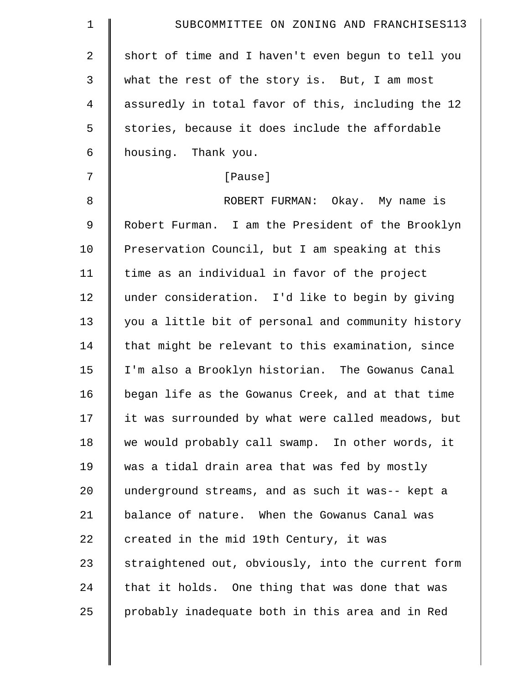| $\mathbf 1$    | SUBCOMMITTEE ON ZONING AND FRANCHISES113           |
|----------------|----------------------------------------------------|
| $\overline{a}$ | short of time and I haven't even begun to tell you |
| $\mathfrak{Z}$ | what the rest of the story is. But, I am most      |
| $\overline{4}$ | assuredly in total favor of this, including the 12 |
| 5              | stories, because it does include the affordable    |
| 6              | housing. Thank you.                                |
| 7              | [Pause]                                            |
| 8              | ROBERT FURMAN: Okay. My name is                    |
| $\mathsf 9$    | Robert Furman. I am the President of the Brooklyn  |
| 10             | Preservation Council, but I am speaking at this    |
| 11             | time as an individual in favor of the project      |
| 12             | under consideration. I'd like to begin by giving   |
| 13             | you a little bit of personal and community history |
| 14             | that might be relevant to this examination, since  |
| 15             | I'm also a Brooklyn historian. The Gowanus Canal   |
| 16             | began life as the Gowanus Creek, and at that time  |
| 17             | it was surrounded by what were called meadows, but |
| 18             | we would probably call swamp. In other words, it   |
| 19             | was a tidal drain area that was fed by mostly      |
| 20             | underground streams, and as such it was-- kept a   |
| 21             | balance of nature. When the Gowanus Canal was      |
| 22             | created in the mid 19th Century, it was            |
| 23             | straightened out, obviously, into the current form |
| 24             | that it holds. One thing that was done that was    |
| 25             | probably inadequate both in this area and in Red   |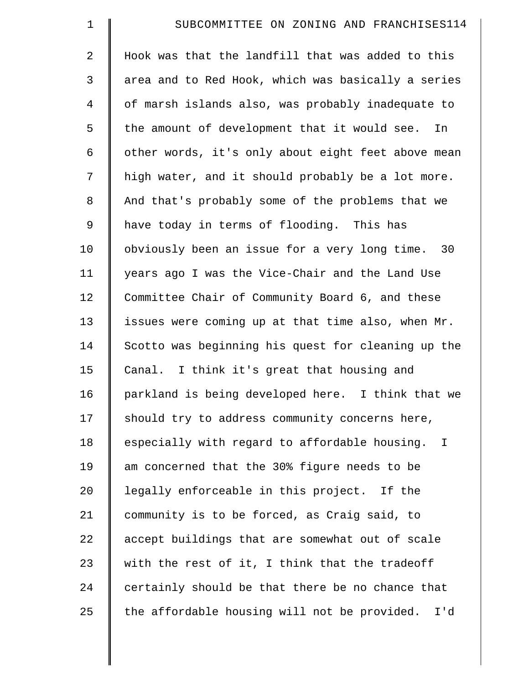| $\mathbf 1$    | SUBCOMMITTEE ON ZONING AND FRANCHISES114            |
|----------------|-----------------------------------------------------|
| $\overline{a}$ | Hook was that the landfill that was added to this   |
| 3              | area and to Red Hook, which was basically a series  |
| $\overline{4}$ | of marsh islands also, was probably inadequate to   |
| 5              | the amount of development that it would see. In     |
| 6              | other words, it's only about eight feet above mean  |
| 7              | high water, and it should probably be a lot more.   |
| 8              | And that's probably some of the problems that we    |
| 9              | have today in terms of flooding. This has           |
| 10             | obviously been an issue for a very long time. 30    |
| 11             | years ago I was the Vice-Chair and the Land Use     |
| 12             | Committee Chair of Community Board 6, and these     |
| 13             | issues were coming up at that time also, when Mr.   |
| 14             | Scotto was beginning his quest for cleaning up the  |
| 15             | Canal. I think it's great that housing and          |
| 16             | parkland is being developed here. I think that we   |
| 17             | should try to address community concerns here,      |
| 18             | especially with regard to affordable housing. I     |
| 19             | am concerned that the 30% figure needs to be        |
| 20             | legally enforceable in this project. If the         |
| 21             | community is to be forced, as Craig said, to        |
| 22             | accept buildings that are somewhat out of scale     |
| 23             | with the rest of it, I think that the tradeoff      |
| 24             | certainly should be that there be no chance that    |
| 25             | the affordable housing will not be provided.<br>I'd |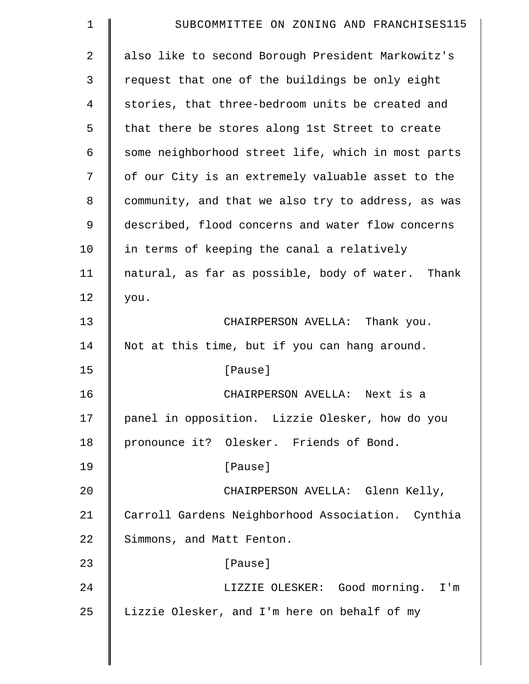| $\mathbf 1$    | SUBCOMMITTEE ON ZONING AND FRANCHISES115           |
|----------------|----------------------------------------------------|
| $\overline{2}$ | also like to second Borough President Markowitz's  |
| 3              | request that one of the buildings be only eight    |
| 4              | stories, that three-bedroom units be created and   |
| 5              | that there be stores along 1st Street to create    |
| 6              | some neighborhood street life, which in most parts |
| 7              | of our City is an extremely valuable asset to the  |
| 8              | community, and that we also try to address, as was |
| 9              | described, flood concerns and water flow concerns  |
| 10             | in terms of keeping the canal a relatively         |
| 11             | natural, as far as possible, body of water. Thank  |
| 12             | you.                                               |
| 13             | CHAIRPERSON AVELLA: Thank you.                     |
| 14             | Not at this time, but if you can hang around.      |
| 15             | [Pause]                                            |
| 16             | CHAIRPERSON AVELLA: Next is a                      |
| 17             | panel in opposition. Lizzie Olesker, how do you    |
| 18             | pronounce it? Olesker. Friends of Bond.            |
| 19             | [Pause]                                            |
| 20             | CHAIRPERSON AVELLA: Glenn Kelly,                   |
| 21             | Carroll Gardens Neighborhood Association. Cynthia  |
| 22             | Simmons, and Matt Fenton.                          |
| 23             | [Pause]                                            |
| 24             | LIZZIE OLESKER: Good morning. I'm                  |
| 25             | Lizzie Olesker, and I'm here on behalf of my       |
|                |                                                    |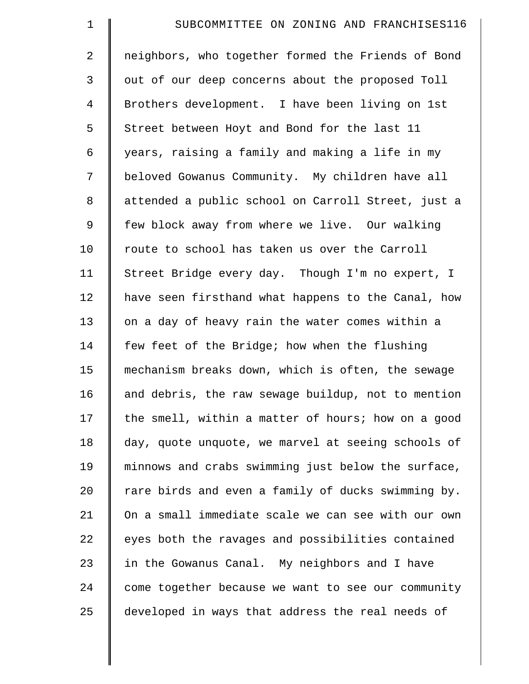| $\mathbf 1$    | SUBCOMMITTEE ON ZONING AND FRANCHISES116           |
|----------------|----------------------------------------------------|
| $\overline{2}$ | neighbors, who together formed the Friends of Bond |
| 3              | out of our deep concerns about the proposed Toll   |
| $\overline{4}$ | Brothers development. I have been living on 1st    |
| 5              | Street between Hoyt and Bond for the last 11       |
| 6              | years, raising a family and making a life in my    |
| 7              | beloved Gowanus Community. My children have all    |
| $\,8\,$        | attended a public school on Carroll Street, just a |
| 9              | few block away from where we live. Our walking     |
| 10             | route to school has taken us over the Carroll      |
| 11             | Street Bridge every day. Though I'm no expert, I   |
| 12             | have seen firsthand what happens to the Canal, how |
| 13             | on a day of heavy rain the water comes within a    |
| 14             | few feet of the Bridge; how when the flushing      |
| 15             | mechanism breaks down, which is often, the sewage  |
| 16             | and debris, the raw sewage buildup, not to mention |
| 17             | the smell, within a matter of hours; how on a good |
| 18             | day, quote unquote, we marvel at seeing schools of |
| 19             | minnows and crabs swimming just below the surface, |
| 20             | rare birds and even a family of ducks swimming by. |
| 21             | On a small immediate scale we can see with our own |
| 22             | eyes both the ravages and possibilities contained  |
| 23             | in the Gowanus Canal. My neighbors and I have      |
| 24             | come together because we want to see our community |
| 25             | developed in ways that address the real needs of   |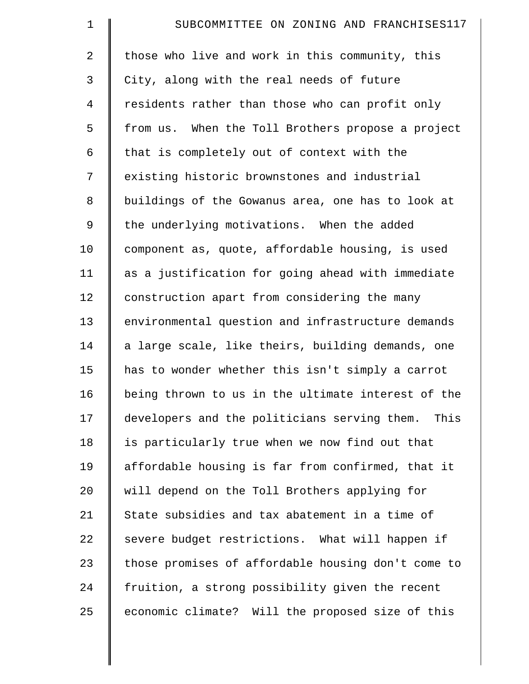| $\mathbf 1$    | SUBCOMMITTEE ON ZONING AND FRANCHISES117             |
|----------------|------------------------------------------------------|
| $\overline{2}$ | those who live and work in this community, this      |
| 3              | City, along with the real needs of future            |
| 4              | residents rather than those who can profit only      |
| 5              | from us. When the Toll Brothers propose a project    |
| 6              | that is completely out of context with the           |
| 7              | existing historic brownstones and industrial         |
| 8              | buildings of the Gowanus area, one has to look at    |
| $\mathsf 9$    | the underlying motivations. When the added           |
| 10             | component as, quote, affordable housing, is used     |
| 11             | as a justification for going ahead with immediate    |
| 12             | construction apart from considering the many         |
| 13             | environmental question and infrastructure demands    |
| 14             | a large scale, like theirs, building demands, one    |
| 15             | has to wonder whether this isn't simply a carrot     |
| 16             | being thrown to us in the ultimate interest of the   |
| 17             | developers and the politicians serving them.<br>This |
| 18             | is particularly true when we now find out that       |
| 19             | affordable housing is far from confirmed, that it    |
| 20             | will depend on the Toll Brothers applying for        |
| 21             | State subsidies and tax abatement in a time of       |
| 22             | severe budget restrictions. What will happen if      |
| 23             | those promises of affordable housing don't come to   |
| 24             | fruition, a strong possibility given the recent      |
| 25             | economic climate? Will the proposed size of this     |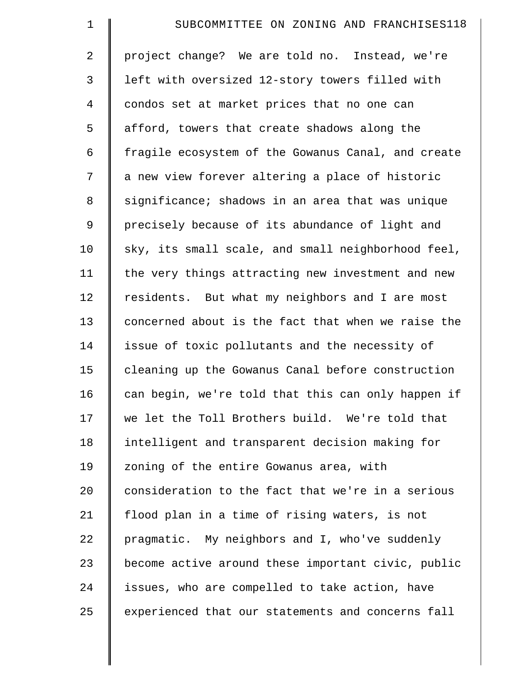| $\mathbf 1$    | SUBCOMMITTEE ON ZONING AND FRANCHISES118           |
|----------------|----------------------------------------------------|
| $\overline{2}$ | project change? We are told no. Instead, we're     |
| 3              | left with oversized 12-story towers filled with    |
| $\overline{4}$ | condos set at market prices that no one can        |
| 5              | afford, towers that create shadows along the       |
| 6              | fragile ecosystem of the Gowanus Canal, and create |
| 7              | a new view forever altering a place of historic    |
| 8              | significance; shadows in an area that was unique   |
| 9              | precisely because of its abundance of light and    |
| 10             | sky, its small scale, and small neighborhood feel, |
| 11             | the very things attracting new investment and new  |
| 12             | residents. But what my neighbors and I are most    |
| 13             | concerned about is the fact that when we raise the |
| 14             | issue of toxic pollutants and the necessity of     |
| 15             | cleaning up the Gowanus Canal before construction  |
| 16             | can begin, we're told that this can only happen if |
| 17             | we let the Toll Brothers build. We're told that    |
| 18             | intelligent and transparent decision making for    |
| 19             | zoning of the entire Gowanus area, with            |
| 20             | consideration to the fact that we're in a serious  |
| 21             | flood plan in a time of rising waters, is not      |
| 22             | pragmatic. My neighbors and I, who've suddenly     |
| 23             | become active around these important civic, public |
| 24             | issues, who are compelled to take action, have     |
| 25             | experienced that our statements and concerns fall  |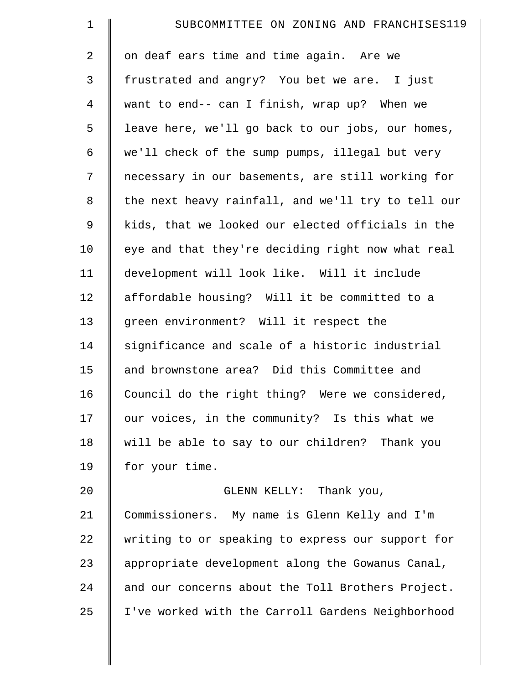| $\mathbf 1$    | SUBCOMMITTEE ON ZONING AND FRANCHISES119           |
|----------------|----------------------------------------------------|
| $\overline{a}$ | on deaf ears time and time again. Are we           |
| 3              | frustrated and angry? You bet we are. I just       |
| $\overline{4}$ | want to end-- can I finish, wrap up? When we       |
| 5              | leave here, we'll go back to our jobs, our homes,  |
| 6              | we'll check of the sump pumps, illegal but very    |
| 7              | necessary in our basements, are still working for  |
| 8              | the next heavy rainfall, and we'll try to tell our |
| $\mathsf 9$    | kids, that we looked our elected officials in the  |
| 10             | eye and that they're deciding right now what real  |
| 11             | development will look like. Will it include        |
| 12             | affordable housing? Will it be committed to a      |
| 13             | green environment? Will it respect the             |
| 14             | significance and scale of a historic industrial    |
| 15             | and brownstone area? Did this Committee and        |
| 16             | Council do the right thing? Were we considered,    |
| 17             | our voices, in the community? Is this what we      |
| 18             | will be able to say to our children? Thank you     |
| 19             | for your time.                                     |
| 20             | GLENN KELLY: Thank you,                            |
| 21             | Commissioners. My name is Glenn Kelly and I'm      |
| 22             | writing to or speaking to express our support for  |
| 23             | appropriate development along the Gowanus Canal,   |
| 24             | and our concerns about the Toll Brothers Project.  |
| 25             | I've worked with the Carroll Gardens Neighborhood  |
|                |                                                    |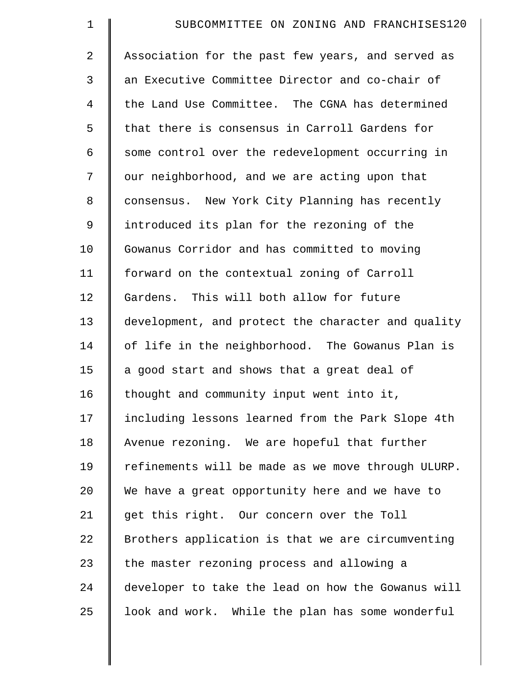| $\mathbf 1$    | SUBCOMMITTEE ON ZONING AND FRANCHISES120           |
|----------------|----------------------------------------------------|
| $\overline{2}$ | Association for the past few years, and served as  |
| 3              | an Executive Committee Director and co-chair of    |
| 4              | the Land Use Committee. The CGNA has determined    |
| 5              | that there is consensus in Carroll Gardens for     |
| 6              | some control over the redevelopment occurring in   |
| 7              | our neighborhood, and we are acting upon that      |
| 8              | consensus. New York City Planning has recently     |
| 9              | introduced its plan for the rezoning of the        |
| 10             | Gowanus Corridor and has committed to moving       |
| 11             | forward on the contextual zoning of Carroll        |
| 12             | Gardens. This will both allow for future           |
| 13             | development, and protect the character and quality |
| 14             | of life in the neighborhood. The Gowanus Plan is   |
| 15             | a good start and shows that a great deal of        |
| 16             | thought and community input went into it,          |
| 17             | including lessons learned from the Park Slope 4th  |
| 18             | Avenue rezoning. We are hopeful that further       |
| 19             | refinements will be made as we move through ULURP. |
| 20             | We have a great opportunity here and we have to    |
| 21             | get this right. Our concern over the Toll          |
| 22             | Brothers application is that we are circumventing  |
| 23             | the master rezoning process and allowing a         |
| 24             | developer to take the lead on how the Gowanus will |
| 25             | look and work. While the plan has some wonderful   |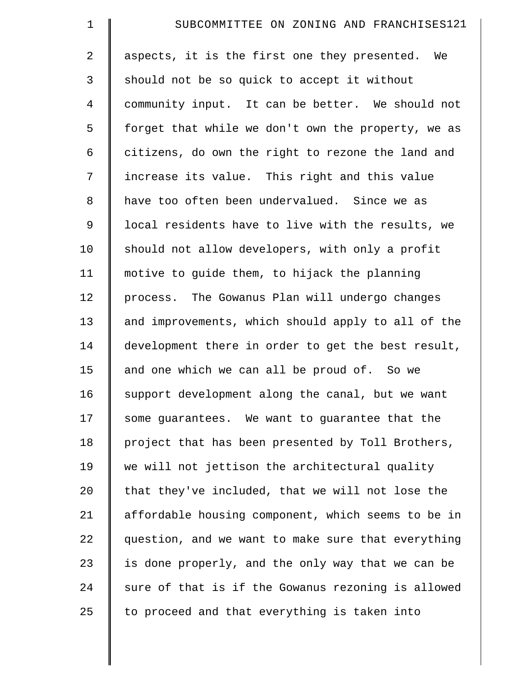| $\mathbf 1$    | SUBCOMMITTEE ON ZONING AND FRANCHISES121           |
|----------------|----------------------------------------------------|
| $\overline{a}$ | aspects, it is the first one they presented. We    |
| 3              | should not be so quick to accept it without        |
| $\overline{4}$ | community input. It can be better. We should not   |
| 5              | forget that while we don't own the property, we as |
| 6              | citizens, do own the right to rezone the land and  |
| 7              | increase its value. This right and this value      |
| 8              | have too often been undervalued. Since we as       |
| 9              | local residents have to live with the results, we  |
| 10             | should not allow developers, with only a profit    |
| 11             | motive to guide them, to hijack the planning       |
| 12             | process. The Gowanus Plan will undergo changes     |
| 13             | and improvements, which should apply to all of the |
| 14             | development there in order to get the best result, |
| 15             | and one which we can all be proud of. So we        |
| 16             | support development along the canal, but we want   |
| 17             | some guarantees. We want to guarantee that the     |
| 18             | project that has been presented by Toll Brothers,  |
| 19             | we will not jettison the architectural quality     |
| 20             | that they've included, that we will not lose the   |
| 21             | affordable housing component, which seems to be in |
| 22             | question, and we want to make sure that everything |
| 23             | is done properly, and the only way that we can be  |
| 24             | sure of that is if the Gowanus rezoning is allowed |
| 25             | to proceed and that everything is taken into       |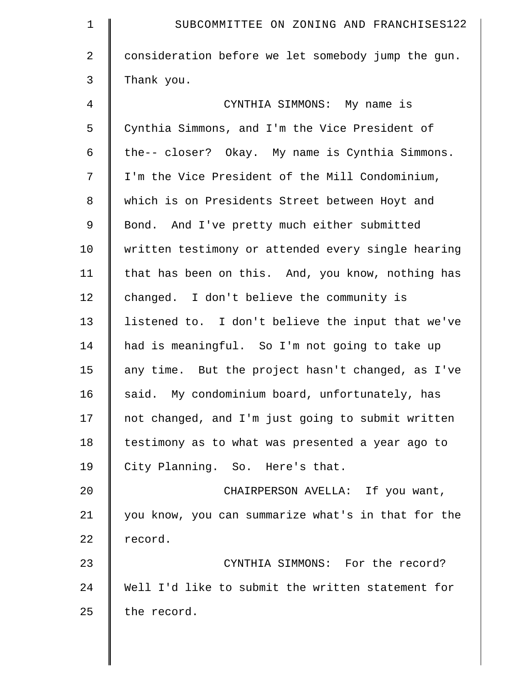| $\mathbf 1$    | SUBCOMMITTEE ON ZONING AND FRANCHISES122           |
|----------------|----------------------------------------------------|
| $\overline{2}$ | consideration before we let somebody jump the gun. |
| 3              | Thank you.                                         |
| $\overline{4}$ | CYNTHIA SIMMONS: My name is                        |
| 5              | Cynthia Simmons, and I'm the Vice President of     |
| 6              | the-- closer? Okay. My name is Cynthia Simmons.    |
| 7              | I'm the Vice President of the Mill Condominium,    |
| $\,8\,$        | which is on Presidents Street between Hoyt and     |
| 9              | Bond. And I've pretty much either submitted        |
| 10             | written testimony or attended every single hearing |
| 11             | that has been on this. And, you know, nothing has  |
| 12             | changed. I don't believe the community is          |
| 13             | listened to. I don't believe the input that we've  |
| 14             | had is meaningful. So I'm not going to take up     |
| 15             | any time. But the project hasn't changed, as I've  |
| 16             | said. My condominium board, unfortunately, has     |
| 17             | not changed, and I'm just going to submit written  |
| 18             | testimony as to what was presented a year ago to   |
| 19             | City Planning. So. Here's that.                    |
| 20             | CHAIRPERSON AVELLA: If you want,                   |
| 21             | you know, you can summarize what's in that for the |
| 22             | record.                                            |
| 23             | CYNTHIA SIMMONS: For the record?                   |
| 24             | Well I'd like to submit the written statement for  |
| 25             | the record.                                        |
|                |                                                    |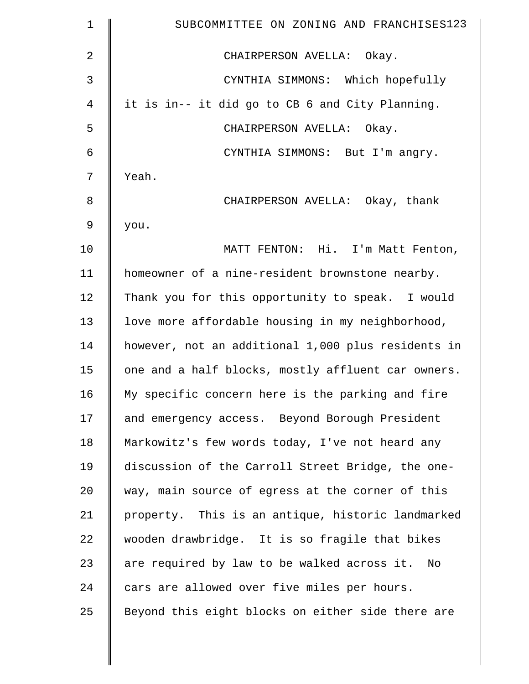| $\mathbf 1$ | SUBCOMMITTEE ON ZONING AND FRANCHISES123           |
|-------------|----------------------------------------------------|
| 2           | CHAIRPERSON AVELLA: Okay.                          |
| 3           | CYNTHIA SIMMONS: Which hopefully                   |
| 4           | it is in-- it did go to CB 6 and City Planning.    |
| 5           | CHAIRPERSON AVELLA: Okay.                          |
| 6           | CYNTHIA SIMMONS: But I'm angry.                    |
| 7           | Yeah.                                              |
| 8           | CHAIRPERSON AVELLA: Okay, thank                    |
| $\mathsf 9$ | you.                                               |
| 10          | MATT FENTON: Hi. I'm Matt Fenton,                  |
| 11          | homeowner of a nine-resident brownstone nearby.    |
| 12          | Thank you for this opportunity to speak. I would   |
| 13          | love more affordable housing in my neighborhood,   |
| 14          | however, not an additional 1,000 plus residents in |
| 15          | one and a half blocks, mostly affluent car owners. |
| 16          | My specific concern here is the parking and fire   |
| 17          | and emergency access. Beyond Borough President     |
| 18          | Markowitz's few words today, I've not heard any    |
| 19          | discussion of the Carroll Street Bridge, the one-  |
| 20          | way, main source of egress at the corner of this   |
| 21          | property. This is an antique, historic landmarked  |
| 22          | wooden drawbridge. It is so fragile that bikes     |
| 23          | are required by law to be walked across it. No     |
| 24          | cars are allowed over five miles per hours.        |
| 25          | Beyond this eight blocks on either side there are  |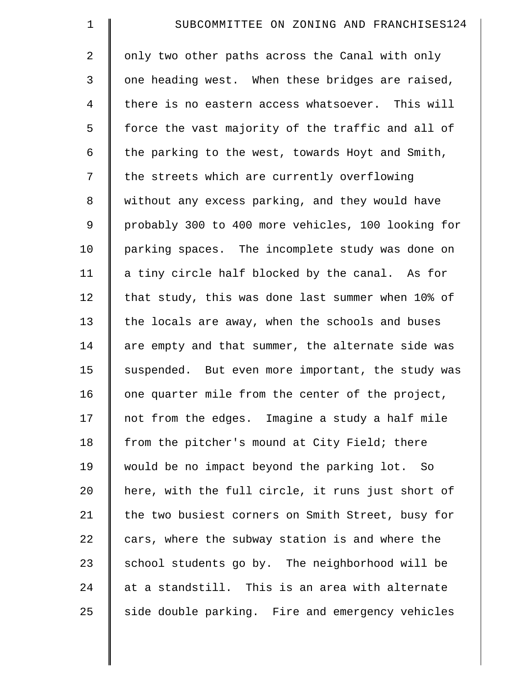| $\mathbf 1$    | SUBCOMMITTEE ON ZONING AND FRANCHISES124           |
|----------------|----------------------------------------------------|
| $\overline{2}$ | only two other paths across the Canal with only    |
| 3              | one heading west. When these bridges are raised,   |
| $\overline{4}$ | there is no eastern access whatsoever. This will   |
| 5              | force the vast majority of the traffic and all of  |
| 6              | the parking to the west, towards Hoyt and Smith,   |
| 7              | the streets which are currently overflowing        |
| 8              | without any excess parking, and they would have    |
| $\mathsf 9$    | probably 300 to 400 more vehicles, 100 looking for |
| 10             | parking spaces. The incomplete study was done on   |
| 11             | a tiny circle half blocked by the canal. As for    |
| 12             | that study, this was done last summer when 10% of  |
| 13             | the locals are away, when the schools and buses    |
| 14             | are empty and that summer, the alternate side was  |
| 15             | suspended. But even more important, the study was  |
| 16             | one quarter mile from the center of the project,   |
| 17             | not from the edges. Imagine a study a half mile    |
| 18             | from the pitcher's mound at City Field; there      |
| 19             | would be no impact beyond the parking lot. So      |
| 20             | here, with the full circle, it runs just short of  |
| 21             | the two busiest corners on Smith Street, busy for  |
| 22             | cars, where the subway station is and where the    |
| 23             | school students go by. The neighborhood will be    |
| 24             | at a standstill. This is an area with alternate    |
| 25             | side double parking. Fire and emergency vehicles   |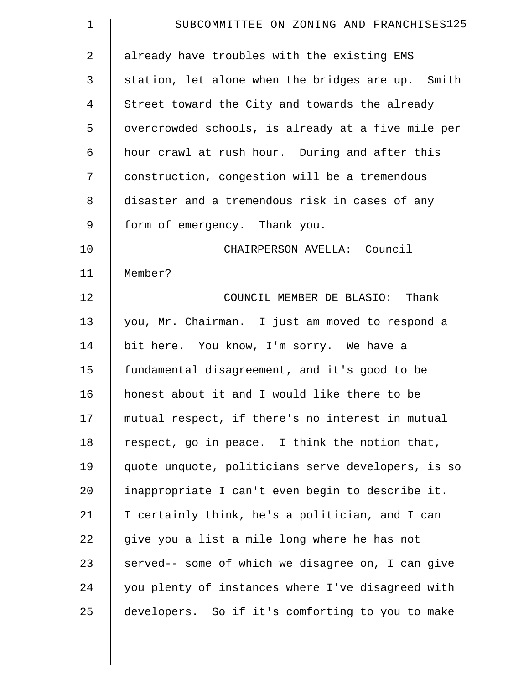| $\mathbf 1$    | SUBCOMMITTEE ON ZONING AND FRANCHISES125           |
|----------------|----------------------------------------------------|
| $\overline{2}$ | already have troubles with the existing EMS        |
| 3              | station, let alone when the bridges are up. Smith  |
| 4              | Street toward the City and towards the already     |
| 5              | overcrowded schools, is already at a five mile per |
| 6              | hour crawl at rush hour. During and after this     |
| 7              | construction, congestion will be a tremendous      |
| 8              | disaster and a tremendous risk in cases of any     |
| 9              | form of emergency. Thank you.                      |
| 10             | CHAIRPERSON AVELLA: Council                        |
| 11             | Member?                                            |
| 12             | COUNCIL MEMBER DE BLASIO: Thank                    |
| 13             | you, Mr. Chairman. I just am moved to respond a    |
| 14             | bit here. You know, I'm sorry. We have a           |
| 15             | fundamental disagreement, and it's good to be      |
| 16             | honest about it and I would like there to be       |
| 17             | mutual respect, if there's no interest in mutual   |
| 18             | respect, go in peace. I think the notion that,     |
| 19             | quote unquote, politicians serve developers, is so |
| 20             | inappropriate I can't even begin to describe it.   |
| 21             | I certainly think, he's a politician, and I can    |
| 22             | give you a list a mile long where he has not       |
| 23             | served-- some of which we disagree on, I can give  |
| 24             | you plenty of instances where I've disagreed with  |
| 25             | developers. So if it's comforting to you to make   |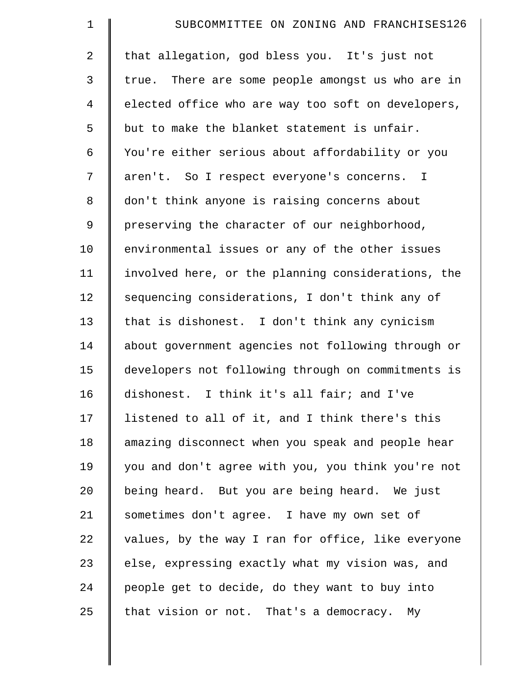| $\mathbf 1$    | SUBCOMMITTEE ON ZONING AND FRANCHISES126           |
|----------------|----------------------------------------------------|
| $\overline{2}$ | that allegation, god bless you. It's just not      |
| 3              | true. There are some people amongst us who are in  |
| 4              | elected office who are way too soft on developers, |
| 5              | but to make the blanket statement is unfair.       |
| 6              | You're either serious about affordability or you   |
| 7              | aren't. So I respect everyone's concerns. I        |
| 8              | don't think anyone is raising concerns about       |
| 9              | preserving the character of our neighborhood,      |
| 10             | environmental issues or any of the other issues    |
| 11             | involved here, or the planning considerations, the |
| 12             | sequencing considerations, I don't think any of    |
| 13             | that is dishonest. I don't think any cynicism      |
| 14             | about government agencies not following through or |
| 15             | developers not following through on commitments is |
| 16             | dishonest. I think it's all fair; and I've         |
| 17             | listened to all of it, and I think there's this    |
| 18             | amazing disconnect when you speak and people hear  |
| 19             | you and don't agree with you, you think you're not |
| 20             | being heard. But you are being heard. We just      |
| 21             | sometimes don't agree. I have my own set of        |
| 22             | values, by the way I ran for office, like everyone |
| 23             | else, expressing exactly what my vision was, and   |
| 24             | people get to decide, do they want to buy into     |
| 25             | that vision or not. That's a democracy. My         |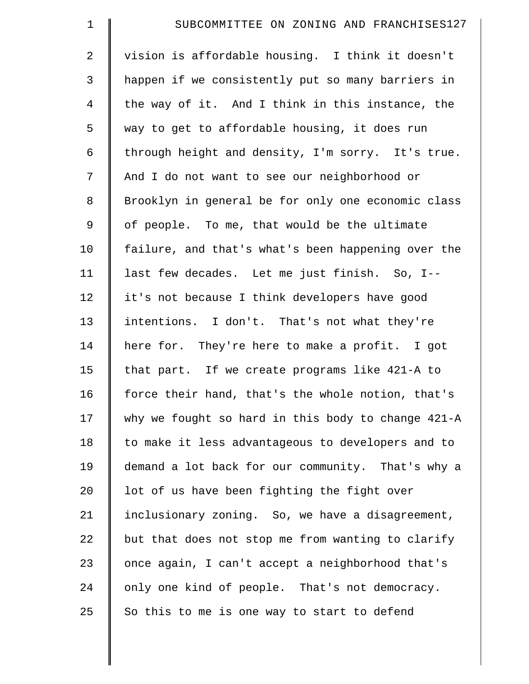| $\mathbf 1$    | SUBCOMMITTEE ON ZONING AND FRANCHISES127           |
|----------------|----------------------------------------------------|
| $\overline{2}$ | vision is affordable housing. I think it doesn't   |
| 3              | happen if we consistently put so many barriers in  |
| $\overline{4}$ | the way of it. And I think in this instance, the   |
| 5              | way to get to affordable housing, it does run      |
| 6              | through height and density, I'm sorry. It's true.  |
| 7              | And I do not want to see our neighborhood or       |
| 8              | Brooklyn in general be for only one economic class |
| 9              | of people. To me, that would be the ultimate       |
| 10             | failure, and that's what's been happening over the |
| 11             | last few decades. Let me just finish. So, I--      |
| 12             | it's not because I think developers have good      |
| 13             | intentions. I don't. That's not what they're       |
| 14             | here for. They're here to make a profit. I got     |
| 15             | that part. If we create programs like 421-A to     |
| 16             | force their hand, that's the whole notion, that's  |
| 17             | why we fought so hard in this body to change 421-A |
| 18             | to make it less advantageous to developers and to  |
| 19             | demand a lot back for our community. That's why a  |
| 20             | lot of us have been fighting the fight over        |
| 21             | inclusionary zoning. So, we have a disagreement,   |
| 22             | but that does not stop me from wanting to clarify  |
| 23             | once again, I can't accept a neighborhood that's   |
| 24             | only one kind of people. That's not democracy.     |
| 25             | So this to me is one way to start to defend        |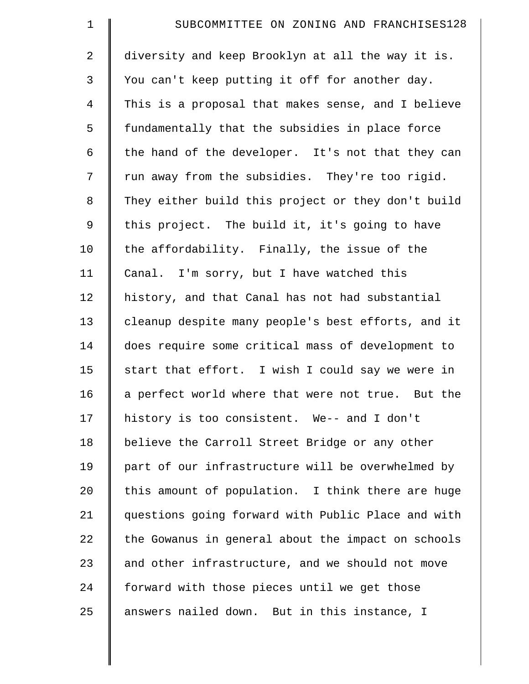| $\mathbf 1$    | SUBCOMMITTEE ON ZONING AND FRANCHISES128           |
|----------------|----------------------------------------------------|
| $\overline{2}$ | diversity and keep Brooklyn at all the way it is.  |
| 3              | You can't keep putting it off for another day.     |
| $\overline{4}$ | This is a proposal that makes sense, and I believe |
| 5              | fundamentally that the subsidies in place force    |
| 6              | the hand of the developer. It's not that they can  |
| 7              | run away from the subsidies. They're too rigid.    |
| 8              | They either build this project or they don't build |
| 9              | this project. The build it, it's going to have     |
| 10             | the affordability. Finally, the issue of the       |
| 11             | Canal. I'm sorry, but I have watched this          |
| 12             | history, and that Canal has not had substantial    |
| 13             | cleanup despite many people's best efforts, and it |
| 14             | does require some critical mass of development to  |
| 15             | start that effort. I wish I could say we were in   |
| 16             | a perfect world where that were not true. But the  |
| 17             | history is too consistent. We-- and I don't        |
| 18             | believe the Carroll Street Bridge or any other     |
| 19             | part of our infrastructure will be overwhelmed by  |
| 20             | this amount of population. I think there are huge  |
| 21             | questions going forward with Public Place and with |
| 22             | the Gowanus in general about the impact on schools |
| 23             | and other infrastructure, and we should not move   |
| 24             | forward with those pieces until we get those       |
| 25             | answers nailed down. But in this instance, I       |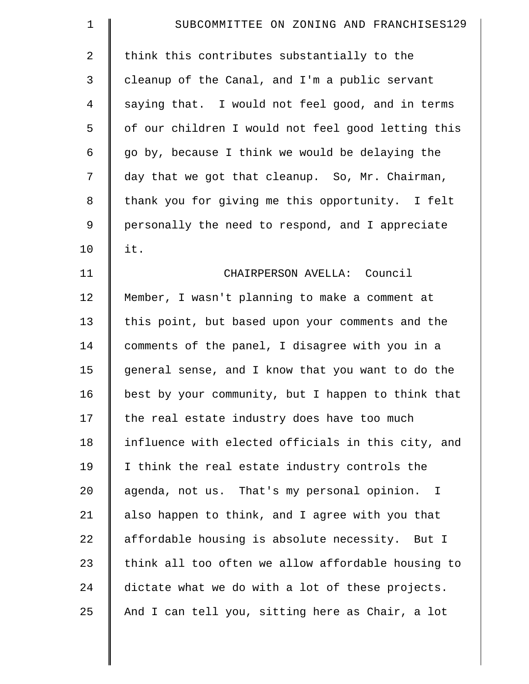| $\mathbf 1$  | SUBCOMMITTEE ON ZONING AND FRANCHISES129           |
|--------------|----------------------------------------------------|
| 2            | think this contributes substantially to the        |
| $\mathsf{3}$ | cleanup of the Canal, and I'm a public servant     |
| 4            | saying that. I would not feel good, and in terms   |
| 5            | of our children I would not feel good letting this |
| 6            | go by, because I think we would be delaying the    |
| 7            | day that we got that cleanup. So, Mr. Chairman,    |
| 8            | thank you for giving me this opportunity. I felt   |
| 9            | personally the need to respond, and I appreciate   |
| 10           | it.                                                |
| 11           | CHAIRPERSON AVELLA: Council                        |
| 12           | Member, I wasn't planning to make a comment at     |
| 13           | this point, but based upon your comments and the   |
| 14           | comments of the panel, I disagree with you in a    |
| 15           | general sense, and I know that you want to do the  |
| 16           | best by your community, but I happen to think that |
| 17           | the real estate industry does have too much        |
| 18           | influence with elected officials in this city, and |
| 19           | I think the real estate industry controls the      |
| 20           | agenda, not us. That's my personal opinion. I      |
| 21           | also happen to think, and I agree with you that    |
| 22           | affordable housing is absolute necessity. But I    |
| 23           | think all too often we allow affordable housing to |
| 24           | dictate what we do with a lot of these projects.   |
| 25           | And I can tell you, sitting here as Chair, a lot   |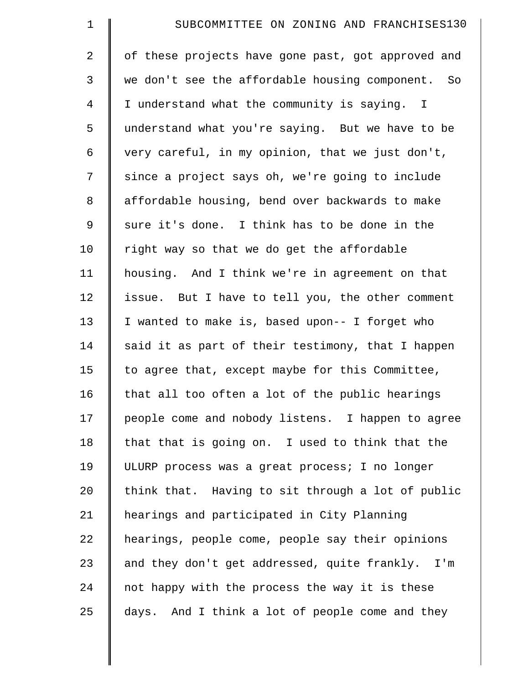| $\mathbf 1$    | SUBCOMMITTEE ON ZONING AND FRANCHISES130           |
|----------------|----------------------------------------------------|
| 2              | of these projects have gone past, got approved and |
| 3              | we don't see the affordable housing component. So  |
| $\overline{4}$ | I understand what the community is saying. I       |
| 5              | understand what you're saying. But we have to be   |
| 6              | very careful, in my opinion, that we just don't,   |
| 7              | since a project says oh, we're going to include    |
| 8              | affordable housing, bend over backwards to make    |
| 9              | sure it's done. I think has to be done in the      |
| 10             | right way so that we do get the affordable         |
| 11             | housing. And I think we're in agreement on that    |
| 12             | issue. But I have to tell you, the other comment   |
| 13             | I wanted to make is, based upon-- I forget who     |
| 14             | said it as part of their testimony, that I happen  |
| 15             | to agree that, except maybe for this Committee,    |
| 16             | that all too often a lot of the public hearings    |
| 17             | people come and nobody listens. I happen to agree  |
| 18             | that that is going on. I used to think that the    |
| 19             | ULURP process was a great process; I no longer     |
| 20             | think that. Having to sit through a lot of public  |
| 21             | hearings and participated in City Planning         |
| 22             | hearings, people come, people say their opinions   |
| 23             | and they don't get addressed, quite frankly. I'm   |
| 24             | not happy with the process the way it is these     |
| 25             | days. And I think a lot of people come and they    |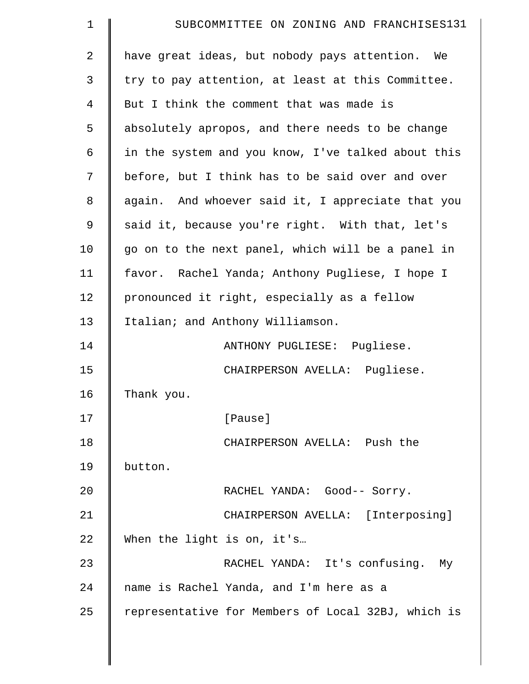| $\mathbf 1$    | SUBCOMMITTEE ON ZONING AND FRANCHISES131           |
|----------------|----------------------------------------------------|
| $\overline{2}$ | have great ideas, but nobody pays attention. We    |
| 3              | try to pay attention, at least at this Committee.  |
| 4              | But I think the comment that was made is           |
| 5              | absolutely apropos, and there needs to be change   |
| 6              | in the system and you know, I've talked about this |
| 7              | before, but I think has to be said over and over   |
| 8              | again. And whoever said it, I appreciate that you  |
| 9              | said it, because you're right. With that, let's    |
| 10             | go on to the next panel, which will be a panel in  |
| 11             | favor. Rachel Yanda; Anthony Pugliese, I hope I    |
| 12             | pronounced it right, especially as a fellow        |
| 13             | Italian; and Anthony Williamson.                   |
| 14             | ANTHONY PUGLIESE: Pugliese.                        |
| 15             | CHAIRPERSON AVELLA: Pugliese.                      |
| 16             | Thank you.                                         |
| 17             | [Pause]                                            |
| 18             | CHAIRPERSON AVELLA: Push the                       |
| 19             | button.                                            |
| 20             | RACHEL YANDA: Good-- Sorry.                        |
| 21             | CHAIRPERSON AVELLA: [Interposing]                  |
| 22             | When the light is on, it's                         |
| 23             | RACHEL YANDA: It's confusing. My                   |
| 24             | name is Rachel Yanda, and I'm here as a            |
| 25             | representative for Members of Local 32BJ, which is |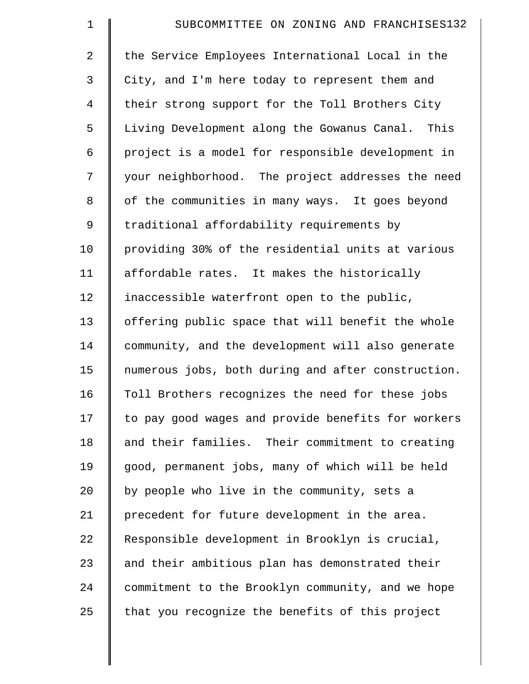| $\mathbf 1$    | SUBCOMMITTEE ON ZONING AND FRANCHISES132           |
|----------------|----------------------------------------------------|
| $\overline{2}$ | the Service Employees International Local in the   |
| 3              | City, and I'm here today to represent them and     |
| $\overline{4}$ | their strong support for the Toll Brothers City    |
| 5              | Living Development along the Gowanus Canal. This   |
| 6              | project is a model for responsible development in  |
| 7              | your neighborhood. The project addresses the need  |
| 8              | of the communities in many ways. It goes beyond    |
| 9              | traditional affordability requirements by          |
| 10             | providing 30% of the residential units at various  |
| 11             | affordable rates. It makes the historically        |
| 12             | inaccessible waterfront open to the public,        |
| 13             | offering public space that will benefit the whole  |
| 14             | community, and the development will also generate  |
| 15             | numerous jobs, both during and after construction. |
| 16             | Toll Brothers recognizes the need for these jobs   |
| 17             | to pay good wages and provide benefits for workers |
| 18             | and their families. Their commitment to creating   |
| 19             | good, permanent jobs, many of which will be held   |
| 20             | by people who live in the community, sets a        |
| 21             | precedent for future development in the area.      |
| 22             | Responsible development in Brooklyn is crucial,    |
| 23             | and their ambitious plan has demonstrated their    |
| 24             | commitment to the Brooklyn community, and we hope  |
| 25             | that you recognize the benefits of this project    |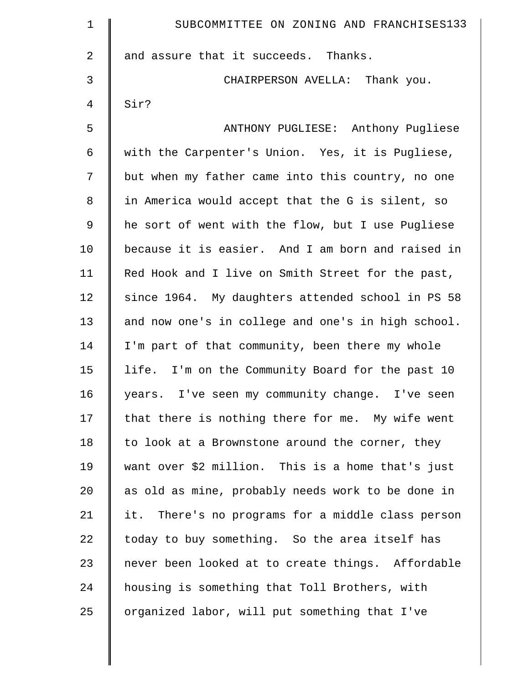| $\mathbf 1$ | SUBCOMMITTEE ON ZONING AND FRANCHISES133           |
|-------------|----------------------------------------------------|
| 2           | and assure that it succeeds. Thanks.               |
| 3           | CHAIRPERSON AVELLA: Thank you.                     |
| 4           | Sir?                                               |
| 5           | ANTHONY PUGLIESE: Anthony Pugliese                 |
| 6           | with the Carpenter's Union. Yes, it is Pugliese,   |
| 7           | but when my father came into this country, no one  |
| $\,8\,$     | in America would accept that the G is silent, so   |
| 9           | he sort of went with the flow, but I use Pugliese  |
| 10          | because it is easier. And I am born and raised in  |
| 11          | Red Hook and I live on Smith Street for the past,  |
| 12          | since 1964. My daughters attended school in PS 58  |
| 13          | and now one's in college and one's in high school. |
| 14          | I'm part of that community, been there my whole    |
| 15          | life. I'm on the Community Board for the past 10   |
| 16          | years. I've seen my community change. I've seen    |
| 17          | that there is nothing there for me. My wife went   |
| 18          | to look at a Brownstone around the corner, they    |
| 19          | want over \$2 million. This is a home that's just  |
| 20          | as old as mine, probably needs work to be done in  |
| 21          | it. There's no programs for a middle class person  |
| 22          | today to buy something. So the area itself has     |
| 23          | never been looked at to create things. Affordable  |
| 24          | housing is something that Toll Brothers, with      |
| 25          | organized labor, will put something that I've      |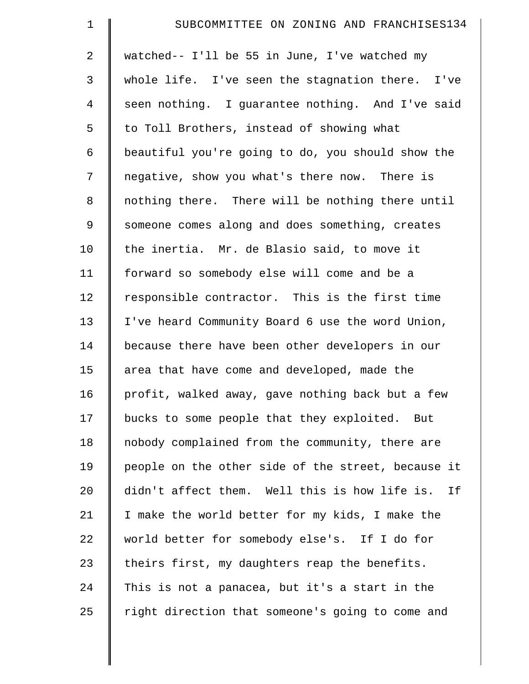| $\mathbf 1$    | SUBCOMMITTEE ON ZONING AND FRANCHISES134            |
|----------------|-----------------------------------------------------|
| $\overline{2}$ | watched-- I'll be 55 in June, I've watched my       |
| 3              | whole life. I've seen the stagnation there. I've    |
| $\overline{4}$ | seen nothing. I guarantee nothing. And I've said    |
| 5              | to Toll Brothers, instead of showing what           |
| 6              | beautiful you're going to do, you should show the   |
| 7              | negative, show you what's there now. There is       |
| 8              | nothing there. There will be nothing there until    |
| 9              | someone comes along and does something, creates     |
| 10             | the inertia. Mr. de Blasio said, to move it         |
| 11             | forward so somebody else will come and be a         |
| 12             | responsible contractor. This is the first time      |
| 13             | I've heard Community Board 6 use the word Union,    |
| 14             | because there have been other developers in our     |
| 15             | area that have come and developed, made the         |
| 16             | profit, walked away, gave nothing back but a few    |
| 17             | bucks to some people that they exploited. But       |
| 18             | nobody complained from the community, there are     |
| 19             | people on the other side of the street, because it  |
| 20             | didn't affect them. Well this is how life is.<br>Ιf |
| 21             | I make the world better for my kids, I make the     |
| 22             | world better for somebody else's. If I do for       |
| 23             | theirs first, my daughters reap the benefits.       |
| 24             | This is not a panacea, but it's a start in the      |
| 25             | right direction that someone's going to come and    |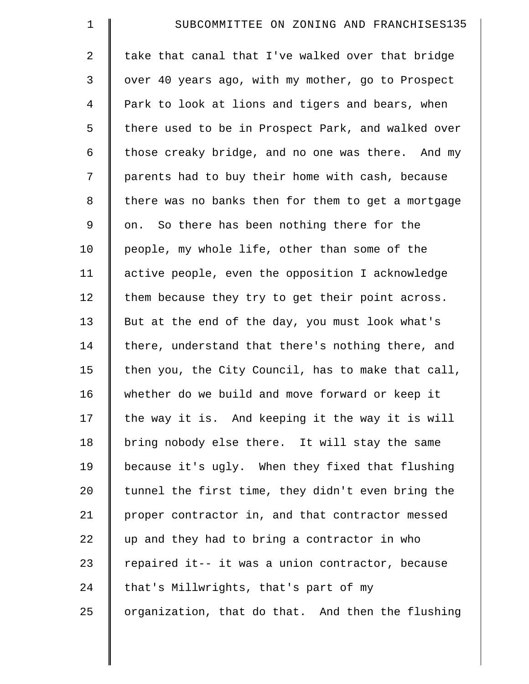| $\mathbf 1$    | SUBCOMMITTEE ON ZONING AND FRANCHISES135           |
|----------------|----------------------------------------------------|
| $\overline{2}$ | take that canal that I've walked over that bridge  |
| 3              | over 40 years ago, with my mother, go to Prospect  |
| $\overline{4}$ | Park to look at lions and tigers and bears, when   |
| 5              | there used to be in Prospect Park, and walked over |
| 6              | those creaky bridge, and no one was there. And my  |
| 7              | parents had to buy their home with cash, because   |
| 8              | there was no banks then for them to get a mortgage |
| $\mathsf 9$    | on. So there has been nothing there for the        |
| 10             | people, my whole life, other than some of the      |
| 11             | active people, even the opposition I acknowledge   |
| 12             | them because they try to get their point across.   |
| 13             | But at the end of the day, you must look what's    |
| 14             | there, understand that there's nothing there, and  |
| 15             | then you, the City Council, has to make that call, |
| 16             | whether do we build and move forward or keep it    |
| 17             | the way it is. And keeping it the way it is will   |
| 18             | bring nobody else there. It will stay the same     |
| 19             | because it's ugly. When they fixed that flushing   |
| 20             | tunnel the first time, they didn't even bring the  |
| 21             | proper contractor in, and that contractor messed   |
| 22             | up and they had to bring a contractor in who       |
| 23             | repaired it-- it was a union contractor, because   |
| 24             | that's Millwrights, that's part of my              |
| 25             | organization, that do that. And then the flushing  |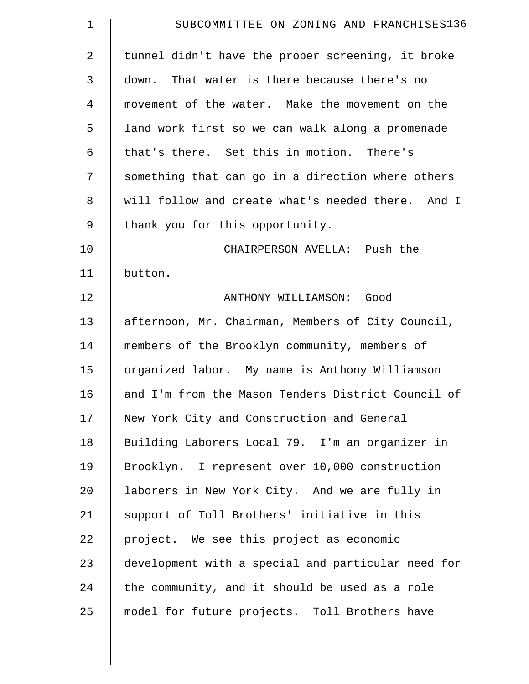| $\mathbf 1$ | SUBCOMMITTEE ON ZONING AND FRANCHISES136           |
|-------------|----------------------------------------------------|
| 2           | tunnel didn't have the proper screening, it broke  |
| 3           | down. That water is there because there's no       |
| 4           | movement of the water. Make the movement on the    |
| 5           | land work first so we can walk along a promenade   |
| 6           | that's there. Set this in motion. There's          |
| 7           | something that can go in a direction where others  |
| 8           | will follow and create what's needed there. And I  |
| 9           | thank you for this opportunity.                    |
| 10          | CHAIRPERSON AVELLA: Push the                       |
| 11          | button.                                            |
| 12          | ANTHONY WILLIAMSON: Good                           |
| 13          | afternoon, Mr. Chairman, Members of City Council,  |
| 14          | members of the Brooklyn community, members of      |
| 15          | organized labor. My name is Anthony Williamson     |
| 16          | and I'm from the Mason Tenders District Council of |
| 17          | New York City and Construction and General         |
| 18          | Building Laborers Local 79. I'm an organizer in    |
| 19          | Brooklyn. I represent over 10,000 construction     |
| 20          | laborers in New York City. And we are fully in     |
| 21          | support of Toll Brothers' initiative in this       |
| 22          | project. We see this project as economic           |
| 23          | development with a special and particular need for |
| 24          | the community, and it should be used as a role     |
| 25          | model for future projects. Toll Brothers have      |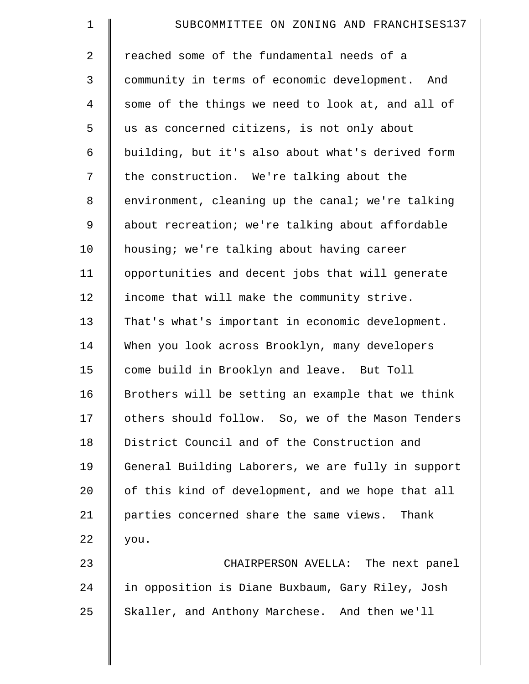| $\mathbf 1$    | SUBCOMMITTEE ON ZONING AND FRANCHISES137           |
|----------------|----------------------------------------------------|
| $\overline{2}$ | reached some of the fundamental needs of a         |
| 3              | community in terms of economic development. And    |
| $\overline{4}$ | some of the things we need to look at, and all of  |
| 5              | us as concerned citizens, is not only about        |
| 6              | building, but it's also about what's derived form  |
| 7              | the construction. We're talking about the          |
| 8              | environment, cleaning up the canal; we're talking  |
| 9              | about recreation; we're talking about affordable   |
| 10             | housing; we're talking about having career         |
| 11             | opportunities and decent jobs that will generate   |
| 12             | income that will make the community strive.        |
| 13             | That's what's important in economic development.   |
| 14             | When you look across Brooklyn, many developers     |
| 15             | come build in Brooklyn and leave. But Toll         |
| 16             | Brothers will be setting an example that we think  |
| 17             | others should follow. So, we of the Mason Tenders  |
| 18             | District Council and of the Construction and       |
| 19             | General Building Laborers, we are fully in support |
| 20             | of this kind of development, and we hope that all  |
| 21             | parties concerned share the same views. Thank      |
| 22             | you.                                               |
| 23             | CHAIRPERSON AVELLA: The next panel                 |
| 24             | in opposition is Diane Buxbaum, Gary Riley, Josh   |
| 25             | Skaller, and Anthony Marchese. And then we'll      |
|                |                                                    |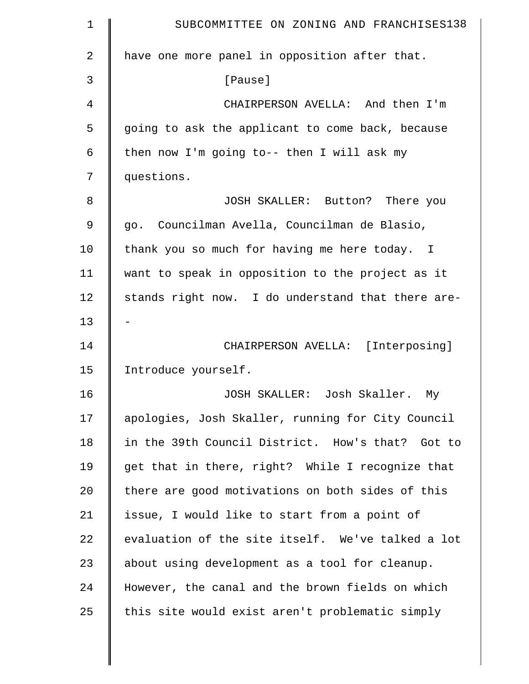| $\mathbf 1$    | SUBCOMMITTEE ON ZONING AND FRANCHISES138          |
|----------------|---------------------------------------------------|
| $\overline{a}$ | have one more panel in opposition after that.     |
| 3              | [Pause]                                           |
| 4              | CHAIRPERSON AVELLA: And then I'm                  |
| 5              | going to ask the applicant to come back, because  |
| 6              | then now I'm going to-- then I will ask my        |
| 7              | questions.                                        |
| 8              | JOSH SKALLER: Button? There you                   |
| 9              | go. Councilman Avella, Councilman de Blasio,      |
| 10             | thank you so much for having me here today. I     |
| 11             | want to speak in opposition to the project as it  |
| 12             | stands right now. I do understand that there are- |
| 13             |                                                   |
| 14             | CHAIRPERSON AVELLA: [Interposing]                 |
| 15             | Introduce yourself.                               |
| 16             | JOSH SKALLER: Josh Skaller.<br>My                 |
| 17             | apologies, Josh Skaller, running for City Council |
| 18             | in the 39th Council District. How's that? Got to  |
| 19             | get that in there, right? While I recognize that  |
| 20             | there are good motivations on both sides of this  |
| 21             | issue, I would like to start from a point of      |
| 22             | evaluation of the site itself. We've talked a lot |
| 23             | about using development as a tool for cleanup.    |
| 24             | However, the canal and the brown fields on which  |
| 25             | this site would exist aren't problematic simply   |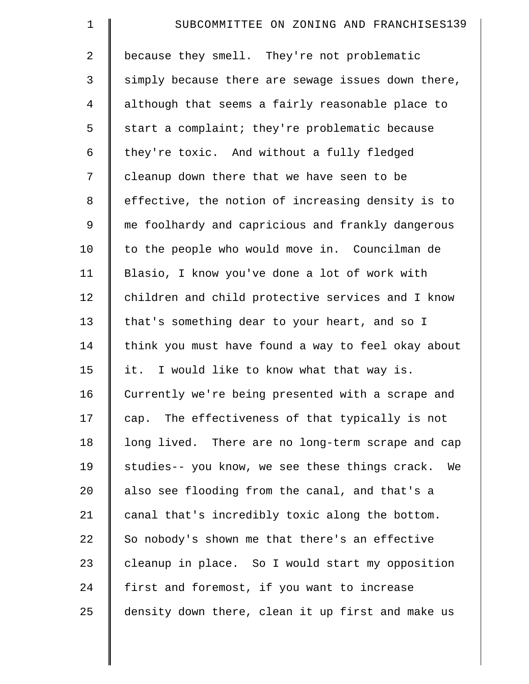| $\mathbf 1$    | SUBCOMMITTEE ON ZONING AND FRANCHISES139             |
|----------------|------------------------------------------------------|
| $\overline{2}$ | because they smell. They're not problematic          |
| 3              | simply because there are sewage issues down there,   |
| $\overline{4}$ | although that seems a fairly reasonable place to     |
| 5              | start a complaint; they're problematic because       |
| 6              | they're toxic. And without a fully fledged           |
| 7              | cleanup down there that we have seen to be           |
| 8              | effective, the notion of increasing density is to    |
| 9              | me foolhardy and capricious and frankly dangerous    |
| 10             | to the people who would move in. Councilman de       |
| 11             | Blasio, I know you've done a lot of work with        |
| 12             | children and child protective services and I know    |
| 13             | that's something dear to your heart, and so I        |
| 14             | think you must have found a way to feel okay about   |
| 15             | it. I would like to know what that way is.           |
| 16             | Currently we're being presented with a scrape and    |
| 17             | cap. The effectiveness of that typically is not      |
| 18             | long lived. There are no long-term scrape and cap    |
| 19             | studies-- you know, we see these things crack.<br>We |
| 20             | also see flooding from the canal, and that's a       |
| 21             | canal that's incredibly toxic along the bottom.      |
| 22             | So nobody's shown me that there's an effective       |
| 23             | cleanup in place. So I would start my opposition     |
| 24             | first and foremost, if you want to increase          |
| 25             | density down there, clean it up first and make us    |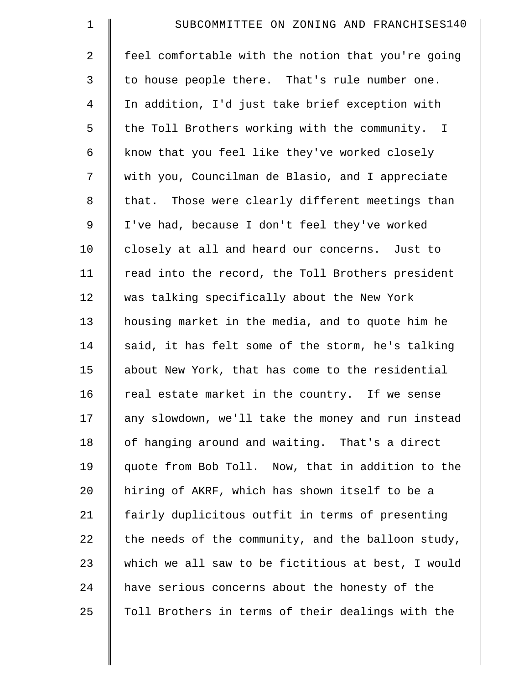| $\mathbf 1$    | SUBCOMMITTEE ON ZONING AND FRANCHISES140           |
|----------------|----------------------------------------------------|
| $\overline{a}$ | feel comfortable with the notion that you're going |
| 3              | to house people there. That's rule number one.     |
| $\overline{4}$ | In addition, I'd just take brief exception with    |
| 5              | the Toll Brothers working with the community. I    |
| 6              | know that you feel like they've worked closely     |
| 7              | with you, Councilman de Blasio, and I appreciate   |
| 8              | that. Those were clearly different meetings than   |
| 9              | I've had, because I don't feel they've worked      |
| 10             | closely at all and heard our concerns. Just to     |
| 11             | read into the record, the Toll Brothers president  |
| 12             | was talking specifically about the New York        |
| 13             | housing market in the media, and to quote him he   |
| 14             | said, it has felt some of the storm, he's talking  |
| 15             | about New York, that has come to the residential   |
| 16             | real estate market in the country. If we sense     |
| 17             | any slowdown, we'll take the money and run instead |
| 18             | of hanging around and waiting. That's a direct     |
| 19             | quote from Bob Toll. Now, that in addition to the  |
| 20             | hiring of AKRF, which has shown itself to be a     |
| 21             | fairly duplicitous outfit in terms of presenting   |
| 22             | the needs of the community, and the balloon study, |
| 23             | which we all saw to be fictitious at best, I would |
| 24             | have serious concerns about the honesty of the     |
| 25             | Toll Brothers in terms of their dealings with the  |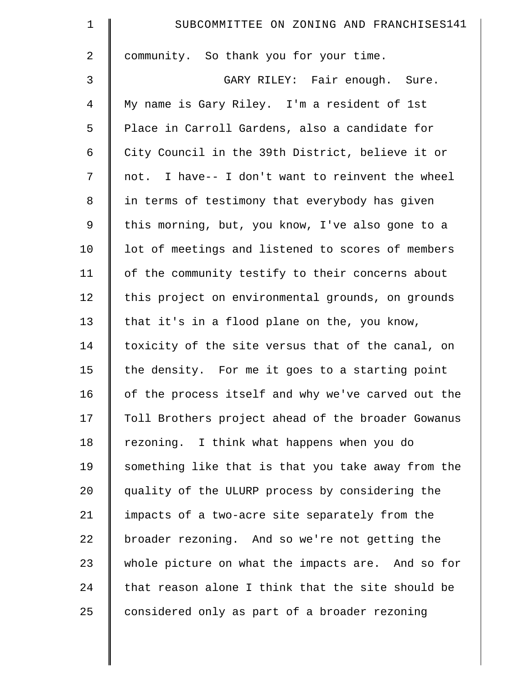| $\mathbf 1$ | SUBCOMMITTEE ON ZONING AND FRANCHISES141           |
|-------------|----------------------------------------------------|
| 2           | community. So thank you for your time.             |
| 3           | GARY RILEY: Fair enough. Sure.                     |
| 4           | My name is Gary Riley. I'm a resident of 1st       |
| 5           | Place in Carroll Gardens, also a candidate for     |
| 6           | City Council in the 39th District, believe it or   |
| 7           | not. I have-- I don't want to reinvent the wheel   |
| $\,8\,$     | in terms of testimony that everybody has given     |
| 9           | this morning, but, you know, I've also gone to a   |
| 10          | lot of meetings and listened to scores of members  |
| 11          | of the community testify to their concerns about   |
| 12          | this project on environmental grounds, on grounds  |
| 13          | that it's in a flood plane on the, you know,       |
| 14          | toxicity of the site versus that of the canal, on  |
| 15          | the density. For me it goes to a starting point    |
| 16          | of the process itself and why we've carved out the |
| 17          | Toll Brothers project ahead of the broader Gowanus |
| 18          | rezoning. I think what happens when you do         |
| 19          | something like that is that you take away from the |
| 20          | quality of the ULURP process by considering the    |
| 21          | impacts of a two-acre site separately from the     |
| 22          | broader rezoning. And so we're not getting the     |
| 23          | whole picture on what the impacts are. And so for  |
| 24          | that reason alone I think that the site should be  |
| 25          | considered only as part of a broader rezoning      |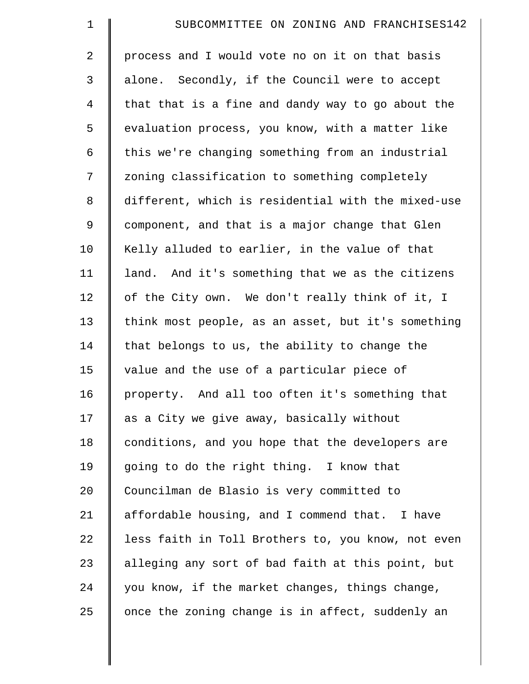| $\mathbf 1$    | SUBCOMMITTEE ON ZONING AND FRANCHISES142           |
|----------------|----------------------------------------------------|
| $\overline{a}$ | process and I would vote no on it on that basis    |
| 3              | alone. Secondly, if the Council were to accept     |
| $\overline{4}$ | that that is a fine and dandy way to go about the  |
| 5              | evaluation process, you know, with a matter like   |
| 6              | this we're changing something from an industrial   |
| 7              | zoning classification to something completely      |
| 8              | different, which is residential with the mixed-use |
| 9              | component, and that is a major change that Glen    |
| 10             | Kelly alluded to earlier, in the value of that     |
| 11             | land. And it's something that we as the citizens   |
| 12             | of the City own. We don't really think of it, I    |
| 13             | think most people, as an asset, but it's something |
| 14             | that belongs to us, the ability to change the      |
| 15             | value and the use of a particular piece of         |
| 16             | property. And all too often it's something that    |
| 17             | as a City we give away, basically without          |
| 18             | conditions, and you hope that the developers are   |
| 19             | going to do the right thing. I know that           |
| 20             | Councilman de Blasio is very committed to          |
| 21             | affordable housing, and I commend that. I have     |
| 22             | less faith in Toll Brothers to, you know, not even |
| 23             | alleging any sort of bad faith at this point, but  |
| 24             | you know, if the market changes, things change,    |
| 25             | once the zoning change is in affect, suddenly an   |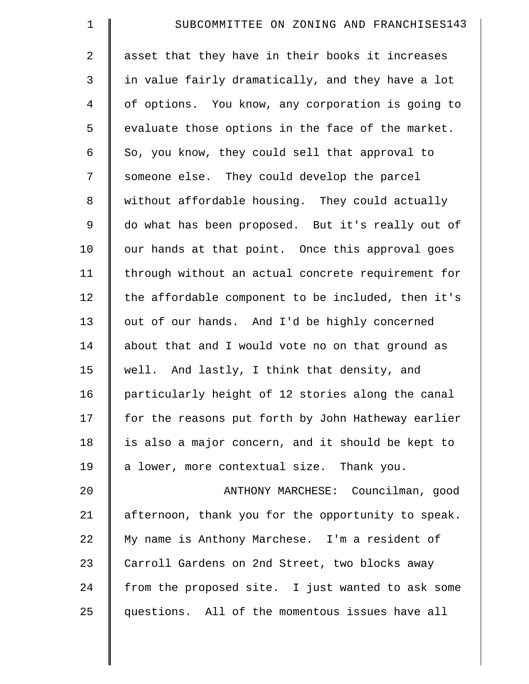| $\mathbf 1$    | SUBCOMMITTEE ON ZONING AND FRANCHISES143           |
|----------------|----------------------------------------------------|
| 2              | asset that they have in their books it increases   |
| $\mathfrak{Z}$ | in value fairly dramatically, and they have a lot  |
| $\overline{4}$ | of options. You know, any corporation is going to  |
| 5              | evaluate those options in the face of the market.  |
| 6              | So, you know, they could sell that approval to     |
| 7              | someone else. They could develop the parcel        |
| $\,8\,$        | without affordable housing. They could actually    |
| $\mathsf 9$    | do what has been proposed. But it's really out of  |
| 10             | our hands at that point. Once this approval goes   |
| 11             | through without an actual concrete requirement for |
| 12             | the affordable component to be included, then it's |
| 13             | out of our hands. And I'd be highly concerned      |
| 14             | about that and I would vote no on that ground as   |
| 15             | well. And lastly, I think that density, and        |
| 16             | particularly height of 12 stories along the canal  |
| 17             | for the reasons put forth by John Hatheway earlier |
| 18             | is also a major concern, and it should be kept to  |
| 19             | a lower, more contextual size. Thank you.          |
| 20             | ANTHONY MARCHESE: Councilman, good                 |
| 21             | afternoon, thank you for the opportunity to speak. |
| 22             | My name is Anthony Marchese. I'm a resident of     |
| 23             | Carroll Gardens on 2nd Street, two blocks away     |
| 24             | from the proposed site. I just wanted to ask some  |
| 25             | questions. All of the momentous issues have all    |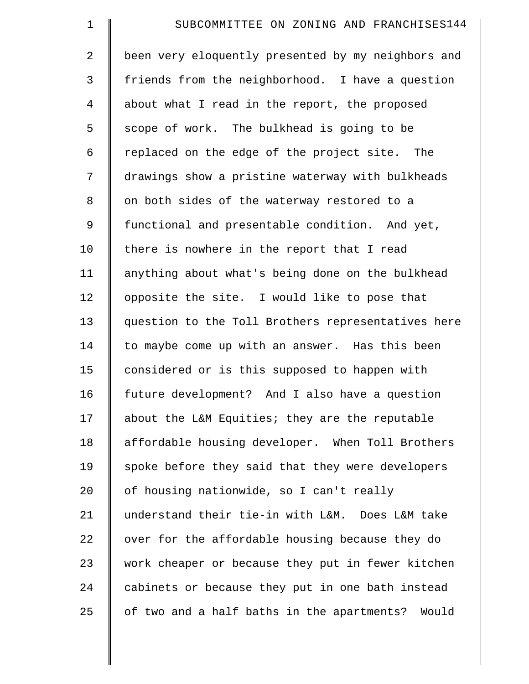| $\mathbf 1$    | SUBCOMMITTEE ON ZONING AND FRANCHISES144           |
|----------------|----------------------------------------------------|
| $\overline{2}$ | been very eloquently presented by my neighbors and |
| 3              | friends from the neighborhood. I have a question   |
| $\overline{4}$ | about what I read in the report, the proposed      |
| 5              | scope of work. The bulkhead is going to be         |
| 6              | replaced on the edge of the project site. The      |
| 7              | drawings show a pristine waterway with bulkheads   |
| $\,8\,$        | on both sides of the waterway restored to a        |
| 9              | functional and presentable condition. And yet,     |
| 10             | there is nowhere in the report that I read         |
| 11             | anything about what's being done on the bulkhead   |
| 12             | opposite the site. I would like to pose that       |
| 13             | question to the Toll Brothers representatives here |
| 14             | to maybe come up with an answer. Has this been     |
| 15             | considered or is this supposed to happen with      |
| 16             | future development? And I also have a question     |
| 17             | about the L&M Equities; they are the reputable     |
| 18             | affordable housing developer. When Toll Brothers   |
| 19             | spoke before they said that they were developers   |
| 20             | of housing nationwide, so I can't really           |
| 21             | understand their tie-in with L&M. Does L&M take    |
| 22             | over for the affordable housing because they do    |
| 23             | work cheaper or because they put in fewer kitchen  |
| 24             | cabinets or because they put in one bath instead   |
| 25             | of two and a half baths in the apartments? Would   |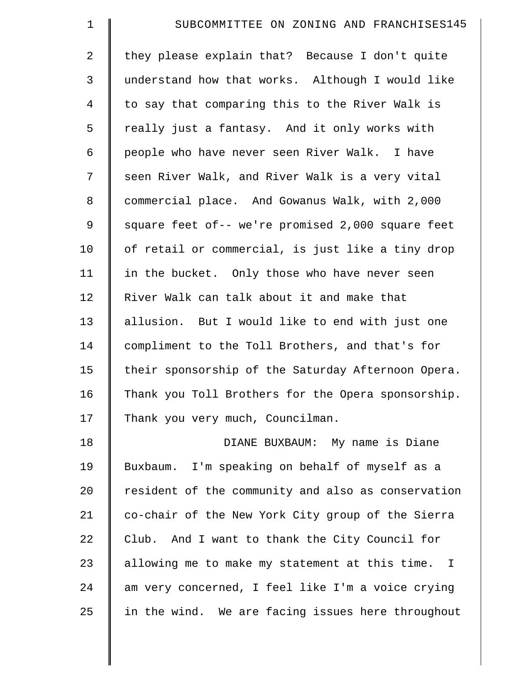| $\mathbf 1$    | SUBCOMMITTEE ON ZONING AND FRANCHISES145           |
|----------------|----------------------------------------------------|
| 2              | they please explain that? Because I don't quite    |
| 3              | understand how that works. Although I would like   |
| $\overline{4}$ | to say that comparing this to the River Walk is    |
| 5              | really just a fantasy. And it only works with      |
| 6              | people who have never seen River Walk. I have      |
| 7              | seen River Walk, and River Walk is a very vital    |
| $\,8\,$        | commercial place. And Gowanus Walk, with 2,000     |
| $\mathsf 9$    | square feet of-- we're promised 2,000 square feet  |
| 10             | of retail or commercial, is just like a tiny drop  |
| 11             | in the bucket. Only those who have never seen      |
| 12             | River Walk can talk about it and make that         |
| 13             | allusion. But I would like to end with just one    |
| 14             | compliment to the Toll Brothers, and that's for    |
| 15             | their sponsorship of the Saturday Afternoon Opera. |
| 16             | Thank you Toll Brothers for the Opera sponsorship. |
| 17             | Thank you very much, Councilman.                   |
| 18             | DIANE BUXBAUM: My name is Diane                    |
| 19             | Buxbaum. I'm speaking on behalf of myself as a     |
| 20             | resident of the community and also as conservation |
| 21             | co-chair of the New York City group of the Sierra  |
| 22             | Club. And I want to thank the City Council for     |
| 23             | allowing me to make my statement at this time. I   |
| 24             | am very concerned, I feel like I'm a voice crying  |
| 25             | in the wind. We are facing issues here throughout  |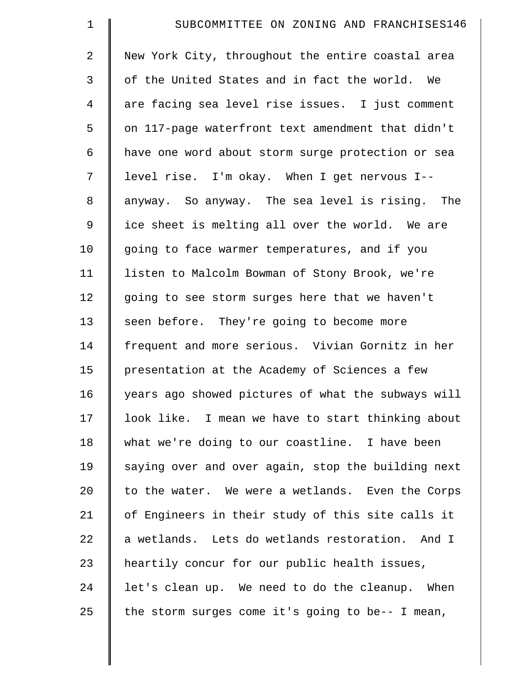| $\mathbf 1$    | SUBCOMMITTEE ON ZONING AND FRANCHISES146           |
|----------------|----------------------------------------------------|
| $\overline{2}$ | New York City, throughout the entire coastal area  |
| 3              | of the United States and in fact the world. We     |
| $\overline{4}$ | are facing sea level rise issues. I just comment   |
| 5              | on 117-page waterfront text amendment that didn't  |
| 6              | have one word about storm surge protection or sea  |
| 7              | level rise. I'm okay. When I get nervous I--       |
| 8              | anyway. So anyway. The sea level is rising. The    |
| 9              | ice sheet is melting all over the world. We are    |
| 10             | going to face warmer temperatures, and if you      |
| 11             | listen to Malcolm Bowman of Stony Brook, we're     |
| 12             | going to see storm surges here that we haven't     |
| 13             | seen before. They're going to become more          |
| 14             | frequent and more serious. Vivian Gornitz in her   |
| 15             | presentation at the Academy of Sciences a few      |
| 16             | years ago showed pictures of what the subways will |
| 17             | look like. I mean we have to start thinking about  |
| 18             | what we're doing to our coastline. I have been     |
| 19             | saying over and over again, stop the building next |
| 20             | to the water. We were a wetlands. Even the Corps   |
| 21             | of Engineers in their study of this site calls it  |
| 22             | a wetlands. Lets do wetlands restoration. And I    |
| 23             | heartily concur for our public health issues,      |
| 24             | let's clean up. We need to do the cleanup. When    |
| 25             | the storm surges come it's going to be-- I mean,   |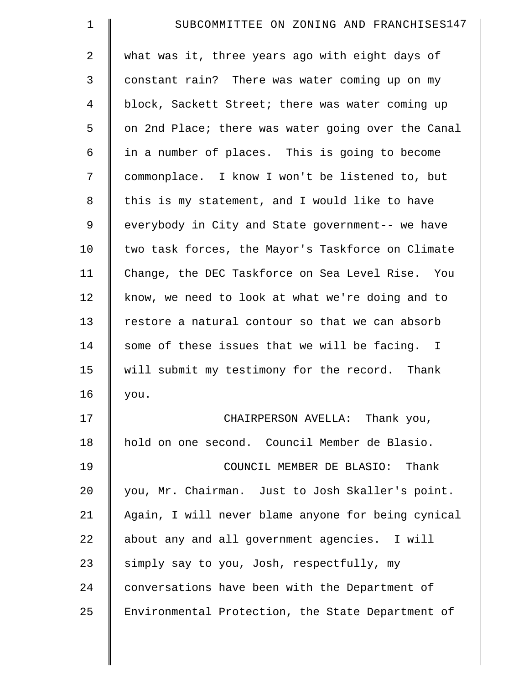| $\mathbf 1$ | SUBCOMMITTEE ON ZONING AND FRANCHISES147           |
|-------------|----------------------------------------------------|
| 2           | what was it, three years ago with eight days of    |
| 3           | constant rain? There was water coming up on my     |
| 4           | block, Sackett Street; there was water coming up   |
| 5           | on 2nd Place; there was water going over the Canal |
| 6           | in a number of places. This is going to become     |
| 7           | commonplace. I know I won't be listened to, but    |
| 8           | this is my statement, and I would like to have     |
| 9           | everybody in City and State government-- we have   |
| 10          | two task forces, the Mayor's Taskforce on Climate  |
| 11          | Change, the DEC Taskforce on Sea Level Rise. You   |
| 12          | know, we need to look at what we're doing and to   |
| 13          | restore a natural contour so that we can absorb    |
| 14          | some of these issues that we will be facing. I     |
| 15          | will submit my testimony for the record. Thank     |
| 16          | you.                                               |
| 17          | CHAIRPERSON AVELLA: Thank you,                     |
| 18          | hold on one second. Council Member de Blasio.      |
| 19          | COUNCIL MEMBER DE BLASIO: Thank                    |
| 20          | you, Mr. Chairman. Just to Josh Skaller's point.   |
| 21          | Again, I will never blame anyone for being cynical |
| 22          | about any and all government agencies. I will      |
| 23          | simply say to you, Josh, respectfully, my          |
| 24          | conversations have been with the Department of     |
| 25          | Environmental Protection, the State Department of  |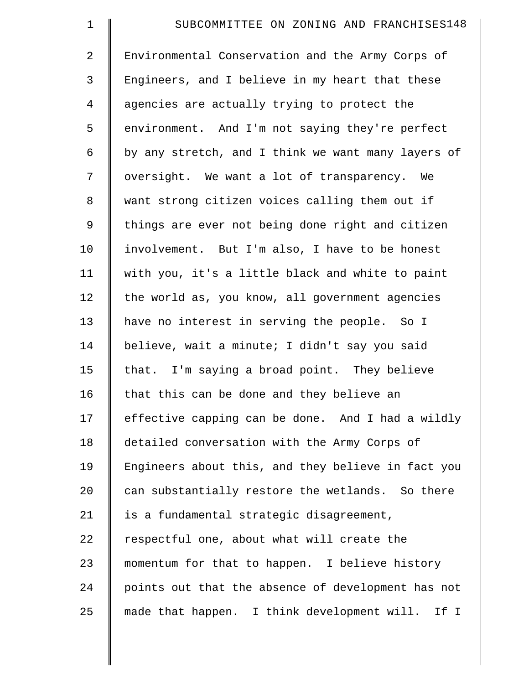| $\mathbf 1$    | SUBCOMMITTEE ON ZONING AND FRANCHISES148            |
|----------------|-----------------------------------------------------|
| $\overline{2}$ | Environmental Conservation and the Army Corps of    |
| 3              | Engineers, and I believe in my heart that these     |
| $\overline{4}$ | agencies are actually trying to protect the         |
| 5              | environment. And I'm not saying they're perfect     |
| 6              | by any stretch, and I think we want many layers of  |
| 7              | oversight. We want a lot of transparency. We        |
| 8              | want strong citizen voices calling them out if      |
| 9              | things are ever not being done right and citizen    |
| 10             | involvement. But I'm also, I have to be honest      |
| 11             | with you, it's a little black and white to paint    |
| 12             | the world as, you know, all government agencies     |
| 13             | have no interest in serving the people. So I        |
| 14             | believe, wait a minute; I didn't say you said       |
| 15             | that. I'm saying a broad point. They believe        |
| 16             | that this can be done and they believe an           |
| 17             | effective capping can be done. And I had a wildly   |
| 18             | detailed conversation with the Army Corps of        |
| 19             | Engineers about this, and they believe in fact you  |
| 20             | can substantially restore the wetlands. So there    |
| 21             | is a fundamental strategic disagreement,            |
| 22             | respectful one, about what will create the          |
| 23             | momentum for that to happen. I believe history      |
| 24             | points out that the absence of development has not  |
| 25             | made that happen. I think development will.<br>If I |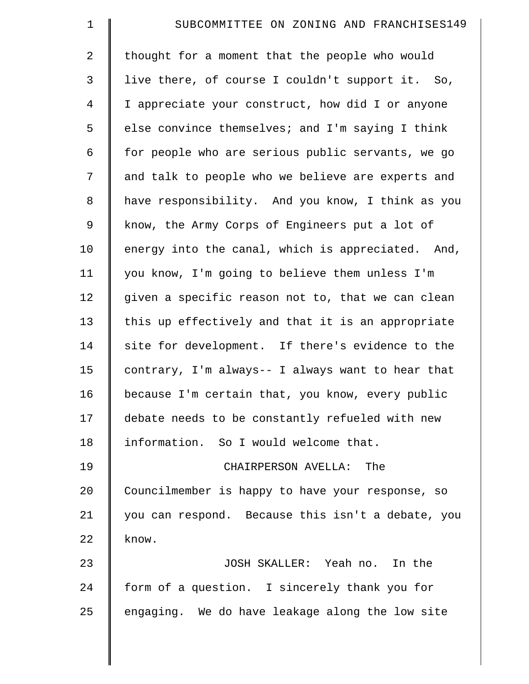| $\mathbf 1$    | SUBCOMMITTEE ON ZONING AND FRANCHISES149          |
|----------------|---------------------------------------------------|
| $\overline{2}$ | thought for a moment that the people who would    |
| 3              | live there, of course I couldn't support it. So,  |
| $\overline{4}$ | I appreciate your construct, how did I or anyone  |
| 5              | else convince themselves; and I'm saying I think  |
| 6              | for people who are serious public servants, we go |
| 7              | and talk to people who we believe are experts and |
| $\,8\,$        | have responsibility. And you know, I think as you |
| 9              | know, the Army Corps of Engineers put a lot of    |
| 10             | energy into the canal, which is appreciated. And, |
| 11             | you know, I'm going to believe them unless I'm    |
| 12             | given a specific reason not to, that we can clean |
| 13             | this up effectively and that it is an appropriate |
| 14             | site for development. If there's evidence to the  |
| 15             | contrary, I'm always-- I always want to hear that |
| 16             | because I'm certain that, you know, every public  |
| 17             | debate needs to be constantly refueled with new   |
| 18             | information. So I would welcome that.             |
| 19             | CHAIRPERSON AVELLA:<br>The                        |
| 20             | Councilmember is happy to have your response, so  |
| 21             | you can respond. Because this isn't a debate, you |
| 22             | know.                                             |
| 23             | JOSH SKALLER: Yeah no. In the                     |
| 24             | form of a question. I sincerely thank you for     |
| 25             | engaging. We do have leakage along the low site   |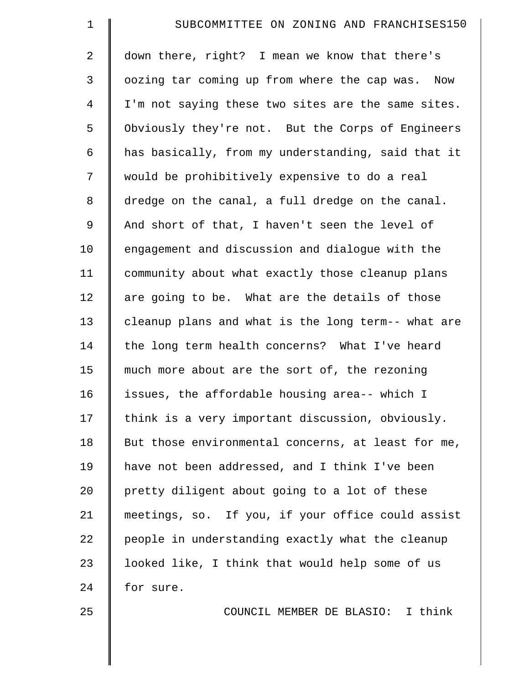| $\mathbf 1$    | SUBCOMMITTEE ON ZONING AND FRANCHISES150           |
|----------------|----------------------------------------------------|
| 2              | down there, right? I mean we know that there's     |
| 3              | oozing tar coming up from where the cap was. Now   |
| $\overline{4}$ | I'm not saying these two sites are the same sites. |
| 5              | Obviously they're not. But the Corps of Engineers  |
| 6              | has basically, from my understanding, said that it |
| 7              | would be prohibitively expensive to do a real      |
| 8              | dredge on the canal, a full dredge on the canal.   |
| $\mathsf 9$    | And short of that, I haven't seen the level of     |
| 10             | engagement and discussion and dialogue with the    |
| 11             | community about what exactly those cleanup plans   |
| 12             | are going to be. What are the details of those     |
| 13             | cleanup plans and what is the long term-- what are |
| 14             | the long term health concerns? What I've heard     |
| 15             | much more about are the sort of, the rezoning      |
| 16             | issues, the affordable housing area-- which I      |
| 17             | think is a very important discussion, obviously.   |
| 18             | But those environmental concerns, at least for me, |
| 19             | have not been addressed, and I think I've been     |
| 20             | pretty diligent about going to a lot of these      |
| 21             | meetings, so. If you, if your office could assist  |
| 22             | people in understanding exactly what the cleanup   |
| 23             | looked like, I think that would help some of us    |
| 24             | for sure.                                          |
| 25             | COUNCIL MEMBER DE BLASIO: I think                  |
|                |                                                    |
|                |                                                    |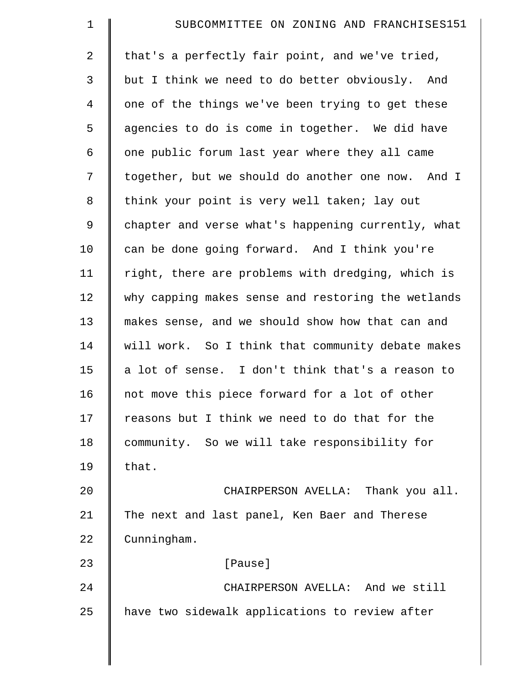| $\mathbf 1$    | SUBCOMMITTEE ON ZONING AND FRANCHISES151           |
|----------------|----------------------------------------------------|
| 2              | that's a perfectly fair point, and we've tried,    |
| 3              | but I think we need to do better obviously. And    |
| $\overline{4}$ | one of the things we've been trying to get these   |
| 5              | agencies to do is come in together. We did have    |
| 6              | one public forum last year where they all came     |
| 7              | together, but we should do another one now. And I  |
| 8              | think your point is very well taken; lay out       |
| $\mathsf 9$    | chapter and verse what's happening currently, what |
| 10             | can be done going forward. And I think you're      |
| 11             | right, there are problems with dredging, which is  |
| 12             | why capping makes sense and restoring the wetlands |
| 13             | makes sense, and we should show how that can and   |
| 14             | will work. So I think that community debate makes  |
| 15             | a lot of sense. I don't think that's a reason to   |
| 16             | not move this piece forward for a lot of other     |
| 17             | reasons but I think we need to do that for the     |
| 18             | community. So we will take responsibility for      |
| 19             | that.                                              |
| 20             | CHAIRPERSON AVELLA: Thank you all.                 |
| 21             | The next and last panel, Ken Baer and Therese      |
| 22             | Cunningham.                                        |
| 23             | [Pause]                                            |
| 24             | CHAIRPERSON AVELLA: And we still                   |
| 25             | have two sidewalk applications to review after     |
|                |                                                    |
|                |                                                    |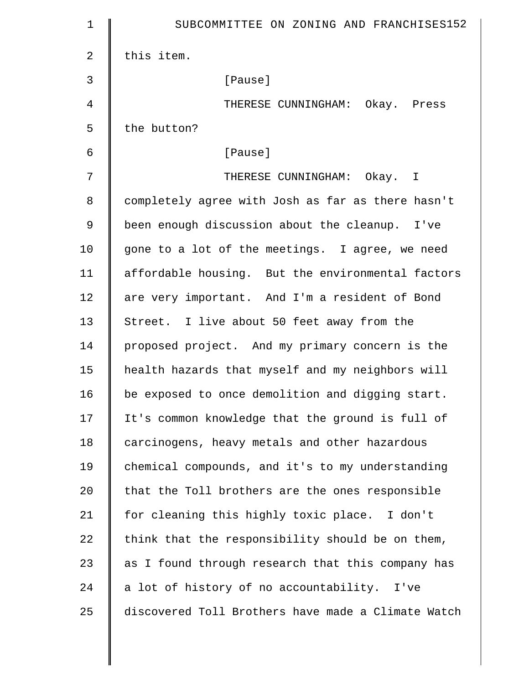| $\mathbf 1$    | SUBCOMMITTEE ON ZONING AND FRANCHISES152           |
|----------------|----------------------------------------------------|
| $\overline{a}$ | this item.                                         |
| 3              | [Pause]                                            |
| 4              | THERESE CUNNINGHAM: Okay. Press                    |
| 5              | the button?                                        |
| 6              | [Pause]                                            |
| 7              | THERESE CUNNINGHAM: Okay. I                        |
| 8              | completely agree with Josh as far as there hasn't  |
| 9              | been enough discussion about the cleanup. I've     |
| 10             | gone to a lot of the meetings. I agree, we need    |
| 11             | affordable housing. But the environmental factors  |
| 12             | are very important. And I'm a resident of Bond     |
| 13             | Street. I live about 50 feet away from the         |
| 14             | proposed project. And my primary concern is the    |
| 15             | health hazards that myself and my neighbors will   |
| 16             | be exposed to once demolition and digging start.   |
| 17             | It's common knowledge that the ground is full of   |
| 18             | carcinogens, heavy metals and other hazardous      |
| 19             | chemical compounds, and it's to my understanding   |
| 20             | that the Toll brothers are the ones responsible    |
| 21             | for cleaning this highly toxic place. I don't      |
| 22             | think that the responsibility should be on them,   |
| 23             | as I found through research that this company has  |
| 24             | a lot of history of no accountability. I've        |
| 25             | discovered Toll Brothers have made a Climate Watch |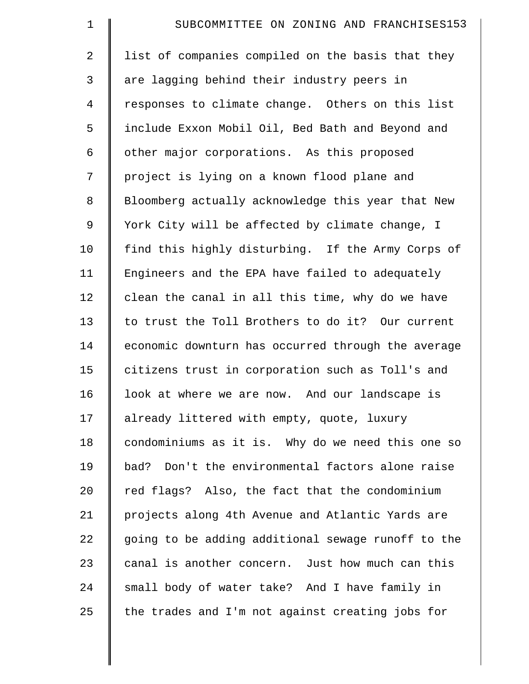| $\mathbf 1$    | SUBCOMMITTEE ON ZONING AND FRANCHISES153           |
|----------------|----------------------------------------------------|
| $\overline{2}$ | list of companies compiled on the basis that they  |
| 3              | are lagging behind their industry peers in         |
| 4              | responses to climate change. Others on this list   |
| 5              | include Exxon Mobil Oil, Bed Bath and Beyond and   |
| 6              | other major corporations. As this proposed         |
| 7              | project is lying on a known flood plane and        |
| 8              | Bloomberg actually acknowledge this year that New  |
| $\overline{9}$ | York City will be affected by climate change, I    |
| 10             | find this highly disturbing. If the Army Corps of  |
| 11             | Engineers and the EPA have failed to adequately    |
| 12             | clean the canal in all this time, why do we have   |
| 13             | to trust the Toll Brothers to do it? Our current   |
| 14             | economic downturn has occurred through the average |
| 15             | citizens trust in corporation such as Toll's and   |
| 16             | look at where we are now. And our landscape is     |
| 17             | already littered with empty, quote, luxury         |
| 18             | condominiums as it is. Why do we need this one so  |
| 19             | bad? Don't the environmental factors alone raise   |
| 20             | red flags? Also, the fact that the condominium     |
| 21             | projects along 4th Avenue and Atlantic Yards are   |
| 22             | going to be adding additional sewage runoff to the |
| 23             | canal is another concern. Just how much can this   |
| 24             | small body of water take? And I have family in     |
| 25             | the trades and I'm not against creating jobs for   |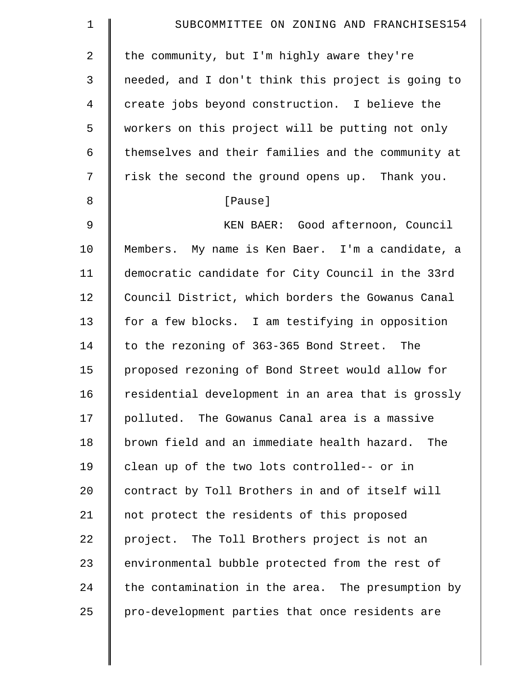| $\mathbf 1$    | SUBCOMMITTEE ON ZONING AND FRANCHISES154           |
|----------------|----------------------------------------------------|
| $\overline{2}$ | the community, but I'm highly aware they're        |
| 3              | needed, and I don't think this project is going to |
| 4              | create jobs beyond construction. I believe the     |
| 5              | workers on this project will be putting not only   |
| 6              | themselves and their families and the community at |
| 7              | risk the second the ground opens up. Thank you.    |
| 8              | [Pause]                                            |
| $\mathsf 9$    | KEN BAER: Good afternoon, Council                  |
| 10             | Members. My name is Ken Baer. I'm a candidate, a   |
| 11             | democratic candidate for City Council in the 33rd  |
| 12             | Council District, which borders the Gowanus Canal  |
| 13             | for a few blocks. I am testifying in opposition    |
| 14             | to the rezoning of 363-365 Bond Street. The        |
| 15             | proposed rezoning of Bond Street would allow for   |
| 16             | residential development in an area that is grossly |
| 17             | polluted. The Gowanus Canal area is a massive      |
| 18             | brown field and an immediate health hazard. The    |
| 19             | clean up of the two lots controlled-- or in        |
| 20             | contract by Toll Brothers in and of itself will    |
| 21             | not protect the residents of this proposed         |
| 22             | project. The Toll Brothers project is not an       |
| 23             | environmental bubble protected from the rest of    |
| 24             | the contamination in the area. The presumption by  |
| 25             | pro-development parties that once residents are    |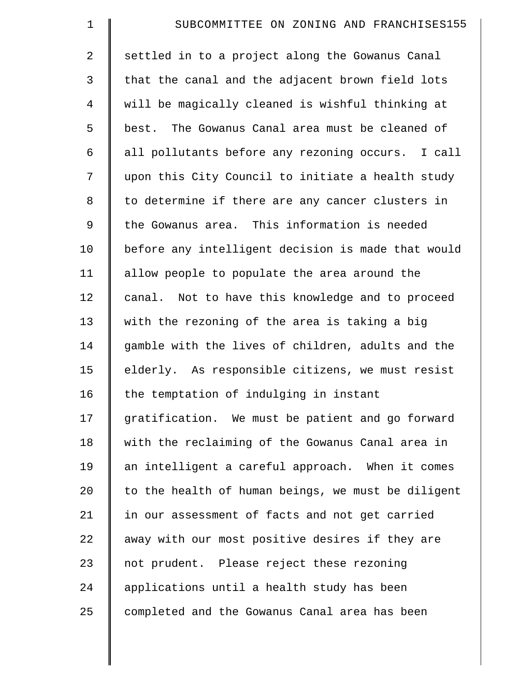| $\mathbf 1$    | SUBCOMMITTEE ON ZONING AND FRANCHISES155           |
|----------------|----------------------------------------------------|
| $\overline{2}$ | settled in to a project along the Gowanus Canal    |
| 3              | that the canal and the adjacent brown field lots   |
| 4              | will be magically cleaned is wishful thinking at   |
| 5              | best. The Gowanus Canal area must be cleaned of    |
| 6              | all pollutants before any rezoning occurs. I call  |
| 7              | upon this City Council to initiate a health study  |
| 8              | to determine if there are any cancer clusters in   |
| 9              | the Gowanus area. This information is needed       |
| 10             | before any intelligent decision is made that would |
| 11             | allow people to populate the area around the       |
| 12             | canal. Not to have this knowledge and to proceed   |
| 13             | with the rezoning of the area is taking a big      |
| 14             | gamble with the lives of children, adults and the  |
| 15             | elderly. As responsible citizens, we must resist   |
| 16             | the temptation of indulging in instant             |
| 17             | gratification. We must be patient and go forward   |
| 18             | with the reclaiming of the Gowanus Canal area in   |
| 19             | an intelligent a careful approach. When it comes   |
| 20             | to the health of human beings, we must be diligent |
| 21             | in our assessment of facts and not get carried     |
| 22             | away with our most positive desires if they are    |
| 23             | not prudent. Please reject these rezoning          |
| 24             | applications until a health study has been         |
| 25             | completed and the Gowanus Canal area has been      |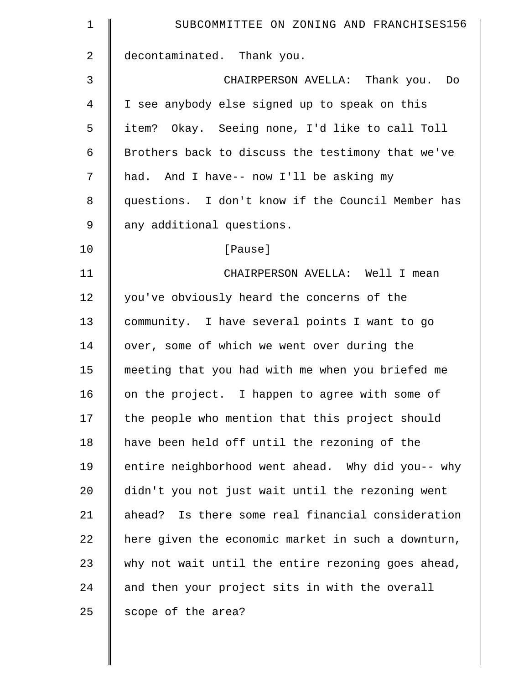| 1  | SUBCOMMITTEE ON ZONING AND FRANCHISES156           |
|----|----------------------------------------------------|
| 2  | decontaminated. Thank you.                         |
| 3  | CHAIRPERSON AVELLA: Thank you. Do                  |
| 4  | I see anybody else signed up to speak on this      |
| 5  | item? Okay. Seeing none, I'd like to call Toll     |
| 6  | Brothers back to discuss the testimony that we've  |
| 7  | had. And I have-- now I'll be asking my            |
| 8  | questions. I don't know if the Council Member has  |
| 9  | any additional questions.                          |
| 10 | [Pause]                                            |
| 11 | CHAIRPERSON AVELLA: Well I mean                    |
| 12 | you've obviously heard the concerns of the         |
| 13 | community. I have several points I want to go      |
| 14 | over, some of which we went over during the        |
| 15 | meeting that you had with me when you briefed me   |
| 16 | on the project. I happen to agree with some of     |
| 17 | the people who mention that this project should    |
| 18 | have been held off until the rezoning of the       |
| 19 | entire neighborhood went ahead. Why did you-- why  |
| 20 | didn't you not just wait until the rezoning went   |
| 21 | ahead? Is there some real financial consideration  |
| 22 | here given the economic market in such a downturn, |
| 23 | why not wait until the entire rezoning goes ahead, |
| 24 | and then your project sits in with the overall     |
| 25 | scope of the area?                                 |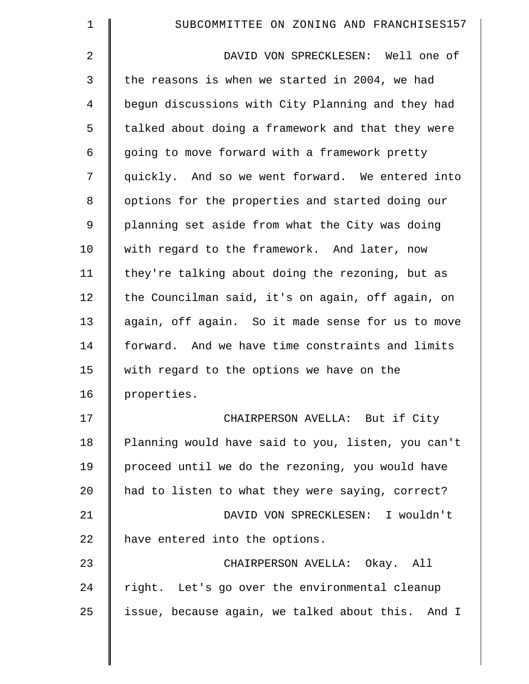| $\mathbf 1$    | SUBCOMMITTEE ON ZONING AND FRANCHISES157           |
|----------------|----------------------------------------------------|
| $\overline{2}$ | DAVID VON SPRECKLESEN: Well one of                 |
| 3              | the reasons is when we started in 2004, we had     |
| 4              | begun discussions with City Planning and they had  |
| 5              | talked about doing a framework and that they were  |
| 6              | going to move forward with a framework pretty      |
| 7              | quickly. And so we went forward. We entered into   |
| 8              | options for the properties and started doing our   |
| 9              | planning set aside from what the City was doing    |
| 10             | with regard to the framework. And later, now       |
| 11             | they're talking about doing the rezoning, but as   |
| 12             | the Councilman said, it's on again, off again, on  |
| 13             | again, off again. So it made sense for us to move  |
| 14             | forward. And we have time constraints and limits   |
| 15             | with regard to the options we have on the          |
| 16             | properties.                                        |
| 17             | CHAIRPERSON AVELLA: But if City                    |
| 18             | Planning would have said to you, listen, you can't |
| 19             | proceed until we do the rezoning, you would have   |
| 20             | had to listen to what they were saying, correct?   |
| 21             | DAVID VON SPRECKLESEN: I wouldn't                  |
| 22             | have entered into the options.                     |
| 23             | CHAIRPERSON AVELLA: Okay. All                      |
| 24             | right. Let's go over the environmental cleanup     |
| 25             | issue, because again, we talked about this. And I  |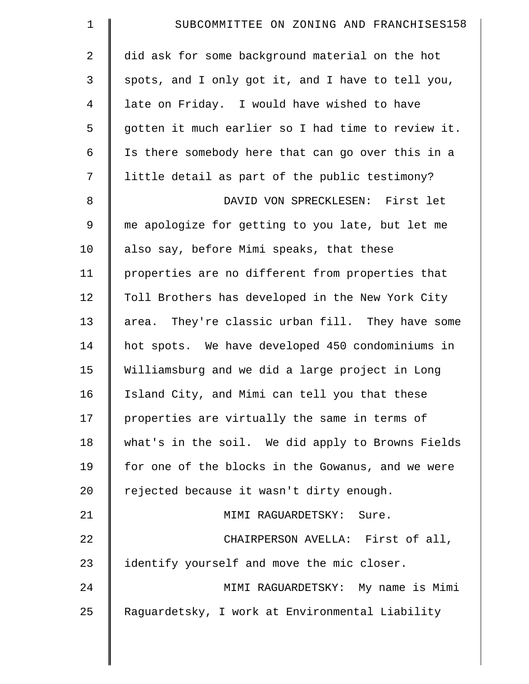| $\mathbf 1$    | SUBCOMMITTEE ON ZONING AND FRANCHISES158           |
|----------------|----------------------------------------------------|
| $\overline{a}$ | did ask for some background material on the hot    |
| 3              | spots, and I only got it, and I have to tell you,  |
| $\overline{4}$ | late on Friday. I would have wished to have        |
| 5              | gotten it much earlier so I had time to review it. |
| 6              | Is there somebody here that can go over this in a  |
| 7              | little detail as part of the public testimony?     |
| 8              | DAVID VON SPRECKLESEN: First let                   |
| $\mathsf 9$    | me apologize for getting to you late, but let me   |
| 10             | also say, before Mimi speaks, that these           |
| 11             | properties are no different from properties that   |
| 12             | Toll Brothers has developed in the New York City   |
| 13             | area. They're classic urban fill. They have some   |
| 14             | hot spots. We have developed 450 condominiums in   |
| 15             | Williamsburg and we did a large project in Long    |
| 16             | Island City, and Mimi can tell you that these      |
| 17             | properties are virtually the same in terms of      |
| 18             | what's in the soil. We did apply to Browns Fields  |
| 19             | for one of the blocks in the Gowanus, and we were  |
| 20             | rejected because it wasn't dirty enough.           |
| 21             | MIMI RAGUARDETSKY: Sure.                           |
| 22             | CHAIRPERSON AVELLA: First of all,                  |
| 23             | identify yourself and move the mic closer.         |
| 24             | MIMI RAGUARDETSKY: My name is Mimi                 |
| 25             | Raguardetsky, I work at Environmental Liability    |
|                |                                                    |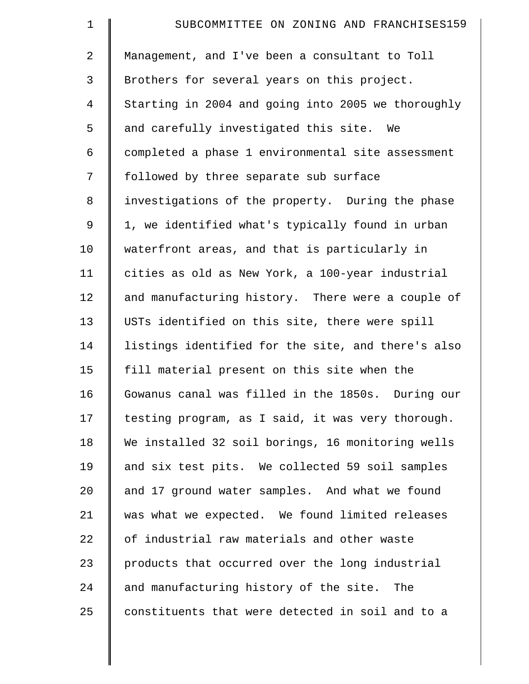| $\mathbf 1$    | SUBCOMMITTEE ON ZONING AND FRANCHISES159           |
|----------------|----------------------------------------------------|
| $\overline{a}$ | Management, and I've been a consultant to Toll     |
| 3              | Brothers for several years on this project.        |
| 4              | Starting in 2004 and going into 2005 we thoroughly |
| 5              | and carefully investigated this site. We           |
| 6              | completed a phase 1 environmental site assessment  |
| 7              | followed by three separate sub surface             |
| 8              | investigations of the property. During the phase   |
| $\mathsf 9$    | 1, we identified what's typically found in urban   |
| 10             | waterfront areas, and that is particularly in      |
| 11             | cities as old as New York, a 100-year industrial   |
| 12             | and manufacturing history. There were a couple of  |
| 13             | USTs identified on this site, there were spill     |
| 14             | listings identified for the site, and there's also |
| 15             | fill material present on this site when the        |
| 16             | Gowanus canal was filled in the 1850s. During our  |
| 17             | testing program, as I said, it was very thorough.  |
| 18             | We installed 32 soil borings, 16 monitoring wells  |
| 19             | and six test pits. We collected 59 soil samples    |
| 20             | and 17 ground water samples. And what we found     |
| 21             | was what we expected. We found limited releases    |
| 22             | of industrial raw materials and other waste        |
| 23             | products that occurred over the long industrial    |
| 24             | and manufacturing history of the site. The         |
| 25             | constituents that were detected in soil and to a   |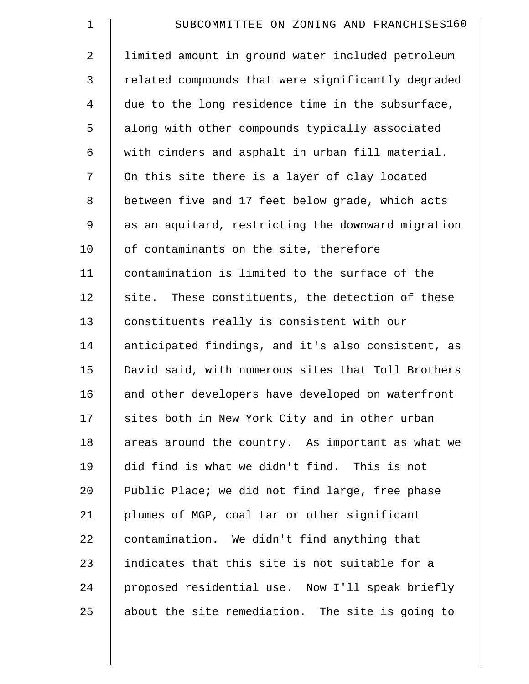| $\mathbf 1$    | SUBCOMMITTEE ON ZONING AND FRANCHISES160           |
|----------------|----------------------------------------------------|
| $\overline{2}$ | limited amount in ground water included petroleum  |
| 3              | related compounds that were significantly degraded |
| $\overline{4}$ | due to the long residence time in the subsurface,  |
| 5              | along with other compounds typically associated    |
| 6              | with cinders and asphalt in urban fill material.   |
| 7              | On this site there is a layer of clay located      |
| 8              | between five and 17 feet below grade, which acts   |
| 9              | as an aquitard, restricting the downward migration |
| 10             | of contaminants on the site, therefore             |
| 11             | contamination is limited to the surface of the     |
| 12             | site. These constituents, the detection of these   |
| 13             | constituents really is consistent with our         |
| 14             | anticipated findings, and it's also consistent, as |
| 15             | David said, with numerous sites that Toll Brothers |
| 16             | and other developers have developed on waterfront  |
| 17             | sites both in New York City and in other urban     |
| 18             | areas around the country. As important as what we  |
| 19             | did find is what we didn't find. This is not       |
| 20             | Public Place; we did not find large, free phase    |
| 21             | plumes of MGP, coal tar or other significant       |
| 22             | contamination. We didn't find anything that        |
| 23             | indicates that this site is not suitable for a     |
| 24             | proposed residential use. Now I'll speak briefly   |
| 25             | about the site remediation. The site is going to   |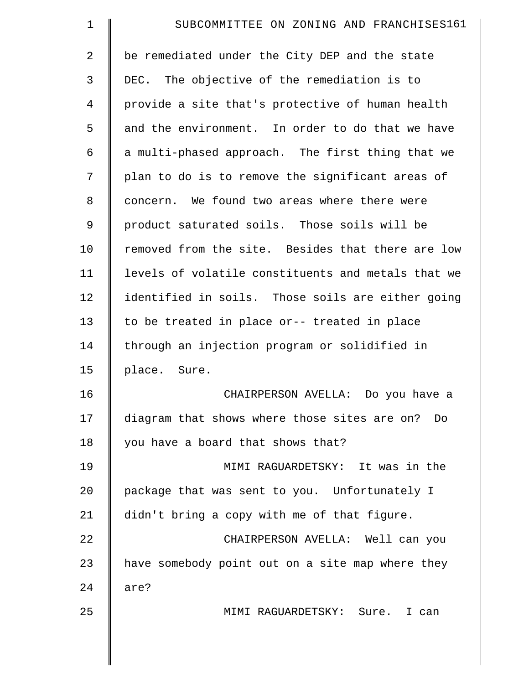| $\mathbf 1$ | SUBCOMMITTEE ON ZONING AND FRANCHISES161           |
|-------------|----------------------------------------------------|
| 2           | be remediated under the City DEP and the state     |
| 3           | DEC. The objective of the remediation is to        |
| 4           | provide a site that's protective of human health   |
| 5           | and the environment. In order to do that we have   |
| 6           | a multi-phased approach. The first thing that we   |
| 7           | plan to do is to remove the significant areas of   |
| 8           | concern. We found two areas where there were       |
| 9           | product saturated soils. Those soils will be       |
| 10          | removed from the site. Besides that there are low  |
| 11          | levels of volatile constituents and metals that we |
| 12          | identified in soils. Those soils are either going  |
| 13          | to be treated in place or-- treated in place       |
| 14          | through an injection program or solidified in      |
| 15          | place. Sure.                                       |
| 16          | CHAIRPERSON AVELLA: Do you have a                  |
| 17          | diagram that shows where those sites are on? Do    |
| 18          | you have a board that shows that?                  |
| 19          | MIMI RAGUARDETSKY: It was in the                   |
| 20          | package that was sent to you. Unfortunately I      |
| 21          | didn't bring a copy with me of that figure.        |
| 22          | CHAIRPERSON AVELLA: Well can you                   |
| 23          | have somebody point out on a site map where they   |
| 24          | are?                                               |
| 25          | MIMI RAGUARDETSKY: Sure. I can                     |
|             |                                                    |
|             |                                                    |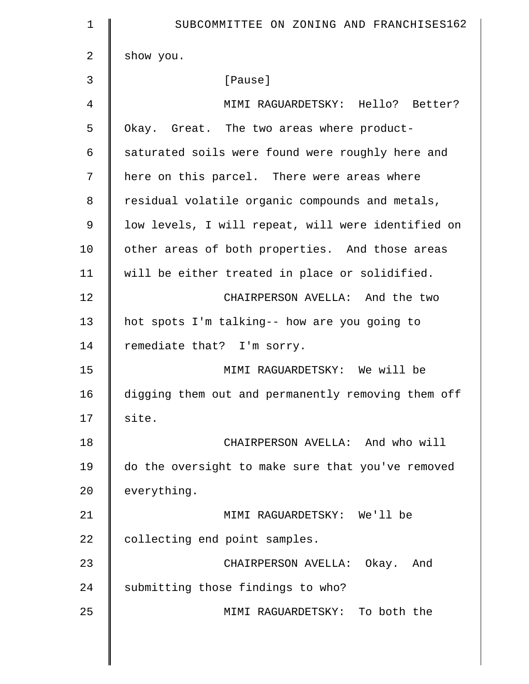| 1             | SUBCOMMITTEE ON ZONING AND FRANCHISES162           |
|---------------|----------------------------------------------------|
| 2             | show you.                                          |
| 3             | [Pause]                                            |
| 4             | MIMI RAGUARDETSKY: Hello? Better?                  |
| 5             | Okay. Great. The two areas where product-          |
| 6             | saturated soils were found were roughly here and   |
| 7             | here on this parcel. There were areas where        |
| 8             | residual volatile organic compounds and metals,    |
| $\mathcal{G}$ | low levels, I will repeat, will were identified on |
| 10            | other areas of both properties. And those areas    |
| 11            | will be either treated in place or solidified.     |
| 12            | CHAIRPERSON AVELLA: And the two                    |
| 13            | hot spots I'm talking-- how are you going to       |
| 14            | remediate that? I'm sorry.                         |
| 15            | MIMI RAGUARDETSKY: We will be                      |
| 16            | digging them out and permanently removing them off |
| 17            | site.                                              |
| 18            | CHAIRPERSON AVELLA: And who will                   |
| 19            | do the oversight to make sure that you've removed  |
| 20            | everything.                                        |
| 21            | MIMI RAGUARDETSKY: We'll be                        |
| 22            | collecting end point samples.                      |
| 23            | CHAIRPERSON AVELLA: Okay. And                      |
| 24            | submitting those findings to who?                  |
| 25            | MIMI RAGUARDETSKY: To both the                     |
|               |                                                    |

 $\parallel$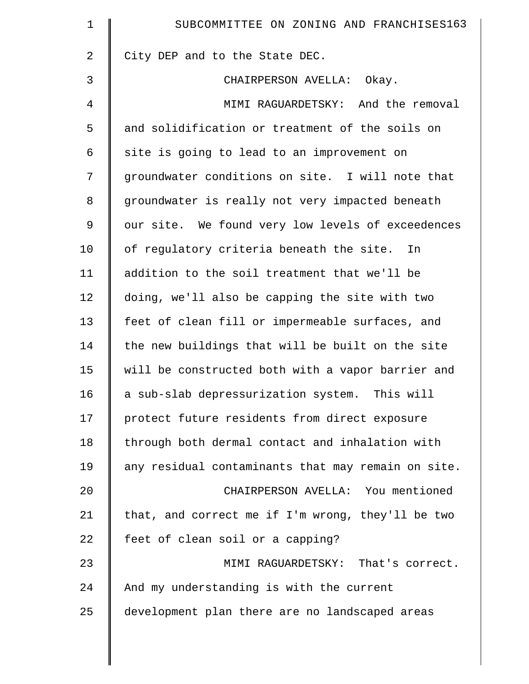| $\mathbf 1$    | SUBCOMMITTEE ON ZONING AND FRANCHISES163           |
|----------------|----------------------------------------------------|
| $\overline{2}$ | City DEP and to the State DEC.                     |
| 3              | CHAIRPERSON AVELLA: Okay.                          |
| 4              | MIMI RAGUARDETSKY: And the removal                 |
| 5              | and solidification or treatment of the soils on    |
| 6              | site is going to lead to an improvement on         |
| 7              | groundwater conditions on site. I will note that   |
| 8              | groundwater is really not very impacted beneath    |
| 9              | our site. We found very low levels of exceedences  |
| 10             | of regulatory criteria beneath the site.<br>In     |
| 11             | addition to the soil treatment that we'll be       |
| 12             | doing, we'll also be capping the site with two     |
| 13             | feet of clean fill or impermeable surfaces, and    |
| 14             | the new buildings that will be built on the site   |
| 15             | will be constructed both with a vapor barrier and  |
| 16             | a sub-slab depressurization system.<br>This will   |
| 17             | protect future residents from direct exposure      |
| 18             | through both dermal contact and inhalation with    |
| 19             | any residual contaminants that may remain on site. |
| 20             | CHAIRPERSON AVELLA: You mentioned                  |
| 21             | that, and correct me if I'm wrong, they'll be two  |
| 22             | feet of clean soil or a capping?                   |
| 23             | MIMI RAGUARDETSKY: That's correct.                 |
| 24             | And my understanding is with the current           |
| 25             | development plan there are no landscaped areas     |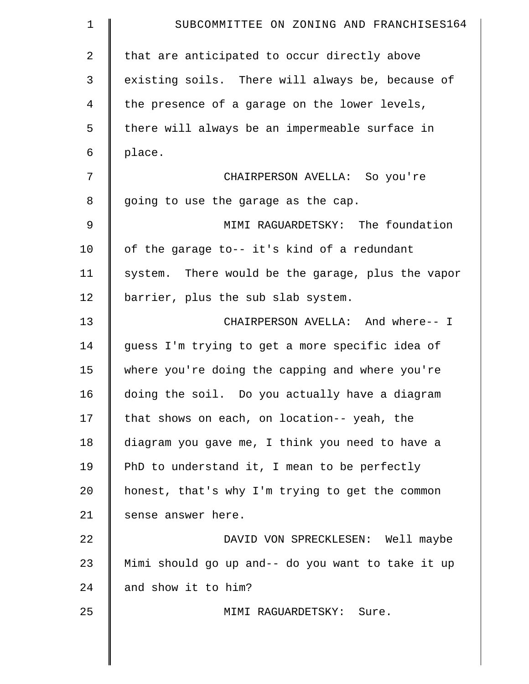| $\mathbf 1$ | SUBCOMMITTEE ON ZONING AND FRANCHISES164          |
|-------------|---------------------------------------------------|
| 2           | that are anticipated to occur directly above      |
| 3           | existing soils. There will always be, because of  |
| 4           | the presence of a garage on the lower levels,     |
| 5           | there will always be an impermeable surface in    |
| 6           | place.                                            |
| 7           | CHAIRPERSON AVELLA: So you're                     |
| 8           | going to use the garage as the cap.               |
| 9           | MIMI RAGUARDETSKY: The foundation                 |
| 10          | of the garage to-- it's kind of a redundant       |
| 11          | system. There would be the garage, plus the vapor |
| 12          | barrier, plus the sub slab system.                |
| 13          | CHAIRPERSON AVELLA: And where-- I                 |
| 14          | guess I'm trying to get a more specific idea of   |
| 15          | where you're doing the capping and where you're   |
| 16          | doing the soil. Do you actually have a diagram    |
| 17          | that shows on each, on location-- yeah, the       |
| 18          | diagram you gave me, I think you need to have a   |
| 19          | PhD to understand it, I mean to be perfectly      |
| 20          | honest, that's why I'm trying to get the common   |
| 21          | sense answer here.                                |
| 22          | DAVID VON SPRECKLESEN: Well maybe                 |
| 23          | Mimi should go up and-- do you want to take it up |
| 24          | and show it to him?                               |
| 25          | MIMI RAGUARDETSKY: Sure.                          |
|             |                                                   |
|             |                                                   |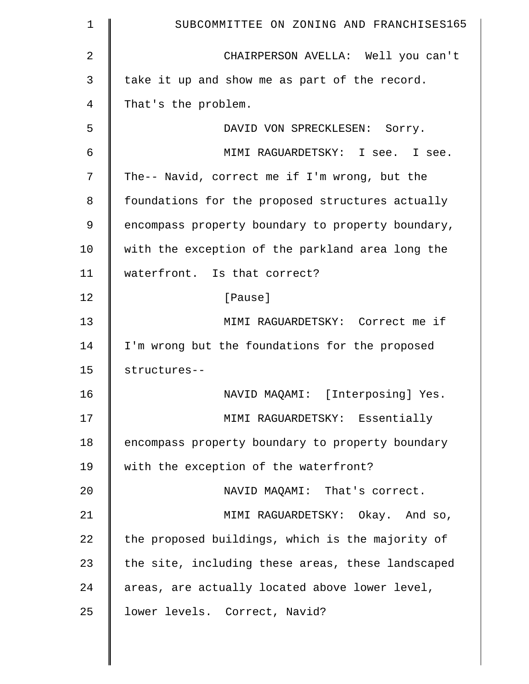| 1              | SUBCOMMITTEE ON ZONING AND FRANCHISES165          |
|----------------|---------------------------------------------------|
| $\overline{2}$ | CHAIRPERSON AVELLA: Well you can't                |
| 3              | take it up and show me as part of the record.     |
| 4              | That's the problem.                               |
| 5              | DAVID VON SPRECKLESEN: Sorry.                     |
| 6              | MIMI RAGUARDETSKY: I see. I see.                  |
| 7              | The-- Navid, correct me if I'm wrong, but the     |
| 8              | foundations for the proposed structures actually  |
| 9              | encompass property boundary to property boundary, |
| 10             | with the exception of the parkland area long the  |
| 11             | waterfront. Is that correct?                      |
| 12             | [Pause]                                           |
| 13             | MIMI RAGUARDETSKY: Correct me if                  |
| 14             | I'm wrong but the foundations for the proposed    |
| 15             | structures--                                      |
| 16             | NAVID MAQAMI: [Interposing] Yes.                  |
| 17             | MIMI RAGUARDETSKY: Essentially                    |
| 18             | encompass property boundary to property boundary  |
| 19             | with the exception of the waterfront?             |
| 20             | NAVID MAQAMI: That's correct.                     |
| 21             | MIMI RAGUARDETSKY: Okay. And so,                  |
| 22             | the proposed buildings, which is the majority of  |
| 23             | the site, including these areas, these landscaped |
| 24             | areas, are actually located above lower level,    |
| 25             | lower levels. Correct, Navid?                     |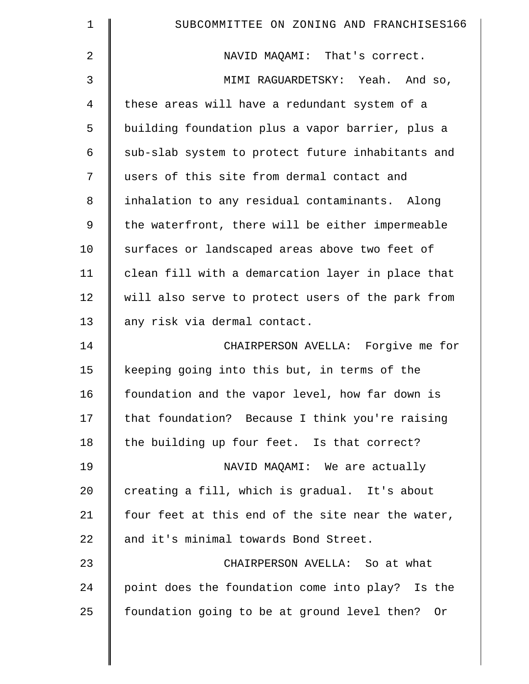| $\mathbf 1$ | SUBCOMMITTEE ON ZONING AND FRANCHISES166          |
|-------------|---------------------------------------------------|
| 2           | NAVID MAQAMI: That's correct.                     |
| 3           | MIMI RAGUARDETSKY: Yeah. And so,                  |
| 4           | these areas will have a redundant system of a     |
| 5           | building foundation plus a vapor barrier, plus a  |
| 6           | sub-slab system to protect future inhabitants and |
| 7           | users of this site from dermal contact and        |
| 8           | inhalation to any residual contaminants. Along    |
| 9           | the waterfront, there will be either impermeable  |
| 10          | surfaces or landscaped areas above two feet of    |
| 11          | clean fill with a demarcation layer in place that |
| 12          | will also serve to protect users of the park from |
| 13          | any risk via dermal contact.                      |
| 14          | CHAIRPERSON AVELLA: Forgive me for                |
| 15          | keeping going into this but, in terms of the      |
| 16          | foundation and the vapor level, how far down is   |
| 17          | that foundation? Because I think you're raising   |
| 18          | the building up four feet. Is that correct?       |
| 19          | NAVID MAQAMI: We are actually                     |
| 20          | creating a fill, which is gradual. It's about     |
| 21          | four feet at this end of the site near the water, |
| 22          | and it's minimal towards Bond Street.             |
| 23          | CHAIRPERSON AVELLA: So at what                    |
| 24          | point does the foundation come into play? Is the  |
| 25          | foundation going to be at ground level then? Or   |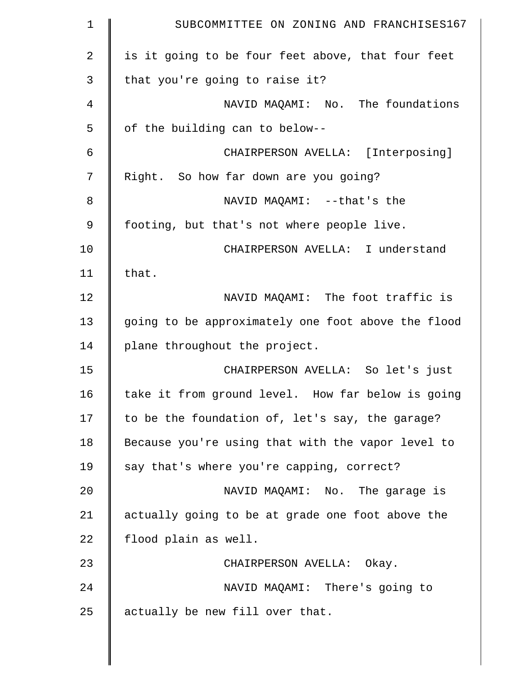| $\mathbf 1$    | SUBCOMMITTEE ON ZONING AND FRANCHISES167           |
|----------------|----------------------------------------------------|
| $\overline{2}$ | is it going to be four feet above, that four feet  |
| 3              | that you're going to raise it?                     |
| 4              | NAVID MAQAMI: No. The foundations                  |
| 5              | of the building can to below--                     |
| 6              | CHAIRPERSON AVELLA: [Interposing]                  |
| 7              | Right. So how far down are you going?              |
| 8              | NAVID MAQAMI: --that's the                         |
| 9              | footing, but that's not where people live.         |
| 10             | CHAIRPERSON AVELLA: I understand                   |
| 11             | that.                                              |
| 12             | NAVID MAQAMI: The foot traffic is                  |
| 13             | going to be approximately one foot above the flood |
| 14             | plane throughout the project.                      |
| 15             | CHAIRPERSON AVELLA: So let's just                  |
| 16             | take it from ground level. How far below is going  |
| 17             | to be the foundation of, let's say, the garage?    |
| 18             | Because you're using that with the vapor level to  |
| 19             | say that's where you're capping, correct?          |
| 20             | NAVID MAQAMI: No. The garage is                    |
| 21             | actually going to be at grade one foot above the   |
| 22             | flood plain as well.                               |
| 23             | CHAIRPERSON AVELLA: Okay.                          |
| 24             | NAVID MAQAMI: There's going to                     |
| 25             | actually be new fill over that.                    |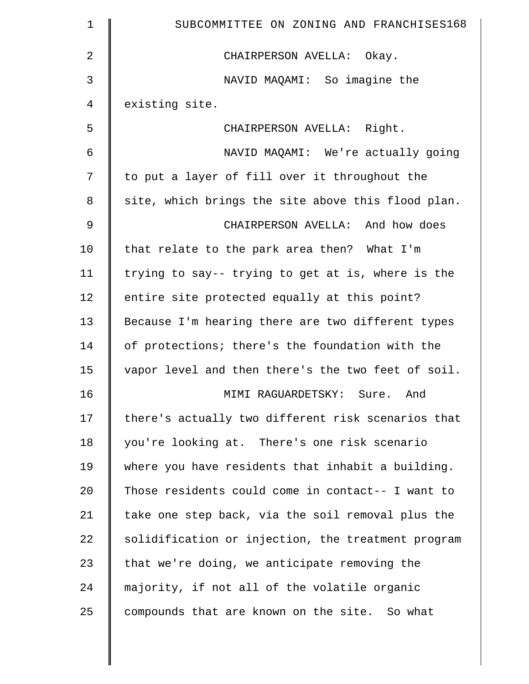| $\mathbf 1$    | SUBCOMMITTEE ON ZONING AND FRANCHISES168           |
|----------------|----------------------------------------------------|
| $\overline{2}$ | CHAIRPERSON AVELLA: Okay.                          |
| 3              | NAVID MAQAMI: So imagine the                       |
| 4              | existing site.                                     |
| 5              | CHAIRPERSON AVELLA: Right.                         |
| 6              | NAVID MAQAMI: We're actually going                 |
| 7              | to put a layer of fill over it throughout the      |
| 8              | site, which brings the site above this flood plan. |
| 9              | CHAIRPERSON AVELLA: And how does                   |
| 10             | that relate to the park area then? What I'm        |
| 11             | trying to say-- trying to get at is, where is the  |
| 12             | entire site protected equally at this point?       |
| 13             | Because I'm hearing there are two different types  |
| 14             | of protections; there's the foundation with the    |
| 15             | vapor level and then there's the two feet of soil. |
| 16             | MIMI RAGUARDETSKY: Sure.<br>And                    |
| 17             | there's actually two different risk scenarios that |
| 18             | you're looking at. There's one risk scenario       |
| 19             | where you have residents that inhabit a building.  |
| 20             | Those residents could come in contact-- I want to  |
| 21             | take one step back, via the soil removal plus the  |
| 22             | solidification or injection, the treatment program |
| 23             | that we're doing, we anticipate removing the       |
| 24             | majority, if not all of the volatile organic       |
| 25             | compounds that are known on the site. So what      |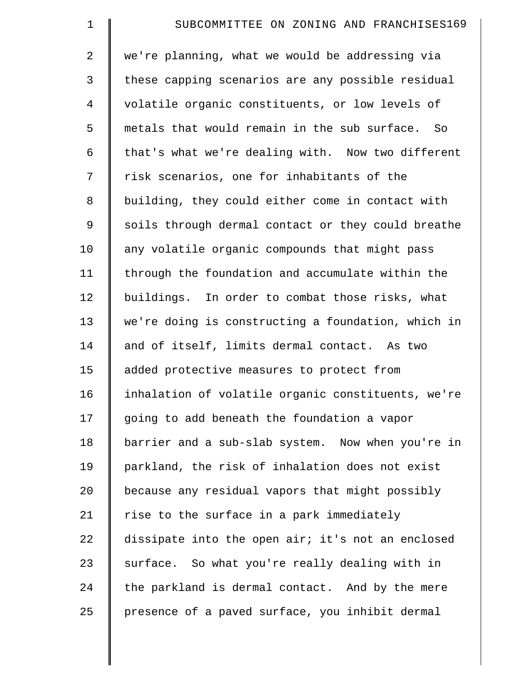| $\mathbf 1$    | SUBCOMMITTEE ON ZONING AND FRANCHISES169           |
|----------------|----------------------------------------------------|
| $\overline{a}$ | we're planning, what we would be addressing via    |
| 3              | these capping scenarios are any possible residual  |
| $\overline{4}$ | volatile organic constituents, or low levels of    |
| 5              | metals that would remain in the sub surface. So    |
| 6              | that's what we're dealing with. Now two different  |
| 7              | risk scenarios, one for inhabitants of the         |
| 8              | building, they could either come in contact with   |
| 9              | soils through dermal contact or they could breathe |
| 10             | any volatile organic compounds that might pass     |
| 11             | through the foundation and accumulate within the   |
| 12             | buildings. In order to combat those risks, what    |
| 13             | we're doing is constructing a foundation, which in |
| 14             | and of itself, limits dermal contact. As two       |
| 15             | added protective measures to protect from          |
| 16             | inhalation of volatile organic constituents, we're |
| 17             | going to add beneath the foundation a vapor        |
| 18             | barrier and a sub-slab system. Now when you're in  |
| 19             | parkland, the risk of inhalation does not exist    |
| 20             | because any residual vapors that might possibly    |
| 21             | rise to the surface in a park immediately          |
| 22             | dissipate into the open air; it's not an enclosed  |
| 23             | surface. So what you're really dealing with in     |
| 24             | the parkland is dermal contact. And by the mere    |
| 25             | presence of a paved surface, you inhibit dermal    |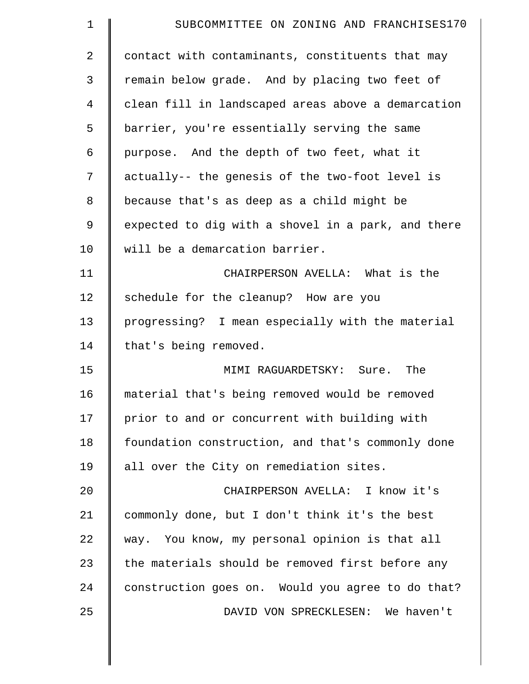| $\mathbf 1$ | SUBCOMMITTEE ON ZONING AND FRANCHISES170           |
|-------------|----------------------------------------------------|
| 2           | contact with contaminants, constituents that may   |
| 3           | remain below grade. And by placing two feet of     |
| 4           | clean fill in landscaped areas above a demarcation |
| 5           | barrier, you're essentially serving the same       |
| 6           | purpose. And the depth of two feet, what it        |
| 7           | actually-- the genesis of the two-foot level is    |
| 8           | because that's as deep as a child might be         |
| 9           | expected to dig with a shovel in a park, and there |
| 10          | will be a demarcation barrier.                     |
| 11          | CHAIRPERSON AVELLA: What is the                    |
| 12          | schedule for the cleanup? How are you              |
| 13          | progressing? I mean especially with the material   |
| 14          | that's being removed.                              |
| 15          | MIMI RAGUARDETSKY: Sure. The                       |
| 16          | material that's being removed would be removed     |
| 17          | prior to and or concurrent with building with      |
| 18          | foundation construction, and that's commonly done  |
| 19          | all over the City on remediation sites.            |
| 20          | CHAIRPERSON AVELLA: I know it's                    |
| 21          | commonly done, but I don't think it's the best     |
| 22          | way. You know, my personal opinion is that all     |
| 23          | the materials should be removed first before any   |
| 24          | construction goes on. Would you agree to do that?  |
|             |                                                    |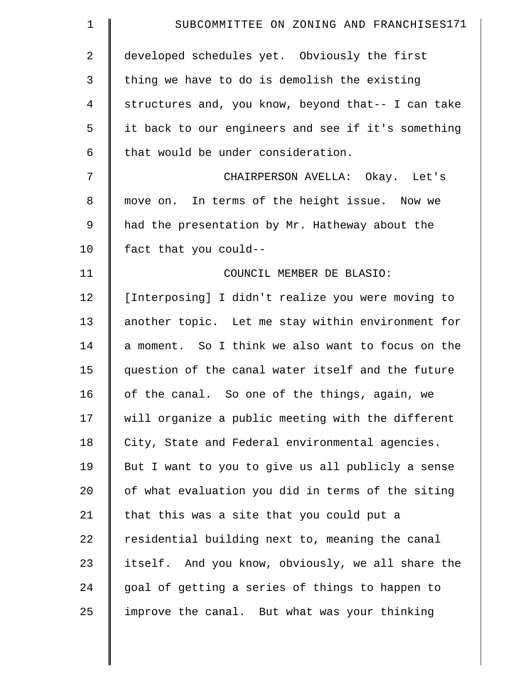| $\mathbf 1$    | SUBCOMMITTEE ON ZONING AND FRANCHISES171           |
|----------------|----------------------------------------------------|
| $\overline{2}$ | developed schedules yet. Obviously the first       |
| 3              | thing we have to do is demolish the existing       |
| 4              | structures and, you know, beyond that-- I can take |
| 5              | it back to our engineers and see if it's something |
| 6              | that would be under consideration.                 |
| 7              | CHAIRPERSON AVELLA: Okay. Let's                    |
| 8              | move on. In terms of the height issue. Now we      |
| 9              | had the presentation by Mr. Hatheway about the     |
| 10             | fact that you could--                              |
| 11             | COUNCIL MEMBER DE BLASIO:                          |
| 12             | [Interposing] I didn't realize you were moving to  |
| 13             | another topic. Let me stay within environment for  |
| 14             | a moment. So I think we also want to focus on the  |
| 15             | question of the canal water itself and the future  |
| 16             | of the canal. So one of the things, again, we      |
| 17             | will organize a public meeting with the different  |
| 18             | City, State and Federal environmental agencies.    |
| 19             | But I want to you to give us all publicly a sense  |
| 20             | of what evaluation you did in terms of the siting  |
| 21             | that this was a site that you could put a          |
| 22             | residential building next to, meaning the canal    |
| 23             | itself. And you know, obviously, we all share the  |
| 24             | goal of getting a series of things to happen to    |
| 25             | improve the canal. But what was your thinking      |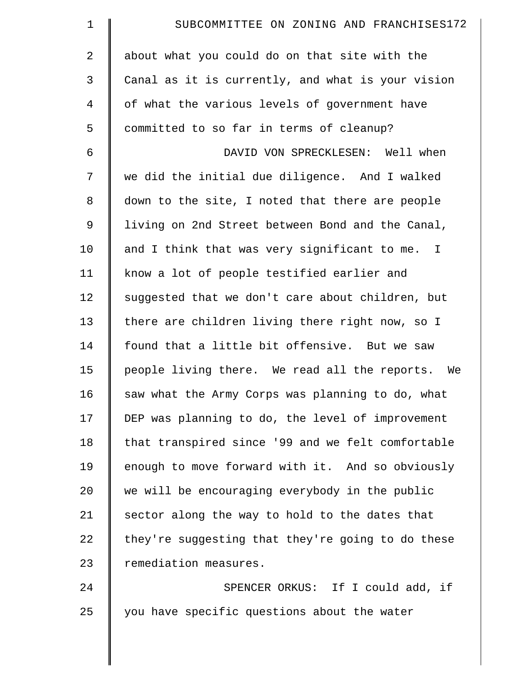| $\mathbf 1$    | SUBCOMMITTEE ON ZONING AND FRANCHISES172          |
|----------------|---------------------------------------------------|
| $\overline{a}$ | about what you could do on that site with the     |
| 3              | Canal as it is currently, and what is your vision |
| 4              | of what the various levels of government have     |
| 5              | committed to so far in terms of cleanup?          |
| 6              | DAVID VON SPRECKLESEN: Well when                  |
| 7              | we did the initial due diligence. And I walked    |
| 8              | down to the site, I noted that there are people   |
| 9              | living on 2nd Street between Bond and the Canal,  |
| 10             | and I think that was very significant to me. I    |
| 11             | know a lot of people testified earlier and        |
| 12             | suggested that we don't care about children, but  |
| 13             | there are children living there right now, so I   |
| 14             | found that a little bit offensive. But we saw     |
| 15             | people living there. We read all the reports. We  |
| 16             | saw what the Army Corps was planning to do, what  |
| 17             | DEP was planning to do, the level of improvement  |
| 18             | that transpired since '99 and we felt comfortable |
| 19             | enough to move forward with it. And so obviously  |
| 20             | we will be encouraging everybody in the public    |
| 21             | sector along the way to hold to the dates that    |
| 22             | they're suggesting that they're going to do these |
| 23             | remediation measures.                             |
| 24             | SPENCER ORKUS: If I could add, if                 |
| 25             | you have specific questions about the water       |

║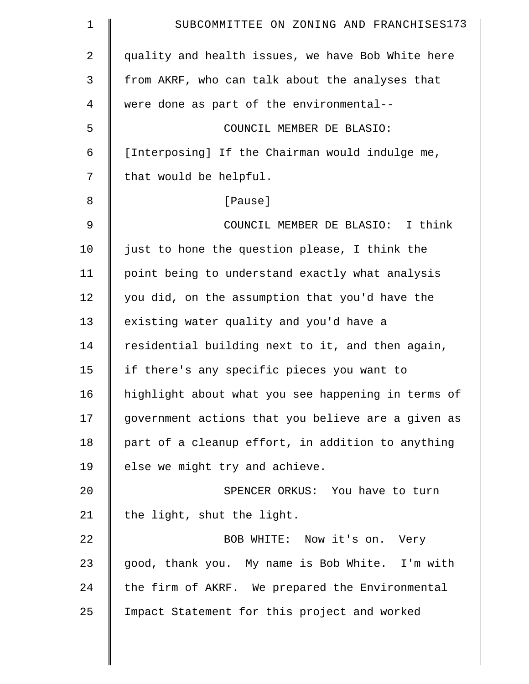| $\mathbf 1$    | SUBCOMMITTEE ON ZONING AND FRANCHISES173           |
|----------------|----------------------------------------------------|
| $\overline{2}$ | quality and health issues, we have Bob White here  |
| 3              | from AKRF, who can talk about the analyses that    |
| $\overline{4}$ | were done as part of the environmental--           |
| 5              | COUNCIL MEMBER DE BLASIO:                          |
| 6              | [Interposing] If the Chairman would indulge me,    |
| 7              | that would be helpful.                             |
| 8              | [Pause]                                            |
| $\mathfrak{g}$ | COUNCIL MEMBER DE BLASIO: I think                  |
| 10             | just to hone the question please, I think the      |
| 11             | point being to understand exactly what analysis    |
| 12             | you did, on the assumption that you'd have the     |
| 13             | existing water quality and you'd have a            |
| 14             | residential building next to it, and then again,   |
| 15             | if there's any specific pieces you want to         |
| 16             | highlight about what you see happening in terms of |
| 17             | government actions that you believe are a given as |
| 18             | part of a cleanup effort, in addition to anything  |
| 19             | else we might try and achieve.                     |
| 20             | SPENCER ORKUS: You have to turn                    |
| 21             | the light, shut the light.                         |
| 22             | BOB WHITE: Now it's on. Very                       |
| 23             | good, thank you. My name is Bob White. I'm with    |
| 24             | the firm of AKRF. We prepared the Environmental    |
| 25             | Impact Statement for this project and worked       |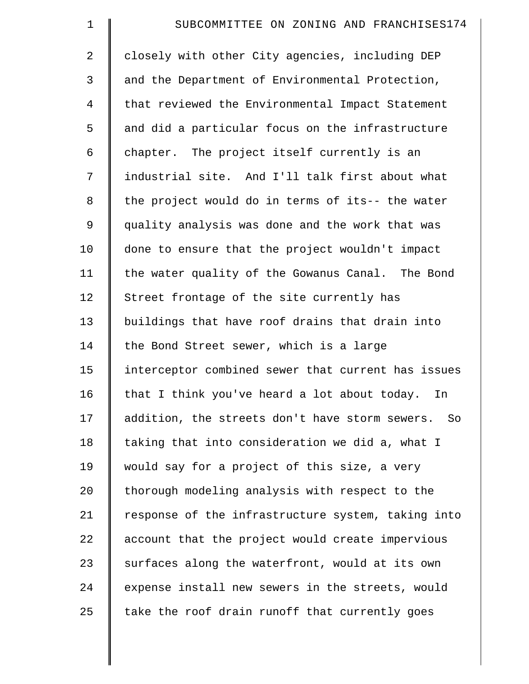| $\mathbf 1$    | SUBCOMMITTEE ON ZONING AND FRANCHISES174           |
|----------------|----------------------------------------------------|
| $\overline{2}$ | closely with other City agencies, including DEP    |
| 3              | and the Department of Environmental Protection,    |
| 4              | that reviewed the Environmental Impact Statement   |
| 5              | and did a particular focus on the infrastructure   |
| 6              | chapter. The project itself currently is an        |
| 7              | industrial site. And I'll talk first about what    |
| 8              | the project would do in terms of its-- the water   |
| $\mathsf 9$    | quality analysis was done and the work that was    |
| 10             | done to ensure that the project wouldn't impact    |
| 11             | the water quality of the Gowanus Canal. The Bond   |
| 12             | Street frontage of the site currently has          |
| 13             | buildings that have roof drains that drain into    |
| 14             | the Bond Street sewer, which is a large            |
| 15             | interceptor combined sewer that current has issues |
| 16             | that I think you've heard a lot about today.<br>In |
| 17             | addition, the streets don't have storm sewers. So  |
| 18             | taking that into consideration we did a, what I    |
| 19             | would say for a project of this size, a very       |
| 20             | thorough modeling analysis with respect to the     |
| 21             | response of the infrastructure system, taking into |
| 22             | account that the project would create impervious   |
| 23             | surfaces along the waterfront, would at its own    |
| 24             | expense install new sewers in the streets, would   |
| 25             | take the roof drain runoff that currently goes     |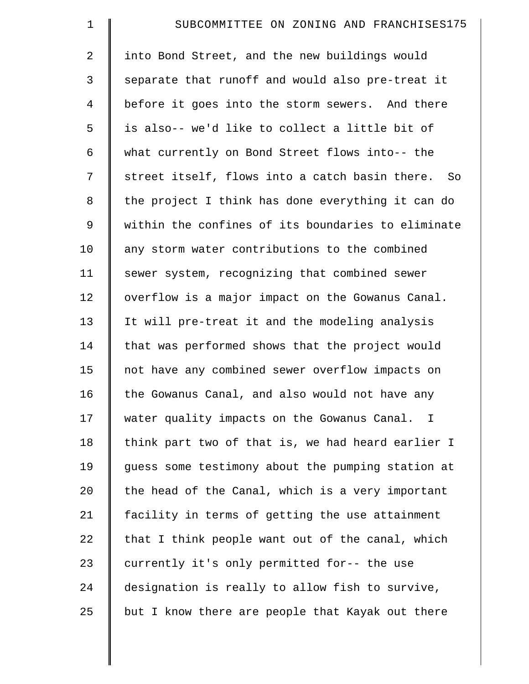| $\mathbf 1$    | SUBCOMMITTEE ON ZONING AND FRANCHISES175           |
|----------------|----------------------------------------------------|
| $\overline{2}$ | into Bond Street, and the new buildings would      |
| 3              | separate that runoff and would also pre-treat it   |
| $\overline{4}$ | before it goes into the storm sewers. And there    |
| 5              | is also-- we'd like to collect a little bit of     |
| 6              | what currently on Bond Street flows into-- the     |
| 7              | street itself, flows into a catch basin there. So  |
| 8              | the project I think has done everything it can do  |
| 9              | within the confines of its boundaries to eliminate |
| 10             | any storm water contributions to the combined      |
| 11             | sewer system, recognizing that combined sewer      |
| 12             | overflow is a major impact on the Gowanus Canal.   |
| 13             | It will pre-treat it and the modeling analysis     |
| 14             | that was performed shows that the project would    |
| 15             | not have any combined sewer overflow impacts on    |
| 16             | the Gowanus Canal, and also would not have any     |
| 17             | water quality impacts on the Gowanus Canal. I      |
| 18             | think part two of that is, we had heard earlier I  |
| 19             | guess some testimony about the pumping station at  |
| 20             | the head of the Canal, which is a very important   |
| 21             | facility in terms of getting the use attainment    |
| 22             | that I think people want out of the canal, which   |
| 23             | currently it's only permitted for-- the use        |
| 24             | designation is really to allow fish to survive,    |
| 25             | but I know there are people that Kayak out there   |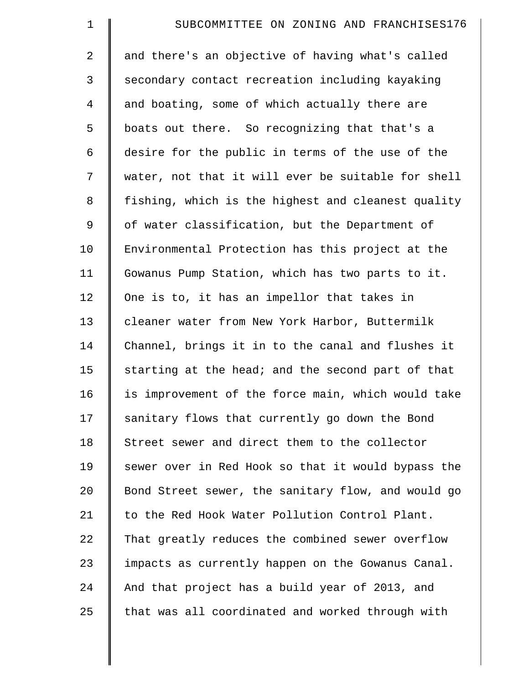| $\mathbf 1$    | SUBCOMMITTEE ON ZONING AND FRANCHISES176           |
|----------------|----------------------------------------------------|
| $\overline{2}$ | and there's an objective of having what's called   |
| 3              | secondary contact recreation including kayaking    |
| $\overline{4}$ | and boating, some of which actually there are      |
| 5              | boats out there. So recognizing that that's a      |
| 6              | desire for the public in terms of the use of the   |
| 7              | water, not that it will ever be suitable for shell |
| 8              | fishing, which is the highest and cleanest quality |
| 9              | of water classification, but the Department of     |
| 10             | Environmental Protection has this project at the   |
| 11             | Gowanus Pump Station, which has two parts to it.   |
| 12             | One is to, it has an impellor that takes in        |
| 13             | cleaner water from New York Harbor, Buttermilk     |
| 14             | Channel, brings it in to the canal and flushes it  |
| 15             | starting at the head; and the second part of that  |
| 16             | is improvement of the force main, which would take |
| 17             | sanitary flows that currently go down the Bond     |
| 18             | Street sewer and direct them to the collector      |
| 19             | sewer over in Red Hook so that it would bypass the |
| 20             | Bond Street sewer, the sanitary flow, and would go |
| 21             | to the Red Hook Water Pollution Control Plant.     |
| 22             | That greatly reduces the combined sewer overflow   |
| 23             | impacts as currently happen on the Gowanus Canal.  |
| 24             | And that project has a build year of 2013, and     |
| 25             | that was all coordinated and worked through with   |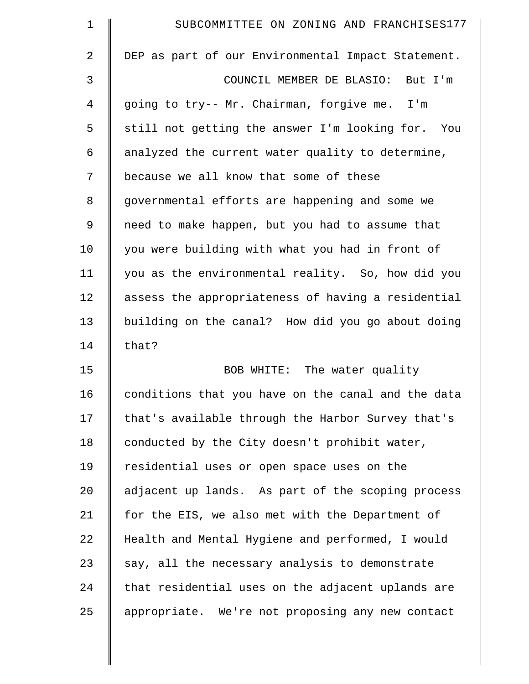| $\mathbf 1$    | SUBCOMMITTEE ON ZONING AND FRANCHISES177           |
|----------------|----------------------------------------------------|
| $\overline{2}$ | DEP as part of our Environmental Impact Statement. |
| 3              | COUNCIL MEMBER DE BLASIO: But I'm                  |
| 4              | going to try-- Mr. Chairman, forgive me. I'm       |
| 5              | still not getting the answer I'm looking for. You  |
| 6              | analyzed the current water quality to determine,   |
| 7              | because we all know that some of these             |
| 8              | governmental efforts are happening and some we     |
| 9              | need to make happen, but you had to assume that    |
| 10             | you were building with what you had in front of    |
| 11             | you as the environmental reality. So, how did you  |
| 12             | assess the appropriateness of having a residential |
| 13             | building on the canal? How did you go about doing  |
| 14             | that?                                              |
| 15             | BOB WHITE: The water quality                       |
| 16             | conditions that you have on the canal and the data |
| 17             | that's available through the Harbor Survey that's  |
| 18             | conducted by the City doesn't prohibit water,      |
| 19             | residential uses or open space uses on the         |
| 20             | adjacent up lands. As part of the scoping process  |
| 21             | for the EIS, we also met with the Department of    |
| 22             | Health and Mental Hygiene and performed, I would   |
| 23             | say, all the necessary analysis to demonstrate     |
| 24             | that residential uses on the adjacent uplands are  |
| 25             | appropriate. We're not proposing any new contact   |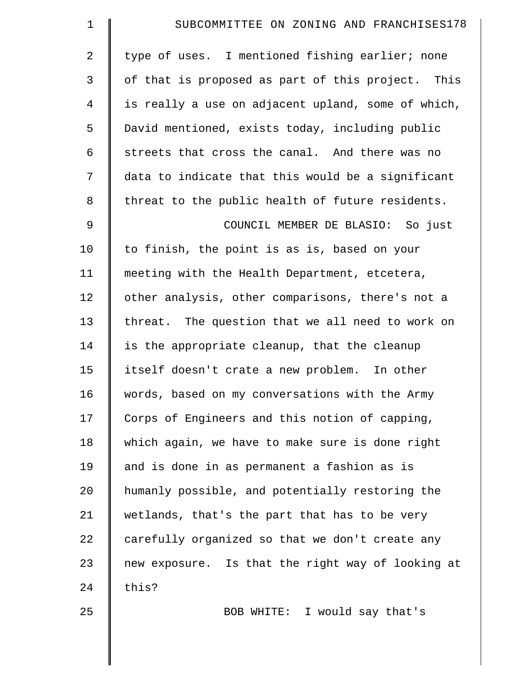| $\mathbf 1$    | SUBCOMMITTEE ON ZONING AND FRANCHISES178           |
|----------------|----------------------------------------------------|
| 2              | type of uses. I mentioned fishing earlier; none    |
| 3              | of that is proposed as part of this project. This  |
| 4              | is really a use on adjacent upland, some of which, |
| 5              | David mentioned, exists today, including public    |
| 6              | streets that cross the canal. And there was no     |
| 7              | data to indicate that this would be a significant  |
| 8              | threat to the public health of future residents.   |
| $\mathfrak{g}$ | COUNCIL MEMBER DE BLASIO: So just                  |
| 10             | to finish, the point is as is, based on your       |
| 11             | meeting with the Health Department, etcetera,      |
| 12             | other analysis, other comparisons, there's not a   |
| 13             | threat. The question that we all need to work on   |
| 14             | is the appropriate cleanup, that the cleanup       |
| 15             | itself doesn't crate a new problem. In other       |
| 16             | words, based on my conversations with the Army     |
| 17             | Corps of Engineers and this notion of capping,     |
| 18             | which again, we have to make sure is done right    |
| 19             | and is done in as permanent a fashion as is        |
| 20             | humanly possible, and potentially restoring the    |
| 21             | wetlands, that's the part that has to be very      |
| 22             | carefully organized so that we don't create any    |
| 23             | new exposure. Is that the right way of looking at  |
| 24             | this?                                              |
| 25             | BOB WHITE: I would say that's                      |
|                |                                                    |

 $\parallel$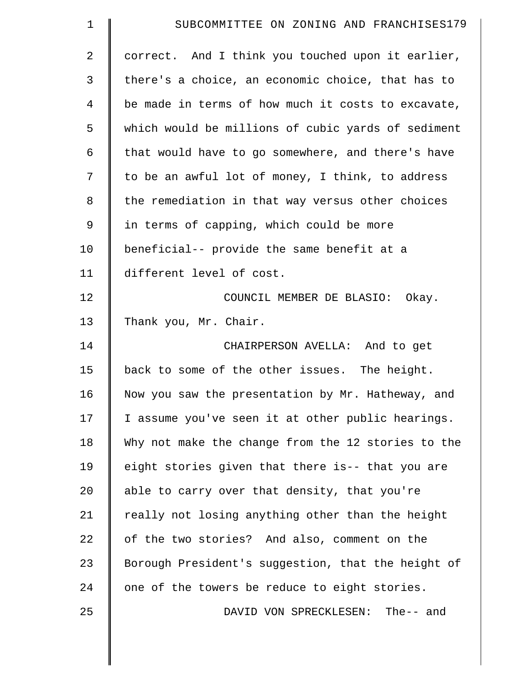| $\mathbf 1$    | SUBCOMMITTEE ON ZONING AND FRANCHISES179           |
|----------------|----------------------------------------------------|
| $\overline{2}$ | correct. And I think you touched upon it earlier,  |
| 3              | there's a choice, an economic choice, that has to  |
| $\overline{4}$ | be made in terms of how much it costs to excavate, |
| 5              | which would be millions of cubic yards of sediment |
| 6              | that would have to go somewhere, and there's have  |
| 7              | to be an awful lot of money, I think, to address   |
| 8              | the remediation in that way versus other choices   |
| 9              | in terms of capping, which could be more           |
| 10             | beneficial-- provide the same benefit at a         |
| 11             | different level of cost.                           |
| 12             | COUNCIL MEMBER DE BLASIO: Okay.                    |
| 13             | Thank you, Mr. Chair.                              |
| 14             | CHAIRPERSON AVELLA: And to get                     |
| 15             | back to some of the other issues. The height.      |
| 16             | Now you saw the presentation by Mr. Hatheway, and  |
| 17             | I assume you've seen it at other public hearings.  |
| 18             | Why not make the change from the 12 stories to the |
| 19             | eight stories given that there is-- that you are   |
| 20             | able to carry over that density, that you're       |
| 21             | really not losing anything other than the height   |
| 22             | of the two stories? And also, comment on the       |
| 23             | Borough President's suggestion, that the height of |
| 24             | one of the towers be reduce to eight stories.      |
| 25             | DAVID VON SPRECKLESEN: The-- and                   |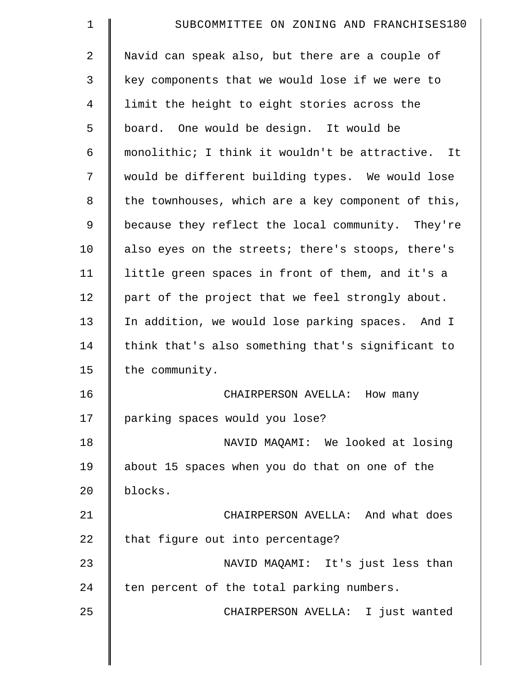| $\mathbf 1$    | SUBCOMMITTEE ON ZONING AND FRANCHISES180           |
|----------------|----------------------------------------------------|
| $\overline{2}$ | Navid can speak also, but there are a couple of    |
| 3              | key components that we would lose if we were to    |
| 4              | limit the height to eight stories across the       |
| 5              | board. One would be design. It would be            |
| 6              | monolithic; I think it wouldn't be attractive. It  |
| 7              | would be different building types. We would lose   |
| 8              | the townhouses, which are a key component of this, |
| 9              | because they reflect the local community. They're  |
| 10             | also eyes on the streets; there's stoops, there's  |
| 11             | little green spaces in front of them, and it's a   |
| 12             | part of the project that we feel strongly about.   |
| 13             | In addition, we would lose parking spaces. And I   |
| 14             | think that's also something that's significant to  |
| 15             | the community.                                     |
| 16             | CHAIRPERSON AVELLA: How many                       |
| 17             | parking spaces would you lose?                     |
| 18             | NAVID MAQAMI: We looked at losing                  |
| 19             | about 15 spaces when you do that on one of the     |
| 20             | blocks.                                            |
| 21             | CHAIRPERSON AVELLA: And what does                  |
| 22             | that figure out into percentage?                   |
| 23             | NAVID MAQAMI: It's just less than                  |
| 24             | ten percent of the total parking numbers.          |
| 25             | CHAIRPERSON AVELLA: I just wanted                  |
|                |                                                    |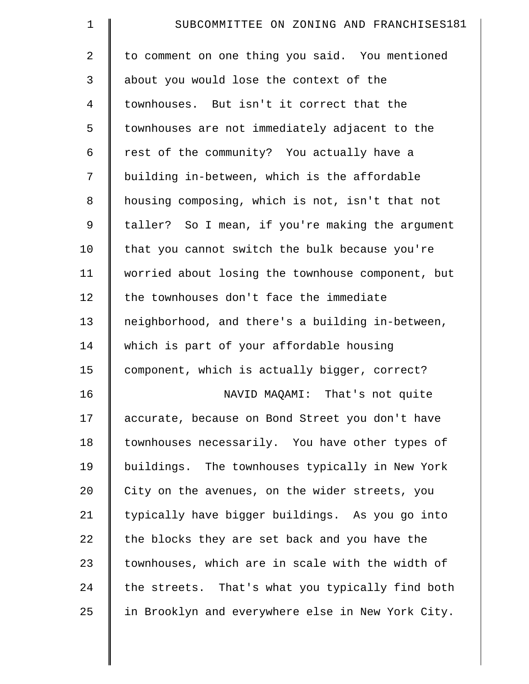| $\mathbf 1$    | SUBCOMMITTEE ON ZONING AND FRANCHISES181          |
|----------------|---------------------------------------------------|
| $\overline{2}$ | to comment on one thing you said. You mentioned   |
| 3              | about you would lose the context of the           |
| 4              | townhouses. But isn't it correct that the         |
| 5              | townhouses are not immediately adjacent to the    |
| 6              | rest of the community? You actually have a        |
| 7              | building in-between, which is the affordable      |
| 8              | housing composing, which is not, isn't that not   |
| 9              | taller? So I mean, if you're making the argument  |
| 10             | that you cannot switch the bulk because you're    |
| 11             | worried about losing the townhouse component, but |
| 12             | the townhouses don't face the immediate           |
| 13             | neighborhood, and there's a building in-between,  |
| 14             | which is part of your affordable housing          |
| 15             | component, which is actually bigger, correct?     |
| 16             | NAVID MAQAMI: That's not quite                    |
| 17             | accurate, because on Bond Street you don't have   |
| 18             | townhouses necessarily. You have other types of   |
| 19             | buildings. The townhouses typically in New York   |
| 20             | City on the avenues, on the wider streets, you    |
| 21             | typically have bigger buildings. As you go into   |
| 22             | the blocks they are set back and you have the     |
| 23             | townhouses, which are in scale with the width of  |
| 24             | the streets. That's what you typically find both  |
| 25             | in Brooklyn and everywhere else in New York City. |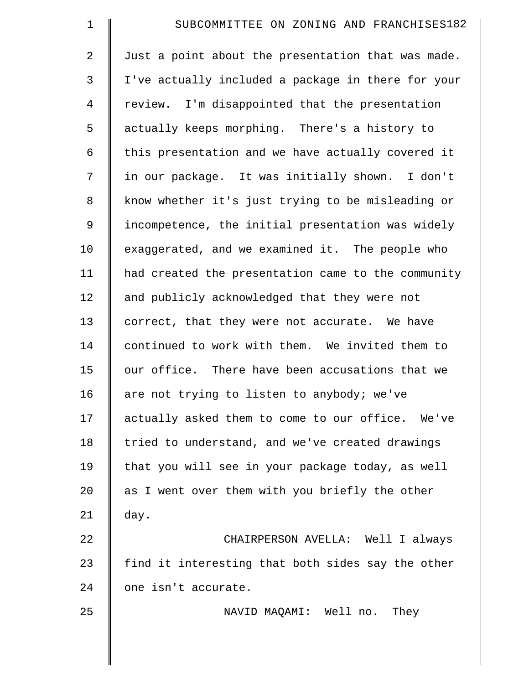| 1              | SUBCOMMITTEE ON ZONING AND FRANCHISES182           |
|----------------|----------------------------------------------------|
| 2              | Just a point about the presentation that was made. |
| 3              | I've actually included a package in there for your |
| $\overline{4}$ | review. I'm disappointed that the presentation     |
| 5              | actually keeps morphing. There's a history to      |
| 6              | this presentation and we have actually covered it  |
| 7              | in our package. It was initially shown. I don't    |
| 8              | know whether it's just trying to be misleading or  |
| $\mathsf 9$    | incompetence, the initial presentation was widely  |
| 10             | exaggerated, and we examined it. The people who    |
| 11             | had created the presentation came to the community |
| 12             | and publicly acknowledged that they were not       |
| 13             | correct, that they were not accurate. We have      |
| 14             | continued to work with them. We invited them to    |
| 15             | our office. There have been accusations that we    |
| 16             | are not trying to listen to anybody; we've         |
| 17             | actually asked them to come to our office. We've   |
| 18             | tried to understand, and we've created drawings    |
| 19             | that you will see in your package today, as well   |
| 20             | as I went over them with you briefly the other     |
| 21             | day.                                               |
| 22             | CHAIRPERSON AVELLA: Well I always                  |
| 23             | find it interesting that both sides say the other  |
| 24             | one isn't accurate.                                |
| 25             | NAVID MAQAMI: Well no.<br>They                     |
|                |                                                    |
|                |                                                    |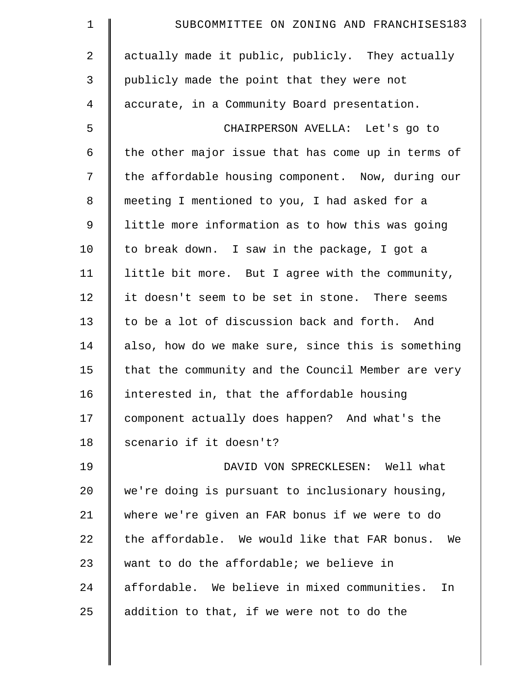| $\mathbf 1$ | SUBCOMMITTEE ON ZONING AND FRANCHISES183            |
|-------------|-----------------------------------------------------|
| 2           | actually made it public, publicly. They actually    |
| 3           | publicly made the point that they were not          |
| 4           | accurate, in a Community Board presentation.        |
| 5           | CHAIRPERSON AVELLA: Let's go to                     |
| 6           | the other major issue that has come up in terms of  |
| 7           | the affordable housing component. Now, during our   |
| 8           | meeting I mentioned to you, I had asked for a       |
| 9           | little more information as to how this was going    |
| 10          | to break down. I saw in the package, I got a        |
| 11          | little bit more. But I agree with the community,    |
| 12          | it doesn't seem to be set in stone. There seems     |
| 13          | to be a lot of discussion back and forth.<br>And    |
| 14          | also, how do we make sure, since this is something  |
| 15          | that the community and the Council Member are very  |
| 16          | interested in, that the affordable housing          |
| 17          | component actually does happen? And what's the      |
| 18          | scenario if it doesn't?                             |
| 19          | DAVID VON SPRECKLESEN: Well what                    |
| 20          | we're doing is pursuant to inclusionary housing,    |
| 21          | where we're given an FAR bonus if we were to do     |
| 22          | the affordable. We would like that FAR bonus.<br>We |
| 23          | want to do the affordable; we believe in            |
| 24          | affordable. We believe in mixed communities.<br>In  |
| 25          | addition to that, if we were not to do the          |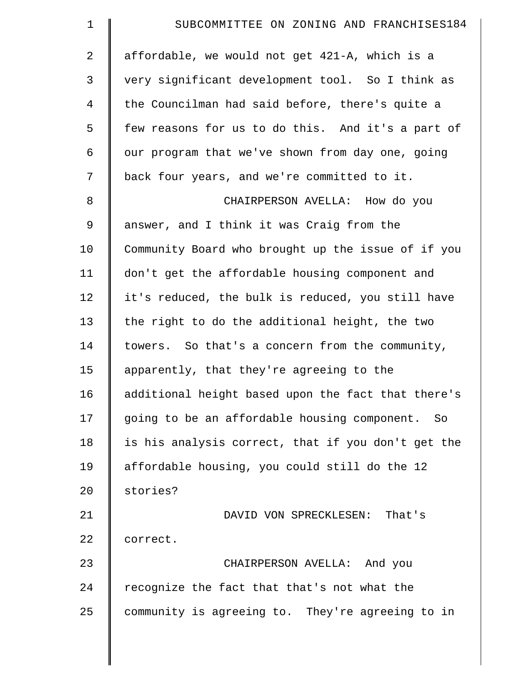| $\mathbf 1$    | SUBCOMMITTEE ON ZONING AND FRANCHISES184           |
|----------------|----------------------------------------------------|
| $\overline{a}$ | affordable, we would not get 421-A, which is a     |
| 3              | very significant development tool. So I think as   |
| $\overline{4}$ | the Councilman had said before, there's quite a    |
| 5              | few reasons for us to do this. And it's a part of  |
| 6              | our program that we've shown from day one, going   |
| 7              | back four years, and we're committed to it.        |
| 8              | CHAIRPERSON AVELLA: How do you                     |
| 9              | answer, and I think it was Craig from the          |
| 10             | Community Board who brought up the issue of if you |
| 11             | don't get the affordable housing component and     |
| 12             | it's reduced, the bulk is reduced, you still have  |
| 13             | the right to do the additional height, the two     |
| 14             | towers. So that's a concern from the community,    |
| 15             | apparently, that they're agreeing to the           |
| 16             | additional height based upon the fact that there's |
| 17             | going to be an affordable housing component. So    |
| 18             | is his analysis correct, that if you don't get the |
| 19             | affordable housing, you could still do the 12      |
| 20             | stories?                                           |
| 21             | DAVID VON SPRECKLESEN: That's                      |
| 22             | correct.                                           |
| 23             | CHAIRPERSON AVELLA: And you                        |
| 24             | recognize the fact that that's not what the        |
| 25             | community is agreeing to. They're agreeing to in   |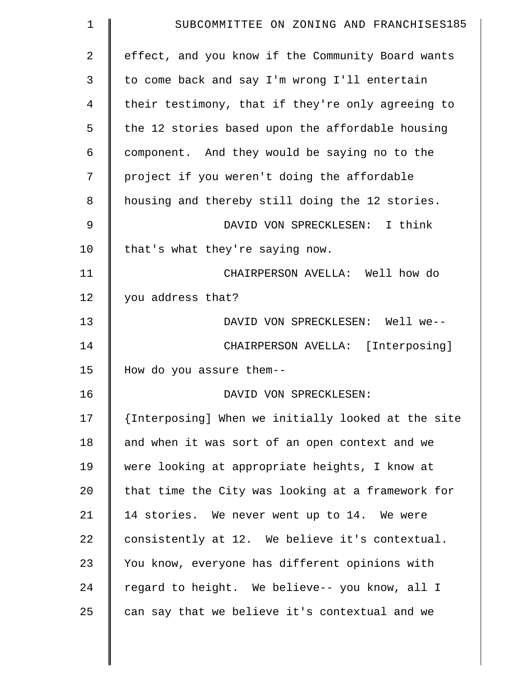| $\mathbf 1$     | SUBCOMMITTEE ON ZONING AND FRANCHISES185           |
|-----------------|----------------------------------------------------|
| 2               | effect, and you know if the Community Board wants  |
| 3               | to come back and say I'm wrong I'll entertain      |
| 4               | their testimony, that if they're only agreeing to  |
| 5               | the 12 stories based upon the affordable housing   |
| 6               | component. And they would be saying no to the      |
| 7               | project if you weren't doing the affordable        |
| 8               | housing and thereby still doing the 12 stories.    |
| 9               | DAVID VON SPRECKLESEN: I think                     |
| 10              | that's what they're saying now.                    |
| 11              | CHAIRPERSON AVELLA: Well how do                    |
| 12              | you address that?                                  |
| 13              | DAVID VON SPRECKLESEN: Well we--                   |
| 14              | CHAIRPERSON AVELLA: [Interposing]                  |
| 15              | How do you assure them--                           |
| 16              | DAVID VON SPRECKLESEN:                             |
| 17              | {Interposing] When we initially looked at the site |
| 18              | and when it was sort of an open context and we     |
| 19              | were looking at appropriate heights, I know at     |
| 20 <sub>o</sub> | that time the City was looking at a framework for  |
| 21              | 14 stories. We never went up to 14. We were        |
| 22              | consistently at 12. We believe it's contextual.    |
| 23              | You know, everyone has different opinions with     |
| 24              | regard to height. We believe-- you know, all I     |
| 25              | can say that we believe it's contextual and we     |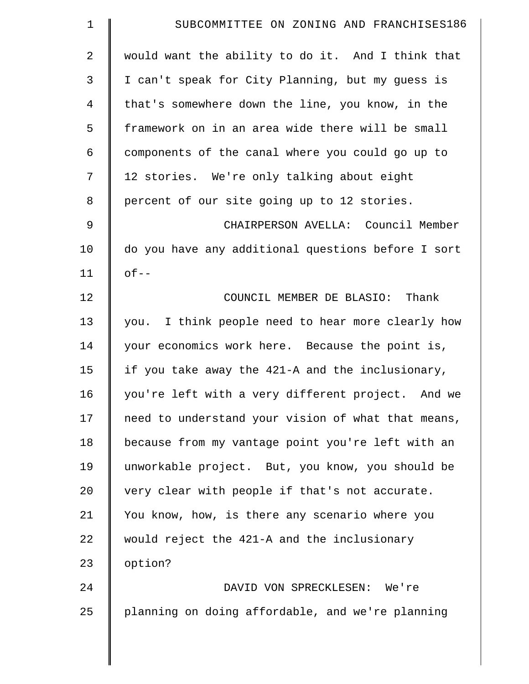| $\mathbf 1$    | SUBCOMMITTEE ON ZONING AND FRANCHISES186           |
|----------------|----------------------------------------------------|
| $\overline{a}$ | would want the ability to do it. And I think that  |
| 3              | I can't speak for City Planning, but my guess is   |
| 4              | that's somewhere down the line, you know, in the   |
| 5              | framework on in an area wide there will be small   |
| 6              | components of the canal where you could go up to   |
| 7              | 12 stories. We're only talking about eight         |
| 8              | percent of our site going up to 12 stories.        |
| 9              | CHAIRPERSON AVELLA: Council Member                 |
| 10             | do you have any additional questions before I sort |
| 11             | $of --$                                            |
| 12             | COUNCIL MEMBER DE BLASIO: Thank                    |
| 13             | you. I think people need to hear more clearly how  |
| 14             | your economics work here. Because the point is,    |
| 15             | if you take away the 421-A and the inclusionary,   |
| 16             | you're left with a very different project. And we  |
| 17             | need to understand your vision of what that means, |
| 18             | because from my vantage point you're left with an  |
| 19             | unworkable project. But, you know, you should be   |
| 20             | very clear with people if that's not accurate.     |
| 21             | You know, how, is there any scenario where you     |
| 22             | would reject the 421-A and the inclusionary        |
| 23             | option?                                            |
| 24             | DAVID VON SPRECKLESEN: We're                       |
| 25             | planning on doing affordable, and we're planning   |
|                |                                                    |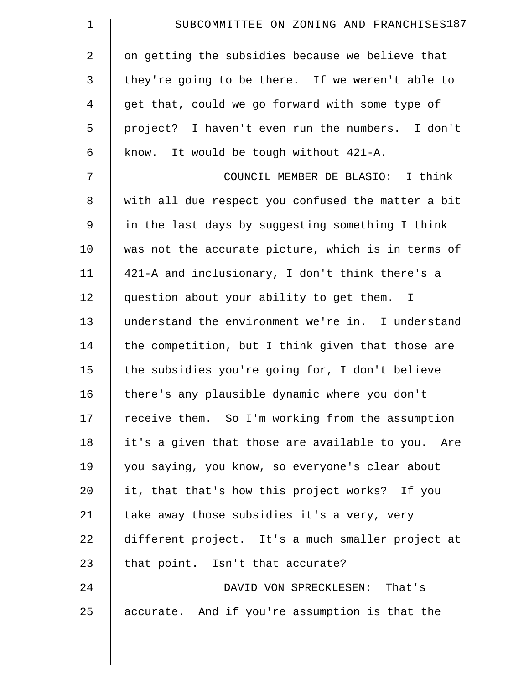| $\mathbf 1$    | SUBCOMMITTEE ON ZONING AND FRANCHISES187           |
|----------------|----------------------------------------------------|
| 2              | on getting the subsidies because we believe that   |
| $\mathfrak{Z}$ | they're going to be there. If we weren't able to   |
| 4              | get that, could we go forward with some type of    |
| 5              | project? I haven't even run the numbers. I don't   |
| 6              | know. It would be tough without 421-A.             |
| 7              | COUNCIL MEMBER DE BLASIO: I think                  |
| $\,8\,$        | with all due respect you confused the matter a bit |
| $\mathsf 9$    | in the last days by suggesting something I think   |
| 10             | was not the accurate picture, which is in terms of |
| 11             | 421-A and inclusionary, I don't think there's a    |
| 12             | question about your ability to get them. I         |
| 13             | understand the environment we're in. I understand  |
| 14             | the competition, but I think given that those are  |
| 15             | the subsidies you're going for, I don't believe    |
| 16             | there's any plausible dynamic where you don't      |
| 17             | receive them. So I'm working from the assumption   |
| 18             | it's a given that those are available to you. Are  |
| 19             | you saying, you know, so everyone's clear about    |
| 20             | it, that that's how this project works? If you     |
| 21             | take away those subsidies it's a very, very        |
| 22             | different project. It's a much smaller project at  |
| 23             | that point. Isn't that accurate?                   |
| 24             | DAVID VON SPRECKLESEN: That's                      |
| 25             | accurate. And if you're assumption is that the     |
|                |                                                    |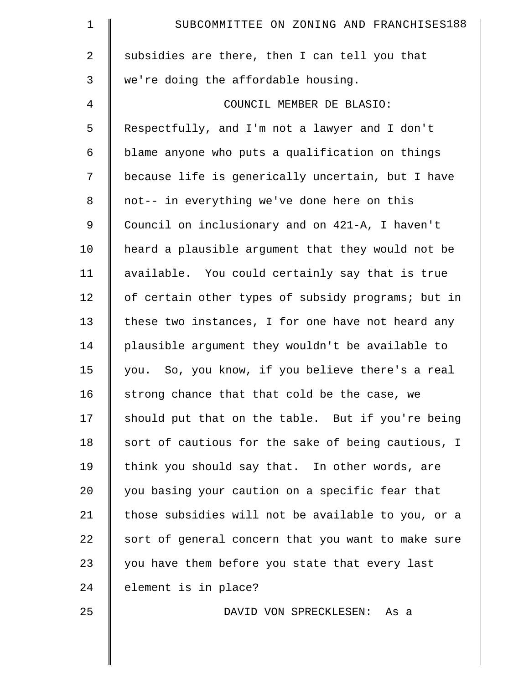| $\mathbf 1$    | SUBCOMMITTEE ON ZONING AND FRANCHISES188           |
|----------------|----------------------------------------------------|
| $\overline{2}$ | subsidies are there, then I can tell you that      |
| 3              | we're doing the affordable housing.                |
| 4              | COUNCIL MEMBER DE BLASIO:                          |
| 5              | Respectfully, and I'm not a lawyer and I don't     |
| 6              | blame anyone who puts a qualification on things    |
| 7              | because life is generically uncertain, but I have  |
| 8              | not-- in everything we've done here on this        |
| 9              | Council on inclusionary and on 421-A, I haven't    |
| 10             | heard a plausible argument that they would not be  |
| 11             | available. You could certainly say that is true    |
| 12             | of certain other types of subsidy programs; but in |
| 13             | these two instances, I for one have not heard any  |
| 14             | plausible argument they wouldn't be available to   |
| 15             | you. So, you know, if you believe there's a real   |
| 16             | strong chance that that cold be the case, we       |
| 17             | should put that on the table. But if you're being  |
| 18             | sort of cautious for the sake of being cautious, I |
| 19             | think you should say that. In other words, are     |
| 20             | you basing your caution on a specific fear that    |
| 21             | those subsidies will not be available to you, or a |
| 22             | sort of general concern that you want to make sure |
| 23             | you have them before you state that every last     |
| 24             | element is in place?                               |
| 25             | DAVID VON SPRECKLESEN: As a                        |
|                |                                                    |
|                |                                                    |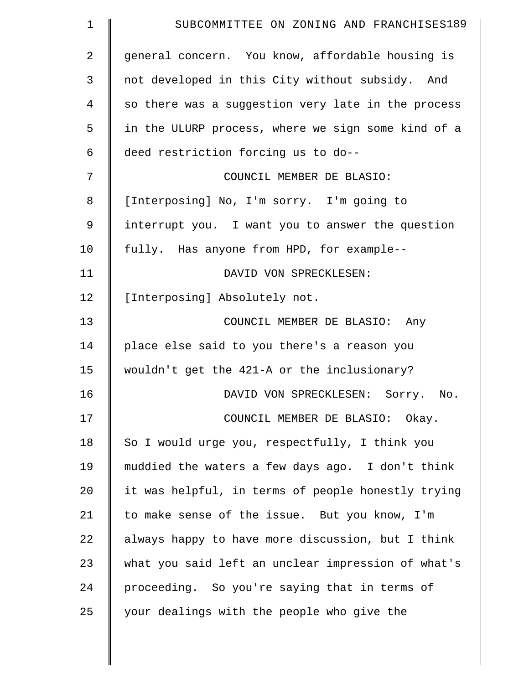| 1           | SUBCOMMITTEE ON ZONING AND FRANCHISES189           |
|-------------|----------------------------------------------------|
| 2           | general concern. You know, affordable housing is   |
| 3           | not developed in this City without subsidy. And    |
| 4           | so there was a suggestion very late in the process |
| 5           | in the ULURP process, where we sign some kind of a |
| 6           | deed restriction forcing us to do--                |
| 7           | COUNCIL MEMBER DE BLASIO:                          |
| 8           | [Interposing] No, I'm sorry. I'm going to          |
| $\mathsf 9$ | interrupt you. I want you to answer the question   |
| 10          | fully. Has anyone from HPD, for example--          |
| 11          | DAVID VON SPRECKLESEN:                             |
| 12          | [Interposing] Absolutely not.                      |
| 13          | COUNCIL MEMBER DE BLASIO: Any                      |
| 14          | place else said to you there's a reason you        |
| 15          | wouldn't get the 421-A or the inclusionary?        |
| 16          | DAVID VON SPRECKLESEN: Sorry.<br>No.               |
| 17          | COUNCIL MEMBER DE BLASIO: Okay.                    |
| 18          | So I would urge you, respectfully, I think you     |
| 19          | muddied the waters a few days ago. I don't think   |
| 20          | it was helpful, in terms of people honestly trying |
| 21          | to make sense of the issue. But you know, I'm      |
| 22          | always happy to have more discussion, but I think  |
| 23          | what you said left an unclear impression of what's |
| 24          | proceeding. So you're saying that in terms of      |
| 25          | your dealings with the people who give the         |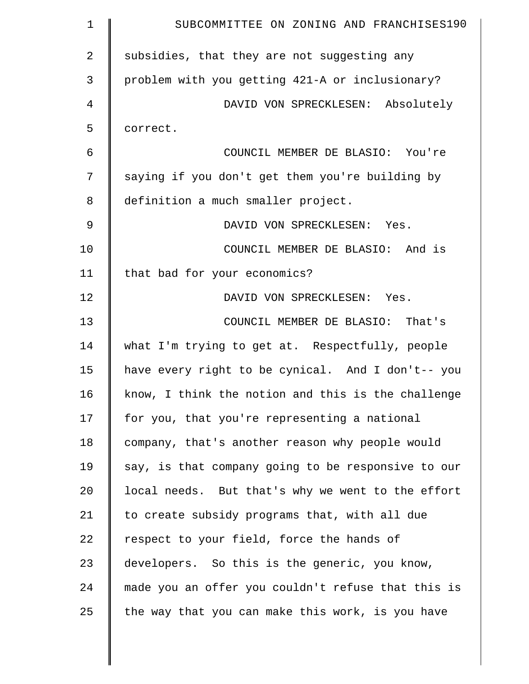| $\mathbf 1$ | SUBCOMMITTEE ON ZONING AND FRANCHISES190           |
|-------------|----------------------------------------------------|
| 2           | subsidies, that they are not suggesting any        |
| 3           | problem with you getting 421-A or inclusionary?    |
| 4           | DAVID VON SPRECKLESEN: Absolutely                  |
| 5           | correct.                                           |
| 6           | COUNCIL MEMBER DE BLASIO: You're                   |
| 7           | saying if you don't get them you're building by    |
| 8           | definition a much smaller project.                 |
| 9           | DAVID VON SPRECKLESEN: Yes.                        |
| 10          | COUNCIL MEMBER DE BLASIO: And is                   |
| 11          | that bad for your economics?                       |
| 12          | DAVID VON SPRECKLESEN: Yes.                        |
| 13          | COUNCIL MEMBER DE BLASIO: That's                   |
| 14          | what I'm trying to get at. Respectfully, people    |
| 15          | have every right to be cynical. And I don't-- you  |
| 16          | know, I think the notion and this is the challenge |
| 17          | for you, that you're representing a national       |
| 18          | company, that's another reason why people would    |
| 19          | say, is that company going to be responsive to our |
| 20          | local needs. But that's why we went to the effort  |
| 21          | to create subsidy programs that, with all due      |
| 22          | respect to your field, force the hands of          |
| 23          | developers. So this is the generic, you know,      |
| 24          | made you an offer you couldn't refuse that this is |
| 25          | the way that you can make this work, is you have   |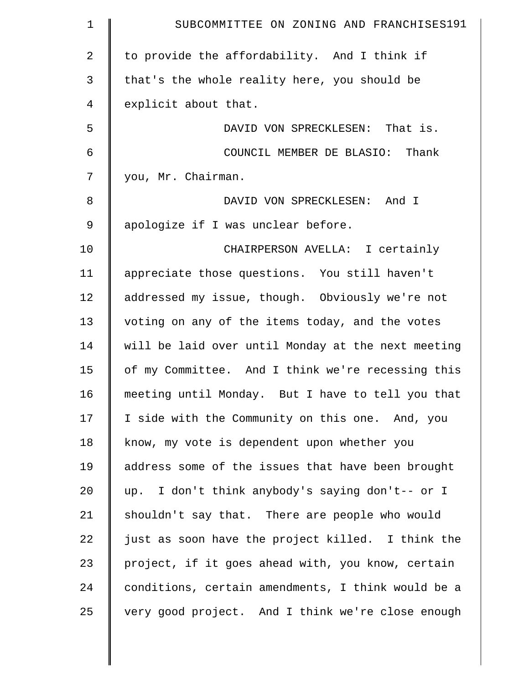| $\mathbf 1$    | SUBCOMMITTEE ON ZONING AND FRANCHISES191           |
|----------------|----------------------------------------------------|
| $\overline{2}$ | to provide the affordability. And I think if       |
| $\mathfrak{Z}$ | that's the whole reality here, you should be       |
| 4              | explicit about that.                               |
| 5              | DAVID VON SPRECKLESEN: That is.                    |
| 6              | COUNCIL MEMBER DE BLASIO: Thank                    |
| 7              | you, Mr. Chairman.                                 |
| 8              | DAVID VON SPRECKLESEN: And I                       |
| $\mathsf 9$    | apologize if I was unclear before.                 |
| 10             | CHAIRPERSON AVELLA: I certainly                    |
| 11             | appreciate those questions. You still haven't      |
| 12             | addressed my issue, though. Obviously we're not    |
| 13             | voting on any of the items today, and the votes    |
| 14             | will be laid over until Monday at the next meeting |
| 15             | of my Committee. And I think we're recessing this  |
| 16             | meeting until Monday. But I have to tell you that  |
| 17             | I side with the Community on this one. And, you    |
| 18             | know, my vote is dependent upon whether you        |
| 19             | address some of the issues that have been brought  |
| 20             | up. I don't think anybody's saying don't-- or I    |
| 21             | shouldn't say that. There are people who would     |
| 22             | just as soon have the project killed. I think the  |
| 23             | project, if it goes ahead with, you know, certain  |
| 24             | conditions, certain amendments, I think would be a |
| 25             | very good project. And I think we're close enough  |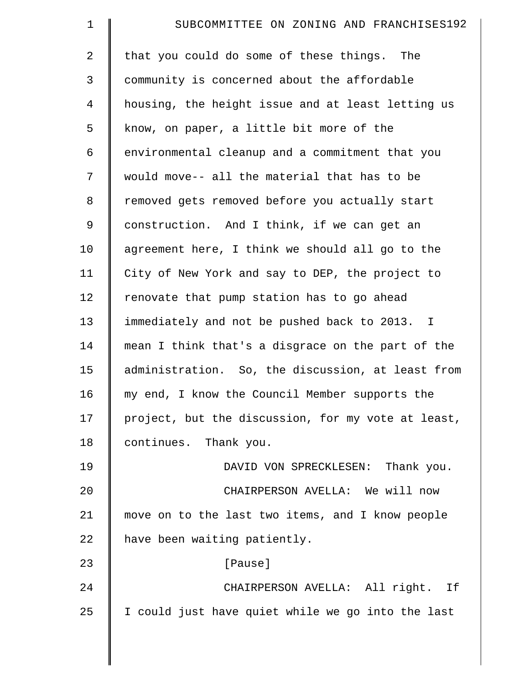| $\mathbf 1$    | SUBCOMMITTEE ON ZONING AND FRANCHISES192           |
|----------------|----------------------------------------------------|
| $\overline{a}$ | that you could do some of these things. The        |
| 3              | community is concerned about the affordable        |
| $\overline{4}$ | housing, the height issue and at least letting us  |
| 5              | know, on paper, a little bit more of the           |
| 6              | environmental cleanup and a commitment that you    |
| 7              | would move-- all the material that has to be       |
| 8              | removed gets removed before you actually start     |
| 9              | construction. And I think, if we can get an        |
| 10             | agreement here, I think we should all go to the    |
| 11             | City of New York and say to DEP, the project to    |
| 12             | renovate that pump station has to go ahead         |
| 13             | immediately and not be pushed back to 2013. I      |
| 14             | mean I think that's a disgrace on the part of the  |
| 15             | administration. So, the discussion, at least from  |
| 16             | my end, I know the Council Member supports the     |
| 17             | project, but the discussion, for my vote at least, |
| 18             | continues. Thank you.                              |
| 19             | DAVID VON SPRECKLESEN: Thank you.                  |
| 20             | CHAIRPERSON AVELLA: We will now                    |
| 21             | move on to the last two items, and I know people   |
| 22             | have been waiting patiently.                       |
| 23             | [Pause]                                            |
| 24             | CHAIRPERSON AVELLA: All right. If                  |
| 25             | I could just have quiet while we go into the last  |
|                |                                                    |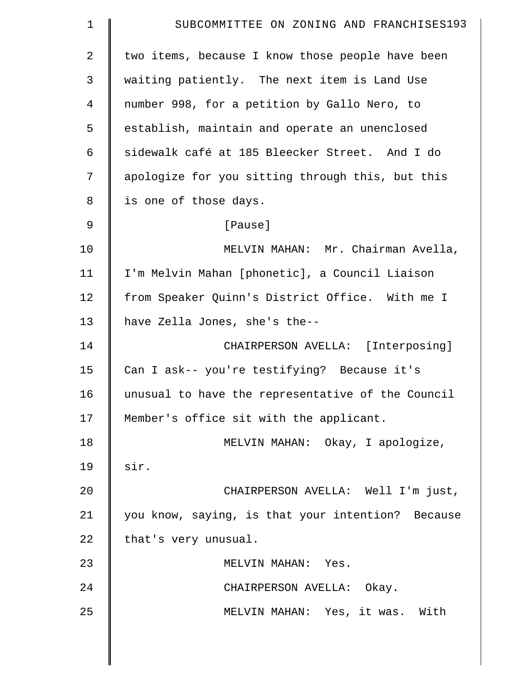| $\mathbf 1$    | SUBCOMMITTEE ON ZONING AND FRANCHISES193          |
|----------------|---------------------------------------------------|
| $\overline{2}$ | two items, because I know those people have been  |
| 3              | waiting patiently. The next item is Land Use      |
| 4              | number 998, for a petition by Gallo Nero, to      |
| 5              | establish, maintain and operate an unenclosed     |
| 6              | sidewalk café at 185 Bleecker Street. And I do    |
| 7              | apologize for you sitting through this, but this  |
| 8              | is one of those days.                             |
| 9              | [Pause]                                           |
| 10             | MELVIN MAHAN: Mr. Chairman Avella,                |
| 11             | I'm Melvin Mahan [phonetic], a Council Liaison    |
| 12             | from Speaker Quinn's District Office. With me I   |
| 13             | have Zella Jones, she's the--                     |
| 14             | CHAIRPERSON AVELLA: [Interposing]                 |
| 15             | Can I ask-- you're testifying? Because it's       |
| 16             | unusual to have the representative of the Council |
| 17             | Member's office sit with the applicant.           |
| 18             | MELVIN MAHAN: Okay, I apologize,                  |
| 19             | sir.                                              |
| 20             | CHAIRPERSON AVELLA: Well I'm just,                |
| 21             | you know, saying, is that your intention? Because |
| 22             | that's very unusual.                              |
| 23             | MELVIN MAHAN: Yes.                                |
| 24             | CHAIRPERSON AVELLA: Okay.                         |
| 25             | MELVIN MAHAN: Yes, it was. With                   |
|                |                                                   |

 $\parallel$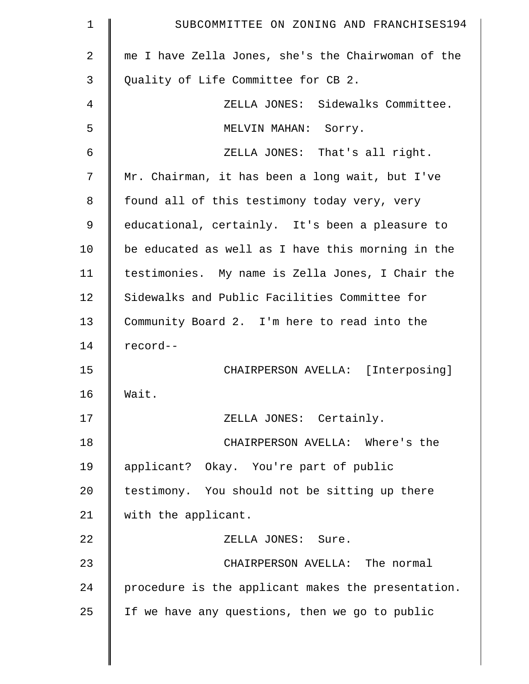| $\mathbf 1$ | SUBCOMMITTEE ON ZONING AND FRANCHISES194           |
|-------------|----------------------------------------------------|
| 2           | me I have Zella Jones, she's the Chairwoman of the |
| 3           | Quality of Life Committee for CB 2.                |
| 4           | ZELLA JONES: Sidewalks Committee.                  |
| 5           | MELVIN MAHAN:<br>Sorry.                            |
| 6           | ZELLA JONES: That's all right.                     |
| 7           | Mr. Chairman, it has been a long wait, but I've    |
| 8           | found all of this testimony today very, very       |
| 9           | educational, certainly. It's been a pleasure to    |
| 10          | be educated as well as I have this morning in the  |
| 11          | testimonies. My name is Zella Jones, I Chair the   |
| 12          | Sidewalks and Public Facilities Committee for      |
| 13          | Community Board 2. I'm here to read into the       |
| 14          | record--                                           |
| 15          | CHAIRPERSON AVELLA: [Interposing]                  |
| 16          | Wait.                                              |
| 17          | ZELLA JONES: Certainly.                            |
| 18          | CHAIRPERSON AVELLA: Where's the                    |
| 19          | applicant? Okay. You're part of public             |
| 20          | testimony. You should not be sitting up there      |
| 21          | with the applicant.                                |
| 22          | ZELLA JONES: Sure.                                 |
| 23          | CHAIRPERSON AVELLA: The normal                     |
| 24          | procedure is the applicant makes the presentation. |
| 25          | If we have any questions, then we go to public     |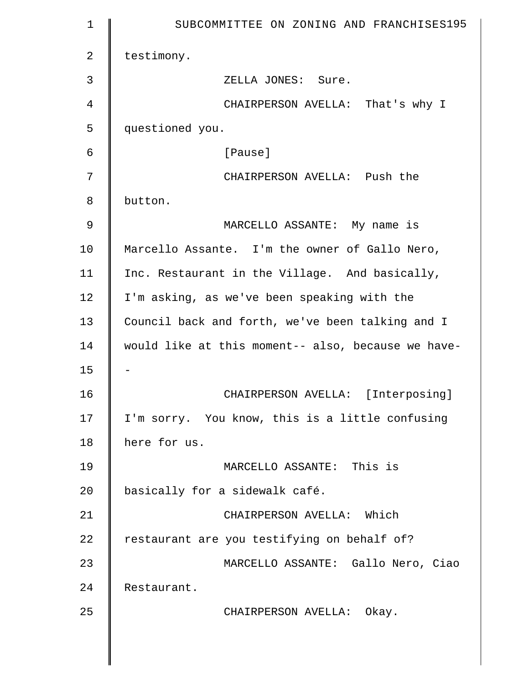| $\mathbf 1$    | SUBCOMMITTEE ON ZONING AND FRANCHISES195           |
|----------------|----------------------------------------------------|
| $\overline{2}$ | testimony.                                         |
| 3              | ZELLA JONES: Sure.                                 |
| 4              | CHAIRPERSON AVELLA: That's why I                   |
| 5              | questioned you.                                    |
| 6              | [Pause]                                            |
| 7              | CHAIRPERSON AVELLA: Push the                       |
| 8              | button.                                            |
| 9              | MARCELLO ASSANTE: My name is                       |
| 10             | Marcello Assante. I'm the owner of Gallo Nero,     |
| 11             | Inc. Restaurant in the Village. And basically,     |
| 12             | I'm asking, as we've been speaking with the        |
| 13             | Council back and forth, we've been talking and I   |
| 14             | would like at this moment-- also, because we have- |
| 15             |                                                    |
| 16             | CHAIRPERSON AVELLA: [Interposing]                  |
| 17             | I'm sorry. You know, this is a little confusing    |
| 18             | here for us.                                       |
| 19             | MARCELLO ASSANTE: This is                          |
| 20             | basically for a sidewalk café.                     |
| 21             | CHAIRPERSON AVELLA: Which                          |
| 22             | restaurant are you testifying on behalf of?        |
| 23             | MARCELLO ASSANTE: Gallo Nero, Ciao                 |
| 24             | Restaurant.                                        |
| 25             | CHAIRPERSON AVELLA: Okay.                          |
|                |                                                    |
|                |                                                    |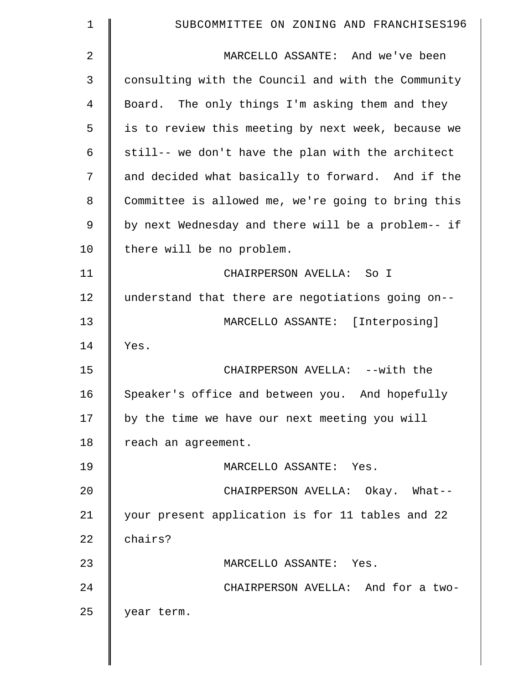| $\mathbf 1$ | SUBCOMMITTEE ON ZONING AND FRANCHISES196           |
|-------------|----------------------------------------------------|
| 2           | MARCELLO ASSANTE: And we've been                   |
| 3           | consulting with the Council and with the Community |
| 4           | Board. The only things I'm asking them and they    |
| 5           | is to review this meeting by next week, because we |
| 6           | still-- we don't have the plan with the architect  |
| 7           | and decided what basically to forward. And if the  |
| 8           | Committee is allowed me, we're going to bring this |
| 9           | by next Wednesday and there will be a problem-- if |
| 10          | there will be no problem.                          |
| 11          | CHAIRPERSON AVELLA: So I                           |
| 12          | understand that there are negotiations going on--  |
| 13          | MARCELLO ASSANTE: [Interposing]                    |
| 14          | Yes.                                               |
| 15          | CHAIRPERSON AVELLA: --with the                     |
| 16          | Speaker's office and between you.<br>And hopefully |
| 17          | by the time we have our next meeting you will      |
| 18          | reach an agreement.                                |
| 19          | MARCELLO ASSANTE: Yes.                             |
| 20          | CHAIRPERSON AVELLA: Okay. What--                   |
| 21          | your present application is for 11 tables and 22   |
| 22          | chairs?                                            |
| 23          | MARCELLO ASSANTE: Yes.                             |
| 24          | CHAIRPERSON AVELLA: And for a two-                 |
| 25          | year term.                                         |
|             |                                                    |

 $\parallel$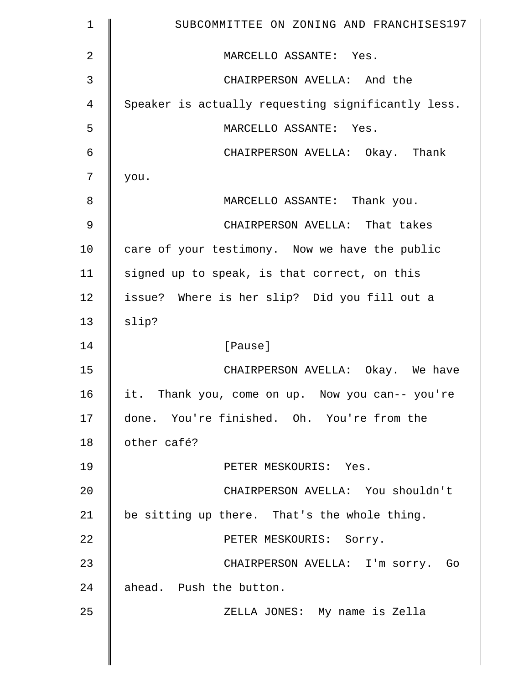| $\mathbf 1$ | SUBCOMMITTEE ON ZONING AND FRANCHISES197           |
|-------------|----------------------------------------------------|
| 2           | MARCELLO ASSANTE: Yes.                             |
| 3           | CHAIRPERSON AVELLA: And the                        |
| 4           | Speaker is actually requesting significantly less. |
| 5           | MARCELLO ASSANTE: Yes.                             |
| 6           | CHAIRPERSON AVELLA: Okay. Thank                    |
| 7           | you.                                               |
| 8           | MARCELLO ASSANTE: Thank you.                       |
| 9           | CHAIRPERSON AVELLA: That takes                     |
| 10          | care of your testimony. Now we have the public     |
| 11          | signed up to speak, is that correct, on this       |
| 12          | issue? Where is her slip? Did you fill out a       |
| 13          | slip?                                              |
| 14          | [Pause]                                            |
| 15          | CHAIRPERSON AVELLA: Okay. We have                  |
| 16          | it. Thank you, come on up. Now you can-- you're    |
| 17          | done. You're finished. Oh. You're from the         |
| 18          | other café?                                        |
| 19          | PETER MESKOURIS: Yes.                              |
| 20          | CHAIRPERSON AVELLA: You shouldn't                  |
| 21          | be sitting up there. That's the whole thing.       |
| 22          | PETER MESKOURIS: Sorry.                            |
| 23          | CHAIRPERSON AVELLA: I'm sorry. Go                  |
| 24          | ahead. Push the button.                            |
| 25          | ZELLA JONES: My name is Zella                      |
|             |                                                    |
|             |                                                    |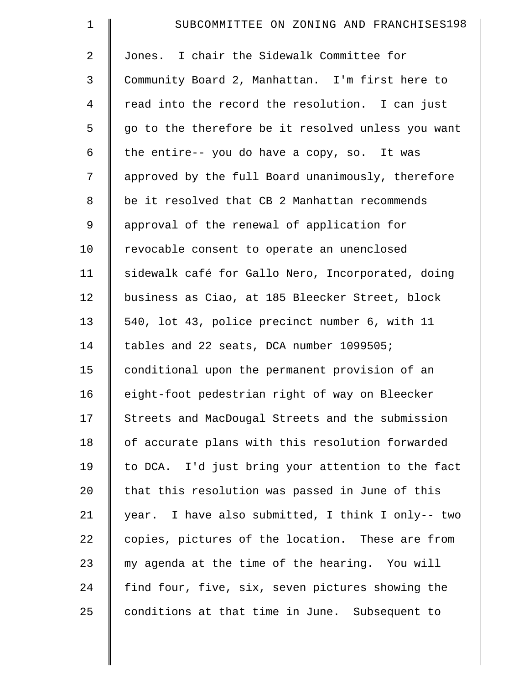| $\mathbf 1$    | SUBCOMMITTEE ON ZONING AND FRANCHISES198           |
|----------------|----------------------------------------------------|
| $\overline{a}$ | Jones. I chair the Sidewalk Committee for          |
| 3              | Community Board 2, Manhattan. I'm first here to    |
| 4              | read into the record the resolution. I can just    |
| 5              | go to the therefore be it resolved unless you want |
| 6              | the entire-- you do have a copy, so. It was        |
| 7              | approved by the full Board unanimously, therefore  |
| 8              | be it resolved that CB 2 Manhattan recommends      |
| 9              | approval of the renewal of application for         |
| 10             | revocable consent to operate an unenclosed         |
| 11             | sidewalk café for Gallo Nero, Incorporated, doing  |
| 12             | business as Ciao, at 185 Bleecker Street, block    |
| 13             | 540, lot 43, police precinct number 6, with 11     |
| 14             | tables and 22 seats, DCA number 1099505;           |
| 15             | conditional upon the permanent provision of an     |
| 16             | eight-foot pedestrian right of way on Bleecker     |
| 17             | Streets and MacDougal Streets and the submission   |
| 18             | of accurate plans with this resolution forwarded   |
| 19             | to DCA. I'd just bring your attention to the fact  |
| 20             | that this resolution was passed in June of this    |
| 21             | year. I have also submitted, I think I only-- two  |
| 22             | copies, pictures of the location. These are from   |
| 23             | my agenda at the time of the hearing. You will     |
| 24             | find four, five, six, seven pictures showing the   |
| 25             | conditions at that time in June. Subsequent to     |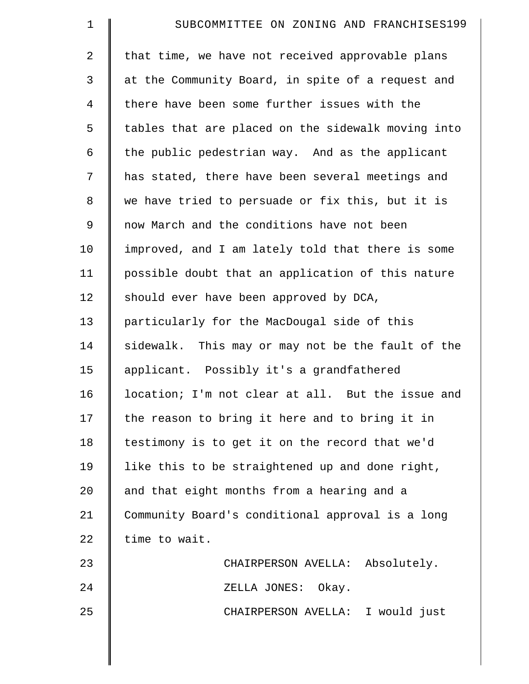| $\mathbf 1$    | SUBCOMMITTEE ON ZONING AND FRANCHISES199           |
|----------------|----------------------------------------------------|
| $\overline{2}$ | that time, we have not received approvable plans   |
| 3              | at the Community Board, in spite of a request and  |
| $\overline{4}$ | there have been some further issues with the       |
| 5              | tables that are placed on the sidewalk moving into |
| 6              | the public pedestrian way. And as the applicant    |
| 7              | has stated, there have been several meetings and   |
| 8              | we have tried to persuade or fix this, but it is   |
| 9              | now March and the conditions have not been         |
| 10             | improved, and I am lately told that there is some  |
| 11             | possible doubt that an application of this nature  |
| 12             | should ever have been approved by DCA,             |
| 13             | particularly for the MacDougal side of this        |
| 14             | sidewalk. This may or may not be the fault of the  |
| 15             | applicant. Possibly it's a grandfathered           |
| 16             | location; I'm not clear at all. But the issue and  |
| 17             | the reason to bring it here and to bring it in     |
| 18             | testimony is to get it on the record that we'd     |
| 19             | like this to be straightened up and done right,    |
| 20             | and that eight months from a hearing and a         |
| 21             | Community Board's conditional approval is a long   |
| 22             | time to wait.                                      |
| 23             | CHAIRPERSON AVELLA: Absolutely.                    |
| 24             | ZELLA JONES: Okay.                                 |
| 25             | CHAIRPERSON AVELLA: I would just                   |
|                |                                                    |
|                |                                                    |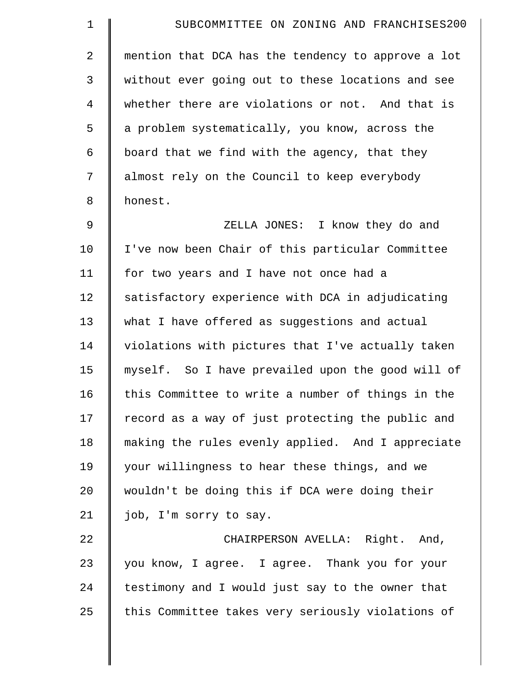| $\mathbf 1$    | SUBCOMMITTEE ON ZONING AND FRANCHISES200           |
|----------------|----------------------------------------------------|
| 2              | mention that DCA has the tendency to approve a lot |
| 3              | without ever going out to these locations and see  |
| $\overline{4}$ | whether there are violations or not. And that is   |
| 5              | a problem systematically, you know, across the     |
| 6              | board that we find with the agency, that they      |
| 7              | almost rely on the Council to keep everybody       |
| 8              | honest.                                            |
| 9              | ZELLA JONES: I know they do and                    |
| 10             | I've now been Chair of this particular Committee   |
| 11             | for two years and I have not once had a            |
| 12             | satisfactory experience with DCA in adjudicating   |
| 13             | what I have offered as suggestions and actual      |
| 14             | violations with pictures that I've actually taken  |
| 15             | myself. So I have prevailed upon the good will of  |
| 16             | this Committee to write a number of things in the  |
| 17             | record as a way of just protecting the public and  |
| 18             | making the rules evenly applied. And I appreciate  |
| 19             | your willingness to hear these things, and we      |
| 20             | wouldn't be doing this if DCA were doing their     |
| 21             | job, I'm sorry to say.                             |
| 22             | CHAIRPERSON AVELLA: Right. And,                    |
| 23             | you know, I agree. I agree. Thank you for your     |
| 24             | testimony and I would just say to the owner that   |
| 25             | this Committee takes very seriously violations of  |
|                |                                                    |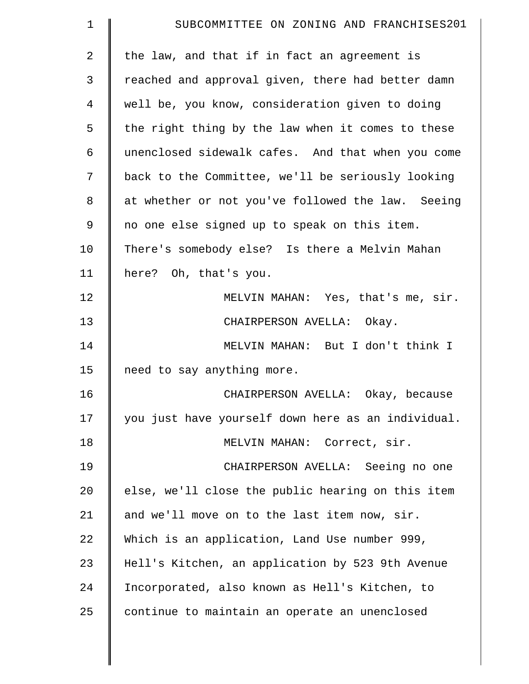| $\mathbf 1$    | SUBCOMMITTEE ON ZONING AND FRANCHISES201           |
|----------------|----------------------------------------------------|
| $\overline{a}$ | the law, and that if in fact an agreement is       |
| 3              | reached and approval given, there had better damn  |
| 4              | well be, you know, consideration given to doing    |
| 5              | the right thing by the law when it comes to these  |
| 6              | unenclosed sidewalk cafes. And that when you come  |
| 7              | back to the Committee, we'll be seriously looking  |
| 8              | at whether or not you've followed the law. Seeing  |
| 9              | no one else signed up to speak on this item.       |
| 10             | There's somebody else? Is there a Melvin Mahan     |
| 11             | here? Oh, that's you.                              |
| 12             | MELVIN MAHAN: Yes, that's me, sir.                 |
| 13             | CHAIRPERSON AVELLA: Okay.                          |
| 14             | MELVIN MAHAN: But I don't think I                  |
| 15             | need to say anything more.                         |
| 16             | CHAIRPERSON AVELLA: Okay, because                  |
| 17             | you just have yourself down here as an individual. |
| 18             | MELVIN MAHAN: Correct, sir.                        |
| 19             | CHAIRPERSON AVELLA: Seeing no one                  |
| 20             | else, we'll close the public hearing on this item  |
| 21             | and we'll move on to the last item now, sir.       |
| 22             | Which is an application, Land Use number 999,      |
| 23             | Hell's Kitchen, an application by 523 9th Avenue   |
| 24             | Incorporated, also known as Hell's Kitchen, to     |
| 25             | continue to maintain an operate an unenclosed      |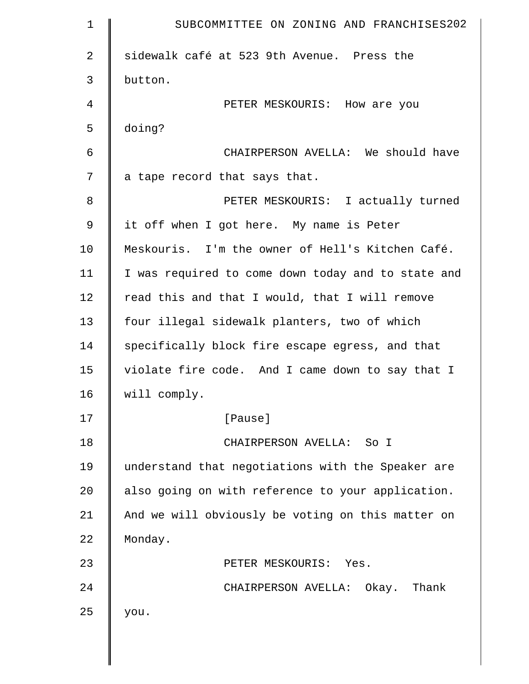| $\mathbf 1$ | SUBCOMMITTEE ON ZONING AND FRANCHISES202           |
|-------------|----------------------------------------------------|
| 2           | sidewalk café at 523 9th Avenue. Press the         |
| 3           | button.                                            |
| 4           | PETER MESKOURIS: How are you                       |
| 5           | doing?                                             |
| 6           | CHAIRPERSON AVELLA: We should have                 |
| 7           | a tape record that says that.                      |
| 8           | PETER MESKOURIS: I actually turned                 |
| 9           | it off when I got here. My name is Peter           |
| 10          | Meskouris. I'm the owner of Hell's Kitchen Café.   |
| 11          | I was required to come down today and to state and |
| 12          | read this and that I would, that I will remove     |
| 13          | four illegal sidewalk planters, two of which       |
| 14          | specifically block fire escape egress, and that    |
| 15          | violate fire code. And I came down to say that I   |
| 16          | will comply.                                       |
| 17          | [Pause]                                            |
| 18          | CHAIRPERSON AVELLA: So I                           |
| 19          | understand that negotiations with the Speaker are  |
| 20          | also going on with reference to your application.  |
| 21          | And we will obviously be voting on this matter on  |
| 22          | Monday.                                            |
| 23          | PETER MESKOURIS: Yes.                              |
| 24          | CHAIRPERSON AVELLA: Okay. Thank                    |
| 25          | you.                                               |
|             |                                                    |
|             |                                                    |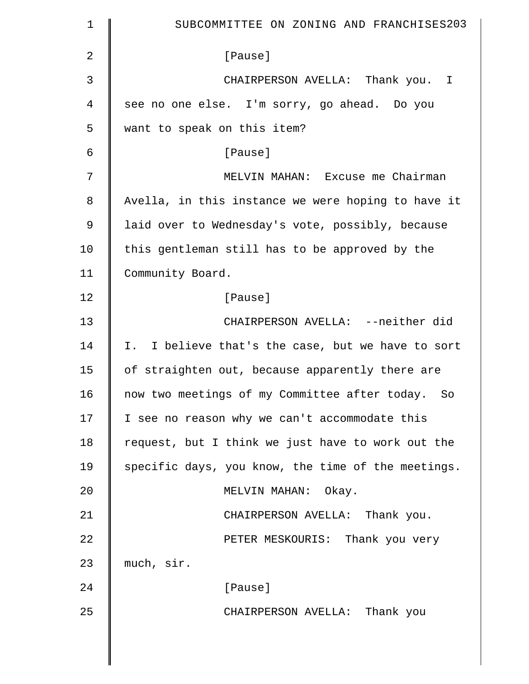| $\mathbf 1$    | SUBCOMMITTEE ON ZONING AND FRANCHISES203           |
|----------------|----------------------------------------------------|
| $\overline{2}$ | [Pause]                                            |
| 3              | CHAIRPERSON AVELLA: Thank you. I                   |
| $\overline{4}$ | see no one else. I'm sorry, go ahead. Do you       |
| 5              | want to speak on this item?                        |
| 6              | [Pause]                                            |
| 7              | MELVIN MAHAN: Excuse me Chairman                   |
| 8              | Avella, in this instance we were hoping to have it |
| $\mathsf 9$    | laid over to Wednesday's vote, possibly, because   |
| 10             | this gentleman still has to be approved by the     |
| 11             | Community Board.                                   |
| 12             | [Pause]                                            |
| 13             | CHAIRPERSON AVELLA: --neither did                  |
| 14             | I. I believe that's the case, but we have to sort  |
| 15             | of straighten out, because apparently there are    |
| 16             | now two meetings of my Committee after today. So   |
| 17             | I see no reason why we can't accommodate this      |
| 18             | request, but I think we just have to work out the  |
| 19             | specific days, you know, the time of the meetings. |
| 20             | MELVIN MAHAN: Okay.                                |
| 21             | CHAIRPERSON AVELLA: Thank you.                     |
| 22             | PETER MESKOURIS: Thank you very                    |
| 23             | much, sir.                                         |
| 24             | [Pause]                                            |
| 25             | CHAIRPERSON AVELLA: Thank you                      |
|                |                                                    |
|                |                                                    |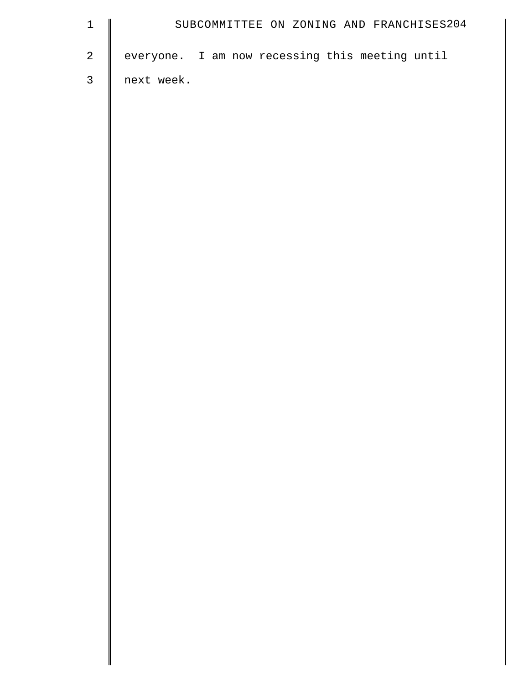| $\mathbf 1$  | SUBCOMMITTEE ON ZONING AND FRANCHISES204        |
|--------------|-------------------------------------------------|
| $\sqrt{2}$   | everyone. I am now recessing this meeting until |
| $\mathsf{3}$ | next week.                                      |
|              |                                                 |
|              |                                                 |
|              |                                                 |
|              |                                                 |
|              |                                                 |
|              |                                                 |
|              |                                                 |
|              |                                                 |
|              |                                                 |
|              |                                                 |
|              |                                                 |
|              |                                                 |
|              |                                                 |
|              |                                                 |
|              |                                                 |
|              |                                                 |
|              |                                                 |
|              |                                                 |
|              |                                                 |
|              |                                                 |
|              |                                                 |